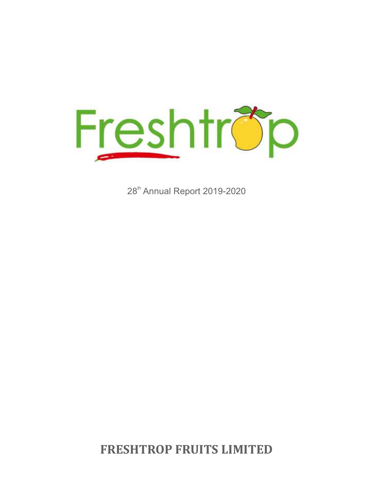

28<sup>th</sup> Annual Report 2019-2020

**FRESHTROP FRUITS LIMITED**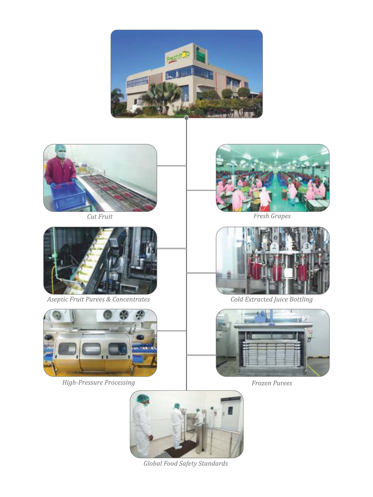



Cut Fruit



Aseptic Fruit Purees & Concentrates



High-Pressure Processing



Fresh Grapes



**Cold Extracted Juice Bottling** 



Frozen Purees



**Global Food Safety Standards**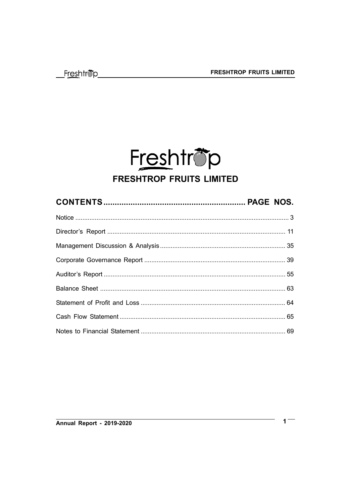# Freshtröp **FRESHTROP FRUITS LIMITED**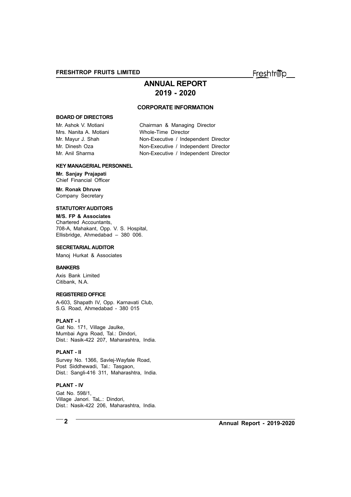# Freshtröp

# **ANNUAL REPORT 2019 - 2020**

# **CORPORATE INFORMATION**

#### **BOARD OF DIRECTORS**

Mr. Ashok V. Motiani Chairman & Managing Director Mrs. Nanita A. Motiani Whole-Time Director Mr. Mayur J. Shah Non-Executive / Independent Director Mr. Dinesh Oza Non-Executive / Independent Director Mr. Anil Sharma Non-Executive / Independent Director

#### **KEY MANAGERIAL PERSONNEL**

**Mr. Sanjay Prajapati** Chief Financial Officer

**Mr. Ronak Dhruve** Company Secretary

#### **STATUTORY AUDITORS**

**M/S. FP & Associates** Chartered Accountants, 708-A, Mahakant, Opp. V. S. Hospital, Ellisbridge, Ahmedabad – 380 006.

#### **SECRETARIAL AUDITOR**

Manoj Hurkat & Associates

#### **BANKERS**

Axis Bank Limited Citibank, N.A.

# **REGISTERED OFFICE**

A-603, Shapath IV, Opp. Karnavati Club, S.G. Road, Ahmedabad - 380 015

#### **PLANT - I**

Gat No. 171, Village Jaulke, Mumbai Agra Road, Tal.: Dindori, Dist.: Nasik-422 207, Maharashtra, India.

#### **PLANT - II**

Survey No. 1366, Savlej-Wayfale Road, Post Siddhewadi, Tal.: Tasgaon, Dist.: Sangli-416 311, Maharashtra, India.

#### **PLANT - IV**

Gat No. 598/1, Village Janori. TaL.: Dindori, Dist.: Nasik-422 206, Maharashtra, India.

**2 Annual Report - 2019-2020**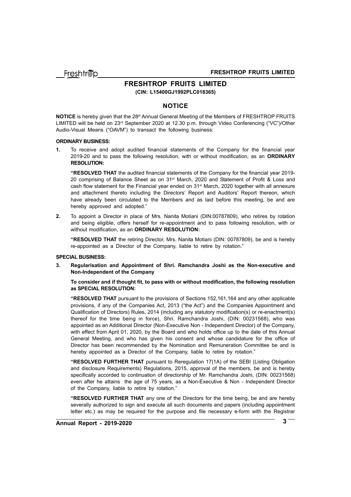Freshtröp

# **FRESHTROP FRUITS LIMITED (CIN: L15400GJ1992PLC018365)**

## **NOTICE**

**NOTICE** is hereby given that the 28<sup>th</sup> Annual General Meeting of the Members of FRESHTROP FRUITS LIMITED will be held on 23rd September 2020 at 12.30 p.m. through Video Conferencing ("VC")/Other Audio-Visual Means ("OAVM") to transact the following business:

#### **ORDINARY BUSINESS:**

**1.** To receive and adopt audited financial statements of the Company for the financial year 2019-20 and to pass the following resolution, with or without modification, as an **ORDINARY RESOLUTION:**

**"RESOLVED THAT** the audited financial statements of the Company for the financial year 2019- 20 comprising of Balance Sheet as on 31st March, 2020 and Statement of Profit & Loss and cash flow statement for the Financial year ended on 31st March, 2020 together with all annexure and attachment thereto including the Directors' Report and Auditors' Report thereon, which have already been circulated to the Members and as laid before this meeting, be and are hereby approved and adopted."

**2.** To appoint a Director in place of Mrs. Nanita Motiani (DIN:00787809), who retires by rotation and being eligible, offers herself for re-appointment and to pass following resolution, with or without modification, as an **ORDINARY RESOLUTION:**

**"RESOLVED THAT** the retiring Director, Mrs. Nanita Motiani (DIN: 00787809), be and is hereby re-appointed as a Director of the Company, liable to retire by rotation."

#### **SPECIAL BUSINESS:**

**3. Regularisation and Appointment of Shri. Ramchandra Joshi as the Non-executive and Non-Independent of the Company**

**To consider and if thought fit, to pass with or without modification, the following resolution as SPECIAL RESOLUTION:**

**"RESOLVED THAT** pursuant to the provisions of Sections 152,161,164 and any other applicable provisions, if any of the Companies Act, 2013 ("the Act") and the Companies Appointment and Qualification of Directors) Rules, 2014 (including any statutory modification(s) or re-enactment(s) thereof for the time being in force), Shri. Ramchandra Joshi, (DIN: 00231568), who was appointed as an Additional Director (Non-Executive Non - Independent Director) of the Company, with effect from April 01, 2020, by the Board and who holds office up to the date of this Annual General Meeting, and who has given his consent and whose candidature for the office of Director has been recommended by the Nomination and Remuneration Committee be and is hereby appointed as a Director of the Company, liable to retire by rotation."

**"RESOLVED FURTHER THAT** pursuant to Reregulation 17(1A) of the SEBI (Listing Obligation and disclosure Requirements) Regulations, 2015, approval of the members, be and is hereby specifically accorded to continuation of directorship of Mr. Ramchandra Joshi, (DIN: 00231568) even after he attains the age of 75 years, as a Non-Executive & Non - Independent Director of the Company, liable to retire by rotation."

**"RESOLVED FURTHER THAT** any one of the Directors for the time being, be and are hereby severally authorized to sign and execute all such documents and papers (including appointment letter etc.) as may be required for the purpose and file necessary e-form with the Registrar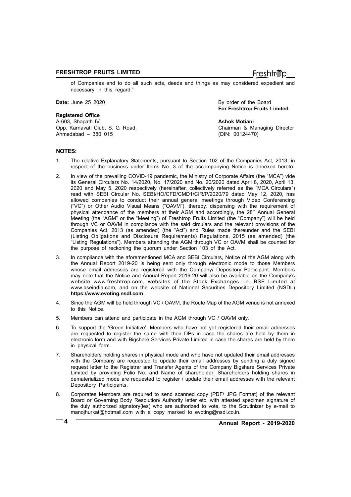Freshtr**in**o

of Companies and to do all such acts, deeds and things as may considered expedient and necessary in this regard."

#### **Registered Office**

A-603, Shapath IV, **Ashok Motiani** Opp. Karnavati Club, S. G. Road, Ahmedabad – 380 015 (DIN: 00124470)

**Date:** June 25 2020 **By order of the Board For Freshtrop Fruits Limited**

#### **NOTES:**

- 1. The relative Explanatory Statements, pursuant to Section 102 of the Companies Act, 2013, in respect of the business under Items No. 3 of the accompanying Notice is annexed hereto.
- 2. In view of the prevailing COVID-19 pandemic, the Ministry of Corporate Affairs (the "MCA") vide its General Circulars No. 14/2020, No. 17/2020 and No. 20/2020 dated April 8, 2020, April 13, 2020 and May 5, 2020 respectively (hereinafter, collectively referred as the "MCA Circulars") read with SEBI Circular No. SEBI/HO/CFD/CMD1/CIR/P/2020/79 dated May 12, 2020, has allowed companies to conduct their annual general meetings through Video Conferencing ("VC") or Other Audio Visual Means ("OAVM"), thereby, dispensing with the requirement of physical attendance of the members at their AGM and accordingly, the 28<sup>th</sup> Annual General Meeting (the "AGM" or the "Meeting") of Freshtrop Fruits Limited (the "Company") will be held through VC or OAVM in compliance with the said circulars and the relevant provisions of the Companies Act, 2013 (as amended) (the "Act") and Rules made thereunder and the SEBI (Listing Obligations and Disclosure Requirements) Regulations, 2015 (as amended) (the "Listing Regulations"). Members attending the AGM through VC or OAVM shall be counted for the purpose of reckoning the quorum under Section 103 of the Act.
- 3. In compliance with the aforementioned MCA and SEBI Circulars, Notice of the AGM along with the Annual Report 2019-20 is being sent only through electronic mode to those Members whose email addresses are registered with the Company/ Depository Participant. Members may note that the Notice and Annual Report 2019-20 will also be available on the Company's website www.freshtrop.com, websites of the Stock Exchanges i.e. BSE Limited at www.bseindia.com, and on the website of National Securities Depository Limited (NSDL) **https://www.evoting.nsdl.com**.
- 4. Since the AGM will be held through VC / OAVM, the Route Map of the AGM venue is not annexed to this Notice.
- 5. Members can attend and participate in the AGM through VC / OAVM only.
- 6. To support the 'Green Initiative', Members who have not yet registered their email addresses are requested to register the same with their DPs in case the shares are held by them in electronic form and with Bigshare Services Private Limited in case the shares are held by them in physical form.
- 7. Shareholders holding shares in physical mode and who have not updated their email addresses with the Company are requested to update their email addresses by sending a duly signed request letter to the Registrar and Transfer Agents of the Company Bigshare Services Private Limited by providing Folio No. and Name of shareholder. Shareholders holding shares in dematerialized mode are requested to register / update their email addresses with the relevant Depository Participants.
- 8. Corporates Members are required to send scanned copy (PDF/ JPG Format) of the relevant Board or Governing Body Resolution/ Authority letter etc. with attested specimen signature of the duly authorized signatory(ies) who are authorized to vote, to the Scrutinizer by e-mail to manojhurkat@hotmail.com with a copy marked to evoting@nsdl.co.in.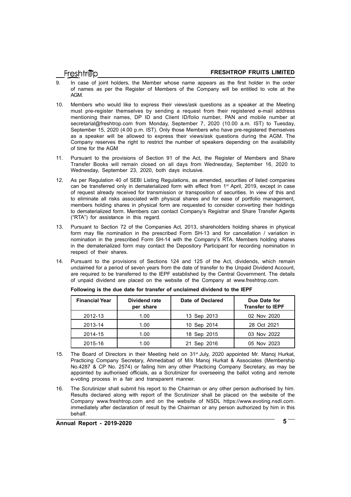Freshtrop

#### **FRESHTROP FRUITS LIMITED**

- 9. In case of joint holders, the Member whose name appears as the first holder in the order of names as per the Register of Members of the Company will be entitled to vote at the AGM.
- 10. Members who would like to express their views/ask questions as a speaker at the Meeting must pre-register themselves by sending a request from their registered e-mail address mentioning their names, DP ID and Client ID/folio number, PAN and mobile number at secretarial@freshtrop.com from Monday, September 7, 2020 (10.00 a.m. IST) to Tuesday, September 15, 2020 (4.00 p.m. IST). Only those Members who have pre-registered themselves as a speaker will be allowed to express their views/ask questions during the AGM. The Company reserves the right to restrict the number of speakers depending on the availability of time for the AGM
- 11. Pursuant to the provisions of Section 91 of the Act, the Register of Members and Share Transfer Books will remain closed on all days from Wednesday, September 16, 2020 to Wednesday, September 23, 2020, both days inclusive.
- 12. As per Regulation 40 of SEBI Listing Regulations, as amended, securities of listed companies can be transferred only in dematerialized form with effect from 1<sup>st</sup> April, 2019, except in case of request already received for transmission or transposition of securities. In view of this and to eliminate all risks associated with physical shares and for ease of portfolio management, members holding shares in physical form are requested to consider converting their holdings to dematerialized form. Members can contact Company's Registrar and Share Transfer Agents ("RTA") for assistance in this regard.
- 13. Pursuant to Section 72 of the Companies Act, 2013, shareholders holding shares in physical form may file nomination in the prescribed Form SH-13 and for cancellation / variation in nomination in the prescribed Form SH-14 with the Company's RTA. Members holding shares in the dematerialized form may contact the Depository Participant for recording nomination in respect of their shares.
- 14. Pursuant to the provisions of Sections 124 and 125 of the Act, dividends, which remain unclaimed for a period of seven years from the date of transfer to the Unpaid Dividend Account, are required to be transferred to the IEPF established by the Central Government. The details of unpaid dividend are placed on the website of the Company at www.freshtrop.com.

| <b>Financial Year</b> | Dividend rate<br>per share | Date of Declared | Due Date for<br><b>Transfer to IEPF</b> |
|-----------------------|----------------------------|------------------|-----------------------------------------|
| 2012-13               | 1.00                       | 13 Sep 2013      | 02 Nov 2020                             |
| 2013-14               | 1.00                       | 10 Sep 2014      | 28 Oct 2021                             |
| 2014-15               | 1.00                       | 18 Sep 2015      | 03 Nov 2022                             |
| 2015-16               | 1.00                       | 21 Sep 2016      | 05 Nov 2023                             |

**Following is the due date for transfer of unclaimed dividend to the IEPF**

- 15. The Board of Directors in their Meeting held on 31<sup>st</sup> July, 2020 appointed Mr. Manoj Hurkat, Practicing Company Secretary, Ahmedabad of M/s Manoj Hurkat & Associates (Membership No.4287 & CP No. 2574) or failing him any other Practicing Company Secretary, as may be appointed by authorised officials, as a Scrutinizer for overseeing the ballot voting and remote e-voting process in a fair and transparent manner.
- 16. The Scrutinizer shall submit his report to the Chairman or any other person authorised by him. Results declared along with report of the Scrutinizer shall be placed on the website of the Company www.freshtrop.com and on the website of NSDL https://www.evoting.nsdl.com. immediately after declaration of result by the Chairman or any person authorized by him in this behalf.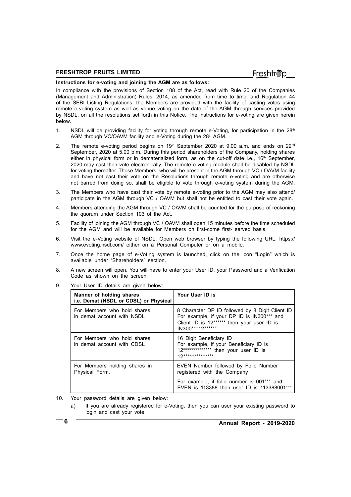#### **Instructions for e-voting and joining the AGM are as follows:**

In compliance with the provisions of Section 108 of the Act, read with Rule 20 of the Companies (Management and Administration) Rules, 2014, as amended from time to time, and Regulation 44 of the SEBI Listing Regulations, the Members are provided with the facility of casting votes using remote e-voting system as well as venue voting on the date of the AGM through services provided by NSDL, on all the resolutions set forth in this Notice. The instructions for e-voting are given herein below.

- 1. NSDL will be providing facility for voting through remote e-Voting, for participation in the  $28<sup>th</sup>$ AGM through VC/OAVM facility and e-Voting during the 28<sup>th</sup> AGM.
- 2. The remote e-voting period begins on  $19<sup>th</sup>$  September 2020 at 9.00 a.m. and ends on  $22<sup>nd</sup>$ September, 2020 at 5.00 p.m. During this period shareholders of the Company, holding shares either in physical form or in dematerialized form, as on the cut-off date i.e., 16<sup>th</sup> September, 2020 may cast their vote electronically. The remote e-voting module shall be disabled by NSDL for voting thereafter. Those Members, who will be present in the AGM through VC / OAVM facility and have not cast their vote on the Resolutions through remote e-voting and are otherwise not barred from doing so, shall be eligible to vote through e-voting system during the AGM.
- 3. The Members who have cast their vote by remote e-voting prior to the AGM may also attend/ participate in the AGM through VC / OAVM but shall not be entitled to cast their vote again.
- 4. Members attending the AGM through VC / OAVM shall be counted for the purpose of reckoning the quorum under Section 103 of the Act.
- 5. Facility of joining the AGM through VC / OAVM shall open 15 minutes before the time scheduled for the AGM and will be available for Members on first-come first- served basis.
- 6. Visit the e-Voting website of NSDL. Open web browser by typing the following URL: https:// www.evoting.nsdl.com/ either on a Personal Computer or on a mobile.
- 7. Once the home page of e-Voting system is launched, click on the icon "Login" which is available under 'Shareholders' section.
- 8. A new screen will open. You will have to enter your User ID, your Password and a Verification Code as shown on the screen.
- 9. Your User ID details are given below:

| Manner of holding shares<br>i.e. Demat (NSDL or CDSL) or Physical | Your User ID is                                                                                                                                                 |
|-------------------------------------------------------------------|-----------------------------------------------------------------------------------------------------------------------------------------------------------------|
| For Members who hold shares<br>in demat account with NSDL         | 8 Character DP ID followed by 8 Digit Client ID<br>For example, if your DP ID is IN300*** and<br>Client ID is 12****** then your user ID is<br>IN300***12****** |
| For Members who hold shares<br>in demat account with CDSL         | 16 Digit Beneficiary ID<br>For example, if your Beneficiary ID is<br>12*************** then your user ID is<br>12 **************                                |
| For Members holding shares in<br>Physical Form.                   | EVEN Number followed by Folio Number<br>registered with the Company                                                                                             |
|                                                                   | For example, if folio number is 001*** and<br>EVEN is 113388 then user ID is 113388001***                                                                       |

- 10. Your password details are given below:
	- a) If you are already registered for e-Voting, then you can user your existing password to login and cast your vote.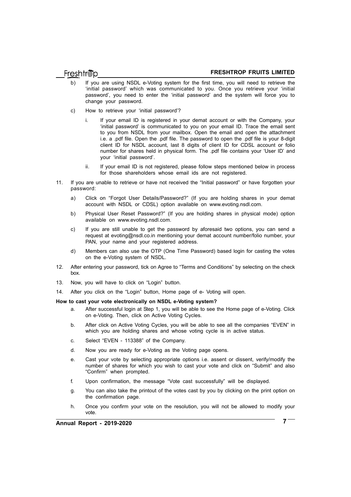- b) If you are using NSDL e-Voting system for the first time, you will need to retrieve the 'initial password' which was communicated to you. Once you retrieve your 'initial password', you need to enter the 'initial password' and the system will force you to change your password.
- c) How to retrieve your 'initial password'?
	- i. If your email ID is registered in your demat account or with the Company, your 'initial password' is communicated to you on your email ID. Trace the email sent to you from NSDL from your mailbox. Open the email and open the attachment i.e. a .pdf file. Open the .pdf file. The password to open the .pdf file is your 8-digit client ID for NSDL account, last 8 digits of client ID for CDSL account or folio number for shares held in physical form. The .pdf file contains your 'User ID' and your 'initial password'.
	- ii. If your email ID is not registered, please follow steps mentioned below in process for those shareholders whose email ids are not registered.
- 11. If you are unable to retrieve or have not received the "Initial password" or have forgotten your password:
	- a) Click on "Forgot User Details/Password?" (If you are holding shares in your demat account with NSDL or CDSL) option available on www.evoting.nsdl.com.
	- b) Physical User Reset Password?" (If you are holding shares in physical mode) option available on www.evoting.nsdl.com.
	- c) If you are still unable to get the password by aforesaid two options, you can send a request at evoting@nsdl.co.in mentioning your demat account number/folio number, your PAN, your name and your registered address.
	- d) Members can also use the OTP (One Time Password) based login for casting the votes on the e-Voting system of NSDL.
- 12. After entering your password, tick on Agree to "Terms and Conditions" by selecting on the check box.
- 13. Now, you will have to click on "Login" button.
- 14. After you click on the "Login" button, Home page of e- Voting will open.

#### **How to cast your vote electronically on NSDL e-Voting system?**

- a. After successful login at Step 1, you will be able to see the Home page of e-Voting. Click on e-Voting. Then, click on Active Voting Cycles.
- b. After click on Active Voting Cycles, you will be able to see all the companies "EVEN" in which you are holding shares and whose voting cycle is in active status.
- c. Select "EVEN 113388" of the Company.
- d. Now you are ready for e-Voting as the Voting page opens.
- e. Cast your vote by selecting appropriate options i.e. assent or dissent, verify/modify the number of shares for which you wish to cast your vote and click on "Submit" and also "Confirm" when prompted.
- f. Upon confirmation, the message "Vote cast successfully" will be displayed.
- g. You can also take the printout of the votes cast by you by clicking on the print option on the confirmation page.
- h. Once you confirm your vote on the resolution, you will not be allowed to modify your vote.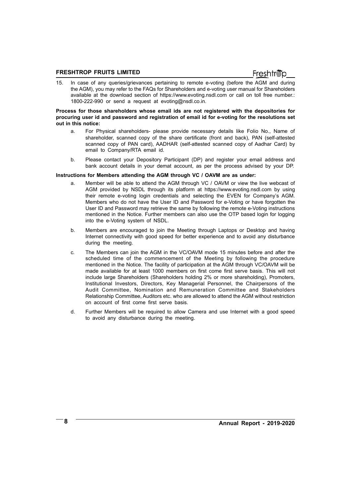15. In case of any queries/grievances pertaining to remote e-voting (before the AGM and during the AGM), you may refer to the FAQs for Shareholders and e-voting user manual for Shareholders available at the download section of https://www.evoting.nsdl.com or call on toll free number.: 1800-222-990 or send a request at evoting@nsdl.co.in.

**Process for those shareholders whose email ids are not registered with the depositories for procuring user id and password and registration of email id for e-voting for the resolutions set out in this notice:**

- a. For Physical shareholders- please provide necessary details like Folio No., Name of shareholder, scanned copy of the share certificate (front and back), PAN (self-attested scanned copy of PAN card), AADHAR (self-attested scanned copy of Aadhar Card) by email to Company/RTA email id.
- b. Please contact your Depository Participant (DP) and register your email address and bank account details in your demat account, as per the process advised by your DP.

#### **Instructions for Members attending the AGM through VC / OAVM are as under:**

- a. Member will be able to attend the AGM through VC / OAVM or view the live webcast of AGM provided by NSDL through its platform at https://www.evoting.nsdl.com by using their remote e-voting login credentials and selecting the EVEN for Company's AGM. Members who do not have the User ID and Password for e-Voting or have forgotten the User ID and Password may retrieve the same by following the remote e-Voting instructions mentioned in the Notice. Further members can also use the OTP based login for logging into the e-Voting system of NSDL.
- b. Members are encouraged to join the Meeting through Laptops or Desktop and having Internet connectivity with good speed for better experience and to avoid any disturbance during the meeting.
- c. The Members can join the AGM in the VC/OAVM mode 15 minutes before and after the scheduled time of the commencement of the Meeting by following the procedure mentioned in the Notice. The facility of participation at the AGM through VC/OAVM will be made available for at least 1000 members on first come first serve basis. This will not include large Shareholders (Shareholders holding 2% or more shareholding), Promoters, Institutional Investors, Directors, Key Managerial Personnel, the Chairpersons of the Audit Committee, Nomination and Remuneration Committee and Stakeholders Relationship Committee, Auditors etc. who are allowed to attend the AGM without restriction on account of first come first serve basis.
- d. Further Members will be required to allow Camera and use Internet with a good speed to avoid any disturbance during the meeting.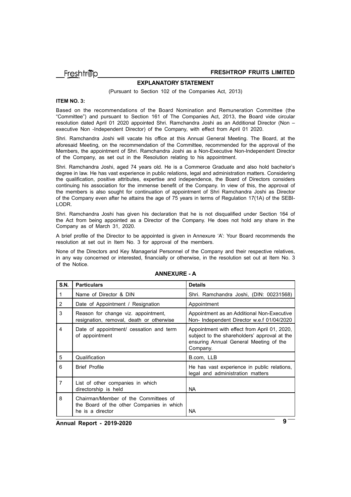Freshtröp

### **EXPLANATORY STATEMENT**

(Pursuant to Section 102 of the Companies Act, 2013)

#### **ITEM NO. 3:**

Based on the recommendations of the Board Nomination and Remuneration Committee (the "Committee") and pursuant to Section 161 of The Companies Act, 2013, the Board vide circular resolution dated April 01 2020 appointed Shri. Ramchandra Joshi as an Additional Director (Non – executive Non -Independent Director) of the Company, with effect from April 01 2020.

Shri. Ramchandra Joshi will vacate his office at this Annual General Meeting. The Board, at the aforesaid Meeting, on the recommendation of the Committee, recommended for the approval of the Members, the appointment of Shri. Ramchandra Joshi as a Non-Executive Non-Independent Director of the Company, as set out in the Resolution relating to his appointment.

Shri. Ramchandra Joshi, aged 74 years old. He is a Commerce Graduate and also hold bachelor's degree in law. He has vast experience in public relations, legal and administration matters. Considering the qualification, positive attributes, expertise and independence, the Board of Directors considers continuing his association for the immense benefit of the Company. In view of this, the approval of the members is also sought for continuation of appointment of Shri Ramchandra Joshi as Director of the Company even after he attains the age of 75 years in terms of Regulation 17(1A) of the SEBI-LODR.

Shri. Ramchandra Joshi has given his declaration that he is not disqualified under Section 164 of the Act from being appointed as a Director of the Company. He does not hold any share in the Company as of March 31, 2020.

A brief profile of the Director to be appointed is given in Annexure 'A': Your Board recommends the resolution at set out in Item No. 3 for approval of the members.

None of the Directors and Key Managerial Personnel of the Company and their respective relatives, in any way concerned or interested, financially or otherwise, in the resolution set out at Item No. 3 of the Notice.

| S.N.           | <b>Particulars</b>                                                                                    | <b>Details</b>                                                                                                                                     |
|----------------|-------------------------------------------------------------------------------------------------------|----------------------------------------------------------------------------------------------------------------------------------------------------|
|                | Name of Director & DIN                                                                                | Shri. Ramchandra Joshi, (DIN: 00231568)                                                                                                            |
| $\overline{2}$ | Date of Appointment / Resignation                                                                     | Appointment                                                                                                                                        |
| 3              | Reason for change viz. appointment,<br>resignation, removal, death or otherwise                       | Appointment as an Additional Non-Executive<br>Non-Independent Director w.e.f 01/04/2020                                                            |
| 4              | Date of appointment/ cessation and term<br>of appointment                                             | Appointment with effect from April 01, 2020,<br>subject to the shareholders' approval at the<br>ensuring Annual General Meeting of the<br>Company. |
| 5              | Qualification                                                                                         | B.com, LLB                                                                                                                                         |
| 6              | <b>Brief Profile</b>                                                                                  | He has vast experience in public relations,<br>legal and administration matters                                                                    |
| $\overline{7}$ | List of other companies in which<br>directorship is held                                              | NA.                                                                                                                                                |
| 8              | Chairman/Member of the Committees of<br>the Board of the other Companies in which<br>he is a director | NA.                                                                                                                                                |

## **ANNEXURE - A**

**Annual Report - 2019-2020 9**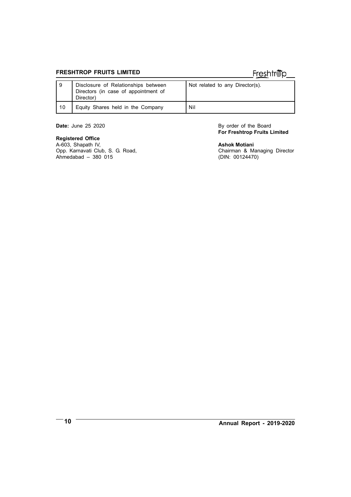# Freshtr<sup>3</sup>p\_

| 9  | Disclosure of Relationships between<br>Directors (in case of appointment of<br>Director) | Not related to any Director(s). |
|----|------------------------------------------------------------------------------------------|---------------------------------|
| 10 | Equity Shares held in the Company                                                        | Nil                             |

## **Registered Office**

A-603, Shapath IV, **Ashok Motiani** Opp. Karnavati Club, S. G. Road, Chairman & Managing Director Ahmedabad – 380 015 (DIN: 00124470)

**Date:** June 25 2020 **By order of the Board For Freshtrop Fruits Limited**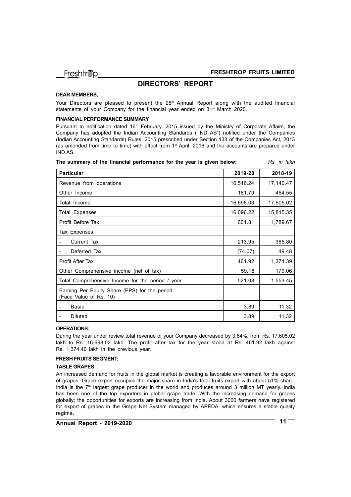

# **DIRECTORS' REPORT**

#### **DEAR MEMBERS,**

Your Directors are pleased to present the 28<sup>th</sup> Annual Report along with the audited financial statements of your Company for the financial year ended on 31<sup>st</sup> March 2020.

#### **FINANCIAL PERFORMANCE SUMMARY**

Pursuant to notification dated 16<sup>th</sup> February, 2015 issued by the Ministry of Corporate Affairs, the Company has adopted the Indian Accounting Standards ("IND AS") notified under the Companies (Indian Accounting Standards) Rules, 2015 prescribed under Section 133 of the Companies Act, 2013 (as amended from time to time) with effect from 1st April, 2016 and the accounts are prepared under IND AS.

| The summary of the financial performance for the year is given below:   |           | Rs. in lakh |
|-------------------------------------------------------------------------|-----------|-------------|
| <b>Particular</b>                                                       | 2019-20   | 2018-19     |
| Revenue from operations                                                 | 16,516.24 | 17,140.47   |
| Other Income                                                            | 181.79    | 464.55      |
| Total Income                                                            | 16,698.03 | 17,605.02   |
| <b>Total Expenses</b>                                                   | 16,096.22 | 15,815.35   |
| Profit Before Tax                                                       | 601.81    | 1,789.67    |
| Tax Expenses                                                            |           |             |
| Current Tax                                                             | 213.95    | 365.80      |
| Deferred Tax                                                            | (74.07)   | 49.48       |
| Profit After Tax                                                        | 461.92    | 1,374.39    |
| Other Comprehensive income (net of tax)                                 | 59.16     | 179.06      |
| Total Comprehensive Income for the period / year                        | 521.08    | 1,553.45    |
| Earning Per Equity Share (EPS) for the period<br>(Face Value of Rs. 10) |           |             |
| <b>Basic</b>                                                            | 3.89      | 11.32       |
| Diluted                                                                 | 3.89      | 11.32       |

#### **OPERATIONS:**

During the year under review total revenue of your Company decreased by 3.64%, from Rs. 17,605.02 lakh to Rs. 16,698.02 lakh. The profit after tax for the year stood at Rs. 461.92 lakh against Rs. 1,374.40 lakh in the previous year.

#### **FRESH FRUITS SEGMENT:**

#### **TABLE GRAPES**

An increased demand for fruits in the global market is creating a favorable environment for the export of grapes. Grape export occupies the major share in India's total fruits export with about 51% share. India is the 7<sup>th</sup> largest grape producer in the world and produces around 3 million MT yearly. India has been one of the top exporters in global grape trade. With the increasing demand for grapes globally; the opportunities for exports are increasing from India. About 3000 farmers have registered for export of grapes in the Grape Net System managed by APEDA, which ensures a stable quality regime.

**Annual Report - 2019-2020 11**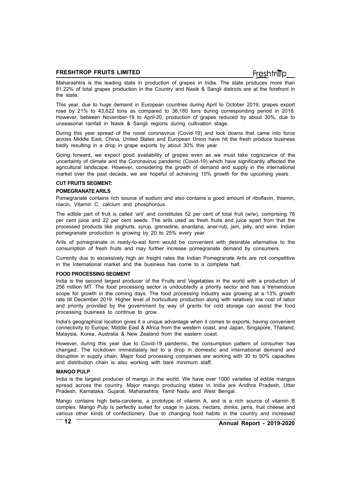Maharashtra is the leading state in production of grapes in India. The state produces more than 81.22% of total grapes production in the Country and Nasik & Sangli districts are at the forefront in the state.

This year, due to huge demand in European countries during April to October 2019, grapes export rose by 21% to 43,622 tons as compared to 36,180 tons during corresponding period in 2018. However, between November-19 to April-20, production of grapes reduced by about 30%, due to unseasonal rainfall in Nasik & Sangli regions during cultivation stage.

During this year spread of the novel coronavirus (Covid-19) and lock downs that came into force across Middle East, China, United States and European Union have hit the fresh produce business badly resulting in a drop in grape exports by about 30% this year.

Going forward, we expect good availability of grapes even as we must take cognizance of the uncertainty of climate and the Coronavirus pandemic (Covid-19) which have significantly affected the agricultural landscape. However, considering the growth of demand and supply in the international market over the past decade, we are hopeful of achieving 10% growth for the upcoming years.

#### **CUT FRUITS SEGMENT:**

#### **POMEGRANATE ARILS**

Pomegranate contains rich source of sodium and also contains a good amount of riboflavin, thiamin, niacin, Vitamin C, calcium and phosphorous.

The edible part of fruit is called 'aril' and constitutes 52 per cent of total fruit (w/w), comprising 78 per cent juice and 22 per cent seeds. The arils used as fresh fruits and juice apart from that the processed products like yoghurts, syrup, grenadine, anardana, anar-rub, jam, jelly, and wine. Indian pomegranate production is growing by 20 to 25% every year.

Arils of pomegranate in ready-to-eat form would be convenient with desirable alternative to the consumption of fresh fruits and may further increase pomegranate demand by consumers.

Currently due to excessively high air freight rates the Indian Pomegranate Arils are not competitive in the International market and the business has come to a complete halt.

#### **FOOD PROCESSING SEGMENT**

India is the second largest producer of the Fruits and Vegetables in the world with a production of 256 million MT. The food processing sector is undoubtedly a priority sector and has a tremendous scope for growth in the coming days. The food processing industry was growing at a 13% growth rate till December 2019. Higher level of horticulture production along with relatively low cost of labor and priority provided by the government by way of grants for cold storage can assist the food processing business to continue to grow.

India's geographical location gives it a unique advantage when it comes to exports, having convenient connectivity to Europe, Middle East & Africa from the western coast, and Japan, Singapore, Thailand, Malaysia, Korea, Australia & New Zealand from the eastern coast.

However, during this year due to Covid-19 pandemic, the consumption pattern of consumer has changed. The lockdown immediately led to a drop in domestic and international demand and disruption in supply chain. Major food processing companies are working with 30 to 50% capacities and distribution chain is also working with bare minimum staff.

#### **MANGO PULP**

India is the largest producer of mango in the world. We have over 1000 varieties of edible mangos spread across the country. Major mango producing states in India are Andhra Pradesh, Uttar Pradesh, Karnataka, Gujarat, Maharashtra, Tamil Nadu and West Bengal.

Mango contains high beta-carotene, a prototype of vitamin A, and is a rich source of vitamin B complex. Mango Pulp is perfectly suited for usage in juices, nectars, drinks, jams, fruit cheese and various other kinds of confectionery. Due to changing food habits in the country and increased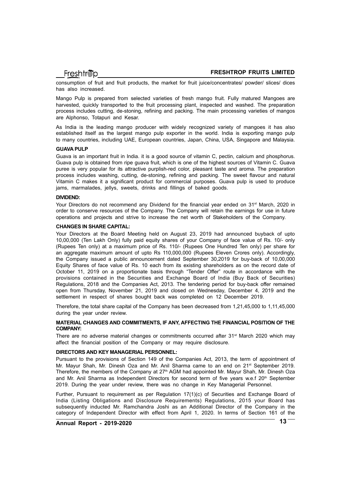consumption of fruit and fruit products, the market for fruit juice/concentrates/ powder/ slices/ dices has also increased.

Mango Pulp is prepared from selected varieties of fresh mango fruit. Fully matured Mangoes are harvested, quickly transported to the fruit processing plant, inspected and washed. The preparation process includes cutting, de-stoning, refining and packing. The main processing varieties of mangos are Alphonso, Totapuri and Kesar.

As India is the leading mango producer with widely recognized variety of mangoes it has also established itself as the largest mango pulp exporter in the world. India is exporting mango pulp to many countries, including UAE, European countries, Japan, China, USA, Singapore and Malaysia.

#### **GUAVA PULP**

Guava is an important fruit in India. it is a good source of vitamin C, pectin, calcium and phosphorus. Guava pulp is obtained from ripe guava fruit, which is one of the highest sources of Vitamin C. Guava puree is very popular for its attractive purplish-red color, pleasant taste and aroma. The preparation process includes washing, cutting, de-stoning, refining and packing. The sweet flavour and natural Vitamin C makes it a significant product for commercial purposes. Guava pulp is used to produce jams, marmalades, jellys, sweets, drinks and fillings of baked goods.

#### **DIVIDEND:**

Your Directors do not recommend any Dividend for the financial year ended on 31<sup>st</sup> March, 2020 in order to conserve resources of the Company. The Company will retain the earnings for use in future operations and projects and strive to increase the net worth of Stakeholders of the Company.

#### **CHANGES IN SHARE CAPITAL:**

Your Directors at the Board Meeting held on August 23, 2019 had announced buyback of upto 10,00,000 (Ten Lakh Only) fully paid equity shares of your Company of face value of Rs. 10/- only (Rupees Ten only) at a maximum price of Rs. 110/- (Rupees One Hundred Ten only) per share for an aggregate maximum amount of upto Rs 110,000,000 (Rupees Eleven Crores only). Accordingly, the Company issued a public announcement dated September 30,2019 for buy-back of 10,00,000 Equity Shares of face value of Rs. 10 each from its existing shareholders as on the record date of October 11, 2019 on a proportionate basis through "Tender Offer" route in accordance with the provisions contained in the Securities and Exchange Board of India (Buy Back of Securities) Regulations, 2018 and the Companies Act, 2013. The tendering period for buy-back offer remained open from Thursday, November 21, 2019 and closed on Wednesday, December 4, 2019 and the settlement in respect of shares bought back was completed on 12 December 2019.

Therefore, the total share capital of the Company has been decreased from 1,21,45,000 to 1,11,45,000 during the year under review.

#### **MATERIAL CHANGES AND COMMITMENTS, IF ANY, AFFECTING THE FINANCIAL POSITION OF THE COMPANY:**

There are no adverse material changes or commitments occurred after 31<sup>st</sup> March 2020 which may affect the financial position of the Company or may require disclosure.

#### **DIRECTORS AND KEY MANAGERIAL PERSONNEL:**

Pursuant to the provisions of Section 149 of the Companies Act, 2013, the term of appointment of Mr. Mayur Shah, Mr. Dinesh Oza and Mr. Anil Sharma came to an end on 21st September 2019. Therefore, the members of the Company at 27<sup>th</sup> AGM had appointed Mr. Mayur Shah, Mr. Dinesh Oza and Mr. Anil Sharma as Independent Directors for second term of five years w.e.f  $20<sup>th</sup>$  September 2019. During the year under review, there was no change in Key Managerial Personnel.

Further, Pursuant to requirement as per Regulation 17(1)(c) of Securities and Exchange Board of India (Listing Obligations and Disclosure Requirements) Regulations, 2015 your Board has subsequently inducted Mr. Ramchandra Joshi as an Additional Director of the Company in the category of Independent Director with effect from April 1, 2020. In terms of Section 161 of the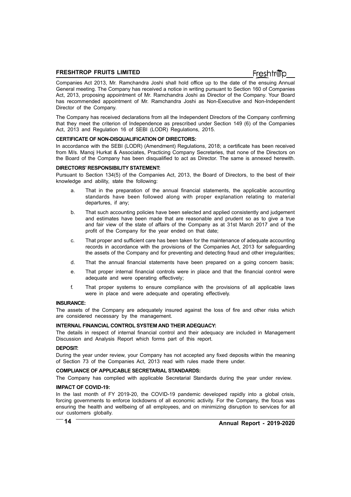# Freshtr**in**

Companies Act 2013, Mr. Ramchandra Joshi shall hold office up to the date of the ensuing Annual General meeting. The Company has received a notice in writing pursuant to Section 160 of Companies Act, 2013, proposing appointment of Mr. Ramchandra Joshi as Director of the Company. Your Board has recommended appointment of Mr. Ramchandra Joshi as Non-Executive and Non-Independent Director of the Company.

The Company has received declarations from all the Independent Directors of the Company confirming that they meet the criterion of Independence as prescribed under Section 149 (6) of the Companies Act, 2013 and Regulation 16 of SEBI (LODR) Regulations, 2015.

#### **CERTIFICATE OF NON-DISQUALIFICATION OF DIRECTORS:**

In accordance with the SEBI (LODR) (Amendment) Regulations, 2018; a certificate has been received from M/s. Manoj Hurkat & Associates, Practicing Company Secretaries, that none of the Directors on the Board of the Company has been disqualified to act as Director. The same is annexed herewith.

#### **DIRECTORS' RESPONSIBILITY STATEMENT:**

Pursuant to Section 134(5) of the Companies Act, 2013, the Board of Directors, to the best of their knowledge and ability, state the following:

- a. That in the preparation of the annual financial statements, the applicable accounting standards have been followed along with proper explanation relating to material departures, if any;
- b. That such accounting policies have been selected and applied consistently and judgement and estimates have been made that are reasonable and prudent so as to give a true and fair view of the state of affairs of the Company as at 31st March 2017 and of the profit of the Company for the year ended on that date;
- c. That proper and sufficient care has been taken for the maintenance of adequate accounting records in accordance with the provisions of the Companies Act, 2013 for safeguarding the assets of the Company and for preventing and detecting fraud and other irregularities;
- d. That the annual financial statements have been prepared on a going concern basis;
- e. That proper internal financial controls were in place and that the financial control were adequate and were operating effectively;
- f. That proper systems to ensure compliance with the provisions of all applicable laws were in place and were adequate and operating effectively.

#### **INSURANCE:**

The assets of the Company are adequately insured against the loss of fire and other risks which are considered necessary by the management.

#### **INTERNAL FINANCIAL CONTROL SYSTEM AND THEIR ADEQUACY:**

The details in respect of internal financial control and their adequacy are included in Management Discussion and Analysis Report which forms part of this report.

#### **DEPOSIT:**

During the year under review, your Company has not accepted any fixed deposits within the meaning of Section 73 of the Companies Act, 2013 read with rules made there under.

#### **COMPLIANCE OF APPLICABLE SECRETARIAL STANDARDS:**

The Company has complied with applicable Secretarial Standards during the year under review.

#### **IMPACT OF COVID-19:**

In the last month of FY 2019-20, the COVID-19 pandemic developed rapidly into a global crisis. forcing governments to enforce lockdowns of all economic activity. For the Company, the focus was ensuring the health and wellbeing of all employees, and on minimizing disruption to services for all our customers globally.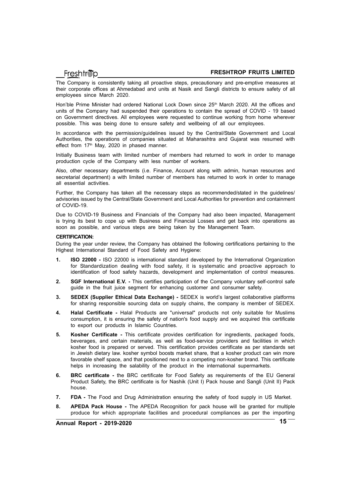The Company is consistently taking all proactive steps, precautionary and pre-emptive measures at their corporate offices at Ahmedabad and units at Nasik and Sangli districts to ensure safety of all employees since March 2020.

Hon'ble Prime Minister had ordered National Lock Down since 25<sup>th</sup> March 2020. All the offices and units of the Company had suspended their operations to contain the spread of COVID - 19 based on Government directives. All employees were requested to continue working from home wherever possible. This was being done to ensure safety and wellbeing of all our employees.

In accordance with the permission/guidelines issued by the Central/State Government and Local Authorities, the operations of companies situated at Maharashtra and Gujarat was resumed with effect from 17<sup>th</sup> May, 2020 in phased manner.

Initially Business team with limited number of members had returned to work in order to manage production cycle of the Company with less number of workers.

Also, other necessary departments (i.e. Finance, Account along with admin, human resources and secretarial department) a with limited number of members has returned to work in order to manage all essential activities.

Further, the Company has taken all the necessary steps as recommended/stated in the guidelines/ advisories issued by the Central/State Government and Local Authorities for prevention and containment of COVID-19.

Due to COVID-19 Business and Financials of the Company had also been impacted, Management is trying its best to cope up with Business and Financial Losses and get back into operations as soon as possible, and various steps are being taken by the Management Team.

#### **CERTIFICATION:**

During the year under review, the Company has obtained the following certifications pertaining to the Highest International Standard of Food Safety and Hygiene:

- **1. ISO 22000** ISO 22000 is international standard developed by the International Organization for Standardization dealing with food safety, it is systematic and proactive approach to identification of food safety hazards, development and implementation of control measures.
- **2. SGF International E.V. -** This certifies participation of the Company voluntary self-control safe guide in the fruit juice segment for enhancing customer and consumer safety.
- **3. SEDEX (Supplier Ethical Data Exchange) -** SEDEX is world's largest collaborative platforms for sharing responsible sourcing data on supply chains, the company is member of SEDEX.
- **4. Halal Certificate -** Halal Products are "universal" products not only suitable for Muslims consumption, it is ensuring the safety of nation's food supply and we acquired this certificate to export our products in Islamic Countries.
- **5. Kosher Certificate -** This certificate provides certification for ingredients, packaged foods, beverages, and certain materials, as well as food-service providers and facilities in which kosher food is prepared or served. This certification provides certificate as per standards set in Jewish dietary law. kosher symbol boosts market share, that a kosher product can win more favorable shelf space, and that positioned next to a competing non-kosher brand. This certificate helps in increasing the salability of the product in the international supermarkets.
- **6. BRC certificate -** the BRC certificate for Food Safety as requirements of the EU General Product Safety, the BRC certificate is for Nashik (Unit I) Pack house and Sangli (Unit II) Pack house.
- **7. FDA -** The Food and Drug Administration ensuring the safety of food supply in US Market.
- **8. APEDA Pack House -** The APEDA Recognition for pack house will be granted for multiple produce for which appropriate facilities and procedural compliances as per the importing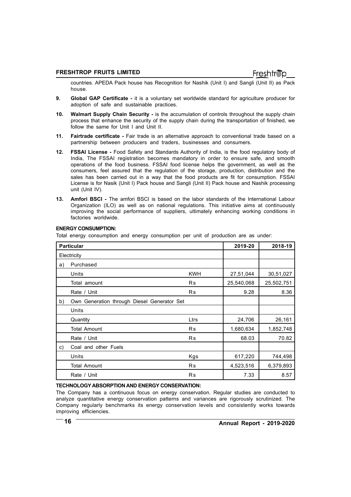# Freshtrop

countries. APEDA Pack house has Recognition for Nashik (Unit I) and Sangli (Unit II) as Pack house.

- **9. Global GAP Certificate -** it is a voluntary set worldwide standard for agriculture producer for adoption of safe and sustainable practices.
- **10. Walmart Supply Chain Security -** is the accumulation of controls throughout the supply chain process that enhance the security of the supply chain during the transportation of finished, we follow the same for Unit I and Unit II.
- **11. Fairtrade certificate -** Fair trade is an alternative approach to conventional trade based on a partnership between producers and traders, businesses and consumers.
- **12. FSSAI License -** Food Safety and Standards Authority of India, is the food regulatory body of India, The FSSAI registration becomes mandatory in order to ensure safe, and smooth operations of the food business. FSSAI food license helps the government, as well as the consumers, feel assured that the regulation of the storage, production, distribution and the sales has been carried out in a way that the food products are fit for consumption. FSSAI License is for Nasik (Unit I) Pack house and Sangli (Unit II) Pack house and Nashik processing unit (Unit IV).
- **13. Amfori BSCI -** The amfori BSCI is based on the labor standards of the International Labour Organization (ILO) as well as on national regulations. This initiative aims at continuously improving the social performance of suppliers, ultimately enhancing working conditions in factories worldwide.

#### **ENERGY CONSUMPTION:**

Total energy consumption and energy consumption per unit of production are as under:

|    | <b>Particular</b>                           | 2019-20    | 2018-19    |            |
|----|---------------------------------------------|------------|------------|------------|
|    | Electricity                                 |            |            |            |
| a) | Purchased                                   |            |            |            |
|    | Units                                       | <b>KWH</b> | 27,51,044  | 30,51,027  |
|    | Total amount                                | Rs         | 25,540,068 | 25,502,751 |
|    | Rate / Unit                                 | <b>Rs</b>  | 9.28       | 8.36       |
| b) | Own Generation through Diesel Generator Set |            |            |            |
|    | Units                                       |            |            |            |
|    | Quantity                                    | Ltrs       | 24,706     | 26,161     |
|    | <b>Total Amount</b>                         | <b>Rs</b>  | 1,680,634  | 1,852,748  |
|    | Rate / Unit                                 | <b>Rs</b>  | 68.03      | 70.82      |
| C) | Coal and other Fuels                        |            |            |            |
|    | Units                                       | Kgs        | 617,220    | 744,498    |
|    | <b>Total Amount</b>                         | <b>Rs</b>  | 4,523,516  | 6,379,893  |
|    | Rate / Unit                                 | <b>Rs</b>  | 7.33       | 8.57       |

#### **TECHNOLOGY ABSORPTION AND ENERGY CONSERVATION:**

The Company has a continuous focus on energy conservation. Regular studies are conducted to analyze quantitative energy conservation patterns and variances are rigorously scrutinized. The Company regularly benchmarks its energy conservation levels and consistently works towards improving efficiencies.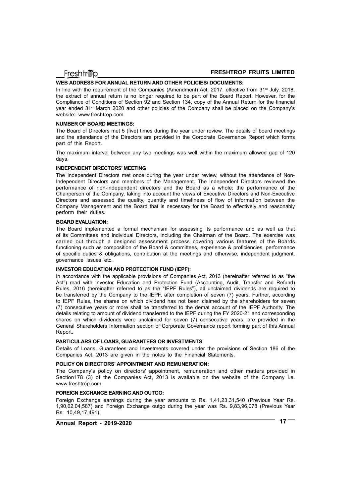Freshtrio

#### **FRESHTROP FRUITS LIMITED**

#### **WEB ADDRESS FOR ANNUAL RETURN AND OTHER POLICIES/ DOCUMENTS:**

In line with the requirement of the Companies (Amendment) Act, 2017, effective from 31<sup>st</sup> July, 2018, the extract of annual return is no longer required to be part of the Board Report. However, for the Compliance of Conditions of Section 92 and Section 134, copy of the Annual Return for the financial year ended 31st March 2020 and other policies of the Company shall be placed on the Company's website: www.freshtrop.com.

#### **NUMBER OF BOARD MEETINGS:**

The Board of Directors met 5 (five) times during the year under review. The details of board meetings and the attendance of the Directors are provided in the Corporate Governance Report which forms part of this Report.

The maximum interval between any two meetings was well within the maximum allowed gap of 120 days.

#### **INDEPENDENT DIRECTORS' MEETING**

The Independent Directors met once during the year under review, without the attendance of Non-Independent Directors and members of the Management. The Independent Directors reviewed the performance of non-independent directors and the Board as a whole; the performance of the Chairperson of the Company, taking into account the views of Executive Directors and Non-Executive Directors and assessed the quality, quantity and timeliness of flow of information between the Company Management and the Board that is necessary for the Board to effectively and reasonably perform their duties.

#### **BOARD EVALUATION:**

The Board implemented a formal mechanism for assessing its performance and as well as that of its Committees and individual Directors, including the Chairman of the Board. The exercise was carried out through a designed assessment process covering various features of the Boards functioning such as composition of the Board & committees, experience & proficiencies, performance of specific duties & obligations, contribution at the meetings and otherwise, independent judgment, governance issues etc.

#### **INVESTOR EDUCATION AND PROTECTION FUND (IEPF):**

In accordance with the applicable provisions of Companies Act, 2013 (hereinafter referred to as "the Act") read with Investor Education and Protection Fund (Accounting, Audit, Transfer and Refund) Rules, 2016 (hereinafter referred to as the "IEPF Rules"), all unclaimed dividends are required to be transferred by the Company to the IEPF, after completion of seven (7) years. Further, according to IEPF Rules, the shares on which dividend has not been claimed by the shareholders for seven (7) consecutive years or more shall be transferred to the demat account of the IEPF Authority. The details relating to amount of dividend transferred to the IEPF during the FY 2020-21 and corresponding shares on which dividends were unclaimed for seven (7) consecutive years, are provided in the General Shareholders Information section of Corporate Governance report forming part of this Annual Report.

#### **PARTICULARS OF LOANS, GUARANTEES OR INVESTMENTS:**

Details of Loans, Guarantees and Investments covered under the provisions of Section 186 of the Companies Act, 2013 are given in the notes to the Financial Statements.

#### **POLICY ON DIRECTORS' APPOINTMENT AND REMUNERATION:**

The Company's policy on directors' appointment, remuneration and other matters provided in Section178 (3) of the Companies Act, 2013 is available on the website of the Company i.e. www.freshtrop.com.

#### **FOREIGN EXCHANGE EARNING AND OUTGO:**

Foreign Exchange earnings during the year amounts to Rs. 1,41,23,31,540 (Previous Year Rs. 1,90,62,04,587) and Foreign Exchange outgo during the year was Rs. 9,83,96,078 (Previous Year Rs. 10,49,17,491).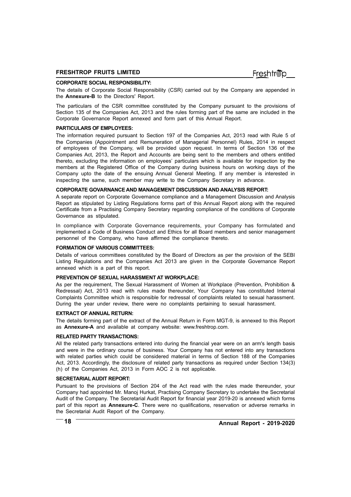#### **CORPORATE SOCIAL RESPONSIBILITY:**

The details of Corporate Social Responsibility (CSR) carried out by the Company are appended in the **Annexure-B** to the Directors' Report.

The particulars of the CSR committee constituted by the Company pursuant to the provisions of Section 135 of the Companies Act, 2013 and the rules forming part of the same are included in the Corporate Governance Report annexed and form part of this Annual Report.

#### **PARTICULARS OF EMPLOYEES:**

The information required pursuant to Section 197 of the Companies Act, 2013 read with Rule 5 of the Companies (Appointment and Remuneration of Managerial Personnel) Rules, 2014 in respect of employees of the Company, will be provided upon request. In terms of Section 136 of the Companies Act, 2013, the Report and Accounts are being sent to the members and others entitled thereto, excluding the information on employees' particulars which is available for inspection by the members at the Registered Office of the Company during business hours on working days of the Company upto the date of the ensuing Annual General Meeting. If any member is interested in inspecting the same, such member may write to the Company Secretary in advance.

#### **CORPORATE GOVARNANCE AND MANAGEMENT DISCUSSION AND ANALYSIS REPORT:**

A separate report on Corporate Governance compliance and a Management Discussion and Analysis Report as stipulated by Listing Regulations forms part of this Annual Report along with the required Certificate from a Practising Company Secretary regarding compliance of the conditions of Corporate Governance as stipulated.

In compliance with Corporate Governance requirements, your Company has formulated and implemented a Code of Business Conduct and Ethics for all Board members and senior management personnel of the Company, who have affirmed the compliance thereto.

#### **FORMATION OF VARIOUS COMMITTEES:**

Details of various committees constituted by the Board of Directors as per the provision of the SEBI Listing Regulations and the Companies Act 2013 are given in the Corporate Governance Report annexed which is a part of this report.

#### **PREVENTION OF SEXUAL HARASSMENT AT WORKPLACE:**

As per the requirement, The Sexual Harassment of Women at Workplace (Prevention, Prohibition & Redressal) Act, 2013 read with rules made thereunder, Your Company has constituted Internal Complaints Committee which is responsible for redressal of complaints related to sexual harassment. During the year under review, there were no complaints pertaining to sexual harassment.

#### **EXTRACT OF ANNUAL RETURN:**

The details forming part of the extract of the Annual Return in Form MGT-9, is annexed to this Report as **Annexure-A** and available at company website: www.freshtrop.com.

#### **RELATED PARTY TRANSACTIONS:**

All the related party transactions entered into during the financial year were on an arm's length basis and were in the ordinary course of business. Your Company has not entered into any transactions with related parties which could be considered material in terms of Section 188 of the Companies Act, 2013. Accordingly, the disclosure of related party transactions as required under Section 134(3) (h) of the Companies Act, 2013 in Form AOC 2 is not applicable.

#### **SECRETARIAL AUDIT REPORT:**

Pursuant to the provisions of Section 204 of the Act read with the rules made thereunder, your Company had appointed Mr. Manoj Hurkat, Practising Company Secretary to undertake the Secretarial Audit of the Company. The Secretarial Audit Report for financial year 2019-20 is annexed which forms part of this report as **Annexure-C**. There were no qualifications, reservation or adverse remarks in the Secretarial Audit Report of the Company.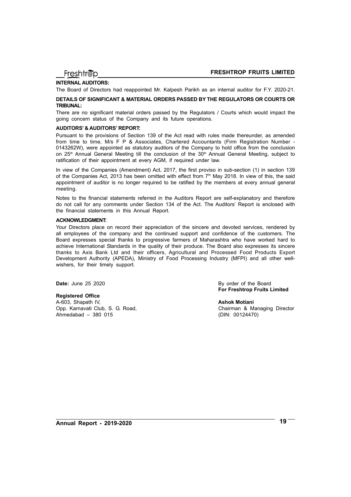#### **INTERNAL AUDITORS:**

The Board of Directors had reappointed Mr. Kalpesh Parikh as an internal auditor for F.Y. 2020-21.

#### **DETAILS OF SIGNIFICANT & MATERIAL ORDERS PASSED BY THE REGULATORS OR COURTS OR TRIBUNAL:**

There are no significant material orders passed by the Regulators / Courts which would impact the going concern status of the Company and its future operations.

#### **AUDITORS' & AUDITORS' REPORT:**

Pursuant to the provisions of Section 139 of the Act read with rules made thereunder, as amended from time to time, M/s F P & Associates, Chartered Accountants (Firm Registration Number - 0143262W), were appointed as statutory auditors of the Company to hold office from the conclusion on  $25<sup>th</sup>$  Annual General Meeting till the conclusion of the  $30<sup>th</sup>$  Annual General Meeting, subject to ratification of their appointment at every AGM, if required under law.

In view of the Companies (Amendment) Act, 2017, the first proviso in sub-section (1) in section 139 of the Companies Act, 2013 has been omitted with effect from 7<sup>th</sup> May 2018. In view of this, the said appointment of auditor is no longer required to be ratified by the members at every annual general meeting.

Notes to the financial statements referred in the Auditors Report are self-explanatory and therefore do not call for any comments under Section 134 of the Act. The Auditors' Report is enclosed with the financial statements in this Annual Report.

#### **ACKNOWLEDGMENT:**

Your Directors place on record their appreciation of the sincere and devoted services, rendered by all employees of the company and the continued support and confidence of the customers. The Board expresses special thanks to progressive farmers of Maharashtra who have worked hard to achieve International Standards in the quality of their produce. The Board also expresses its sincere thanks to Axis Bank Ltd and their officers, Agricultural and Processed Food Products Export Development Authority (APEDA), Ministry of Food Processing Industry (MFPI) and all other wellwishers, for their timely support.

#### **Registered Office**

A-603, Shapath IV, **Ashok Motiani** Opp. Karnavati Club, S. G. Road, Ahmedabad – 380 015 (DIN: 00124470)

**Date:** June 25 2020 **By order of the Board For Freshtrop Fruits Limited**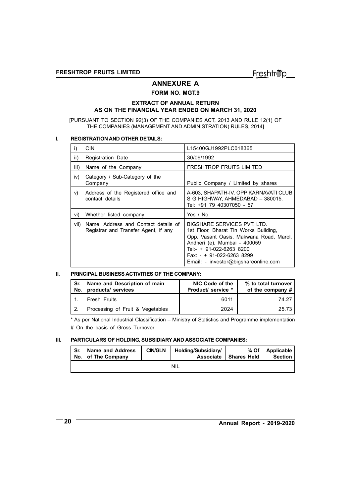Freshtr**ö**p

# **ANNEXURE A**

# **FORM NO. MGT.9**

# **EXTRACT OF ANNUAL RETURN AS ON THE FINANCIAL YEAR ENDED ON MARCH 31, 2020**

[PURSUANT TO SECTION 92(3) OF THE COMPANIES ACT, 2013 AND RULE 12(1) OF THE COMPANIES (MANAGEMENT AND ADMINISTRATION) RULES, 2014]

## **I. REGISTRATION AND OTHER DETAILS:**

| i)   | <b>CIN</b>                                                                   | L15400GJ1992PLC018365                                                                                                                                                                                                                             |
|------|------------------------------------------------------------------------------|---------------------------------------------------------------------------------------------------------------------------------------------------------------------------------------------------------------------------------------------------|
| ii)  | <b>Registration Date</b>                                                     | 30/09/1992                                                                                                                                                                                                                                        |
| iii) | Name of the Company                                                          | <b>FRESHTROP FRUITS LIMITED</b>                                                                                                                                                                                                                   |
| iv)  | Category / Sub-Category of the<br>Company                                    | Public Company / Limited by shares                                                                                                                                                                                                                |
| V)   | Address of the Registered office and<br>contact details                      | A-603, SHAPATH-IV, OPP KARNAVATI CLUB<br>S G HIGHWAY, AHMEDABAD - 380015.<br>Tel: +91 79 40307050 - 57                                                                                                                                            |
| vi)  | Whether listed company                                                       | Yes / <del>No</del>                                                                                                                                                                                                                               |
| vii) | Name, Address and Contact details of<br>Registrar and Transfer Agent, if any | BIGSHARE SERVICES PVT. LTD.<br>1st Floor, Bharat Tin Works Building,<br>Opp. Vasant Oasis, Makwana Road, Marol,<br>Andheri (e), Mumbai - 400059<br>Tel:- + 91-022-6263 8200<br>Fax: $- + 91-022-62638299$<br>Email: - investor@bigshareonline.com |

## **II. PRINCIPAL BUSINESS ACTIVITIES OF THE COMPANY:**

| No.              | Sr.   Name and Description of main<br>products/ services | NIC Code of the<br>Product/ service * | % to total turnover<br>of the company # |  |  |
|------------------|----------------------------------------------------------|---------------------------------------|-----------------------------------------|--|--|
|                  | Fresh Fruits                                             | 6011                                  | 74.27                                   |  |  |
| $\overline{2}$ . | Processing of Fruit & Vegetables                         | 2024                                  | 25.73                                   |  |  |

\* As per National Industrial Classification – Ministry of Statistics and Programme implementation # On the basis of Gross Turnover

# **III. PARTICULARS OF HOLDING, SUBSIDIARY AND ASSOCIATE COMPANIES:**

| Sr. | <b>Name and Address</b><br>No. of The Company | <b>CIN/GLN</b> | Holding/Subsidiary/ | $%$ Of<br>Associate   Shares Held | Applicable<br><b>Section</b> |
|-----|-----------------------------------------------|----------------|---------------------|-----------------------------------|------------------------------|
|     |                                               |                | <b>NIL</b>          |                                   |                              |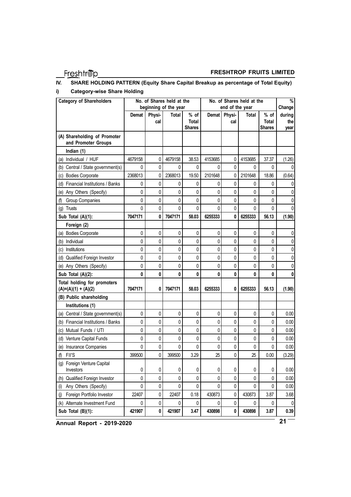Freshtr<sup>a</sup>p

# **FRESHTROP FRUITS LIMITED**

# **IV.** SHARE HOLDING PATTERN (Equity Share Capital Breakup as percentage of Total Equity)

# **i) Category-wise Share Holding**

| <b>Category of Shareholders</b>                     | No. of Shares held at the<br>beginning of the year |               |              |                                       | end of the year | No. of Shares held at the |         | %<br>Change                    |                       |
|-----------------------------------------------------|----------------------------------------------------|---------------|--------------|---------------------------------------|-----------------|---------------------------|---------|--------------------------------|-----------------------|
|                                                     | Demat                                              | Physi-<br>cal | Total        | % of<br><b>Total</b><br><b>Shares</b> | Demat           | Physi-<br>cal             | Total   | % of<br>Total<br><b>Shares</b> | during<br>the<br>year |
| (A) Shareholding of Promoter<br>and Promoter Groups |                                                    |               |              |                                       |                 |                           |         |                                |                       |
| Indian (1)                                          |                                                    |               |              |                                       |                 |                           |         |                                |                       |
| (a) Individual / HUF                                | 4679158                                            | 0             | 4679158      | 38.53                                 | 4153685         | 0                         | 4153685 | 37.37                          | (1.26)                |
| (b) Central / State government(s)                   | 0                                                  | 0             | 0            | 0                                     | 0               | 0                         | 0       | 0                              | 0                     |
| (c) Bodies Corporate                                | 2368013                                            | 0             | 2368013      | 19.50                                 | 2101648         | 0                         | 2101648 | 18.86                          | (0.64)                |
| (d) Financial Institutions / Banks                  | 0                                                  | 0             | 0            | 0                                     | 0               | $\pmb{0}$                 | 0       | 0                              | 0                     |
| Any Others (Specify)<br>(e)                         | 0                                                  | 0             | $\mathbf{0}$ | 0                                     | 0               | $\mathbf{0}$              | 0       | 0                              | 0                     |
| <b>Group Companies</b><br>(f)                       | 0                                                  | 0             | 0            | 0                                     | 0               | 0                         | 0       | 0                              | 0                     |
| Trusts<br>$\left( q\right)$                         | 0                                                  | 0             | 0            | 0                                     | 0               | 0                         | 0       | 0                              | 0                     |
| Sub Total (A)(1):                                   | 7047171                                            | 0             | 7047171      | 58.03                                 | 6255333         | 0                         | 6255333 | 56.13                          | (1.90)                |
| Foreign (2)                                         |                                                    |               |              |                                       |                 |                           |         |                                |                       |
| <b>Bodies Corporate</b><br>(a)                      | 0                                                  | 0             | 0            | 0                                     | 0               | 0                         | 0       | 0                              | 0                     |
| (b) Individual                                      | 0                                                  | 0             | 0            | 0                                     | 0               | 0                         | 0       | 0                              | 0                     |
| Institutions<br>(c)                                 | 0                                                  | 0             | 0            | 0                                     | 0               | 0                         | 0       | 0                              | 0                     |
| (d) Qualified Foreign Investor                      | 0                                                  | 0             | 0            | 0                                     | 0               | 0                         | 0       | 0                              | 0                     |
| (e) Any Others (Specify)                            | 0                                                  | 0             | 0            | 0                                     | 0               | 0                         | 0       | 0                              | 0                     |
| Sub Total (A)(2):                                   | 0                                                  | 0             | 0            | 0                                     | 0               | 0                         | 0       | 0                              | 0                     |
| Total holding for promoters<br>$(A)=(A)(1)+(A)(2)$  | 7047171                                            | 0             | 7047171      | 58.03                                 | 6255333         | 0                         | 6255333 | 56.13                          | (1.90)                |
| (B) Public shareholding                             |                                                    |               |              |                                       |                 |                           |         |                                |                       |
| Institutions (1)                                    |                                                    |               |              |                                       |                 |                           |         |                                |                       |
| (a) Central / State government(s)                   | 0                                                  | 0             | 0            | 0                                     | 0               | 0                         | 0       | 0                              | 0.00                  |
| (b) Financial Institutions / Banks                  | 0                                                  | 0             | 0            | 0                                     | 0               | 0                         | 0       | 0                              | 0.00                  |
| (c) Mutual Funds / UTI                              | 0                                                  | 0             | 0            | 0                                     | 0               | 0                         | 0       | 0                              | 0.00                  |
| Venture Capital Funds<br>(d)                        | 0                                                  | 0             | 0            | 0                                     | 0               | 0                         | 0       | 0                              | 0.00                  |
| Insurance Companies<br>(e)                          | 0                                                  | 0             | 0            | 0                                     | 0               | 0                         | 0       | 0                              | 0.00                  |
| FII'S<br>(f)                                        | 399500                                             | 0             | 399500       | 3.29                                  | 25              | 0                         | 25      | 0.00                           | (3.29)                |
| (g) Foreign Venture Capital<br>Investors            | 0                                                  | 0             | 0            | 0                                     | 0               | 0                         | 0       | 0                              | 0.00                  |
| Qualified Foreign Investor<br>(h)                   | $\pmb{0}$                                          | 0             | 0            | 0                                     | 0               | 0                         | 0       | 0                              | 0.00                  |
| Any Others (Specify)<br>(i)                         | $\pmb{0}$                                          | 0             | 0            | 0                                     | 0               | 0                         | 0       | 0                              | 0.00                  |
| Foreign Portfolio Investor<br>(i)                   | 22407                                              | 0             | 22407        | 0.18                                  | 430873          | 0                         | 430873  | 3.87                           | 3.68                  |
| (k) Alternate Investment Fund                       | $\pmb{0}$                                          | 0             | $\pmb{0}$    | 0                                     | 0               | $\pmb{0}$                 | 0       | 0                              | 0                     |
| Sub Total (B)(1):                                   | 421907                                             | $\pmb{0}$     | 421907       | 3.47                                  | 430898          | $\pmb{0}$                 | 430898  | 3.87                           | 0.39                  |

**Annual Report - 2019-2020 21**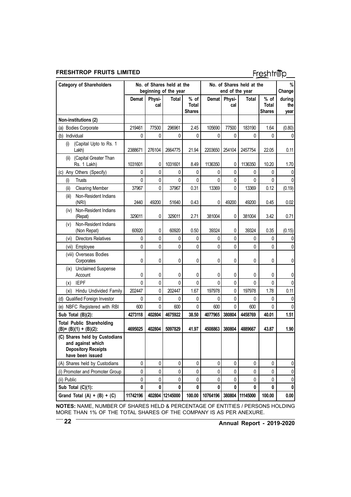# Freshtr<sup>an</sup>p\_\_

| <b>Category of Shareholders</b>                                                                      | No. of Shares held at the<br>No. of Shares held at the<br>beginning of the year<br>end of the year |               |                 |                                  | $\%$<br>Change |               |                 |                                  |                       |
|------------------------------------------------------------------------------------------------------|----------------------------------------------------------------------------------------------------|---------------|-----------------|----------------------------------|----------------|---------------|-----------------|----------------------------------|-----------------------|
|                                                                                                      | Demat                                                                                              | Physi-<br>cal | Total           | $%$ of<br>Total<br><b>Shares</b> | Demat          | Physi-<br>cal | Total           | $%$ of<br>Total<br><b>Shares</b> | during<br>the<br>year |
| Non-institutions (2)                                                                                 |                                                                                                    |               |                 |                                  |                |               |                 |                                  |                       |
| (a) Bodies Corporate                                                                                 | 219461                                                                                             | 77500         | 296961          | 2.45                             | 105690         | 77500         | 183190          | 1.64                             | (0.80)                |
| Individual<br>(b)                                                                                    | 0                                                                                                  | 0             | 0               | 0                                | 0              | 0             | 0               | 0                                | 0                     |
| (Capital Upto to Rs. 1<br>(i)<br>Lakh)                                                               | 2388671                                                                                            | 276104        | 2664775         | 21.94                            | 2203650        | 254104        | 2457754         | 22.05                            | 0.11                  |
| (Capital Greater Than<br>(ii)<br>Rs. 1 Lakh)                                                         | 1031601                                                                                            | 0             | 1031601         | 8.49                             | 1136350        | 0             | 1136350         | 10.20                            | 1.70                  |
| Any Others (Specify)<br>(c)                                                                          | 0                                                                                                  | 0             | 0               | 0                                | 0              | 0             | 0               | 0                                |                       |
| Trusts<br>(i)                                                                                        | 0                                                                                                  | 0             | 0               | 0                                | 0              | 0             | 0               | 0                                | 0                     |
| (ii)<br><b>Clearing Member</b>                                                                       | 37967                                                                                              | $\mathbf{0}$  | 37967           | 0.31                             | 13369          | 0             | 13369           | 0.12                             | (0.19)                |
| Non-Resident Indians<br>(iii)<br>(NRI)                                                               | 2440                                                                                               | 49200         | 51640           | 0.43                             | 0              | 49200         | 49200           | 0.45                             | 0.02                  |
| Non-Resident Indians<br>(iv)<br>(Repat)                                                              | 329011                                                                                             | 0             | 329011          | 2.71                             | 381004         | 0             | 381004          | 3.42                             | 0.71                  |
| Non-Resident Indians<br>(v)<br>(Non Repat)                                                           | 60920                                                                                              | 0             | 60920           | 0.50                             | 39324          | 0             | 39324           | 0.35                             | (0.15)                |
| <b>Directors Relatives</b><br>(vi)                                                                   | 0                                                                                                  | 0             | 0               | 0                                | 0              | 0             | 0               | 0                                |                       |
| (vii)<br>Employee                                                                                    | 0                                                                                                  | 0             | 0               | 0                                | 0              | 0             | 0               | 0                                | 0                     |
| (viii) Overseas Bodies<br>Corporates                                                                 | 0                                                                                                  | 0             | 0               | 0                                | 0              | 0             | 0               | 0                                | 0                     |
| <b>Unclaimed Suspense</b><br>(ix)<br>Account                                                         | 0                                                                                                  | 0             | 0               | 0                                | 0              | 0             | 0               | 0                                | 0                     |
| <b>IEPF</b><br>(x)                                                                                   | 0                                                                                                  | $\pmb{0}$     | 0               | 0                                | $\Omega$       | $\mathbf 0$   | $\mathbf 0$     | 0                                | 0                     |
| Hindu Undivided Family<br>(xi)                                                                       | 202447                                                                                             | $\mathbf{0}$  | 202447          | 1.67                             | 197978         | 0             | 197978          | 1.78                             | 0.11                  |
| (d) Qualified Foreign Investor                                                                       | 0                                                                                                  | 0             | 0               | 0                                | 0              | 0             | 0               | 0                                | 0                     |
| (e) NBFC Registered with RBI                                                                         | 600                                                                                                | $\mathbf{0}$  | 600             | 0                                | 600            | 0             | 600             | 0                                |                       |
| Sub Total (B)(2):                                                                                    | 4273118                                                                                            | 402804        | 4675922         | 38.50                            | 4077965        | 380804        | 4458769         | 40.01                            | 1.51                  |
| <b>Total Public Shareholding</b><br>$(B)= (B)(1) + (B)(2)$ :                                         | 4695025                                                                                            | 402804        | 5097829         | 41.97                            | 4508863        | 380804        | 4889667         | 43.87                            | 1.90                  |
| (C) Shares held by Custodians<br>and against which<br><b>Depository Receipts</b><br>have been issued |                                                                                                    |               |                 |                                  |                |               |                 |                                  |                       |
| (A) Shares held by Custodians                                                                        | 0                                                                                                  | 0             | 0               | 0                                | 0              | 0             | 0               | 0                                | 0                     |
| (i) Promoter and Promoter Group                                                                      | 0                                                                                                  | 0             | 0               | 0                                | 0              | 0             | 0               | 0                                | 0                     |
| (ii) Public                                                                                          | 0                                                                                                  | 0             | 0               | 0                                | 0              | 0             | 0               | 0                                | 0                     |
| Sub Total (C)(1):                                                                                    | 0                                                                                                  | 0             | 0               | 0                                | 0              | 0             | 0               | 0                                | 0                     |
| Grand Total $(A) + (B) + (C)$                                                                        | 11742196                                                                                           |               | 402804 12145000 | 100.00                           | 10764196       |               | 380804 11145000 | 100.00                           | $0.00\,$              |

**NOTES:** NAME, NUMBER OF SHARES HELD & PERCENTAGE OF ENTITIES / PERSONS HOLDING MORE THAN 1% OF THE TOTAL SHARES OF THE COMPANY IS AS PER ANEXURE.

**22 Annual Report - 2019-2020**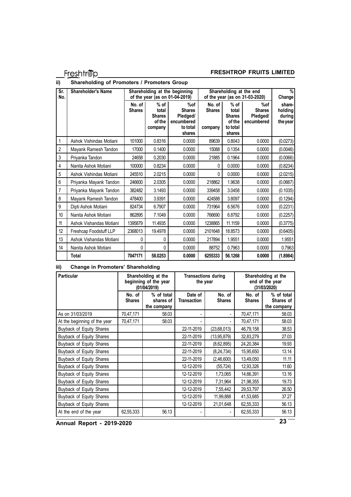# **ii) Shareholding of Promoters / Promoters Group**

| Sr.<br>No. | <b>Shareholder's Name</b> |                         | Shareholding at the beginning<br>of the year (as on 01-04-2019) |                                                                      |                                    | Shareholding at the end<br>of the year (as on 31-03-2020)        |                                                |                                         |
|------------|---------------------------|-------------------------|-----------------------------------------------------------------|----------------------------------------------------------------------|------------------------------------|------------------------------------------------------------------|------------------------------------------------|-----------------------------------------|
|            |                           | No. of<br><b>Shares</b> | $%$ of<br>total<br><b>Shares</b><br>of the<br>company           | %of<br><b>Shares</b><br>Pledged/<br>encumbered<br>to total<br>shares | No. of<br><b>Shares</b><br>company | $%$ of<br>total<br><b>Shares</b><br>of the<br>to total<br>shares | %of<br><b>Shares</b><br>Pledged/<br>encumbered | share-<br>holding<br>during<br>the year |
| 1          | Ashok Vishindas Motiani   | 101000                  | 0.8316                                                          | 0.0000                                                               | 89639                              | 0.8043                                                           | 0.0000                                         | (0.0273)                                |
| 2          | Mayank Ramesh Tandon      | 17000                   | 0.1400                                                          | 0.0000                                                               | 15088                              | 0.1354                                                           | 0.0000                                         | (0.0046)                                |
| 3          | Priyanka Tandon           | 24658                   | 0.2030                                                          | 0.0000                                                               | 21885                              | 0.1964                                                           | 0.0000                                         | (0.0066)                                |
| 4          | Nanita Ashok Motiani      | 100000                  | 0.8234                                                          | 0.0000                                                               | 0                                  | 0.0000                                                           | 0.0000                                         | (0.8234)                                |
| 5          | Ashok Vishindas Motiani   | 245510                  | 2.0215                                                          | 0.0000                                                               | 0                                  | 0.0000                                                           | 0.0000                                         | (2.0215)                                |
| 6          | Priyanka Mayank Tandon    | 246600                  | 2.0305                                                          | 0.0000                                                               | 218862                             | 1.9638                                                           | 0.0000                                         | (0.0667)                                |
| 7          | Priyanka Mayank Tandon    | 382482                  | 3.1493                                                          | 0.0000                                                               | 339458                             | 3.0458                                                           | 0.0000                                         | (0.1035)                                |
| 8          | Mayank Ramesh Tandon      | 478400                  | 3.9391                                                          | 0.0000                                                               | 424588                             | 3.8097                                                           | 0.0000                                         | (0.1294)                                |
| 9          | Dipti Ashok Motiani       | 824734                  | 6.7907                                                          | 0.0000                                                               | 731964                             | 6.5676                                                           | 0.0000                                         | (0.2231)                                |
| 10         | Nanita Ashok Motiani      | 862895                  | 7.1049                                                          | 0.0000                                                               | 766690                             | 6.8792                                                           | 0.0000                                         | (0.2257)                                |
| 11         | Ashok Vishandas Motiani   | 1395879                 | 11.4935                                                         | 0.0000                                                               | 1238865                            | 11.1159                                                          | 0.0000                                         | (0.3775)                                |
| 12         | Freshcap Foodstuff LLP    | 2368013                 | 19.4978                                                         | 0.0000                                                               | 2101648                            | 18.8573                                                          | 0.0000                                         | (0.6405)                                |
| 13         | Ashok Vishandas Motiani   | 0                       | 0                                                               | 0.0000                                                               | 217894                             | 1.9551                                                           | 0.0000                                         | 1.9551                                  |
| 14         | Nanita Ashok Motiani      | 0                       | 0                                                               | 0.0000                                                               | 88752                              | 0.7963                                                           | 0.0000                                         | 0.7963                                  |
|            | Total                     | 7047171                 | 58.0253                                                         | 0.0000                                                               | 6255333                            | 56.1268                                                          | 0.0000                                         | (1.8984)                                |

## **iii) Change in Promoters' Shareholding**

| <b>Particular</b>               | Shareholding at the<br>beginning of the year<br>(01/04/2019) |                                        | <b>Transactions during</b><br>the year |                         |                         | Shareholding at the<br>end of the year<br>(31/03/2020) |
|---------------------------------|--------------------------------------------------------------|----------------------------------------|----------------------------------------|-------------------------|-------------------------|--------------------------------------------------------|
|                                 | No. of<br><b>Shares</b>                                      | % of total<br>shares of<br>the company | Date of<br><b>Transaction</b>          | No. of<br><b>Shares</b> | No. of<br><b>Shares</b> | % of total<br>Shares of<br>the company                 |
| As on 31/03/2019                | 70,47,171                                                    | 58.03                                  |                                        |                         | 70,47,171               | 58.03                                                  |
| At the beginning of the year    | 70,47,171                                                    | 58.03                                  |                                        |                         | 70,47,171               | 58.03                                                  |
| <b>Buyback of Equity Shares</b> |                                                              |                                        | 22-11-2019                             | (23,68,013)             | 46,79,158               | 38.53                                                  |
| <b>Buyback of Equity Shares</b> |                                                              |                                        | 22-11-2019                             | (13, 95, 879)           | 32,83,279               | 27.03                                                  |
| <b>Buyback of Equity Shares</b> |                                                              |                                        | 22-11-2019                             | (8,62,895)              | 24,20,384               | 19.93                                                  |
| <b>Buyback of Equity Shares</b> |                                                              |                                        | 22-11-2019                             | (8, 24, 734)            | 15,95,650               | 13.14                                                  |
| <b>Buyback of Equity Shares</b> |                                                              |                                        | 22-11-2019                             | (2,46,600)              | 13,49,050               | 11.11                                                  |
| <b>Buyback of Equity Shares</b> |                                                              |                                        | 12-12-2019                             | (55, 724)               | 12,93,326               | 11.60                                                  |
| <b>Buyback of Equity Shares</b> |                                                              |                                        | 12-12-2019                             | 1,73,065                | 14,66,391               | 13.16                                                  |
| <b>Buyback of Equity Shares</b> |                                                              |                                        | 12-12-2019                             | 7,31,964                | 21,98,355               | 19.73                                                  |
| <b>Buyback of Equity Shares</b> |                                                              |                                        | 12-12-2019                             | 7,55,442                | 29,53,797               | 26.50                                                  |
| <b>Buyback of Equity Shares</b> |                                                              |                                        | 12-12-2019                             | 11,99,888               | 41,53,685               | 37.27                                                  |
| <b>Buyback of Equity Shares</b> |                                                              |                                        | 12-12-2019                             | 21,01,648               | 62,55,333               | 56.13                                                  |
| At the end of the year          | 62,55,333                                                    | 56.13                                  |                                        |                         | 62,55,333               | 56.13                                                  |

**Annual Report - 2019-2020 23**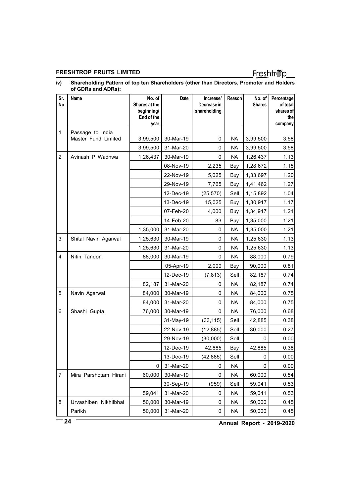# Freshtrop

| Sr.<br>No      | Name                  | No. of<br>Shares at the<br>beginning/<br>End of the<br>year | Date                   | Increase/<br>Decrease in<br>shareholding | Reason      | No. of<br><b>Shares</b> | Percentage<br>of total<br>shares of<br>the<br>company |
|----------------|-----------------------|-------------------------------------------------------------|------------------------|------------------------------------------|-------------|-------------------------|-------------------------------------------------------|
| $\mathbf{1}$   | Passage to India      |                                                             |                        |                                          |             |                         |                                                       |
|                | Master Fund Limited   | 3,99,500                                                    | 30-Mar-19              | 0                                        | <b>NA</b>   | 3,99,500                | 3.58                                                  |
|                |                       | 3,99,500                                                    | 31-Mar-20              | 0                                        | <b>NA</b>   | 3,99,500                | 3.58                                                  |
| $\mathbf{2}$   | Avinash P Wadhwa      | 1,26,437                                                    | 30-Mar-19              | 0                                        | <b>NA</b>   | 1,26,437                | 1.13                                                  |
|                |                       |                                                             | 08-Nov-19              | 2,235                                    | Buy         | 1,28,672                | 1.15                                                  |
|                |                       |                                                             | 22-Nov-19<br>29-Nov-19 | 5,025                                    | Buy         | 1,33,697                | 1.20<br>1.27                                          |
|                |                       |                                                             | 12-Dec-19              | 7,765<br>(25, 570)                       | Buy<br>Sell | 1,41,462<br>1,15,892    | 1.04                                                  |
|                |                       |                                                             | 13-Dec-19              | 15,025                                   | Buy         | 1,30,917                | 1.17                                                  |
|                |                       |                                                             | 07-Feb-20              | 4,000                                    | Buy         | 1,34,917                | 1.21                                                  |
|                |                       |                                                             | 14-Feb-20              | 83                                       | Buy         | 1,35,000                | 1.21                                                  |
|                |                       | 1,35,000                                                    | 31-Mar-20              | 0                                        | <b>NA</b>   | 1,35,000                | 1.21                                                  |
| 3              | Shital Navin Agarwal  | 1,25,630                                                    | 30-Mar-19              | 0                                        | <b>NA</b>   | 1,25,630                | 1.13                                                  |
|                |                       | 1,25,630                                                    | 31-Mar-20              | 0                                        | <b>NA</b>   | 1,25,630                | 1.13                                                  |
| $\overline{4}$ | Nitin Tandon          | 88,000                                                      | 30-Mar-19              | 0                                        | <b>NA</b>   | 88,000                  | 0.79                                                  |
|                |                       |                                                             | 05-Apr-19              | 2,000                                    | Buy         | 90,000                  | 0.81                                                  |
|                |                       |                                                             | 12-Dec-19              | (7, 813)                                 | Sell        | 82,187                  | 0.74                                                  |
|                |                       | 82,187                                                      | 31-Mar-20              | 0                                        | <b>NA</b>   | 82,187                  | 0.74                                                  |
| 5              | Navin Agarwal         | 84,000                                                      | 30-Mar-19              | 0                                        | <b>NA</b>   | 84,000                  | 0.75                                                  |
|                |                       | 84,000                                                      | 31-Mar-20              | 0                                        | <b>NA</b>   | 84,000                  | 0.75                                                  |
| 6              | Shashi Gupta          | 76,000                                                      | 30-Mar-19              | 0                                        | <b>NA</b>   | 76,000                  | 0.68                                                  |
|                |                       |                                                             | 31-May-19              | (33, 115)                                | Sell        | 42,885                  | 0.38                                                  |
|                |                       |                                                             | 22-Nov-19              | (12, 885)                                | Sell        | 30,000                  | 0.27                                                  |
|                |                       |                                                             | 29-Nov-19              | (30,000)                                 | Sell        | 0                       | 0.00                                                  |
|                |                       |                                                             | 12-Dec-19              | 42,885                                   | Buy         | 42,885                  | 0.38                                                  |
|                |                       |                                                             | 13-Dec-19              | (42, 885)                                | Sell        | 0                       | 0.00                                                  |
|                |                       | $\mathbf 0$                                                 | 31-Mar-20              | 0                                        | <b>NA</b>   | 0                       | 0.00                                                  |
| $\overline{7}$ | Mira Parshotam Hirani | 60,000                                                      | 30-Mar-19              | 0                                        | <b>NA</b>   | 60,000                  | 0.54                                                  |
|                |                       |                                                             | 30-Sep-19              | (959)                                    | Sell        | 59,041                  | 0.53                                                  |
|                |                       | 59,041                                                      | 31-Mar-20              | 0                                        | <b>NA</b>   | 59,041                  | 0.53                                                  |
| 8              | Urvashiben Nikhilbhai | 50,000                                                      | 30-Mar-19              | 0                                        | <b>NA</b>   | 50,000                  | 0.45                                                  |
|                | Parikh                | 50,000                                                      | 31-Mar-20              | 0                                        | <b>NA</b>   | 50,000                  | 0.45                                                  |

#### **iv) Shareholding Pattern of top ten Shareholders (other than Directors, Promoter and Holders of GDRs and ADRs):**

**24 Annual Report - 2019-2020**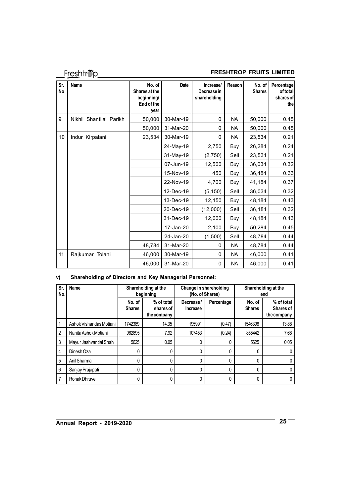# **Freshtrop Executive Executive CONSTROP FRUITS LIMITED**

| Sr.<br><b>No</b> | Name                    | No. of<br>Shares at the<br>beginning/<br>End of the<br>year | Date      | Increase/<br>Decrease in<br>shareholding | Reason    | No. of<br><b>Shares</b> | Percentage<br>of total<br>shares of<br>the |
|------------------|-------------------------|-------------------------------------------------------------|-----------|------------------------------------------|-----------|-------------------------|--------------------------------------------|
| 9                | Nikhil Shantilal Parikh | 50,000                                                      | 30-Mar-19 | 0                                        | <b>NA</b> | 50,000                  | 0.45                                       |
|                  |                         | 50,000                                                      | 31-Mar-20 | 0                                        | NA        | 50,000                  | 0.45                                       |
| 10               | Indur Kirpalani         | 23,534                                                      | 30-Mar-19 | 0                                        | <b>NA</b> | 23,534                  | 0.21                                       |
|                  |                         |                                                             | 24-May-19 | 2,750                                    | Buy       | 26,284                  | 0.24                                       |
|                  |                         |                                                             | 31-May-19 | (2,750)                                  | Sell      | 23,534                  | 0.21                                       |
|                  |                         |                                                             | 07-Jun-19 | 12,500                                   | Buy       | 36,034                  | 0.32                                       |
|                  |                         |                                                             | 15-Nov-19 | 450                                      | Buy       | 36,484                  | 0.33                                       |
|                  |                         |                                                             | 22-Nov-19 | 4,700                                    | Buy       | 41,184                  | 0.37                                       |
|                  |                         |                                                             | 12-Dec-19 | (5, 150)                                 | Sell      | 36,034                  | 0.32                                       |
|                  |                         |                                                             | 13-Dec-19 | 12,150                                   | Buy       | 48,184                  | 0.43                                       |
|                  |                         |                                                             | 20-Dec-19 | (12,000)                                 | Sell      | 36,184                  | 0.32                                       |
|                  |                         |                                                             | 31-Dec-19 | 12,000                                   | Buy       | 48,184                  | 0.43                                       |
|                  |                         |                                                             | 17-Jan-20 | 2,100                                    | Buy       | 50,284                  | 0.45                                       |
|                  |                         |                                                             | 24-Jan-20 | (1,500)                                  | Sell      | 48,784                  | 0.44                                       |
|                  |                         | 48,784                                                      | 31-Mar-20 | 0                                        | NA.       | 48,784                  | 0.44                                       |
| 11               | Rajkumar Tolani         | 46,000                                                      | 30-Mar-19 | 0                                        | NA        | 46,000                  | 0.41                                       |
|                  |                         | 46,000                                                      | 31-Mar-20 | 0                                        | NA        | 46,000                  | 0.41                                       |

# **v) Shareholding of Directors and Key Managerial Personnel:**

| Sr.<br>No.     | Name                    |                         | Change in shareholding<br>Shareholding at the<br>Shareholding at the<br>(No. of Shares)<br>beginning<br>end |                              |            |                         |                                               |
|----------------|-------------------------|-------------------------|-------------------------------------------------------------------------------------------------------------|------------------------------|------------|-------------------------|-----------------------------------------------|
|                |                         | No. of<br><b>Shares</b> | % of total<br>shares of<br>the company                                                                      | Decrease/<br><b>Increase</b> | Percentage | No. of<br><b>Shares</b> | % of total<br><b>Shares of</b><br>the company |
|                | Ashok Vishandas Motiani | 1742389                 | 14.35                                                                                                       | 195991                       | (0.47)     | 1546398                 | 13.88                                         |
| $\overline{2}$ | Nanita Ashok Motiani    | 962895                  | 7.92                                                                                                        | 107453                       | (0.24)     | 855442                  | 7.68                                          |
| 3              | Mayur Jashvantlal Shah  | 5625                    | 0.05                                                                                                        | 0                            | 0          | 5625                    | 0.05                                          |
| 4              | Dinesh Oza              | 0                       | 0                                                                                                           | $\Omega$                     | 0          | 0                       |                                               |
| 5              | Anil Sharma             |                         | 0                                                                                                           | 0                            | 0          | 0                       |                                               |
| 6              | Sanjay Prajapati        | 0                       | 0                                                                                                           | $\Omega$                     | 0          | 0                       |                                               |
|                | Ronak Dhruve            | 0                       | 0                                                                                                           | 0                            | 0          | 0                       |                                               |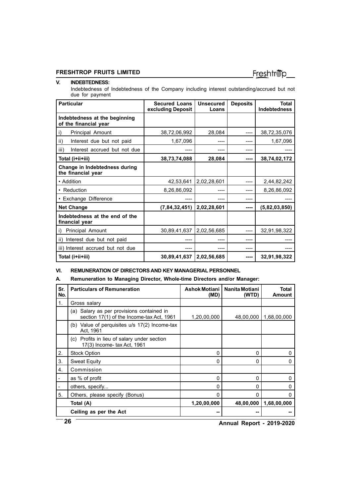# **V. INDEBTEDNESS:**

Indebtedness of Indebtedness of the Company including interest outstanding/accrued but not due for payment

| <b>Particular</b>                                      | <b>Secured Loans</b><br>excluding Deposit | <b>Unsecured</b><br>Loans | <b>Deposits</b> | <b>Total</b><br><b>Indebtedness</b> |
|--------------------------------------------------------|-------------------------------------------|---------------------------|-----------------|-------------------------------------|
| Indebtedness at the beginning<br>of the financial year |                                           |                           |                 |                                     |
| Principal Amount<br>i)                                 | 38,72,06,992                              | 28,084                    |                 | 38,72,35,076                        |
| Interest due but not paid<br>ii)                       | 1,67,096                                  |                           |                 | 1,67,096                            |
| Interest accrued but not due<br>iii)                   |                                           |                           |                 |                                     |
| Total (i+ii+iii)                                       | 38,73,74,088                              | 28,084                    | ----            | 38,74,02,172                        |
| Change in Indebtedness during<br>the financial year    |                                           |                           |                 |                                     |
| • Addition                                             | 42,53,641                                 | 2,02,28,601               |                 | 2,44,82,242                         |
| • Reduction                                            | 8,26,86,092                               |                           |                 | 8,26,86,092                         |
| • Exchange Difference                                  |                                           |                           |                 |                                     |
| <b>Net Change</b>                                      | (7, 84, 32, 451)                          | 2,02,28,601               | ----            | (5,82,03,850)                       |
| Indebtedness at the end of the<br>financial year       |                                           |                           |                 |                                     |
| Principal Amount<br>i)                                 | 30,89,41,637                              | 2,02,56,685               |                 | 32,91,98,322                        |
| ii) Interest due but not paid                          |                                           |                           |                 |                                     |
| iii) Interest accrued but not due                      |                                           |                           |                 |                                     |
| Total (i+ii+iii)                                       | 30,89,41,637   2,02,56,685                |                           | ----            | 32,91,98,322                        |

### **VI. REMUNERATION OF DIRECTORS AND KEY MANAGERIAL PERSONNEL**

## **A. Remuneration to Managing Director, Whole-time Directors and/or Manager:**

| Sr.<br>No. | <b>Particulars of Remuneration</b>                                                     | Ashok Motiani  <br>(MD) | Nanita Motiani<br>(WTD) | Total<br><b>Amount</b> |
|------------|----------------------------------------------------------------------------------------|-------------------------|-------------------------|------------------------|
| 1.         | Gross salary                                                                           |                         |                         |                        |
|            | (a) Salary as per provisions contained in<br>section 17(1) of the Income-tax Act, 1961 | 1,20,00,000             | 48,00,000               | 1,68,00,000            |
|            | (b) Value of perquisites $u/s$ 17(2) Income-tax<br>Act, 1961                           |                         |                         |                        |
|            | (c) Profits in lieu of salary under section<br>17(3) Income- tax Act, 1961             |                         |                         |                        |
| 2.         | <b>Stock Option</b>                                                                    | 0                       | 0                       | O                      |
| 3.         | <b>Sweat Equity</b>                                                                    | 0                       | 0                       | 0                      |
| 4.         | Commission                                                                             |                         |                         |                        |
|            | as % of profit                                                                         | 0                       | 0                       | ი                      |
|            | others, specify                                                                        | 0                       | 0                       | 0                      |
| 5.         | Others, please specify (Bonus)                                                         | 0                       | 0                       | 0                      |
|            | Total (A)                                                                              | 1,20,00,000             | 48,00,000               | 1,68,00,000            |
|            | Ceiling as per the Act                                                                 |                         |                         |                        |

**26 Annual Report - 2019-2020**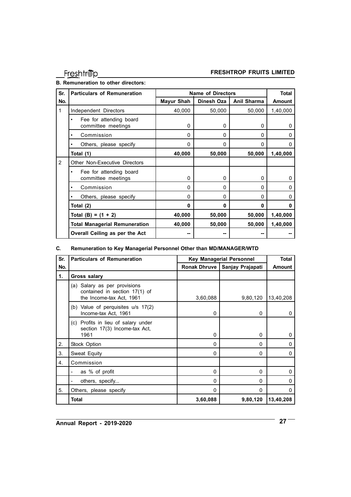<u>Freshtr@p\_\_\_\_\_\_\_\_\_\_\_\_\_\_\_\_\_\_\_\_\_</u>

# **FRESHTROP FRUITS LIMITED**

**B. Remuneration to other directors:**

| Sr.            | <b>Particulars of Remuneration</b>            |                   | <b>Name of Directors</b> |             | <b>Total</b>  |
|----------------|-----------------------------------------------|-------------------|--------------------------|-------------|---------------|
| No.            |                                               | <b>Mayur Shah</b> | Dinesh Oza               | Anil Sharma | <b>Amount</b> |
| $\mathbf{1}$   | Independent Directors                         | 40,000            | 50,000                   | 50,000      | 1,40,000      |
|                | Fee for attending board<br>committee meetings | 0                 | 0                        | 0           | ი             |
|                | Commission                                    | 0                 | 0                        | 0           | O             |
|                | Others, please specify                        | 0                 | 0                        | 0           | 0             |
|                | Total (1)                                     | 40,000            | 50,000                   | 50,000      | 1,40,000      |
| $\overline{2}$ | Other Non-Executive Directors                 |                   |                          |             |               |
|                | Fee for attending board<br>committee meetings | 0                 | $\Omega$                 | 0           | 0             |
|                | Commission                                    | $\Omega$          | 0                        | 0           | 0             |
|                | Others, please specify                        | 0                 | 0                        | $\Omega$    | 0             |
|                | Total (2)                                     | 0                 | 0                        | 0           | o             |
|                | Total $(B) = (1 + 2)$                         | 40,000            | 50,000                   | 50,000      | 1,40,000      |
|                | <b>Total Managerial Remuneration</b>          | 40,000            | 50,000                   | 50,000      | 1,40,000      |
|                | Overall Ceiling as per the Act                |                   |                          |             |               |

# **C. Remuneration to Key Managerial Personnel Other than MD/MANAGER/WTD**

| Sr. | <b>Particulars of Remuneration</b>                                                        |              | <b>Key Managerial Personnel</b> | <b>Total</b>  |
|-----|-------------------------------------------------------------------------------------------|--------------|---------------------------------|---------------|
| No. |                                                                                           | Ronak Dhruve | Sanjay Prajapati                | <b>Amount</b> |
| 1.  | Gross salary                                                                              |              |                                 |               |
|     | (a) Salary as per provisions<br>contained in section 17(1) of<br>the Income-tax Act, 1961 | 3,60,088     | 9,80,120                        | 13,40,208     |
|     | (b) Value of perquisites u/s 17(2)<br>Income-tax Act, 1961                                | 0            | 0                               | 0             |
|     | (c) Profits in lieu of salary under<br>section 17(3) Income-tax Act,<br>1961              | 0            | 0                               | 0             |
| 2.  | Stock Option                                                                              | 0            | 0                               | 0             |
| 3.  | Sweat Equity                                                                              | 0            | 0                               | 0             |
| 4.  | Commission                                                                                |              |                                 |               |
|     | as % of profit                                                                            | 0            | 0                               | 0             |
|     | others, specify                                                                           | 0            | 0                               | 0             |
| 5.  | Others, please specify                                                                    | 0            | 0                               | 0             |
|     | <b>Total</b>                                                                              | 3,60,088     | 9,80,120                        | 13,40,208     |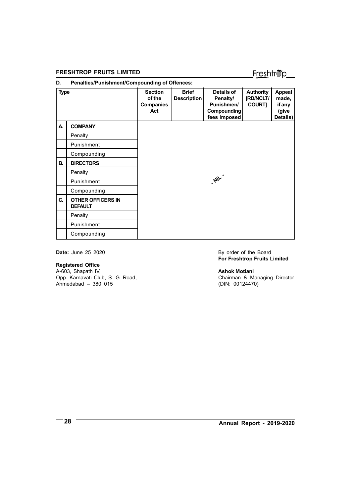# Freshtr<sup>an</sup>p

# **D. Penalties/Punishment/Compounding of Offences:**

| <b>Type</b> |                                            | <b>Section</b><br>of the<br><b>Companies</b><br>Act | <b>Brief</b><br><b>Description</b> | Details of<br>Penalty/<br>Punishmen/<br>Compounding<br>fees imposed | <b>Authority</b><br>[RD/NCLT/<br><b>COURT]</b> | <b>Appeal</b><br>made,<br>if any<br>(give<br>Details) |
|-------------|--------------------------------------------|-----------------------------------------------------|------------------------------------|---------------------------------------------------------------------|------------------------------------------------|-------------------------------------------------------|
| А.          | <b>COMPANY</b>                             |                                                     |                                    |                                                                     |                                                |                                                       |
|             | Penalty                                    |                                                     |                                    |                                                                     |                                                |                                                       |
|             | Punishment                                 |                                                     |                                    |                                                                     |                                                |                                                       |
|             | Compounding                                |                                                     |                                    |                                                                     |                                                |                                                       |
| В.          | <b>DIRECTORS</b>                           |                                                     |                                    |                                                                     |                                                |                                                       |
|             | Penalty                                    |                                                     |                                    |                                                                     |                                                |                                                       |
|             | Punishment                                 |                                                     |                                    | $M^{\mu}$ .                                                         |                                                |                                                       |
|             | Compounding                                |                                                     |                                    |                                                                     |                                                |                                                       |
| C.          | <b>OTHER OFFICERS IN</b><br><b>DEFAULT</b> |                                                     |                                    |                                                                     |                                                |                                                       |
|             | Penalty                                    |                                                     |                                    |                                                                     |                                                |                                                       |
|             | Punishment                                 |                                                     |                                    |                                                                     |                                                |                                                       |
|             | Compounding                                |                                                     |                                    |                                                                     |                                                |                                                       |

# **Registered Office**

A-603, Shapath IV,<br>
Opp. Karnavati Club, S. G. Road,<br>
Opp. Karnavati Club, S. G. Road,<br> **Ashok Motiani** & Managing Director Opp. Karnavati Club, S. G. Road, Chairman & Man<br>Ahmedabad – 380 015 (DIN: 00124470)  $Ahmedabad - 380015$ 

Date: June 25 2020 **Date:** June 25 2020 **For Freshtrop Fruits Limited**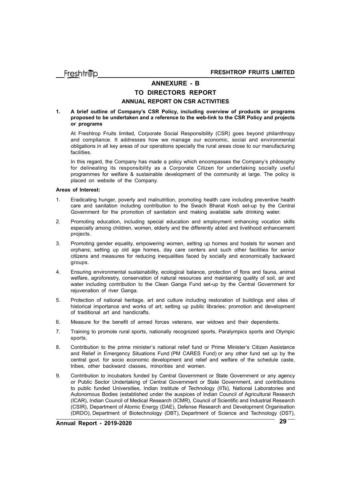# **ANNEXURE - B**

# **TO DIRECTORS REPORT**

#### **ANNUAL REPORT ON CSR ACTIVITIES**

**1. A brief outline of Company's CSR Policy, including overview of products or programs proposed to be undertaken and a reference to the web-link to the CSR Policy and projects or programs**

At Freshtrop Fruits limited, Corporate Social Responsibility (CSR) goes beyond philanthropy and compliance. It addresses how we manage our economic, social and environmental obligations in all key areas of our operations specially the rural areas close to our manufacturing facilities.

In this regard, the Company has made a policy which encompasses the Company's philosophy for delineating its responsibility as a Corporate Citizen for undertaking socially useful programmes for welfare & sustainable development of the community at large. The policy is placed on website of the Company.

#### **Areas of Interest:**

- 1. Eradicating hunger, poverty and malnutrition, promoting health care including preventive health care and sanitation including contribution to the Swach Bharat Kosh set-up by the Central Government for the promotion of sanitation and making available safe drinking water.
- 2. Promoting education, including special education and employment enhancing vocation skills especially among children, women, elderly and the differently abled and livelihood enhancement projects.
- 3. Promoting gender equality, empowering women, setting up homes and hostels for women and orphans; setting up old age homes, day care centers and such other facilities for senior citizens and measures for reducing inequalities faced by socially and economically backward groups.
- 4. Ensuring environmental sustainability, ecological balance, protection of flora and fauna, animal welfare, agroforestry, conservation of natural resources and maintaining quality of soil, air and water including contribution to the Clean Ganga Fund set-up by the Central Government for rejuvenation of river Ganga.
- 5. Protection of national heritage, art and culture including restoration of buildings and sites of historical importance and works of art; setting up public libraries; promotion and development of traditional art and handicrafts.
- 6. Measure for the benefit of armed forces veterans, war widows and their dependents.
- 7. Training to promote rural sports, nationally recognized sports, Paralympics sports and Olympic sports.
- 8. Contribution to the prime minister's national relief fund or Prime Minister's Citizen Assistance and Relief in Emergency Situations Fund (PM CARES Fund) or any other fund set up by the central govt. for socio economic development and relief and welfare of the schedule caste, tribes, other backward classes, minorities and women.
- 9. Contribution to incubators funded by Central Government or State Government or any agency or Public Sector Undertaking of Central Government or State Government, and contributions to public funded Universities, Indian Institute of Technology (IITs), National Laboratories and Autonomous Bodies (established under the auspices of Indian Council of Agricultural Research (ICAR), Indian Council of Medical Research (ICMR), Council of Scientific and Industrial Research (CSIR), Department of Atomic Energy (DAE), Defense Research and Development Organisation (DRDO), Department of Biotechnology (DBT), Department of Science and Technology (DST),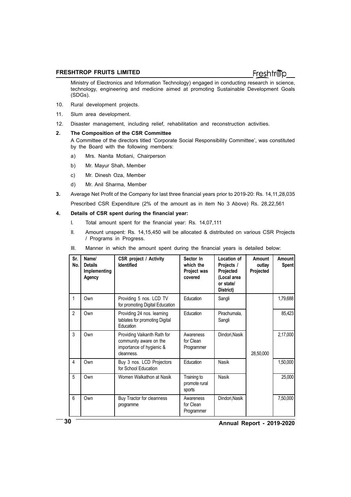Freshtröp

Ministry of Electronics and Information Technology) engaged in conducting research in science, technology, engineering and medicine aimed at promoting Sustainable Development Goals (SDGs).

- 10. Rural development projects.
- 11. Slum area development.
- 12. Disaster management, including relief, rehabilitation and reconstruction activities.

#### **2. The Composition of the CSR Committee**

A Committee of the directors titled 'Corporate Social Responsibility Committee', was constituted by the Board with the following members:

- a) Mrs. Nanita Motiani, Chairperson
- b) Mr. Mayur Shah, Member
- c) Mr. Dinesh Oza, Member
- d) Mr. Anil Sharma, Member
- **3.** Average Net Profit of the Company for last three financial years prior to 2019-20: Rs. 14,11,28,035

Prescribed CSR Expenditure (2% of the amount as in item No 3 Above) Rs. 28,22,561

#### **4. Details of CSR spent during the financial year:**

- I. Total amount spent for the financial year: Rs. 14,07,111
- II. Amount unspent: Rs. 14,15,450 will be allocated & distributed on various CSR Projects / Programs in Progress.
- III. Manner in which the amount spent during the financial years is detailed below:

| Sr.<br>No.     | Name/<br><b>Details</b><br>Implementing<br>Agency | <b>CSR</b> project / Activity<br><b>Identified</b>                                              | Sector In<br>which the<br>Project was<br>covered | Location of<br>Projects /<br>Projected<br>(Local area<br>or state/<br>District) | Amount<br>outlay<br>Projected | <b>Amount</b><br>Spent |
|----------------|---------------------------------------------------|-------------------------------------------------------------------------------------------------|--------------------------------------------------|---------------------------------------------------------------------------------|-------------------------------|------------------------|
| 1              | Own                                               | Providing 5 nos. LCD TV<br>for promoting Digital Education                                      | <b>Education</b>                                 | Sangli                                                                          |                               | 1,79,688               |
| $\overline{2}$ | Own                                               | Providing 24 nos. learning<br>tablates for promoting Digital<br>Education                       | Education                                        | Pirachumala.<br>Sangli                                                          |                               | 85,423                 |
| 3              | Own                                               | Providing Vaikanth Rath for<br>community aware on the<br>importance of hygienic &<br>cleanness. | Awareness<br>for Clean<br>Programmer             | Dindori, Nasik                                                                  | 28,50,000                     | 2,17,000               |
| 4              | Own                                               | Buy 3 nos. LCD Projectors<br>for School Education                                               | Education                                        | <b>Nasik</b>                                                                    |                               | 1,50,000               |
| 5              | Own                                               | Women Walkathon at Nasik                                                                        | Training to<br>promote rural<br>sports           | <b>Nasik</b>                                                                    |                               | 25,000                 |
| 6              | Own                                               | Buy Tractor for cleanness<br>programme                                                          | Awareness<br>for Clean<br>Programmer             | Dindori, Nasik                                                                  |                               | 7,50,000               |

**30 Annual Report - 2019-2020**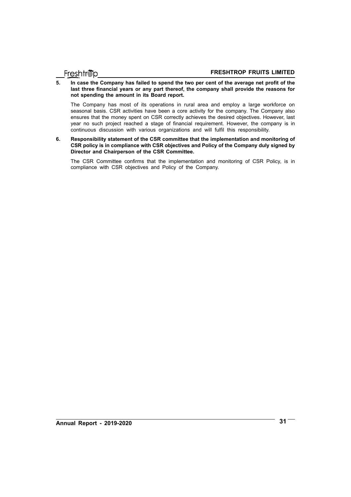**5. In case the Company has failed to spend the two per cent of the average net profit of the last three financial years or any part thereof, the company shall provide the reasons for not spending the amount in its Board report.**

The Company has most of its operations in rural area and employ a large workforce on seasonal basis. CSR activities have been a core activity for the company. The Company also ensures that the money spent on CSR correctly achieves the desired objectives. However, last year no such project reached a stage of financial requirement. However, the company is in continuous discussion with various organizations and will fulfil this responsibility.

**6. Responsibility statement of the CSR committee that the implementation and monitoring of CSR policy is in compliance with CSR objectives and Policy of the Company duly signed by Director and Chairperson of the CSR Committee.**

The CSR Committee confirms that the implementation and monitoring of CSR Policy, is in compliance with CSR objectives and Policy of the Company.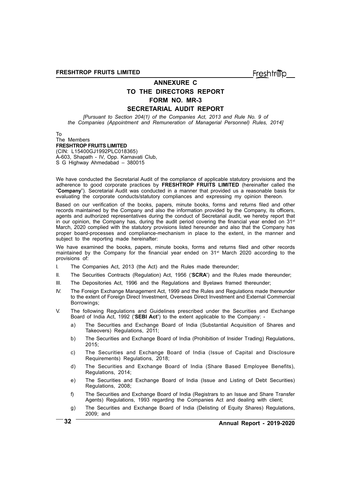Freshtrðip

# **ANNEXURE C**

**TO THE DIRECTORS REPORT FORM NO. MR-3**

#### **SECRETARIAL AUDIT REPORT**

*[Pursuant to Section 204(1) of the Companies Act, 2013 and Rule No. 9 of the Companies (Appointment and Remuneration of Managerial Personnel) Rules, 2014]*

To The Members **FRESHTROP FRUITS LIMITED** (CIN: L15400GJ1992PLC018365) A-603, Shapath - IV, Opp. Karnavati Club, S G Highway Ahmedabad – 380015

We have conducted the Secretarial Audit of the compliance of applicable statutory provisions and the adherence to good corporate practices by **FRESHTROP FRUITS LIMITED** (hereinafter called the "**Company**"). Secretarial Audit was conducted in a manner that provided us a reasonable basis for evaluating the corporate conducts/statutory compliances and expressing my opinion thereon.

Based on our verification of the books, papers, minute books, forms and returns filed and other records maintained by the Company and also the information provided by the Company, its officers, agents and authorized representatives during the conduct of Secretarial audit, we hereby report that in our opinion, the Company has, during the audit period covering the financial year ended on 31<sup>st</sup> March, 2020 complied with the statutory provisions listed hereunder and also that the Company has proper board-processes and compliance-mechanism in place to the extent, in the manner and subject to the reporting made hereinafter:

We have examined the books, papers, minute books, forms and returns filed and other records maintained by the Company for the financial year ended on  $31<sup>st</sup>$  March 2020 according to the provisions of:

- I. The Companies Act, 2013 (the Act) and the Rules made thereunder;
- II. The Securities Contracts (Regulation) Act, 1956 ('**SCRA'**) and the Rules made thereunder;
- III. The Depositories Act, 1996 and the Regulations and Byelaws framed thereunder;
- IV. The Foreign Exchange Management Act, 1999 and the Rules and Regulations made thereunder to the extent of Foreign Direct Investment, Overseas Direct Investment and External Commercial Borrowings;
- V. The following Regulations and Guidelines prescribed under the Securities and Exchange Board of India Act, 1992 ('**SEBI Act'**) to the extent applicable to the Company:
	- a) The Securities and Exchange Board of India (Substantial Acquisition of Shares and Takeovers) Regulations, 2011;
	- b) The Securities and Exchange Board of India (Prohibition of Insider Trading) Regulations, 2015;
	- c) The Securities and Exchange Board of India (Issue of Capital and Disclosure Requirements) Regulations, 2018;
	- d) The Securities and Exchange Board of India (Share Based Employee Benefits), Regulations, 2014;
	- e) The Securities and Exchange Board of India (Issue and Listing of Debt Securities) Regulations, 2008;
	- f) The Securities and Exchange Board of India (Registrars to an Issue and Share Transfer Agents) Regulations, 1993 regarding the Companies Act and dealing with client;
	- g) The Securities and Exchange Board of India (Delisting of Equity Shares) Regulations, 2009; and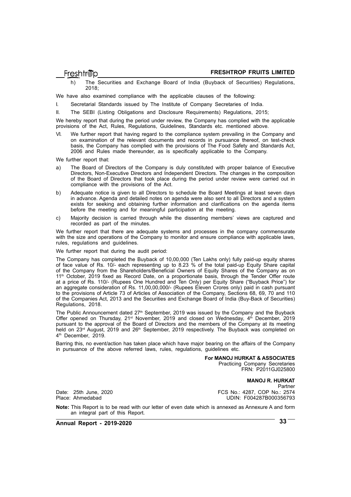Freshtr**in** 

h) The Securities and Exchange Board of India (Buyback of Securities) Regulations, 2018;

We have also examined compliance with the applicable clauses of the following:

- I. Secretarial Standards issued by The Institute of Company Secretaries of India.
- II. The SEBI (Listing Obligations and Disclosure Requirements) Regulations, 2015;

We hereby report that during the period under review, the Company has complied with the applicable provisions of the Act, Rules, Regulations, Guidelines, Standards etc. mentioned above.

VI. We further report that having regard to the compliance system prevailing in the Company and on examination of the relevant documents and records in pursuance thereof, on test-check basis, the Company has complied with the provisions of The Food Safety and Standards Act, 2006 and Rules made thereunder, as is specifically applicable to the Company.

We further report that:

- a) The Board of Directors of the Company is duly constituted with proper balance of Executive Directors, Non-Executive Directors and Independent Directors. The changes in the composition of the Board of Directors that took place during the period under review were carried out in compliance with the provisions of the Act.
- b) Adequate notice is given to all Directors to schedule the Board Meetings at least seven days in advance. Agenda and detailed notes on agenda were also sent to all Directors and a system exists for seeking and obtaining further information and clarifications on the agenda items before the meeting and for meaningful participation at the meeting.
- c) Majority decision is carried through while the dissenting members' views are captured and recorded as part of the minutes.

We further report that there are adequate systems and processes in the company commensurate with the size and operations of the Company to monitor and ensure compliance with applicable laws. rules, regulations and guidelines.

We further report that during the audit period:

The Company has completed the Buyback of 10,00,000 (Ten Lakhs only) fully paid-up equity shares of face value of Rs. 10/- each representing up to 8.23 % of the total paid-up Equity Share capital of the Company from the Shareholders/Beneficial Owners of Equity Shares of the Company as on 11<sup>th</sup> October, 2019 fixed as Record Date, on a proportionate basis, through the Tender Offer route at a price of Rs. 110/- (Rupees One Hundred and Ten Only) per Equity Share ("Buyback Price") for an aggregate consideration of Rs. 11,00,00,000/- (Rupees Eleven Crores only) paid in cash pursuant to the provisions of Article 73 of Articles of Association of the Company, Sections 68, 69, 70 and 110 of the Companies Act, 2013 and the Securities and Exchange Board of India (Buy-Back of Securities) Regulations, 2018.

The Public Announcement dated  $27<sup>th</sup>$  September, 2019 was issued by the Company and the Buyback Offer opened on Thursday, 21<sup>st</sup> November, 2019 and closed on Wednesday, 4<sup>th</sup> December, 2019 pursuant to the approval of the Board of Directors and the members of the Company at its meeting held on  $23<sup>rd</sup>$  August, 2019 and  $26<sup>th</sup>$  September, 2019 respectively. The Buyback was completed on 4<sup>th</sup> December, 2019.

Barring this, no event/action has taken place which have major bearing on the affairs of the Company in pursuance of the above referred laws, rules, regulations, guidelines etc.

> **For MANOJ HURKAT & ASSOCIATES** Practicing Company Secretaries FRN: P2011GJ025800

**MANOJ R. HURKAT** Partner Date: 25th June, 2020 FCS No.: 4287, COP No.: 2574 UDIN: F004287B000356793

**Note:** This Report is to be read with our letter of even date which is annexed as Annexure A and form an integral part of this Report.

**Annual Report - 2019-2020 33**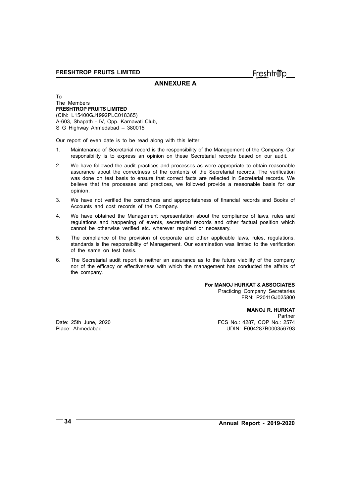Freshtr**ö**p

# **ANNEXURE A**

To The Members **FRESHTROP FRUITS LIMITED** (CIN: L15400GJ1992PLC018365) A-603, Shapath - IV, Opp. Karnavati Club, S G Highway Ahmedabad – 380015

Our report of even date is to be read along with this letter:

- 1. Maintenance of Secretarial record is the responsibility of the Management of the Company. Our responsibility is to express an opinion on these Secretarial records based on our audit.
- 2. We have followed the audit practices and processes as were appropriate to obtain reasonable assurance about the correctness of the contents of the Secretarial records. The verification was done on test basis to ensure that correct facts are reflected in Secretarial records. We believe that the processes and practices, we followed provide a reasonable basis for our opinion.
- 3. We have not verified the correctness and appropriateness of financial records and Books of Accounts and cost records of the Company.
- 4. We have obtained the Management representation about the compliance of laws, rules and regulations and happening of events, secretarial records and other factual position which cannot be otherwise verified etc. wherever required or necessary.
- 5. The compliance of the provision of corporate and other applicable laws, rules, regulations, standards is the responsibility of Management. Our examination was limited to the verification of the same on test basis.
- 6. The Secretarial audit report is neither an assurance as to the future viability of the company nor of the efficacy or effectiveness with which the management has conducted the affairs of the company.

#### **For MANOJ HURKAT & ASSOCIATES**

 Practicing Company Secretaries FRN: P2011GJ025800

**MANOJ R. HURKAT** Partner Date: 25th June, 2020 **FCS No.: 4287, COP No.: 2574** Place: Ahmedabad UDIN: F004287B000356793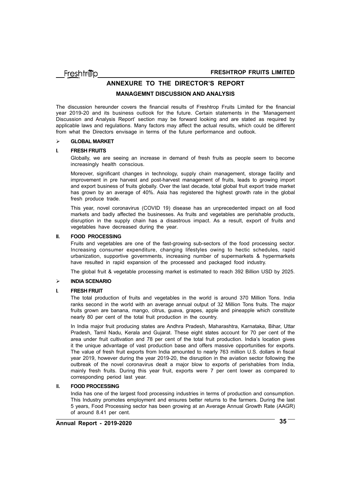Freshtröp

#### **FRESHTROP FRUITS LIMITED**

# **ANNEXURE TO THE DIRECTOR'S REPORT**

#### **MANAGEMNT DISCUSSION AND ANALYSIS**

The discussion hereunder covers the financial results of Freshtrop Fruits Limited for the financial year 2019-20 and its business outlook for the future. Certain statements in the 'Management Discussion and Analysis Report' section may be forward looking and are stated as required by applicable laws and regulations. Many factors may affect the actual results, which could be different from what the Directors envisage in terms of the future performance and outlook.

#### ¾ **GLOBAL MARKET**

#### **I. FRESH FRUITS**

Globally, we are seeing an increase in demand of fresh fruits as people seem to become increasingly health conscious.

Moreover, significant changes in technology, supply chain management, storage facility and improvement in pre harvest and post-harvest management of fruits, leads to growing import and export business of fruits globally. Over the last decade, total global fruit export trade market has grown by an average of 40%. Asia has registered the highest growth rate in the global fresh produce trade.

This year, novel coronavirus (COVID 19) disease has an unprecedented impact on all food markets and badly affected the businesses. As fruits and vegetables are perishable products, disruption in the supply chain has a disastrous impact. As a result, export of fruits and vegetables have decreased during the year.

#### **II. FOOD PROCESSING**

Fruits and vegetables are one of the fast-growing sub-sectors of the food processing sector. Increasing consumer expenditure, changing lifestyles owing to hectic schedules, rapid urbanization, supportive governments, increasing number of supermarkets & hypermarkets have resulted in rapid expansion of the processed and packaged food industry.

The global fruit & vegetable processing market is estimated to reach 392 Billion USD by 2025.

#### ¾ **INDIA SCENARIO**

#### **I. FRESH FRUIT**

The total production of fruits and vegetables in the world is around 370 Million Tons. India ranks second in the world with an average annual output of 32 Million Tons fruits. The major fruits grown are banana, mango, citrus, guava, grapes, apple and pineapple which constitute nearly 80 per cent of the total fruit production in the country.

In India major fruit producing states are Andhra Pradesh, Maharashtra, Karnataka, Bihar, Uttar Pradesh, Tamil Nadu, Kerala and Gujarat. These eight states account for 70 per cent of the area under fruit cultivation and 78 per cent of the total fruit production. India's location gives it the unique advantage of vast production base and offers massive opportunities for exports. The value of fresh fruit exports from India amounted to nearly 763 million U.S. dollars in fiscal year 2019, however during the year 2019-20, the disruption in the aviation sector following the outbreak of the novel coronavirus dealt a major blow to exports of perishables from India, mainly fresh fruits. During this year fruit, exports were 7 per cent lower as compared to corresponding period last year.

#### I**I. FOOD PROCESSING**

India has one of the largest food processing industries in terms of production and consumption. This Industry promotes employment and ensures better returns to the farmers. During the last 5 years, Food Processing sector has been growing at an Average Annual Growth Rate (AAGR) of around 8.41 per cent.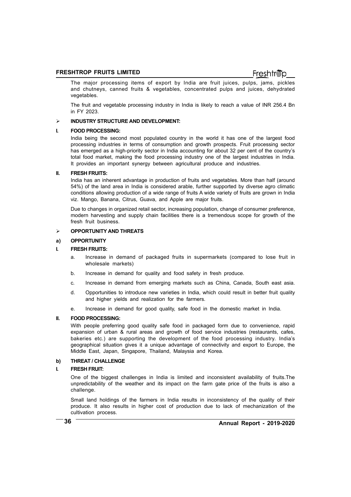# Freshtr**in**

The major processing items of export by India are fruit juices, pulps, jams, pickles and chutneys, canned fruits & vegetables, concentrated pulps and juices, dehydrated vegetables.

The fruit and vegetable processing industry in India is likely to reach a value of INR 256.4 Bn in FY 2023.

#### ¾ **INDUSTRY STRUCTURE AND DEVELOPMENT:**

#### **I. FOOD PROCESSING:**

India being the second most populated country in the world it has one of the largest food processing industries in terms of consumption and growth prospects. Fruit processing sector has emerged as a high-priority sector in India accounting for about 32 per cent of the country's total food market, making the food processing industry one of the largest industries in India. It provides an important synergy between agricultural produce and industries.

#### **II. FRESH FRUITS:**

India has an inherent advantage in production of fruits and vegetables. More than half (around 54%) of the land area in India is considered arable, further supported by diverse agro climatic conditions allowing production of a wide range of fruits A wide variety of fruits are grown in India viz. Mango, Banana, Citrus, Guava, and Apple are major fruits.

Due to changes in organized retail sector, increasing population, change of consumer preference, modern harvesting and supply chain facilities there is a tremendous scope for growth of the fresh fruit business.

### ¾ **OPPORTUNITY AND THREATS**

#### **a) OPPORTUNITY**

#### **I. FRESH FRUITS:**

- a. Increase in demand of packaged fruits in supermarkets (compared to lose fruit in wholesale markets)
- b. Increase in demand for quality and food safety in fresh produce.
- c. Increase in demand from emerging markets such as China, Canada, South east asia.
- d. Opportunities to introduce new varieties in India, which could result in better fruit quality and higher yields and realization for the farmers.
- e. Increase in demand for good quality, safe food in the domestic market in India.

#### **II. FOOD PROCESSING:**

With people preferring good quality safe food in packaged form due to convenience, rapid expansion of urban & rural areas and growth of food service industries (restaurants, cafes, bakeries etc.) are supporting the development of the food processing industry. India's geographical situation gives it a unique advantage of connectivity and export to Europe, the Middle East, Japan, Singapore, Thailand, Malaysia and Korea.

#### **b) THREAT / CHALLENGE**

#### **I. FRESH FRUIT:**

One of the biggest challenges in India is limited and inconsistent availability of fruits.The unpredictability of the weather and its impact on the farm gate price of the fruits is also a challenge.

Small land holdings of the farmers in India results in inconsistency of the quality of their produce. It also results in higher cost of production due to lack of mechanization of the cultivation process.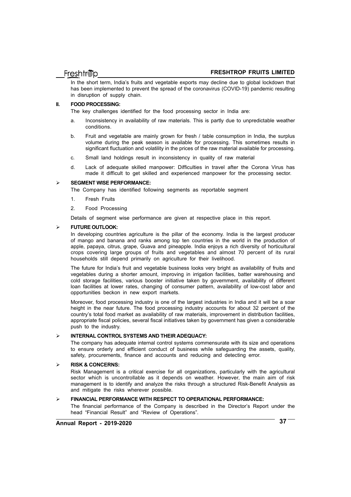In the short term, India's fruits and vegetable exports may decline due to global lockdown that has been implemented to prevent the spread of the coronavirus (COVID-19) pandemic resulting in disruption of supply chain.

#### **II. FOOD PROCESSING:**

The key challenges identified for the food processing sector in India are:

- a. Inconsistency in availability of raw materials. This is partly due to unpredictable weather conditions.
- b. Fruit and vegetable are mainly grown for fresh / table consumption in India, the surplus volume during the peak season is available for processing. This sometimes results in significant fluctuation and volatility in the prices of the raw material available for processing.
- c. Small land holdings result in inconsistency in quality of raw material
- d. Lack of adequate skilled manpower: Difficulties in travel after the Corona Virus has made it difficult to get skilled and experienced manpower for the processing sector.

#### ¾ **SEGMENT WISE PERFORMANCE:**

The Company has identified following segments as reportable segment

- 1. Fresh Fruits
- 2. Food Processing

Details of segment wise performance are given at respective place in this report.

#### ¾ **FUTURE OUTLOOK:**

In developing countries agriculture is the pillar of the economy. India is the largest producer of mango and banana and ranks among top ten countries in the world in the production of apple, papaya, citrus, grape, Guava and pineapple. India enjoys a rich diversity of horticultural crops covering large groups of fruits and vegetables and almost 70 percent of its rural households still depend primarily on agriculture for their livelihood.

The future for India's fruit and vegetable business looks very bright as availability of fruits and vegetables during a shorter amount, improving in irrigation facilities, batter warehousing and cold storage facilities, various booster initiative taken by government, availability of different loan facilities at lower rates, changing of consumer pattern, availability of low-cost labor and opportunities beckon in new export markets.

Moreover, food processing industry is one of the largest industries in India and it will be a soar height in the near future. The food processing industry accounts for about 32 percent of the country's total food market as availability of raw materials, improvement in distribution facilities, appropriate fiscal policies, several fiscal initiatives taken by government has given a considerable push to the industry.

#### ¾ **INTERNAL CONTROL SYSTEMS AND THEIR ADEQUACY:**

The company has adequate internal control systems commensurate with its size and operations to ensure orderly and efficient conduct of business while safeguarding the assets, quality, safety, procurements, finance and accounts and reducing and detecting error.

#### ¾ **RISK & CONCERNS:**

Risk Management is a critical exercise for all organizations, particularly with the agricultural sector which is uncontrollable as it depends on weather. However, the main aim of risk management is to identify and analyze the risks through a structured Risk-Benefit Analysis as and mitigate the risks wherever possible.

#### ¾ **FINANCIAL PERFORMANCE WITH RESPECT TO OPERATIONAL PERFORMANCE:**

The financial performance of the Company is described in the Director's Report under the head "Financial Result" and "Review of Operations".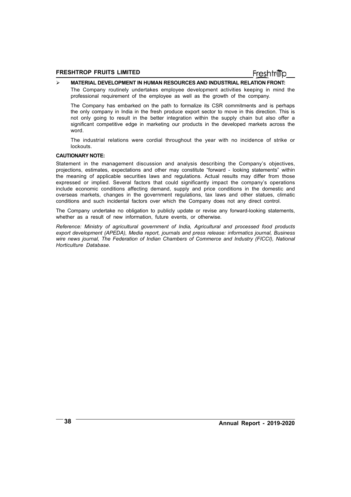Freshtr**ö**p

#### ¾ **MATERIAL DEVELOPMENT IN HUMAN RESOURCES AND INDUSTRIAL RELATION FRONT:**

The Company routinely undertakes employee development activities keeping in mind the professional requirement of the employee as well as the growth of the company.

The Company has embarked on the path to formalize its CSR commitments and is perhaps the only company in India in the fresh produce export sector to move in this direction. This is not only going to result in the better integration within the supply chain but also offer a significant competitive edge in marketing our products in the developed markets across the word.

The industrial relations were cordial throughout the year with no incidence of strike or lockouts.

#### **CAUTIONARY NOTE:**

Statement in the management discussion and analysis describing the Company's objectives, projections, estimates, expectations and other may constitute "forward - looking statements" within the meaning of applicable securities laws and regulations. Actual results may differ from those expressed or implied. Several factors that could significantly impact the company's operations include economic conditions affecting demand, supply and price conditions in the domestic and overseas markets, changes in the government regulations, tax laws and other statues, climatic conditions and such incidental factors over which the Company does not any direct control.

The Company undertake no obligation to publicly update or revise any forward-looking statements, whether as a result of new information, future events, or otherwise.

*Reference: Ministry of agricultural government of India, Agricultural and processed food products export development (APEDA), Media report, journals and press release: informatics journal, Business wire news journal, The Federation of Indian Chambers of Commerce and Industry (FICCI), National Horticulture Database.*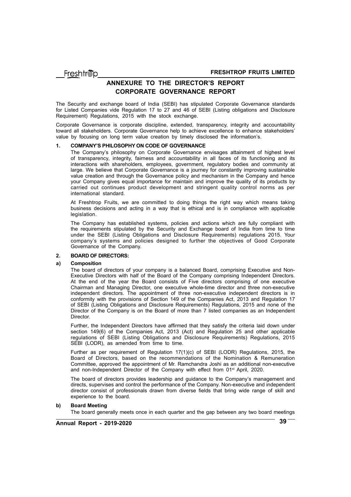Freshtr**in** 

#### **FRESHTROP FRUITS LIMITED**

# **ANNEXURE TO THE DIRECTOR'S REPORT CORPORATE GOVERNANCE REPORT**

The Security and exchange board of India (SEBI) has stipulated Corporate Governance standards for Listed Companies vide Regulation 17 to 27 and 46 of SEBI (Listing obligations and Disclosure Requirement) Regulations, 2015 with the stock exchange.

Corporate Governance is corporate discipline, extended, transparency, integrity and accountability toward all stakeholders. Corporate Governance help to achieve excellence to enhance stakeholders' value by focusing on long term value creation by timely disclosed the information's.

#### **1. COMPANY'S PHILOSOPHY ON CODE OF GOVERNANCE**

The Company's philosophy on Corporate Governance envisages attainment of highest level of transparency, integrity, fairness and accountability in all faces of its functioning and its interactions with shareholders, employees, government, regulatory bodies and community at large. We believe that Corporate Governance is a journey for constantly improving sustainable value creation and through the Governance policy and mechanism in the Company and hence your Company gives equal importance for maintain and improve the quality of its products by carried out continues product development and stringent quality control norms as per international standard.

At Freshtrop Fruits, we are committed to doing things the right way which means taking business decisions and acting in a way that is ethical and is in compliance with applicable legislation.

The Company has established systems, policies and actions which are fully compliant with the requirements stipulated by the Security and Exchange board of India from time to time under the SEBI (Listing Obligations and Disclosure Requirements) regulations 2015. Your company's systems and policies designed to further the objectives of Good Corporate Governance of the Company.

#### **2. BOARD OF DIRECTORS:**

#### **a) Composition**

The board of directors of your company is a balanced Board, comprising Executive and Non-Executive Directors with half of the Board of the Company comprising Independent Directors. At the end of the year the Board consists of Five directors comprising of one executive Chairman and Managing Director, one executive whole-time director and three non-executive independent directors. The appointment of three non-executive independent directors is in conformity with the provisions of Section 149 of the Companies Act, 2013 and Regulation 17 of SEBI (Listing Obligations and Disclosure Requirements) Regulations, 2015 and none of the Director of the Company is on the Board of more than 7 listed companies as an Independent Director.

Further, the Independent Directors have affirmed that they satisfy the criteria laid down under section 149(6) of the Companies Act, 2013 (Act) and Regulation 25 and other applicable regulations of SEBI (Listing Obligations and Disclosure Requirements) Regulations, 2015 SEBI (LODR), as amended from time to time.

Further as per requirement of Regulation 17(1)(c) of SEBI (LODR) Regulations, 2015, the Board of Directors, based on the recommendations of the Nomination & Remuneration Committee, approved the appointment of Mr. Ramchandra Joshi as an additional non-executive and non-Independent Director of the Company with effect from 01<sup>st</sup> April, 2020.

The board of directors provides leadership and guidance to the Company's management and directs, supervises and control the performance of the Company. Non-executive and independent director consist of professionals drawn from diverse fields that bring wide range of skill and experience to the board.

#### **b) Board Meeting**

The board generally meets once in each quarter and the gap between any two board meetings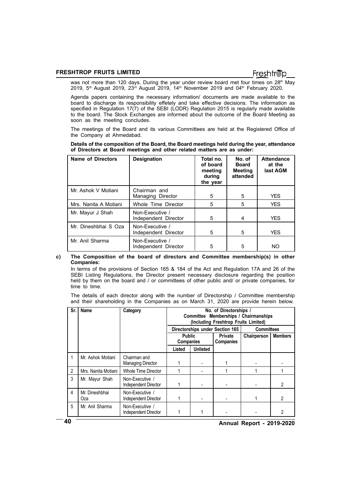Freshtröp

was not more than 120 days. During the year under review board met four times on  $28<sup>th</sup>$  May 2019, 5<sup>th</sup> August 2019, 23<sup>rd</sup> August 2019, 14<sup>th</sup> November 2019 and 04<sup>th</sup> February 2020.

Agenda papers containing the necessary information/ documents are made available to the board to discharge its responsibility effetely and take effective decisions. The information as specified in Regulation 17(7) of the SEBI (LODR) Regulation 2015 is regularly made available to the board. The Stock Exchanges are informed about the outcome of the Board Meeting as soon as the meeting concludes.

The meetings of the Board and its various Committees are held at the Registered Office of the Company at Ahmedabad.

**Details of the composition of the Board, the Board meetings held during the year, attendance of Directors at Board meetings and other related matters are as under:**

| Name of Directors     | <b>Designation</b>                      | Total no.<br>of board<br>meeting<br>during<br>the year | No. of<br><b>Board</b><br><b>Meeting</b><br>attended | <b>Attendance</b><br>at the<br>last AGM |
|-----------------------|-----------------------------------------|--------------------------------------------------------|------------------------------------------------------|-----------------------------------------|
| Mr. Ashok V Motiani   | Chairman and<br>Managing Director       | 5                                                      | 5                                                    | <b>YES</b>                              |
| Mrs. Nanita A Motiani | Whole Time Director                     | 5                                                      | 5                                                    | <b>YES</b>                              |
| Mr. Mayur J Shah      | Non-Executive /<br>Independent Director | 5                                                      | 4                                                    | <b>YES</b>                              |
| Mr. Dineshbhai S Oza  | Non-Executive /<br>Independent Director | 5                                                      | 5                                                    | <b>YES</b>                              |
| Mr. Anil Sharma       | Non-Executive /<br>Independent Director | 5                                                      | 5                                                    | NO                                      |

#### **c) The Composition of the board of directors and Committee membership(s) in other Companies:**

In terms of the provisions of Section 165 & 184 of the Act and Regulation 17A and 26 of the SEBI Listing Regulations, the Director present necessary disclosure regarding the position held by them on the board and / or committees of other public and/ or private companies, for time to time.

The details of each director along with the number of Directorship / Committee membership and their shareholding in the Companies as on March 31, 2020 are provide herein below.

| Sr. I          | Name                  | Category                                 | No. of Directorships /<br>Committee Memberships / Chairmanships<br>(Including Freshtrop Fruits Limited) |                 |                                                      |             |                |
|----------------|-----------------------|------------------------------------------|---------------------------------------------------------------------------------------------------------|-----------------|------------------------------------------------------|-------------|----------------|
|                |                       |                                          |                                                                                                         |                 | Directorships under Section 165<br><b>Committees</b> |             |                |
|                |                       |                                          | <b>Public</b><br><b>Companies</b>                                                                       |                 | Private<br><b>Companies</b>                          | Chairperson | <b>Members</b> |
|                |                       |                                          | Listed                                                                                                  | <b>Unlisted</b> |                                                      |             |                |
|                | Mr. Ashok Motiani     | Chairman and<br><b>Managing Director</b> |                                                                                                         |                 |                                                      |             |                |
| $\overline{2}$ | Mrs. Nanita Motiani   | <b>Whole Time Director</b>               |                                                                                                         |                 |                                                      |             |                |
| 3              | Mr. Mayur Shah        | Non-Executive /<br>Independent Director  |                                                                                                         |                 |                                                      |             | 2              |
| 4              | Mr. Dineshbhai<br>Oza | Non-Executive /<br>Independent Director  |                                                                                                         |                 |                                                      |             | $\overline{2}$ |
| 5              | Mr. Anil Sharma       | Non-Executive /<br>Independent Director  |                                                                                                         |                 |                                                      |             | 2              |

**40 Annual Report - 2019-2020**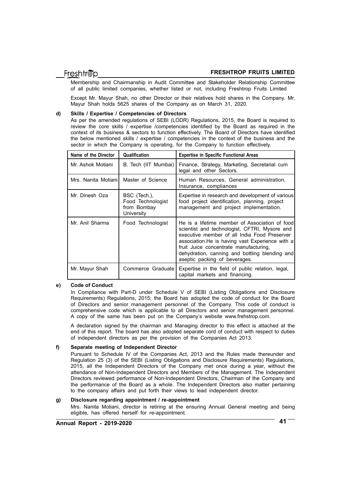# Freshtrop

#### **FRESHTROP FRUITS LIMITED**

Membership and Chairmanship in Audit Committee and Stakeholder Relationship Committee of all public limited companies, whether listed or not, including Freshtrop Fruits Limited

Except Mr. Mayur Shah, no other Director or their relatives hold shares in the Company. Mr. Mayur Shah holds 5625 shares of the Company as on March 31, 2020.

#### **d) Skills / Expertise / Competencies of Directors**

As per the amended regulations of SEBI (LODR) Regulations, 2015, the Board is required to review the core skills / expertise /competencies identified by the Board as required in the context of its business & sectors to function effectively. The Board of Directors have identified the below mentioned skills / expertise / competencies in the context of the business and the sector in which the Company is operating, for the Company to function effectively.

| Name of the Director | Qualification                                                  | <b>Expertise in Specific Functional Areas</b>                                                                                                                                                                                                                                                                                    |
|----------------------|----------------------------------------------------------------|----------------------------------------------------------------------------------------------------------------------------------------------------------------------------------------------------------------------------------------------------------------------------------------------------------------------------------|
| Mr. Ashok Motiani    | B. Tech (IIT Mumbai)                                           | Finance, Strategy, Marketing, Secretarial cum<br>legal and other Sectors.                                                                                                                                                                                                                                                        |
| Mrs. Nanita Motiani1 | Master of Science                                              | Human Resources, General administration,<br>Insurance, compliances                                                                                                                                                                                                                                                               |
| Mr. Dinesh Oza       | BSC (Tech.),<br>Food Technologist<br>from Bombay<br>University | Expertise in research and development of various<br>food project identification, planning, project<br>management and project implementation.                                                                                                                                                                                     |
| Mr. Anil Sharma      | Food Technologist                                              | He is a lifetime member of Association of food<br>scientist and technologist, CFTRI, Mysore and<br>executive member of all India Food Preserver<br>association. He is having vast Experience with a<br>fruit Juice concentrate manufacturing,<br>dehydration, canning and bottling blending and<br>aseptic packing of beverages. |
| Mr. Mayur Shah       | Commerce Graduate I                                            | Expertise in the field of public relation, legal,<br>capital markets and financing.                                                                                                                                                                                                                                              |

#### **e) Code of Conduct**

In Compliance with Part-D under Schedule V of SEBI (Listing Obligations and Disclosure Requirements) Regulations, 2015; the Board has adopted the code of conduct for the Board of Directors and senior management personnel of the Company. This code of conduct is comprehensive code which is applicable to all Directors and senior management personnel. A copy of the same has been put on the Company's website www.frehstrop.com.

A declaration signed by the chairman and Managing director to this effect is attached at the end of this report. The board has also adopted separate cord of conduct with respect to duties of independent directors as per the provision of the Companies Act 2013.

#### **f) Separate meeting of Independent Director**

Pursuant to Schedule IV of the Companies Act, 2013 and the Rules made thereunder and Regulation 25 (3) of the SEBI (Listing Obligations and Disclosure Requirements) Regulations, 2015, all the Independent Directors of the Company met once during a year, without the attendance of Non-Independent Directors and Members of the Management. The Independent Directors reviewed performance of Non-Independent Directors, Chairman of the Company and the performance of the Board as a whole. The Independent Directors also matter pertaining to the company affairs and put forth their views to lead independent director.

#### **g) Disclosure regarding appointment / re-appointment**

Mrs. Nanita Motiani, director is retiring at the ensuring Annual General meeting and being eligible, has offered herself for re-appointment.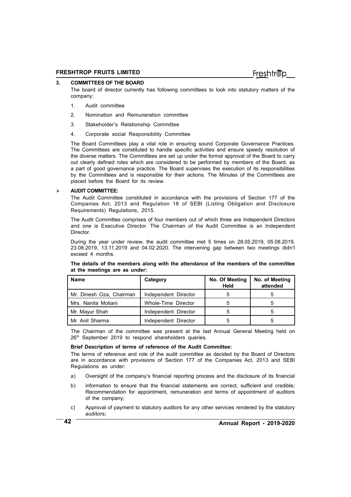# **Freshtrop**

#### **3. COMMITTEES OF THE BOARD**

The board of director currently has following committees to look into statutory matters of the company:

- 1. Audit committee
- 2. Nomination and Remuneration committee
- 3. Stakeholder's Relationship Committee
- 4. Corporate social Responsibility Committee

The Board Committees play a vital role in ensuring sound Corporate Governance Practices. The Committees are constituted to handle specific activities and ensure speedy resolution of the diverse matters. The Committees are set up under the formal approval of the Board to carry out clearly defined roles which are considered to be performed by members of the Board, as a part of good governance practice. The Board supervises the execution of its responsibilities by the Committees and is responsible for their actions. The Minutes of the Committees are placed before the Board for its review.

#### ¾ **AUDIT COMMITTEE:**

The Audit Committee constituted in accordance with the provisions of Section 177 of the Companies Act, 2013 and Regulation 18 of SEBI (Listing Obligation and Disclosure Requirements) Regulations, 2015.

The Audit Committee comprises of four members out of which three are Independent Directors and one is Executive Director. The Chairman of the Audit Committee is an Independent Director.

During the year under review, the audit committee met 5 times on 28.05.2019, 05.08.2019, 23.08.2019, 13.11.2019 and 04.02.2020. The intervening gap between two meetings didn't exceed 4 months.

| <b>Name</b>              | Category             | No. Of Meeting<br>Held | No. of Meeting<br>attended |
|--------------------------|----------------------|------------------------|----------------------------|
| Mr. Dinesh Oza, Chairman | Independent Director | 5                      |                            |
| Mrs. Nanita Motiani      | Whole-Time Director  | 5                      |                            |
| Mr. Mayur Shah           | Independent Director | 5                      |                            |
| Mr. Anil Sharma          | Independent Director | 5                      | 5                          |

#### **The details of the members along with the attendance of the members of the committee at the meetings are as under:**

The Chairman of the committee was present at the last Annual General Meeting held on 26<sup>th</sup> September 2019 to respond shareholders queries.

#### **Brief Description of terms of reference of the Audit Committee:**

The terms of reference and role of the audit committee as decided by the Board of Directors are in accordance with provisions of Section 177 of the Companies Act, 2013 and SEBI Regulations as under:

- a) Oversight of the company's financial reporting process and the disclosure of its financial
- b) information to ensure that the financial statements are correct, sufficient and credible; Recommendation for appointment, remuneration and terms of appointment of auditors of the company;
- c) Approval of payment to statutory auditors for any other services rendered by the statutory auditors;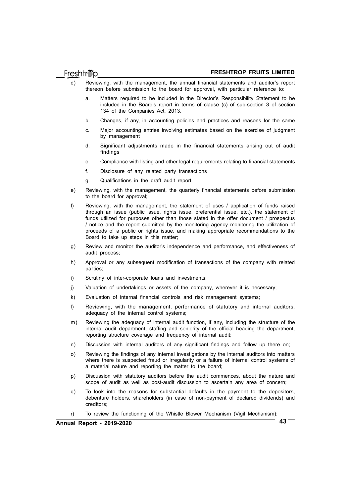- d) Reviewing, with the management, the annual financial statements and auditor's report thereon before submission to the board for approval, with particular reference to:
	- a. Matters required to be included in the Director's Responsibility Statement to be included in the Board's report in terms of clause (c) of sub-section 3 of section 134 of the Companies Act, 2013.
	- b. Changes, if any, in accounting policies and practices and reasons for the same
	- c. Major accounting entries involving estimates based on the exercise of judgment by management
	- d. Significant adjustments made in the financial statements arising out of audit findings
	- e. Compliance with listing and other legal requirements relating to financial statements
	- f. Disclosure of any related party transactions
	- g. Qualifications in the draft audit report
- e) Reviewing, with the management, the quarterly financial statements before submission to the board for approval;
- f) Reviewing, with the management, the statement of uses / application of funds raised through an issue (public issue, rights issue, preferential issue, etc.), the statement of funds utilized for purposes other than those stated in the offer document / prospectus / notice and the report submitted by the monitoring agency monitoring the utilization of proceeds of a public or rights issue, and making appropriate recommendations to the Board to take up steps in this matter;
- g) Review and monitor the auditor's independence and performance, and effectiveness of audit process;
- h) Approval or any subsequent modification of transactions of the company with related parties;
- i) Scrutiny of inter-corporate loans and investments;
- j) Valuation of undertakings or assets of the company, wherever it is necessary;
- k) Evaluation of internal financial controls and risk management systems;
- l) Reviewing, with the management, performance of statutory and internal auditors, adequacy of the internal control systems;
- m) Reviewing the adequacy of internal audit function, if any, including the structure of the internal audit department, staffing and seniority of the official heading the department, reporting structure coverage and frequency of internal audit;
- n) Discussion with internal auditors of any significant findings and follow up there on;
- o) Reviewing the findings of any internal investigations by the internal auditors into matters where there is suspected fraud or irregularity or a failure of internal control systems of a material nature and reporting the matter to the board;
- p) Discussion with statutory auditors before the audit commences, about the nature and scope of audit as well as post-audit discussion to ascertain any area of concern;
- q) To look into the reasons for substantial defaults in the payment to the depositors, debenture holders, shareholders (in case of non-payment of declared dividends) and creditors;
- r) To review the functioning of the Whistle Blower Mechanism (Vigil Mechanism);

**Annual Report - 2019-2020 43**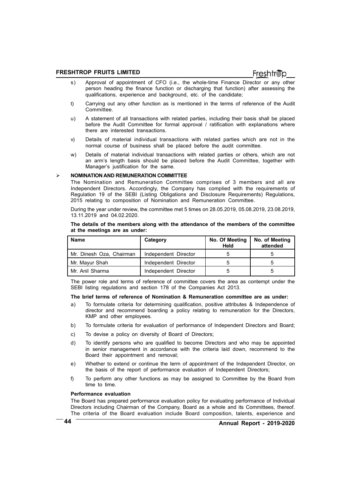

- s) Approval of appointment of CFO (i.e., the whole-time Finance Director or any other person heading the finance function or discharging that function) after assessing the qualifications, experience and background, etc. of the candidate;
- t) Carrying out any other function as is mentioned in the terms of reference of the Audit Committee.
- u) A statement of all transactions with related parties, including their basis shall be placed before the Audit Committee for formal approval / ratification with explanations where there are interested transactions.
- v) Details of material individual transactions with related parties which are not in the normal course of business shall be placed before the audit committee.
- w) Details of material individual transactions with related parties or others, which are not an arm's length basis should be placed before the Audit Committee, together with Manager's justification for the same.

#### ¾ **NOMINATION AND REMUNERATION COMMITTEE**

The Nomination and Remuneration Committee comprises of 3 members and all are Independent Directors. Accordingly, the Company has complied with the requirements of Regulation 19 of the SEBI (Listing Obligations and Disclosure Requirements) Regulations, 2015 relating to composition of Nomination and Remuneration Committee.

During the year under review, the committee met 5 times on 28.05.2019, 05.08.2019, 23.08.2019, 13.11.2019 and 04.02.2020.

#### **The details of the members along with the attendance of the members of the committee at the meetings are as under:**

| <b>Name</b>              | Category             | No. Of Meeting<br>Held | No. of Meeting<br>attended |
|--------------------------|----------------------|------------------------|----------------------------|
| Mr. Dinesh Oza, Chairman | Independent Director |                        |                            |
| Mr. Mayur Shah           | Independent Director |                        |                            |
| Mr. Anil Sharma          | Independent Director |                        |                            |

The power role and terms of reference of committee covers the area as contempt under the SEBI listing regulations and section 178 of the Companies Act 2013.

#### **The brief terms of reference of Nomination & Remuneration committee are as under:**

- a) To formulate criteria for determining qualification, positive attributes & Independence of director and recommend boarding a policy relating to remuneration for the Directors, KMP and other employees.
- b) To formulate criteria for evaluation of performance of Independent Directors and Board;
- c) To devise a policy on diversity of Board of Directors;
- d) To identify persons who are qualified to become Directors and who may be appointed in senior management in accordance with the criteria laid down, recommend to the Board their appointment and removal;
- e) Whether to extend or continue the term of appointment of the Independent Director, on the basis of the report of performance evaluation of Independent Directors;
- f) To perform any other functions as may be assigned to Committee by the Board from time to time.

#### **Performance evaluation**

The Board has prepared performance evaluation policy for evaluating performance of Individual Directors including Chairman of the Company, Board as a whole and its Committees, thereof. The criteria of the Board evaluation include Board composition, talents, experience and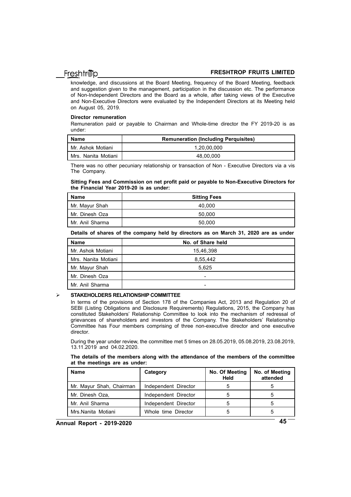# Freshtrop

#### **FRESHTROP FRUITS LIMITED**

knowledge, and discussions at the Board Meeting, frequency of the Board Meeting, feedback and suggestion given to the management, participation in the discussion etc. The performance of Non-Independent Directors and the Board as a whole, after taking views of the Executive and Non-Executive Directors were evaluated by the Independent Directors at its Meeting held on August 05, 2019.

#### **Director remuneration**

Remuneration paid or payable to Chairman and Whole-time director the FY 2019-20 is as under:

| Name                | <b>Remuneration (Including Perquisites)</b> |  |
|---------------------|---------------------------------------------|--|
| Mr. Ashok Motiani   | 1.20.00.000                                 |  |
| Mrs. Nanita Motiani | 48.00.000                                   |  |

There was no other pecuniary relationship or transaction of Non - Executive Directors via a vis The Company.

#### **Sitting Fees and Commission on net profit paid or payable to Non-Executive Directors for the Financial Year 2019-20 is as under:**

| <b>Name</b>     | <b>Sitting Fees</b> |
|-----------------|---------------------|
| Mr. Mayur Shah  | 40.000              |
| Mr. Dinesh Oza  | 50,000              |
| Mr. Anil Sharma | 50,000              |

#### **Details of shares of the company held by directors as on March 31, 2020 are as under**

| <b>Name</b>         | No. of Share held |
|---------------------|-------------------|
| Mr. Ashok Motiani   | 15,46,398         |
| Mrs. Nanita Motiani | 8,55,442          |
| Mr. Mayur Shah      | 5.625             |
| Mr. Dinesh Oza      |                   |
| Mr. Anil Sharma     |                   |

#### ¾ **STAKEHOLDERS RELATIONSHIP COMMITTEE**

In terms of the provisions of Section 178 of the Companies Act, 2013 and Regulation 20 of SEBI (Listing Obligations and Disclosure Requirements) Regulations, 2015, the Company has constituted Stakeholders' Relationship Committee to look into the mechanism of redressal of grievances of shareholders and investors of the Company. The Stakeholders' Relationship Committee has Four members comprising of three non-executive director and one executive director.

During the year under review, the committee met 5 times on 28.05.2019, 05.08.2019, 23.08.2019, 13.11.2019 and 04.02.2020.

#### **The details of the members along with the attendance of the members of the committee at the meetings are as under:**

| <b>Name</b>              | Category             | No. Of Meeting<br>Held | No. of Meeting<br>attended |
|--------------------------|----------------------|------------------------|----------------------------|
| Mr. Mayur Shah, Chairman | Independent Director |                        |                            |
| Mr. Dinesh Oza,          | Independent Director |                        |                            |
| Mr. Anil Sharma          | Independent Director |                        |                            |
| Mrs.Nanita Motiani       | Whole time Director  |                        |                            |

**Annual Report - 2019-2020 45**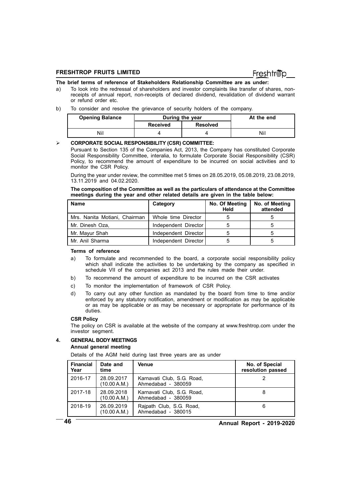

#### **The brief terms of reference of Stakeholders Relationship Committee are as under:**

- a) To look into the redressal of shareholders and investor complaints like transfer of shares, nonreceipts of annual report, non-receipts of declared dividend, revalidation of dividend warrant or refund order etc.
- b) To consider and resolve the grievance of security holders of the company.

| <b>Opening Balance</b> | During the year                    |  | At the end |
|------------------------|------------------------------------|--|------------|
|                        | <b>Resolved</b><br><b>Received</b> |  |            |
| Nil                    |                                    |  | Nil        |

#### ¾ **CORPORATE SOCIAL RESPONSIBILITY (CSR) COMMITTEE:**

Pursuant to Section 135 of the Companies Act, 2013, the Company has constituted Corporate Social Responsibility Committee, interalia, to formulate Corporate Social Responsibility (CSR) Policy, to recommend the amount of expenditure to be incurred on social activities and to monitor the CSR Policy.

During the year under review, the committee met 5 times on 28.05.2019, 05.08.2019, 23.08.2019, 13.11.2019 and 04.02.2020.

**The composition of the Committee as well as the particulars of attendance at the Committee meetings during the year and other related details are given in the table below:**

| <b>Name</b>                   | Category             | No. Of Meeting<br>Held | No. of Meeting<br>attended |
|-------------------------------|----------------------|------------------------|----------------------------|
| Mrs. Nanita Motiani, Chairman | Whole time Director  | 5                      |                            |
| Mr. Dinesh Oza,               | Independent Director | 5                      |                            |
| Mr. Mayur Shah                | Independent Director | 5                      |                            |
| Mr. Anil Sharma               | Independent Director | 5                      |                            |

**Terms of reference**

- a) To formulate and recommended to the board, a corporate social responsibility policy which shall indicate the activities to be undertaking by the company as specified in schedule VII of the companies act 2013 and the rules made their under.
- b) To recommend the amount of expenditure to be incurred on the CSR activates
- c) To monitor the implementation of framework of CSR Policy.
- d) To carry out any other function as mandated by the board from time to time and/or enforced by any statutory notification, amendment or modification as may be applicable or as may be applicable or as may be necessary or appropriate for performance of its duties.

#### **CSR Policy**

The policy on CSR is available at the website of the company at www.freshtrop.com under the investor segment.

#### **4. GENERAL BODY MEETINGS Annual general meeting**

Details of the AGM held during last three years are as under

| <b>Financial</b><br>Year | Date and<br>time           | <b>Venue</b>                                     | No. of Special<br>resolution passed |
|--------------------------|----------------------------|--------------------------------------------------|-------------------------------------|
| 2016-17                  | 28.09.2017<br>(10.00 A.M.) | Karnavati Club, S.G. Road,<br>Ahmedabad - 380059 |                                     |
| 2017-18                  | 28.09.2018<br>(10.00 A.M.) | Karnavati Club, S.G. Road,<br>Ahmedabad - 380059 | 8                                   |
| 2018-19                  | 26.09.2019<br>(10.00 A.M.) | Rajpath Club, S.G. Road,<br>Ahmedabad - 380015   | 6                                   |

# **46 Annual Report - 2019-2020**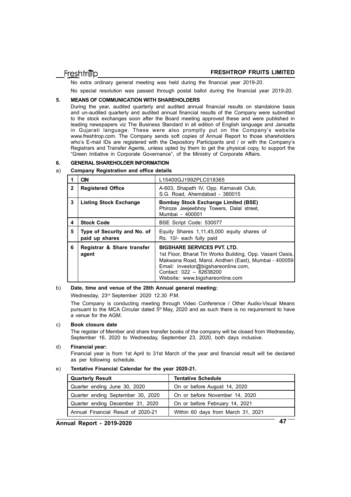# Freshtröp

#### **FRESHTROP FRUITS LIMITED**

No extra ordinary general meeting was held during the financial year 2019-20.

No special resolution was passed through postal ballot during the financial year 2019-20.

#### **5. MEANS OF COMMUNICATION WITH SHAREHOLDERS**

During the year, audited quarterly and audited annual financial results on standalone basis and un-audited quarterly and audited annual financial results of the Company were submitted to the stock exchanges soon after the Board meeting approved these and were published in leading newspapers viz The Business Standard in all edition of English language and Jansatta in Gujarati language. These were also promptly put on the Company's website www.freshtrop.com. The Company sends soft copies of Annual Report to those shareholders who's E-mail IDs are registered with the Depository Participants and / or with the Company's Registrars and Transfer Agents, unless opted by them to get the physical copy, to support the "Green Initiative in Corporate Governance", of the Ministry of Corporate Affairs.

#### **6. GENERAL SHAREHOLDER INFORMATION**

#### a) **Company Registration and office details**

|              | CIN                                           | L15400GJ1992PLC018365                                                                                                                                                                                                                                       |
|--------------|-----------------------------------------------|-------------------------------------------------------------------------------------------------------------------------------------------------------------------------------------------------------------------------------------------------------------|
| $\mathbf{2}$ | <b>Registered Office</b>                      | A-603, Shapath IV, Opp. Karnavati Club,<br>S.G. Road. Ahemdabad - 380015                                                                                                                                                                                    |
| 3            | <b>Listing Stock Exchange</b>                 | <b>Bombay Stock Exchange Limited (BSE)</b><br>Phiroze Jeejeebhoy Towers, Dalal street,<br>Mumbai - 400001                                                                                                                                                   |
| 4            | <b>Stock Code</b>                             | BSE Script Code: 530077                                                                                                                                                                                                                                     |
| 5            | Type of Security and No. of<br>paid up shares | Equity Shares 1,11,45,000 equity shares of<br>Rs. 10/- each fully paid                                                                                                                                                                                      |
| 6            | Registrar & Share transfer<br>agent           | <b>BIGSHARE SERVICES PVT. LTD.</b><br>1st Floor, Bharat Tin Works Building, Opp. Vasant Oasis,<br>Makwana Road, Marol, Andheri (East), Mumbai - 400059<br>Email: investor@bigshareonline.com,<br>Contact: 022 - 62638200<br>Website: www.bigshareonline.com |

#### b) **Date, time and venue of the 28th Annual general meeting:**

Wednesday, 23rd September 2020 12.30 P.M.

The Company is conducting meeting through Video Conference / Other Audio-Visual Means pursuant to the MCA Circular dated  $\bar{5}$ <sup>th</sup> May, 2020 and as such there is no requirement to have a venue for the AGM.

#### c) **Book closure date**

The register of Member and share transfer books of the company will be closed from Wednesday, September 16, 2020 to Wednesday, September 23, 2020, both days inclusive.

#### d) **Financial year:**

Financial year is from 1st April to 31st March of the year and financial result will be declared as per following schedule.

#### e) **Tentative Financial Calendar for the year 2020-21.**

| <b>Quarterly Result</b>            | <b>Tentative Schedule</b>          |  |
|------------------------------------|------------------------------------|--|
| Quarter ending June 30, 2020       | On or before August 14, 2020       |  |
| Quarter ending September 30, 2020  | On or before November 14, 2020     |  |
| Quarter ending December 31, 2020   | On or before February 14, 2021     |  |
| Annual Financial Result of 2020-21 | Within 60 days from March 31, 2021 |  |

**Annual Report - 2019-2020 47**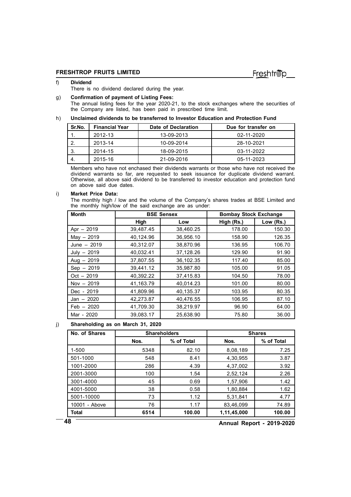

#### f) **Dividend**

There is no dividend declared during the year.

#### g) **Confirmation of payment of Listing Fees:**

The annual listing fees for the year 2020-21, to the stock exchanges where the securities of the Company are listed, has been paid in prescribed time limit.

#### h) **Unclaimed dividends to be transferred to Investor Education and Protection Fund**

| Sr.No. | <b>Financial Year</b> | Date of Declaration | Due for transfer on |
|--------|-----------------------|---------------------|---------------------|
|        | 2012-13               | 13-09-2013          | 02-11-2020          |
|        | 2013-14               | 10-09-2014          | 28-10-2021          |
| -3.    | 2014-15               | 18-09-2015          | 03-11-2022          |
|        | 2015-16               | 21-09-2016          | 05-11-2023          |

Members who have not enchased their dividends warrants or those who have not received the dividend warrants so far, are requested to seek issuance for duplicate dividend warrant. Otherwise, all above said dividend to be transferred to investor education and protection fund on above said due dates.

#### i) **Market Price Data:**

The monthly high / low and the volume of the Company's shares trades at BSE Limited and the monthly high/low of the said exchange are as under:

| <b>Month</b> | <b>BSE Sensex</b> |           | <b>Bombay Stock Exchange</b> |           |
|--------------|-------------------|-----------|------------------------------|-----------|
|              | High              | Low       | High (Rs.)                   | Low (Rs.) |
| $Apr - 2019$ | 39,487.45         | 38,460.25 | 178.00                       | 150.30    |
| $May - 2019$ | 40.124.96         | 36,956.10 | 158.90                       | 126.35    |
| June $-2019$ | 40,312.07         | 38,870.96 | 136.95                       | 106.70    |
| July $-2019$ | 40.032.41         | 37.128.26 | 129.90                       | 91.90     |
| Aug $-2019$  | 37,807.55         | 36,102.35 | 117.40                       | 85.00     |
| $Sep - 2019$ | 39,441.12         | 35,987.80 | 105.00                       | 91.05     |
| $Oct - 2019$ | 40.392.22         | 37,415.83 | 104.50                       | 78.00     |
| Nov $-2019$  | 41,163.79         | 40,014.23 | 101.00                       | 80.00     |
| Dec - 2019   | 41,809.96         | 40,135.37 | 103.95                       | 80.35     |
| $Jan - 2020$ | 42,273.87         | 40,476.55 | 106.95                       | 87.10     |
| $Feb - 2020$ | 41,709.30         | 38,219.97 | 96.90                        | 64.00     |
| Mar - 2020   | 39,083.17         | 25,638.90 | 75.80                        | 36.00     |

#### j) **Shareholding as on March 31, 2020**

| No. of Shares | <b>Shareholders</b> |            | <b>Shares</b> |            |
|---------------|---------------------|------------|---------------|------------|
|               | Nos.                | % of Total | Nos.          | % of Total |
| $1 - 500$     | 5348                | 82.10      | 8,08,189      | 7.25       |
| 501-1000      | 548                 | 8.41       | 4,30,955      | 3.87       |
| 1001-2000     | 286                 | 4.39       | 4,37,002      | 3.92       |
| 2001-3000     | 100                 | 1.54       | 2,52,124      | 2.26       |
| 3001-4000     | 45                  | 0.69       | 1,57,906      | 1.42       |
| 4001-5000     | 38                  | 0.58       | 1,80,884      | 1.62       |
| 5001-10000    | 73                  | 1.12       | 5,31,841      | 4.77       |
| 10001 - Above | 76                  | 1.17       | 83,46,099     | 74.89      |
| Total         | 6514                | 100.00     | 1,11,45,000   | 100.00     |

**48 Annual Report - 2019-2020**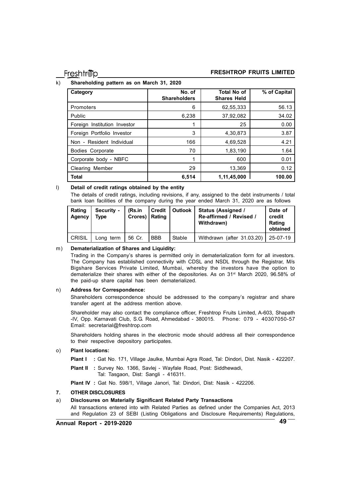**Freshtrio** 

#### **FRESHTROP FRUITS LIMITED**

#### k) **Shareholding pattern as on March 31, 2020**

| Category                     | No. of<br><b>Shareholders</b> | <b>Total No of</b><br><b>Shares Held</b> | % of Capital |
|------------------------------|-------------------------------|------------------------------------------|--------------|
| Promoters                    | 6                             | 62,55,333                                | 56.13        |
| <b>Public</b>                | 6,238                         | 37,92,082                                | 34.02        |
| Foreign Institution Investor |                               | 25                                       | 0.00         |
| Foreign Portfolio Investor   | 3                             | 4,30,873                                 | 3.87         |
| Non - Resident Individual    | 166                           | 4,69,528                                 | 4.21         |
| Bodies Corporate             | 70                            | 1,83,190                                 | 1.64         |
| Corporate body - NBFC        |                               | 600                                      | 0.01         |
| Clearing Member              | 29                            | 13,369                                   | 0.12         |
| Total                        | 6,514                         | 1,11,45,000                              | 100.00       |

#### l) **Detail of credit ratings obtained by the entity**

The details of credit ratings, including revisions, if any, assigned to the debt instruments / total bank loan facilities of the company during the year ended March 31, 2020 are as follows

| Rating<br>Agency | Security -<br><b>Type</b> | (Rs.in<br>Crores)   Rating | <b>Credit</b> | Outlook | Status (Assigned /<br>Re-affirmed / Revised /<br>Withdrawn) | Date of<br>credit<br>Rating<br>obtained |
|------------------|---------------------------|----------------------------|---------------|---------|-------------------------------------------------------------|-----------------------------------------|
| <b>CRISIL</b>    | Long term                 | 56 Cr.                     | <b>BBB</b>    | Stable  | Withdrawn (after 31.03.20)                                  | 25-07-19                                |

#### m) **Dematerialization of Shares and Liquidity:**

Trading in the Company's shares is permitted only in dematerialization form for all investors. The Company has established connectivity with CDSL and NSDL through the Registrar, M/s Bigshare Services Private Limited, Mumbai, whereby the investors have the option to dematerialize their shares with either of the depositories. As on 31<sup>st</sup> March 2020, 96.58% of the paid-up share capital has been dematerialized.

#### n) **Address for Correspondence:**

Shareholders correspondence should be addressed to the company's registrar and share transfer agent at the address mention above.

Shareholder may also contact the compliance officer, Freshtrop Fruits Limited, A-603, Shapath -IV, Opp. Karnavati Club, S.G. Road, Ahmedabad - 380015. Phone: 079 - 40307050-57 Email: secretarial@freshtrop.com

Shareholders holding shares in the electronic mode should address all their correspondence to their respective depository participates.

#### o) **Plant locations:**

**Plant I :** Gat No. 171, Village Jaulke, Mumbai Agra Road, Tal: Dindori, Dist. Nasik - 422207.

**Plant II :** Survey No. 1366, Savlej - Wayfale Road, Post: Siddhewadi, Tal: Tasgaon, Dist: Sangli - 416311.

**Plant IV :** Gat No. 598/1, Village Janori, Tal: Dindori, Dist: Nasik - 422206.

#### **7. OTHER DISCLOSURES**

a) **Disclosures on Materially Significant Related Party Transactions**

All transactions entered into with Related Parties as defined under the Companies Act, 2013 and Regulation 23 of SEBI (Listing Obligations and Disclosure Requirements) Regulations,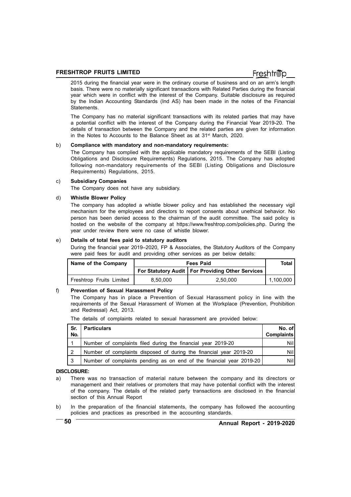2015 during the financial year were in the ordinary course of business and on an arm's length basis. There were no materially significant transactions with Related Parties during the financial year which were in conflict with the interest of the Company. Suitable disclosure as required by the Indian Accounting Standards (Ind AS) has been made in the notes of the Financial Statements.

The Company has no material significant transactions with its related parties that may have a potential conflict with the interest of the Company during the Financial Year 2019-20. The details of transaction between the Company and the related parties are given for information in the Notes to Accounts to the Balance Sheet as at 31st March, 2020.

#### b) **Compliance with mandatory and non-mandatory requirements:**

The Company has complied with the applicable mandatory requirements of the SEBI (Listing Obligations and Disclosure Requirements) Regulations, 2015. The Company has adopted following non-mandatory requirements of the SEBI (Listing Obligations and Disclosure Requirements) Regulations, 2015.

#### c) **Subsidiary Companies**

The Company does not have any subsidiary.

#### d) **Whistle Blower Policy**

The company has adopted a whistle blower policy and has established the necessary vigil mechanism for the employees and directors to report consents about unethical behavior. No person has been denied access to the chairman of the audit committee. The said policy is hosted on the website of the company at https://www.freshtrop.com/policies.php. During the year under review there were no case of whistle blower.

#### e) **Details of total fees paid to statutory auditors**

During the financial year 2019–2020, FP & Associates, the Statutory Auditors of the Company were paid fees for audit and providing other services as per below details:

| Name of the Company      | <b>Fees Paid</b>                                   |          |           |  | <b>Total</b> |
|--------------------------|----------------------------------------------------|----------|-----------|--|--------------|
|                          | For Statutory Audit   For Providing Other Services |          |           |  |              |
| Freshtrop Fruits Limited | 8.50.000                                           | 2.50.000 | 1,100,000 |  |              |

#### f) **Prevention of Sexual Harassment Policy**

The Company has in place a Prevention of Sexual Harassment policy in line with the requirements of the Sexual Harassment of Women at the Workplace (Prevention, Prohibition and Redressal) Act, 2013.

The details of complaints related to sexual harassment are provided below:

| Sr.<br>No. | <b>Particulars</b>                                                   | No. of<br>Complaints |
|------------|----------------------------------------------------------------------|----------------------|
|            | Number of complaints filed during the financial year 2019-20         | Nill                 |
|            | Number of complaints disposed of during the financial year 2019-20   | Nill                 |
| 3          | Number of complaints pending as on end of the financial year 2019-20 | Nil                  |

#### **DISCLOSURE:**

- a) There was no transaction of material nature between the company and its directors or management and their relatives or promoters that may have potential conflict with the interest of the company. The details of the related party transactions are disclosed in the financial section of this Annual Report
- b) In the preparation of the financial statements, the company has followed the accounting policies and practices as prescribed in the accounting standards.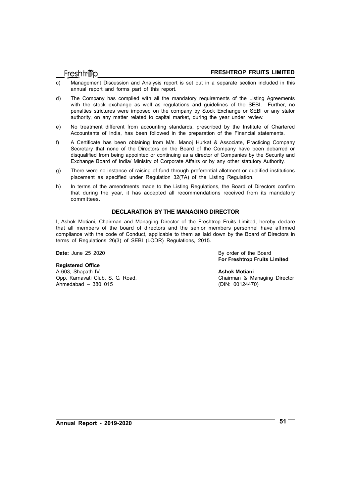Freshtröp

- c) Management Discussion and Analysis report is set out in a separate section included in this annual report and forms part of this report.
- d) The Company has complied with all the mandatory requirements of the Listing Agreements with the stock exchange as well as regulations and guidelines of the SEBI. Further, no penalties strictures were imposed on the company by Stock Exchange or SEBI or any stator authority, on any matter related to capital market, during the year under review.
- e) No treatment different from accounting standards, prescribed by the Institute of Chartered Accountants of India, has been followed in the preparation of the Financial statements.
- f) A Certificate has been obtaining from M/s. Manoj Hurkat & Associate, Practicing Company Secretary that none of the Directors on the Board of the Company have been debarred or disqualified from being appointed or continuing as a director of Companies by the Security and Exchange Board of India/ Ministry of Corporate Affairs or by any other statutory Authority.
- g) There were no instance of raising of fund through preferential allotment or qualified institutions placement as specified under Regulation 32(7A) of the Listing Regulation.
- h) In terms of the amendments made to the Listing Regulations, the Board of Directors confirm that during the year, it has accepted all recommendations received from its mandatory committees.

#### **DECLARATION BY THE MANAGING DIRECTOR**

I, Ashok Motiani, Chairman and Managing Director of the Freshtrop Fruits Limited, hereby declare that all members of the board of directors and the senior members personnel have affirmed compliance with the code of Conduct, applicable to them as laid down by the Board of Directors in terms of Regulations 26(3) of SEBI (LODR) Regulations, 2015.

#### **Registered Office**

A-603, Shapath IV, **And Ashok Motiani**<br>
Ashok Motiani<br>
Opp. Karnavati Club, S. G. Road, And Ashok Motiani Chairman & M Ahmedabad – 380 015

**Date:** June 25 2020 **By order of the Board For Freshtrop Fruits Limited**

Chairman & Managing Director<br>(DIN: 00124470)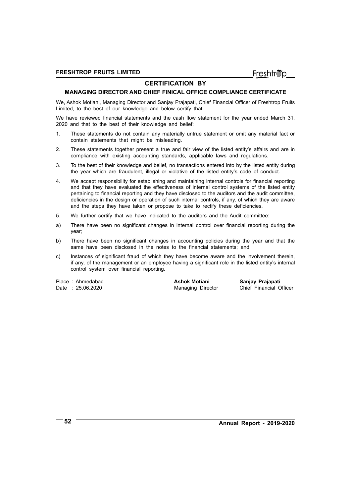Freshtrðp

# **CERTIFICATION BY**

#### **MANAGING DIRECTOR AND CHIEF FINICAL OFFICE COMPLIANCE CERTIFICATE**

We, Ashok Motiani, Managing Director and Sanjay Prajapati, Chief Financial Officer of Freshtrop Fruits Limited, to the best of our knowledge and below certify that:

We have reviewed financial statements and the cash flow statement for the year ended March 31, 2020 and that to the best of their knowledge and belief:

- 1. These statements do not contain any materially untrue statement or omit any material fact or contain statements that might be misleading.
- 2. These statements together present a true and fair view of the listed entity's affairs and are in compliance with existing accounting standards, applicable laws and regulations.
- 3. To the best of their knowledge and belief, no transactions entered into by the listed entity during the year which are fraudulent, illegal or violative of the listed entity's code of conduct.
- 4. We accept responsibility for establishing and maintaining internal controls for financial reporting and that they have evaluated the effectiveness of internal control systems of the listed entity pertaining to financial reporting and they have disclosed to the auditors and the audit committee, deficiencies in the design or operation of such internal controls, if any, of which they are aware and the steps they have taken or propose to take to rectify these deficiencies.
- 5. We further certify that we have indicated to the auditors and the Audit committee:
- a) There have been no significant changes in internal control over financial reporting during the year;
- b) There have been no significant changes in accounting policies during the year and that the same have been disclosed in the notes to the financial statements; and
- c) Instances of significant fraud of which they have become aware and the involvement therein, if any, of the management or an employee having a significant role in the listed entity's internal control system over financial reporting.

Place : Ahmedabad **Ashok Motiani Sanjay Prajapati**

Managing Director Chief Financial Officer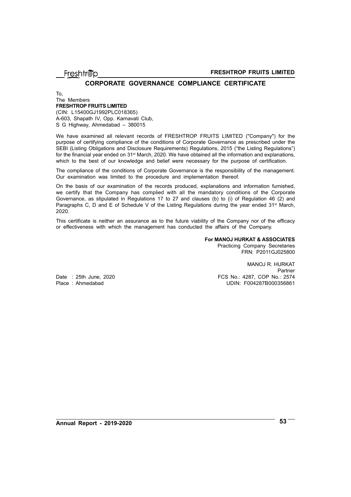Freshtröp

**FRESHTROP FRUITS LIMITED**

# **CORPORATE GOVERNANCE COMPLIANCE CERTIFICATE**

To, The Members **FRESHTROP FRUITS LIMITED** (CIN: L15400GJ1992PLC018365) A-603, Shapath IV, Opp. Karnavati Club,

S G Highway, Ahmedabad – 380015

We have examined all relevant records of FRESHTROP FRUITS LIMITED ("Company") for the purpose of certifying compliance of the conditions of Corporate Governance as prescribed under the SEBI (Listing Obligations and Disclosure Requirements) Regulations, 2015 ("the Listing Regulations") for the financial year ended on 31<sup>st</sup> March, 2020. We have obtained all the information and explanations, which to the best of our knowledge and belief were necessary for the purpose of certification.

The compliance of the conditions of Corporate Governance is the responsibility of the management. Our examination was limited to the procedure and implementation thereof.

On the basis of our examination of the records produced, explanations and information furnished, we certify that the Company has complied with all the mandatory conditions of the Corporate Governance, as stipulated in Regulations 17 to 27 and clauses (b) to (i) of Regulation 46 (2) and Paragraphs C, D and E of Schedule V of the Listing Regulations during the year ended 31<sup>st</sup> March, 2020.

This certificate is neither an assurance as to the future viability of the Company nor of the efficacy or effectiveness with which the management has conducted the affairs of the Company.

**For MANOJ HURKAT & ASSOCIATES**

 Practicing Company Secretaries FRN: P2011GJ025800

MANOJ R. HURKAT Partner Date : 25th June, 2020 FCS No.: 4287, COP No.: 2574 Place : Ahmedabad UDIN: F004287B000356861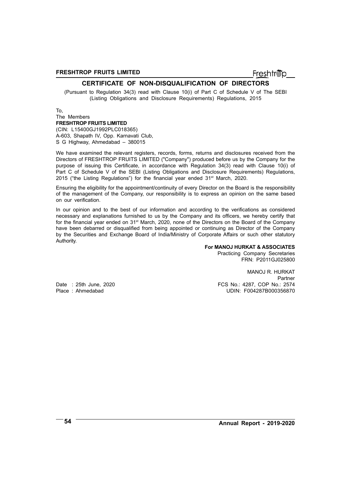# Freshtrðip

# **CERTIFICATE OF NON-DISQUALIFICATION OF DIRECTORS**

(Pursuant to Regulation 34(3) read with Clause 10(i) of Part C of Schedule V of The SEBI (Listing Obligations and Disclosure Requirements) Regulations, 2015

To,

#### The Members **FRESHTROP FRUITS LIMITED** (CIN: L15400GJ1992PLC018365) A-603, Shapath IV, Opp. Karnavati Club, S G Highway, Ahmedabad – 380015

We have examined the relevant registers, records, forms, returns and disclosures received from the Directors of FRESHTROP FRUITS LIMITED ("Company") produced before us by the Company for the purpose of issuing this Certificate, in accordance with Regulation 34(3) read with Clause 10(i) of Part C of Schedule V of the SEBI (Listing Obligations and Disclosure Requirements) Regulations, 2015 ("the Listing Regulations") for the financial year ended 31<sup>st</sup> March, 2020.

Ensuring the eligibility for the appointment/continuity of every Director on the Board is the responsibility of the management of the Company, our responsibility is to express an opinion on the same based on our verification.

In our opinion and to the best of our information and according to the verifications as considered necessary and explanations furnished to us by the Company and its officers, we hereby certify that for the financial year ended on 31<sup>st</sup> March, 2020, none of the Directors on the Board of the Company have been debarred or disqualified from being appointed or continuing as Director of the Company by the Securities and Exchange Board of India/Ministry of Corporate Affairs or such other statutory Authority.

**For MANOJ HURKAT & ASSOCIATES**

 Practicing Company Secretaries FRN: P2011GJ025800

MANOJ R. HURKAT Partner Date : 25th June, 2020 FCS No.: 4287, COP No.: 2574 Place : Ahmedabad UDIN: F004287B000356870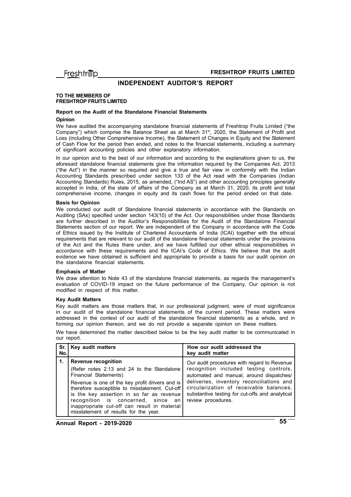**Freshtrio** 

# **INDEPENDENT AUDITOR'S REPORT**

#### **TO THE MEMBERS OF FRESHTROP FRUITS LIMITED**

#### **Report on the Audit of the Standalone Financial Statements**

#### **Opinion**

We have audited the accompanying standalone financial statements of Freshtrop Fruits Limited ("the Company") which comprise the Balance Sheet as at March 31<sup>st</sup>, 2020, the Statement of Profit and Loss (including Other Comprehensive Income), the Statement of Changes in Equity and the Statement of Cash Flow for the period then ended, and notes to the financial statements, including a summary of significant accounting policies and other explanatory information.

In our opinion and to the best of our information and according to the explanations given to us, the aforesaid standalone financial statements give the information required by the Companies Act, 2013 ("the Act") in the manner so required and give a true and fair view in conformity with the Indian Accounting Standards prescribed under section 133 of the Act read with the Companies (Indian Accounting Standards) Rules, 2015, as amended, ("Ind AS") and other accounting principles generally accepted in India, of the state of affairs of the Company as at March 31, 2020, its profit and total comprehensive income, changes in equity and its cash flows for the period ended on that date.

#### **Basis for Opinion**

We conducted our audit of Standalone financial statements in accordance with the Standards on Auditing (SAs) specified under section 143(10) of the Act. Our responsibilities under those Standards are further described in the Auditor's Responsibilities for the Audit of the Standalone Financial Statements section of our report. We are independent of the Company in accordance with the Code of Ethics issued by the Institute of Chartered Accountants of India (ICAI) together with the ethical requirements that are relevant to our audit of the standalone financial statements under the provisions of the Act and the Rules there under, and we have fulfilled our other ethical responsibilities in accordance with these requirements and the ICAI's Code of Ethics. We believe that the audit evidence we have obtained is sufficient and appropriate to provide a basis for our audit opinion on the standalone financial statements.

#### **Emphasis of Matter**

We draw attention to Note 43 of the standalone financial statements, as regards the management's evaluation of COVID-19 impact on the future performance of the Company. Our opinion is not modified in respect of this matter.

#### **Key Audit Matters**

Key audit matters are those matters that, in our professional judgment, were of most significance in our audit of the standalone financial statements of the current period. These matters were addressed in the context of our audit of the standalone financial statements as a whole, and in forming our opinion thereon, and we do not provide a separate opinion on these matters.

We have determined the matter described below to be the key audit matter to be communicated in our report.

| Sr. I<br>No. | Key audit matters                                                                                                                                                                                                                                                                                                                                                           | How our audit addressed the<br>key audit matter                                                                                                                                                                                                                                                    |
|--------------|-----------------------------------------------------------------------------------------------------------------------------------------------------------------------------------------------------------------------------------------------------------------------------------------------------------------------------------------------------------------------------|----------------------------------------------------------------------------------------------------------------------------------------------------------------------------------------------------------------------------------------------------------------------------------------------------|
| 1.           | Revenue recognition<br>(Refer notes 2.13 and 24 to the Standalone<br>Financial Statements)<br>Revenue is one of the key profit drivers and is<br>therefore susceptible to misstatement. Cut-off<br>is the key assertion in so far as revenue<br>recognition is concerned, since an<br>inappropriate cut-off can result in material<br>misstatement of results for the year. | Our audit procedures with regard to Revenue<br>recognition included testing controls,<br>automated and manual, around dispatches/<br>deliveries, inventory reconciliations and<br>circularization of receivable balances,<br>substantive testing for cut-offs and analytical<br>review procedures. |

**Annual Report - 2019-2020 55**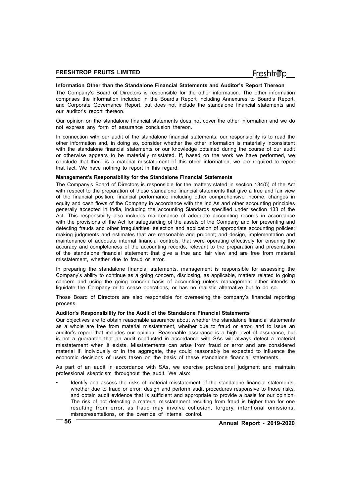

#### **Information Other than the Standalone Financial Statements and Auditor's Report Thereon**

The Company's Board of Directors is responsible for the other information. The other information comprises the information included in the Board's Report including Annexures to Board's Report, and Corporate Governance Report, but does not include the standalone financial statements and our auditor's report thereon.

Our opinion on the standalone financial statements does not cover the other information and we do not express any form of assurance conclusion thereon.

In connection with our audit of the standalone financial statements, our responsibility is to read the other information and, in doing so, consider whether the other information is materially inconsistent with the standalone financial statements or our knowledge obtained during the course of our audit or otherwise appears to be materially misstated. If, based on the work we have performed, we conclude that there is a material misstatement of this other information, we are required to report that fact. We have nothing to report in this regard.

#### **Management's Responsibility for the Standalone Financial Statements**

The Company's Board of Directors is responsible for the matters stated in section 134(5) of the Act with respect to the preparation of these standalone financial statements that give a true and fair view of the financial position, financial performance including other comprehensive income, changes in equity and cash flows of the Company in accordance with the Ind As and other accounting principles generally accepted in India, including the accounting Standards specified under section 133 of the Act. This responsibility also includes maintenance of adequate accounting records in accordance with the provisions of the Act for safeguarding of the assets of the Company and for preventing and detecting frauds and other irregularities; selection and application of appropriate accounting policies; making judgments and estimates that are reasonable and prudent; and design, implementation and maintenance of adequate internal financial controls, that were operating effectively for ensuring the accuracy and completeness of the accounting records, relevant to the preparation and presentation of the standalone financial statement that give a true and fair view and are free from material misstatement, whether due to fraud or error.

In preparing the standalone financial statements, management is responsible for assessing the Company's ability to continue as a going concern, disclosing, as applicable, matters related to going concern and using the going concern basis of accounting unless management either intends to liquidate the Company or to cease operations, or has no realistic alternative but to do so.

Those Board of Directors are also responsible for overseeing the company's financial reporting process.

#### **Auditor's Responsibility for the Audit of the Standalone Financial Statements**

Our objectives are to obtain reasonable assurance about whether the standalone financial statements as a whole are free from material misstatement, whether due to fraud or error, and to issue an auditor's report that includes our opinion. Reasonable assurance is a high level of assurance, but is not a guarantee that an audit conducted in accordance with SAs will always detect a material misstatement when it exists. Misstatements can arise from fraud or error and are considered material if, individually or in the aggregate, they could reasonably be expected to influence the economic decisions of users taken on the basis of these standalone financial statements.

As part of an audit in accordance with SAs, we exercise professional judgment and maintain professional skepticism throughout the audit. We also:

• Identify and assess the risks of material misstatement of the standalone financial statements, whether due to fraud or error, design and perform audit procedures responsive to those risks, and obtain audit evidence that is sufficient and appropriate to provide a basis for our opinion. The risk of not detecting a material misstatement resulting from fraud is higher than for one resulting from error, as fraud may involve collusion, forgery, intentional omissions, misrepresentations, or the override of internal control.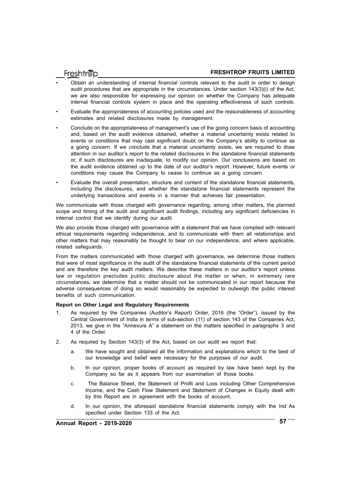# Freshtröp

#### **FRESHTROP FRUITS LIMITED**

- Obtain an understanding of internal financial controls relevant to the audit in order to design audit procedures that are appropriate in the circumstances. Under section 143(3)(i) of the Act, we are also responsible for expressing our opinion on whether the Company has adequate internal financial controls system in place and the operating effectiveness of such controls.
- Evaluate the appropriateness of accounting policies used and the reasonableness of accounting estimates and related disclosures made by management.
- Conclude on the appropriateness of management's use of the going concern basis of accounting and, based on the audit evidence obtained, whether a material uncertainty exists related to events or conditions that may cast significant doubt on the Company's ability to continue as a going concern. If we conclude that a material uncertainty exists, we are required to draw attention in our auditor's report to the related disclosures in the standalone financial statements or, if such disclosures are inadequate, to modify our opinion. Our conclusions are based on the audit evidence obtained up to the date of our auditor's report. However, future events or conditions may cause the Company to cease to continue as a going concern.
- Evaluate the overall presentation, structure and content of the standalone financial statements, including the disclosures, and whether the standalone financial statements represent the underlying transactions and events in a manner that achieves fair presentation.

We communicate with those charged with governance regarding, among other matters, the planned scope and timing of the audit and significant audit findings, including any significant deficiencies in internal control that we identify during our audit.

We also provide those charged with governance with a statement that we have complied with relevant ethical requirements regarding independence, and to communicate with them all relationships and other matters that may reasonably be thought to bear on our independence, and where applicable, related safeguards.

From the matters communicated with those charged with governance, we determine those matters that were of most significance in the audit of the standalone financial statements of the current period and are therefore the key audit matters. We describe these matters in our auditor's report unless law or regulation precludes public disclosure about the matter or when, in extremely rare circumstances, we determine that a matter should not be communicated in our report because the adverse consequences of doing so would reasonably be expected to outweigh the public interest benefits of such communication.

#### **Report on Other Legal and Regulatory Requirements**

- 1. As required by the Companies (Auditor's Report) Order, 2016 (the "Order"), issued by the Central Government of India in terms of sub-section (11) of section 143 of the Companies Act, 2013, we give in the "Annexure A" a statement on the matters specified in paragraphs 3 and 4 of the Order.
- 2. As required by Section 143(3) of the Act, based on our audit we report that:
	- a. We have sought and obtained all the information and explanations which to the best of our knowledge and belief were necessary for the purposes of our audit.
	- b. In our opinion, proper books of account as required by law have been kept by the Company so far as it appears from our examination of those books.
	- c. The Balance Sheet, the Statement of Profit and Loss including Other Comprehensive Income, and the Cash Flow Statement and Statement of Changes in Equity dealt with by this Report are in agreement with the books of account.
	- d. In our opinion, the aforesaid standalone financial statements comply with the Ind As specified under Section 133 of the Act.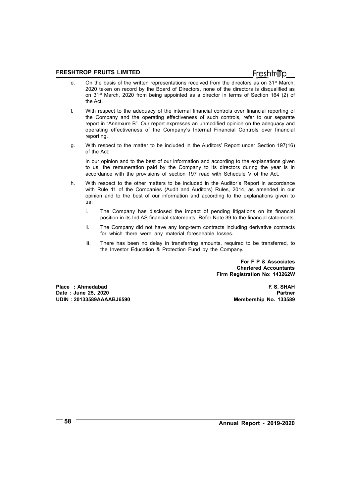- e. On the basis of the written representations received from the directors as on 31<sup>st</sup> March, 2020 taken on record by the Board of Directors, none of the directors is disqualified as on 31st March, 2020 from being appointed as a director in terms of Section 164 (2) of the Act.
- f. With respect to the adequacy of the internal financial controls over financial reporting of the Company and the operating effectiveness of such controls, refer to our separate report in "Annexure B". Our report expresses an unmodified opinion on the adequacy and operating effectiveness of the Company's Internal Financial Controls over financial reporting.
- g. With respect to the matter to be included in the Auditors' Report under Section 197(16) of the Act:

In our opinion and to the best of our information and according to the explanations given to us, the remuneration paid by the Company to its directors during the year is in accordance with the provisions of section 197 read with Schedule V of the Act.

- h. With respect to the other matters to be included in the Auditor's Report in accordance with Rule 11 of the Companies (Audit and Auditors) Rules, 2014, as amended in our opinion and to the best of our information and according to the explanations given to us:
	- i. The Company has disclosed the impact of pending litigations on its financial position in its Ind AS financial statements -Refer Note 39 to the financial statements.
	- ii. The Company did not have any long-term contracts including derivative contracts for which there were any material foreseeable losses.
	- iii. There has been no delay in transferring amounts, required to be transferred, to the Investor Education & Protection Fund by the Company.

**For F P & Associates Chartered Accountants Firm Registration No: 143262W**

**Date : June 25, 2020 Partner UDIN : 20133589AAAABJ6590 Membership No. 133589**

**Place : Ahmedabad F. S. SHAH**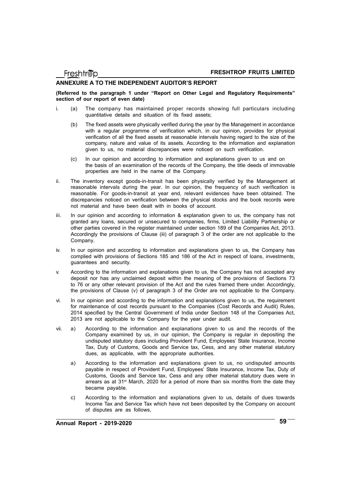Freshtr**in** 

#### **ANNEXURE A TO THE INDEPENDENT AUDITOR'S REPORT**

#### **(Referred to the paragraph 1 under "Report on Other Legal and Regulatory Requirements" section of our report of even date)**

- i. (a) The company has maintained proper records showing full particulars including quantitative details and situation of its fixed assets;
	- (b) The fixed assets were physically verified during the year by the Management in accordance with a regular programme of verification which, in our opinion, provides for physical verification of all the fixed assets at reasonable intervals having regard to the size of the company, nature and value of its assets. According to the information and explanation given to us, no material discrepancies were noticed on such verification.
	- (c) In our opinion and according to information and explanations given to us and on the basis of an examination of the records of the Company, the title deeds of immovable properties are held in the name of the Company.
- ii. The inventory except goods-in-transit has been physically verified by the Management at reasonable intervals during the year. In our opinion, the frequency of such verification is reasonable. For goods-in-transit at year end, relevant evidences have been obtained. The discrepancies noticed on verification between the physical stocks and the book records were not material and have been dealt with in books of account.
- iii. In our opinion and according to information & explanation given to us, the company has not granted any loans, secured or unsecured to companies, firms, Limited Liability Partnership or other parties covered in the register maintained under section 189 of the Companies Act, 2013. Accordingly the provisions of Clause (iii) of paragraph 3 of the order are not applicable to the Company.
- iv. In our opinion and according to information and explanations given to us, the Company has complied with provisions of Sections 185 and 186 of the Act in respect of loans, investments, guarantees and security.
- v. According to the information and explanations given to us, the Company has not accepted any deposit nor has any unclaimed deposit within the meaning of the provisions of Sections 73 to 76 or any other relevant provision of the Act and the rules framed there under. Accordingly, the provisions of Clause (v) of paragraph 3 of the Order are not applicable to the Company.
- vi. In our opinion and according to the information and explanations given to us, the requirement for maintenance of cost records pursuant to the Companies (Cost Records and Audit) Rules, 2014 specified by the Central Government of India under Section 148 of the Companies Act, 2013 are not applicable to the Company for the year under audit.
- vii. a) According to the information and explanations given to us and the records of the Company examined by us, in our opinion, the Company is regular in depositing the undisputed statutory dues including Provident Fund, Employees' State Insurance, Income Tax, Duty of Customs, Goods and Service tax, Cess, and any other material statutory dues, as applicable, with the appropriate authorities.
	- a) According to the information and explanations given to us, no undisputed amounts payable in respect of Provident Fund, Employees' State Insurance, Income Tax, Duty of Customs, Goods and Service tax, Cess and any other material statutory dues were in arrears as at 31st March, 2020 for a period of more than six months from the date they became payable.
	- c) According to the information and explanations given to us, details of dues towards Income Tax and Service Tax which have not been deposited by the Company on account of disputes are as follows,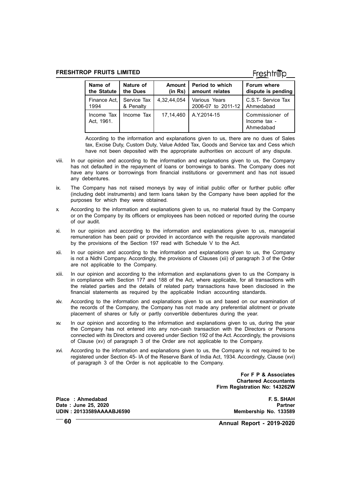# Freshtrðip

| Name of                  | Nature of   | Amount      | Period to which    | Forum where                                  |
|--------------------------|-------------|-------------|--------------------|----------------------------------------------|
| the Statute              | the Dues    | (in Rs)     | amount relates     | dispute is pending                           |
| Finance Act, I           | Service Tax | 4,32,44,054 | Various Years      | C.S.T- Service Tax                           |
| 1994                     | & Penalty   |             | 2006-07 to 2011-12 | Ahmedabad                                    |
| Income Tax<br>Act. 1961. | Income Tax  | 17.14.460   | A.Y.2014-15        | Commissioner of<br>Income tax -<br>Ahmedabad |

According to the information and explanations given to us, there are no dues of Sales tax, Excise Duty, Custom Duty, Value Added Tax, Goods and Service tax and Cess which have not been deposited with the appropriate authorities on account of any dispute.

- viii. In our opinion and according to the information and explanations given to us, the Company has not defaulted in the repayment of loans or borrowings to banks. The Company does not have any loans or borrowings from financial institutions or government and has not issued any debentures.
- ix. The Company has not raised moneys by way of initial public offer or further public offer (including debt instruments) and term loans taken by the Company have been applied for the purposes for which they were obtained.
- x. According to the information and explanations given to us, no material fraud by the Company or on the Company by its officers or employees has been noticed or reported during the course of our audit.
- xi. In our opinion and according to the information and explanations given to us, managerial remuneration has been paid or provided in accordance with the requisite approvals mandated by the provisions of the Section 197 read with Schedule V to the Act.
- xii. In our opinion and according to the information and explanations given to us, the Company is not a Nidhi Company. Accordingly, the provisions of Clauses (xii) of paragraph 3 of the Order are not applicable to the Company.
- xiii. In our opinion and according to the information and explanations given to us the Company is in compliance with Section 177 and 188 of the Act, where applicable, for all transactions with the related parties and the details of related party transactions have been disclosed in the financial statements as required by the applicable Indian accounting standards.
- xiv. According to the information and explanations given to us and based on our examination of the records of the Company, the Company has not made any preferential allotment or private placement of shares or fully or partly convertible debentures during the year.
- xv. In our opinion and according to the information and explanations given to us, during the year the Company has not entered into any non-cash transaction with the Directors or Persons connected with its Directors and covered under Section 192 of the Act. Accordingly, the provisions of Clause (xv) of paragraph 3 of the Order are not applicable to the Company.
- xvi. According to the information and explanations given to us, the Company is not required to be registered under Section 45- IA of the Reserve Bank of India Act, 1934. Accordingly, Clause (xvi) of paragraph 3 of the Order is not applicable to the Company.

**For F P & Associates Chartered Accountants Firm Registration No: 143262W**

**Place : Ahmedabad F. S. SHAH Date : June 25, 2020 Partner UDIN : 20133589AAAABJ6590 Membership No. 133589**

**60 Annual Report - 2019-2020**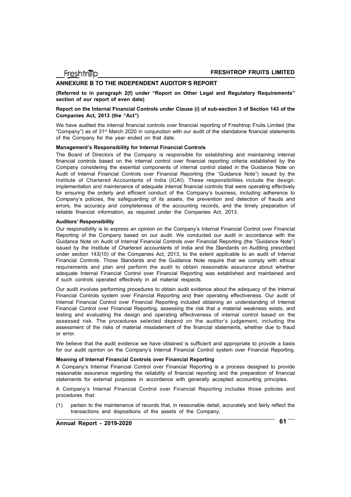Freshtröp

#### **ANNEXURE B TO THE INDEPENDENT AUDITOR'S REPORT**

**(Referred to in paragraph 2(f) under "Report on Other Legal and Regulatory Requirements" section of our report of even date)**

#### **Report on the Internal Financial Controls under Clause (i) of sub-section 3 of Section 143 of the Companies Act, 2013 (the "Act")**

We have audited the internal financial controls over financial reporting of Freshtrop Fruits Limited (the "Company") as of 31st March 2020 in conjunction with our audit of the standalone financial statements of the Company for the year ended on that date.

#### **Management's Responsibility for Internal Financial Controls**

The Board of Directors of the Company is responsible for establishing and maintaining internal financial controls based on the internal control over financial reporting criteria established by the Company considering the essential components of internal control stated in the Guidance Note on Audit of Internal Financial Controls over Financial Reporting (the "Guidance Note") issued by the Institute of Chartered Accountants of India (ICAI). These responsibilities include the design, implementation and maintenance of adequate internal financial controls that were operating effectively for ensuring the orderly and efficient conduct of the Company's business, including adherence to Company's policies, the safeguarding of its assets, the prevention and detection of frauds and errors, the accuracy and completeness of the accounting records, and the timely preparation of reliable financial information, as required under the Companies Act, 2013.

#### **Auditors' Responsibility**

Our responsibility is to express an opinion on the Company's Internal Financial Control over Financial Reporting of the Company based on our audit. We conducted our audit in accordance with the Guidance Note on Audit of Internal Financial Controls over Financial Reporting (the "Guidance Note") issued by the Institute of Chartered accountants of India and the Standards on Auditing prescribed under section 143(10) of the Companies Act, 2013, to the extent applicable to an audit of Internal Financial Controls. Those Standards and the Guidance Note require that we comply with ethical requirements and plan and perform the audit to obtain reasonable assurance about whether adequate Internal Financial Control over Financial Reporting was established and maintained and if such controls operated effectively in all material respects.

Our audit involves performing procedures to obtain audit evidence about the adequacy of the Internal Financial Controls system over Financial Reporting and their operating effectiveness. Our audit of Internal Financial Control over Financial Reporting included obtaining an understanding of Internal Financial Control over Financial Reporting, assessing the risk that a material weakness exists, and testing and evaluating the design and operating effectiveness of internal control based on the assessed risk. The procedures selected depend on the auditor's judgement, including the assessment of the risks of material misstatement of the financial statements, whether due to fraud or error.

We believe that the audit evidence we have obtained is sufficient and appropriate to provide a basis for our audit opinion on the Company's Internal Financial Control system over Financial Reporting.

#### **Meaning of Internal Financial Controls over Financial Reporting**

A Company's Internal Financial Control over Financial Reporting is a process designed to provide reasonable assurance regarding the reliability of financial reporting and the preparation of financial statements for external purposes in accordance with generally accepted accounting principles.

A Company's Internal Financial Control over Financial Reporting includes those policies and procedures that:

(1) pertain to the maintenance of records that, in reasonable detail, accurately and fairly reflect the transactions and dispositions of the assets of the Company;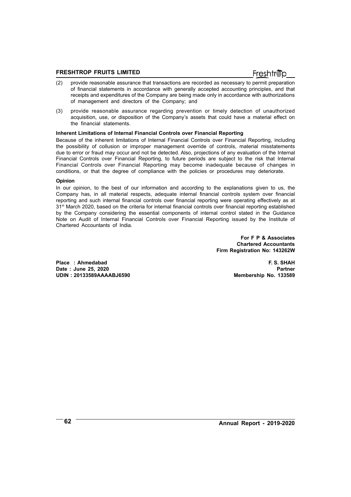Freshtr**ö**p

- (2) provide reasonable assurance that transactions are recorded as necessary to permit preparation of financial statements in accordance with generally accepted accounting principles, and that receipts and expenditures of the Company are being made only in accordance with authorizations of management and directors of the Company; and
- (3) provide reasonable assurance regarding prevention or timely detection of unauthorized acquisition, use, or disposition of the Company's assets that could have a material effect on the financial statements.

#### **Inherent Limitations of Internal Financial Controls over Financial Reporting**

Because of the inherent limitations of Internal Financial Controls over Financial Reporting, including the possibility of collusion or improper management override of controls, material misstatements due to error or fraud may occur and not be detected. Also, projections of any evaluation of the Internal Financial Controls over Financial Reporting, to future periods are subject to the risk that Internal Financial Controls over Financial Reporting may become inadequate because of changes in conditions, or that the degree of compliance with the policies or procedures may deteriorate.

#### **Opinion**

In our opinion, to the best of our information and according to the explanations given to us, the Company has, in all material respects, adequate internal financial controls system over financial reporting and such internal financial controls over financial reporting were operating effectively as at 31<sup>st</sup> March 2020, based on the criteria for internal financial controls over financial reporting established by the Company considering the essential components of internal control stated in the Guidance Note on Audit of Internal Financial Controls over Financial Reporting issued by the Institute of Chartered Accountants of India.

> **For F P & Associates Chartered Accountants Firm Registration No: 143262W**

**Place : Ahmedabad F. S. SHAH Date : June 25, 2020 Partner UDIN : 20133589AAAABJ6590 Membership No. 133589**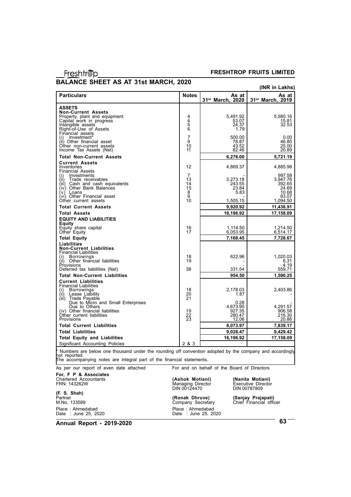# **BALANCE SHEET AS AT 31st MARCH, 2020**

**(INR in Lakhs)**

| <b>Particulars</b>                                                                                                                                                                                | <b>Notes</b>                                         | As at<br>31st March, 2020                     | As at<br>31 <sup>st</sup> March, 2019                         |
|---------------------------------------------------------------------------------------------------------------------------------------------------------------------------------------------------|------------------------------------------------------|-----------------------------------------------|---------------------------------------------------------------|
| ASSETS<br><b>Non-Current Assets</b><br>Property, plant and equipment<br>Capital work in progress<br>Intangible assets<br>Right-of-Use of Assets<br>Financial assets                               | 4<br>4<br>5<br>6                                     | 5,491.92<br>53.07<br>24.37<br>1.79            | 5,580.16<br>15.81<br>32.53                                    |
| Investment*<br>$\mathbf{I}$<br>(ií) Other financial asset<br>Other non-current assets<br>Income Tax Assets (Net)                                                                                  | 7<br>9<br>10<br>11                                   | 500.00<br>78.87<br>43.52<br>82.46             | 0.00<br>46.80<br>25.00<br>20.89                               |
| <b>Total Non-Current Assets</b>                                                                                                                                                                   |                                                      | 6,276.00                                      | 5,721.19                                                      |
| <b>Current Assets</b><br>Inventories<br>Financial Assets<br>Investments<br>$^{(1)}$                                                                                                               | 12<br>7                                              | 4,869.37                                      | 4,885.98<br>997.58                                            |
| (ii)<br>Trade receivables<br>Cash and cash equivalents<br>(iii)<br>(iv) Other Bank Balances<br>(v) Loans                                                                                          | 13<br>14<br>15<br>$^8_9$                             | 3,273.18<br>243.55<br>23.84<br>5.83           | 3,947.76<br>392.65<br>24.69<br>10.68                          |
| (ví) Other Financial asset<br>Other current assets                                                                                                                                                | 10                                                   | 1,505.15                                      | 83.07<br>1,094.50                                             |
| <b>Total Current Assets</b>                                                                                                                                                                       |                                                      | 9.920.92                                      | 11,436.91                                                     |
| <b>Total Assets</b>                                                                                                                                                                               |                                                      | 16.196.92                                     | 17,158.09                                                     |
| <b>EQUITY AND LIABILITIES</b><br>Equity                                                                                                                                                           |                                                      |                                               |                                                               |
| Equity share capital<br>Other Equity                                                                                                                                                              | 16<br>17                                             | 1,114.50<br>6,053.95                          | 1,214.50<br>6,514.17                                          |
| <b>Total Equity</b>                                                                                                                                                                               |                                                      | 7,168.45                                      | 7,728.67                                                      |
| Liabilities<br><b>Non-Current Liabilities</b><br><b>Financial Liabilities</b>                                                                                                                     |                                                      |                                               |                                                               |
| <b>Borrowings</b><br>$^{(1)}$<br>Other financial liabilities<br>(ii)<br>Provisions                                                                                                                | 18<br>19                                             | 622.96                                        | 1,020.03<br>6.31<br>4.19                                      |
| Deferred tax liabilities (Net)                                                                                                                                                                    | 38                                                   | 331.54                                        | 559.71                                                        |
| <b>Total Non-Current Liabilities</b>                                                                                                                                                              |                                                      | 954.50                                        | 1,590.25                                                      |
| <b>Current Liabilities</b><br><b>Financial Liabilities</b><br><b>Borrowings</b><br>(i)<br>(ii)<br>Lease Liability<br>Trade Payable<br>(iii)                                                       | 18<br>20<br>21                                       | 2,178.03<br>1.87                              | 2,403.86                                                      |
| Due to Micro and Small Enterprises<br>Due to Others<br>(iv) Other financial liabilities<br>Other current liabilities<br>Provisions                                                                | 19<br>22<br>23                                       | 0.28<br>4,673.90<br>927.35<br>280.47<br>12.06 | 4.291.57<br>906.58<br>216.30<br>20.86                         |
| <b>Total Current Liabilities</b>                                                                                                                                                                  |                                                      | 8,073.97                                      | 7,839.17                                                      |
| <b>Total Liabilities</b>                                                                                                                                                                          |                                                      | 9,028.47                                      | 9,429.42                                                      |
| <b>Total Equity and Liabilities</b>                                                                                                                                                               |                                                      | 16,196.92                                     | 17,158.09                                                     |
| Significant Accounting Policies                                                                                                                                                                   | 2 & 3                                                |                                               |                                                               |
| Numbers are below one thousand under the rounding off convention adopted by the company and accordingly<br>not reported.<br>The accompanying notes are integral part of the financial statements. |                                                      |                                               |                                                               |
| As per our report of even date attached                                                                                                                                                           |                                                      | For and on behalf of the Board of Directors   |                                                               |
| For, F P & Associates<br><b>Chartered Accountants</b><br>FRN: 143262W                                                                                                                             | (Ashok Motiani)<br>Managing Director<br>DIN 00124470 |                                               | (Nanita Motiani)<br><b>Executive Director</b><br>DIN 00787809 |
| (F. S. Shah)<br>Partner<br>M.No. 133589                                                                                                                                                           | (Ronak Dhruve)<br>Company Secretary                  |                                               | (Sanjay Prajapati)<br>Chief Financial officer                 |
| Place: Ahmedabad<br>Date: June 25, 2020                                                                                                                                                           | Place: Ahmedabad<br>Date: June 25, 2020              |                                               |                                                               |

**Annual Report - 2019-2020 63**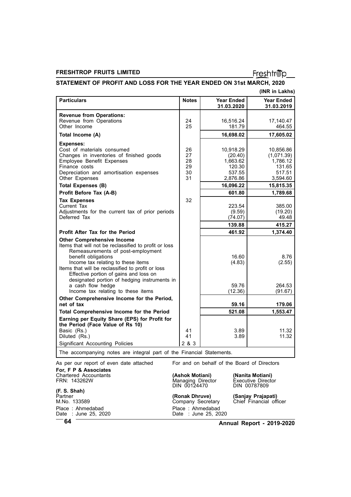# Freshtrop

# **STATEMENT OF PROFIT AND LOSS FOR THE YEAR ENDED ON 31st MARCH, 2020**

**(INR in Lakhs)**

| <b>Particulars</b>                                                                                                                                                                                                                                                                                                                                               | <b>Notes</b>                     | <b>Year Ended</b><br>31.03.2020                                  | <b>Year Ended</b><br>31.03.2019                                     |  |  |
|------------------------------------------------------------------------------------------------------------------------------------------------------------------------------------------------------------------------------------------------------------------------------------------------------------------------------------------------------------------|----------------------------------|------------------------------------------------------------------|---------------------------------------------------------------------|--|--|
| <b>Revenue from Operations:</b><br>Revenue from Operations<br>Other Income<br>Total Income (A)                                                                                                                                                                                                                                                                   | 24<br>25                         | 16,516.24<br>181.79<br>16,698.02                                 | 17,140.47<br>464.55<br>17,605.02                                    |  |  |
|                                                                                                                                                                                                                                                                                                                                                                  |                                  |                                                                  |                                                                     |  |  |
| <b>Expenses:</b><br>Cost of materials consumed<br>Changes in inventories of finished goods<br>Employee Benefit Expenses<br>Finance costs<br>Depreciation and amortisation expenses<br>Other Expenses                                                                                                                                                             | 26<br>27<br>28<br>29<br>30<br>31 | 10,918.29<br>(20.40)<br>1.663.62<br>120.30<br>537.55<br>2,876.86 | 10,856.86<br>(1,071.39)<br>1,786.12<br>131.65<br>517.51<br>3,594.60 |  |  |
| <b>Total Expenses (B)</b>                                                                                                                                                                                                                                                                                                                                        |                                  | 16,096.22                                                        | 15,815.35                                                           |  |  |
| Profit Before Tax (A-B)                                                                                                                                                                                                                                                                                                                                          |                                  | 601.80                                                           | 1,789.68                                                            |  |  |
| <b>Tax Expenses</b><br>Current Tax<br>Adjustments for the current tax of prior periods<br>Deferred Tax                                                                                                                                                                                                                                                           | 32                               | 223.54<br>(9.59)<br>(74.07)<br>139.88                            | 385.00<br>(19.20)<br>49.48<br>415.27                                |  |  |
| Profit After Tax for the Period                                                                                                                                                                                                                                                                                                                                  |                                  | 461.92                                                           | 1,374.40                                                            |  |  |
| <b>Other Comprehensive Income</b><br>Items that will not be reclassified to profit or loss<br>Remeasurements of post-employment<br>benefit obligations<br>Income tax relating to these items<br>Items that will be reclassified to profit or loss<br>Effective portion of gains and loss on<br>designated portion of hedging instruments in<br>a cash flow hedge |                                  | 16.60<br>(4.83)<br>59.76                                         | 8.76<br>(2.55)<br>264.53                                            |  |  |
| Income tax relating to these items                                                                                                                                                                                                                                                                                                                               |                                  | (12.36)                                                          | (91.67)                                                             |  |  |
| Other Comprehensive Income for the Period,<br>net of tax                                                                                                                                                                                                                                                                                                         |                                  | 59.16                                                            | 179.06                                                              |  |  |
| <b>Total Comprehensive Income for the Period</b>                                                                                                                                                                                                                                                                                                                 |                                  | 521.08                                                           | 1,553.47                                                            |  |  |
| Earning per Equity Share (EPS) for Profit for<br>the Period (Face Value of Rs 10)<br>Basic (Rs.)<br>Diluted (Rs.)<br><b>Significant Accounting Policies</b>                                                                                                                                                                                                      | 41<br>41<br>2 & 3                | 3.89<br>3.89                                                     | 11.32<br>11.32                                                      |  |  |
| The accompanying notes are integral part of the Financial Statements.                                                                                                                                                                                                                                                                                            |                                  |                                                                  |                                                                     |  |  |

| As per our report of even date attached                               | For and on behalf of the Board of Directors          |                                                        |
|-----------------------------------------------------------------------|------------------------------------------------------|--------------------------------------------------------|
| For, F P & Associates<br><b>Chartered Accountants</b><br>FRN: 143262W | (Ashok Motiani)<br>Managing Director<br>DIN 00124470 | (Nanita Motiani)<br>Executive Director<br>DIN 00787809 |
| (F. S. Shah)<br>Partner<br>M.No. 133589                               | (Ronak Dhruve)<br>Company Secretary                  | (Sanjay Prajapati)<br>Chief Financial officer          |
| Place: Ahmedabad<br>Date : June 25, 2020                              | Place: Ahmedabad<br>Date : June 25, 2020             |                                                        |
| で64                                                                   |                                                      | <b>Annual Report - 2019-2020</b>                       |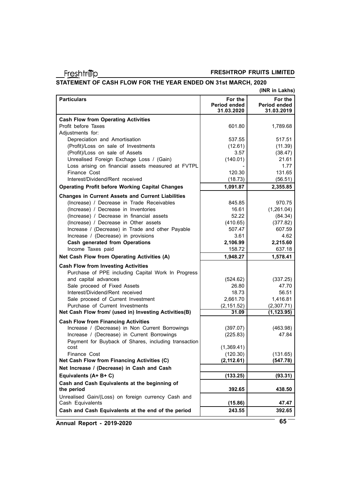**STATEMENT OF CASH FLOW FOR THE YEAR ENDED ON 31st MARCH, 2020 (INR in Lakhs)**

|                                                                                                  |                                       | (INK III LANIIS)                      |
|--------------------------------------------------------------------------------------------------|---------------------------------------|---------------------------------------|
| <b>Particulars</b>                                                                               | For the<br>Period ended<br>31.03.2020 | For the<br>Period ended<br>31.03.2019 |
| <b>Cash Flow from Operating Activities</b>                                                       |                                       |                                       |
| Profit before Taxes                                                                              | 601.80                                | 1,789.68                              |
| Adjustments for:                                                                                 |                                       |                                       |
| Depreciation and Amortisation                                                                    | 537.55                                | 517.51                                |
| (Profit)/Loss on sale of Investments                                                             | (12.61)                               | (11.39)                               |
| (Profit)/Loss on sale of Assets                                                                  | 3.57                                  | (38.47)                               |
| Unrealised Foreign Exchage Loss / (Gain)                                                         | (140.01)                              | 21.61                                 |
| Loss arising on financial assets measured at FVTPL                                               |                                       | 1.77                                  |
| Finance Cost                                                                                     | 120.30                                | 131.65                                |
| Interest/Dividend/Rent received                                                                  | (18.73)                               | (56.51)                               |
| <b>Operating Profit before Working Capital Changes</b>                                           | 1,091.87                              | 2,355.85                              |
| <b>Changes in Current Assets and Current Liabilities</b>                                         |                                       |                                       |
| (Increase) / Decrease in Trade Receivables                                                       | 845.85                                | 970.75                                |
| (Increase) / Decrease in Inventories                                                             | 16.61                                 | (1,261.04)                            |
| (Increase) / Decrease in financial assets                                                        | 52.22                                 | (84.34)                               |
| (Increase) / Decrease in Other assets                                                            | (410.65)                              | (377.82)                              |
| Increase / (Decrease) in Trade and other Payable                                                 | 507.47                                | 607.59                                |
| Increase / (Decrease) in provisions                                                              | 3.61                                  | 4.62                                  |
| <b>Cash generated from Operations</b>                                                            | 2,106.99                              | 2,215.60                              |
| Income Taxes paid                                                                                | 158.72                                | 637.18                                |
| Net Cash Flow from Operating Activities (A)                                                      | 1,948.27                              | 1,578.41                              |
| <b>Cash Flow from Investing Activities</b><br>Purchase of PPE including Capital Work In Progress |                                       |                                       |
| and capital advances                                                                             | (524.62)                              | (337.25)                              |
| Sale proceed of Fixed Assets                                                                     | 26.80                                 | 47.70                                 |
| Interest/Dividend/Rent received                                                                  | 18.73                                 | 56.51                                 |
| Sale proceed of Current Investment                                                               | 2,661.70                              | 1,416.81                              |
| Purchase of Current Investments                                                                  | (2, 151.52)                           | (2,307.71)                            |
| Net Cash Flow from/ (used in) Investing Activities(B)                                            | 31.09                                 | (1, 123.95)                           |
| <b>Cash Flow from Financing Activities</b>                                                       |                                       |                                       |
| Increase / (Decrease) in Non Current Borrowings                                                  | (397.07)                              | (463.98)                              |
| Increase / (Decrease) in Current Borrowings                                                      | (225.83)                              | 47.84                                 |
| Payment for Buyback of Shares, including transaction                                             |                                       |                                       |
| cost<br>Finance Cost                                                                             | (1,369.41)<br>(120.30)                | (131.65)                              |
| Net Cash Flow from Financing Activities (C)                                                      | (2, 112.61)                           | (547.78)                              |
| Net Increase / (Decrease) in Cash and Cash                                                       |                                       |                                       |
|                                                                                                  |                                       |                                       |
| Equivalents (A+ B+ C)                                                                            | (133.25)                              | (93.31)                               |
| Cash and Cash Equivalents at the beginning of<br>the period                                      | 392.65                                | 438.50                                |
| Unrealised Gain/(Loss) on foreign currency Cash and<br>Cash Equivalents                          | (15.86)                               | 47.47                                 |
| Cash and Cash Equivalents at the end of the period                                               | 243.55                                | 392.65                                |
| <b>Annual Report - 2019-2020</b>                                                                 |                                       | 65                                    |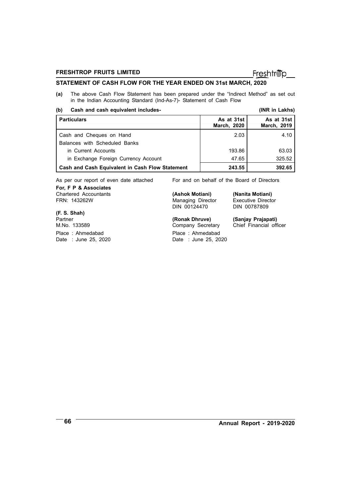

# **STATEMENT OF CASH FLOW FOR THE YEAR ENDED ON 31st MARCH, 2020**

**(a)** The above Cash Flow Statement has been prepared under the "Indirect Method" as set out in the Indian Accounting Standard (Ind-As-7)- Statement of Cash Flow

#### **(b) Cash and cash equivalent includes- (INR in Lakhs)**

| <b>Particulars</b>                              | As at 31st<br>March, 2020 | As at 31st<br><b>March, 2019</b> |
|-------------------------------------------------|---------------------------|----------------------------------|
| Cash and Cheques on Hand                        | 2.03                      | 4.10                             |
| Balances with Scheduled Banks                   |                           |                                  |
| in Current Accounts                             | 193.86                    | 63.03                            |
| in Exchange Foreign Currency Account            | 47.65                     | 325.52                           |
| Cash and Cash Equivalent in Cash Flow Statement | 243.55                    | 392.65                           |

**For, F P & Associates** Chartered Accountants **(Ashok Motiani) (Nanita Motiani)**

**(F. S. Shah)** Place : Ahmedabad<br>
Date : June 25, 2020<br>
Date : June 25, 2020

As per our report of even date attached For and on behalf of the Board of Directors

DIN 00124470

**(Ronak Dhruve) (Sanjay Prajapati)**<br>Company Secretary Chief Financial offi Date : June 25, 2020

FRN: 143262W Managing Director Executive Director

M.No. 133589 Company Secretary Chief Financial officer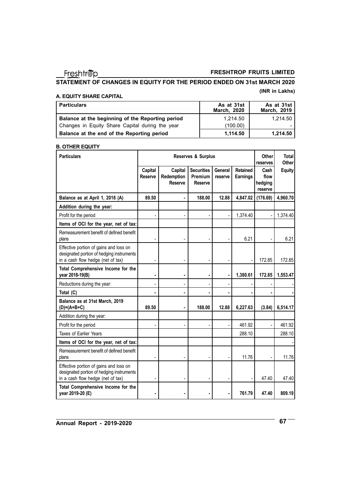# Freshtrop

# **FRESHTROP FRUITS LIMITED**

# **STATEMENT OF CHANGES IN EQUITY FOR THE PERIOD ENDED ON 31st MARCH 2020 (INR in Lakhs)**

# **A. EQUITY SHARE CAPITAL**

| <b>Particulars</b>                               | As at 31st<br><b>March. 2020</b> | As at 31st<br><b>March. 2019</b> |
|--------------------------------------------------|----------------------------------|----------------------------------|
| Balance at the beginning of the Reporting period | 1.214.50                         | 1.214.50                         |
| Changes in Equity Share Capital during the year  | (100.00)                         |                                  |
| Balance at the end of the Reporting period       | 1.114.50                         | 1,214.50                         |

## **B. OTHER EQUITY**

| <b>Particulars</b>                                                                                                       | Reserves & Surplus |                                  |                                                |                    | Other<br>reserves           | <b>Total</b><br>Other              |               |
|--------------------------------------------------------------------------------------------------------------------------|--------------------|----------------------------------|------------------------------------------------|--------------------|-----------------------------|------------------------------------|---------------|
|                                                                                                                          | Capital<br>Reserve | Capital<br>Redemption<br>Reserve | <b>Securities</b><br>Premium<br><b>Reserve</b> | General<br>reserve | <b>Retained</b><br>Earnings | Cash<br>flow<br>hedging<br>reserve | <b>Equity</b> |
| Balance as at April 1, 2018 (A)                                                                                          | 89.50              |                                  | 188.00                                         | 12.88              | 4,847.02                    | (176.69)                           | 4,960.70      |
| Addition during the year:                                                                                                |                    |                                  |                                                |                    |                             |                                    |               |
| Profit for the period                                                                                                    |                    |                                  |                                                |                    | 1,374.40                    |                                    | 1,374.40      |
| Items of OCI for the year, net of tax:                                                                                   |                    |                                  |                                                |                    |                             |                                    |               |
| Remeasurement benefit of defined benefit<br>plans                                                                        |                    |                                  |                                                |                    | 6.21                        |                                    | 6.21          |
| Effective portion of gains and loss on<br>designated portion of hedging instruments<br>in a cash flow hedge (net of tax) |                    |                                  |                                                |                    |                             | 172.85                             | 172.85        |
| Total Comprehensive Income for the<br>year 2018-19(B)                                                                    |                    |                                  |                                                |                    | 1,380.61                    | 172.85                             | 1,553.47      |
| Reductions during the year:                                                                                              |                    |                                  |                                                |                    |                             |                                    |               |
| Total (C)                                                                                                                |                    |                                  |                                                |                    |                             |                                    |               |
| Balance as at 31st March, 2019<br>(D)=(A+B+C)                                                                            | 89.50              |                                  | 188.00                                         | 12.88              | 6,227.63                    | (3.84)                             | 6,514.17      |
| Addition during the year:                                                                                                |                    |                                  |                                                |                    |                             |                                    |               |
| Profit for the period                                                                                                    |                    |                                  |                                                |                    | 461.92                      |                                    | 461.92        |
| Taxes of Earlier Years                                                                                                   |                    |                                  |                                                |                    | 288.10                      |                                    | 288.10        |
| Items of OCI for the year, net of tax:                                                                                   |                    |                                  |                                                |                    |                             |                                    |               |
| Remeasurement benefit of defined benefit<br>plans                                                                        |                    |                                  |                                                |                    | 11.76                       |                                    | 11.76         |
| Effective portion of gains and loss on<br>designated portion of hedging instruments<br>in a cash flow hedge (net of tax) |                    |                                  |                                                |                    |                             | 47.40                              | 47.40         |
| Total Comprehensive Income for the<br>year 2019-20 (E)                                                                   |                    |                                  |                                                |                    | 761.79                      | 47.40                              | 809.19        |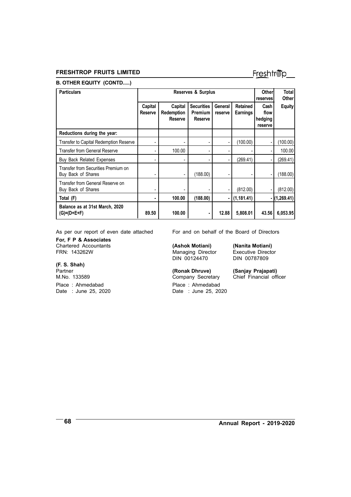# Freshtr**ö**p

#### **B. OTHER EQUITY (CONTD.....)**

| <b>Particulars</b>                                        |                           | <b>Reserves &amp; Surplus</b>    |                                         |                    |                             | Otherl<br>reserves                 | <b>Total</b><br>Other |
|-----------------------------------------------------------|---------------------------|----------------------------------|-----------------------------------------|--------------------|-----------------------------|------------------------------------|-----------------------|
|                                                           | Capital<br><b>Reserve</b> | Capital<br>Redemption<br>Reserve | <b>Securities</b><br>Premium<br>Reserve | General<br>reserve | Retained<br><b>Earnings</b> | Cash<br>flow<br>hedging<br>reserve | <b>Equity</b>         |
| Reductions during the year:                               |                           |                                  |                                         |                    |                             |                                    |                       |
| Transfer to Capital Redemption Reserve                    |                           |                                  |                                         |                    | (100.00)                    |                                    | (100.00)              |
| <b>Transfer from General Reserve</b>                      |                           | 100.00                           |                                         |                    |                             |                                    | 100.00                |
| <b>Buy Back Related Expenses</b>                          |                           |                                  |                                         |                    | (269.41)                    |                                    | (269.41)              |
| Transfer from Securities Premium on<br>Buy Back of Shares |                           |                                  | (188.00)                                |                    |                             |                                    | (188.00)              |
| Transfer from General Reserve on<br>Buy Back of Shares    |                           |                                  |                                         |                    | (812.00)                    |                                    | (812.00)              |
| Total (F)                                                 |                           | 100.00                           | (188.00)                                |                    | (1, 181.41)                 |                                    | - (1,269.41)          |
| Balance as at 31st March, 2020<br>$(G) = (D + E + F)$     | 89.50                     | 100.00                           |                                         | 12.88              | 5,808.01                    | 43.56                              | 6,053.95              |

As per our report of even date attached For and on behalf of the Board of Directors

**For, F P & Associates** Chartered Accountants **(Ashok Motiani) (Nanita Motiani)**

**(F. S. Shah)** ender and **Carlier Communist Communist (Ronak Dhruve)** (Sanjay Prajapati)<br>
M.No. 133589 **M.No. 133589** Company Secretary Chief Financial officer Place : Ahmedabad<br>
Date : June 25, 2020<br>
Date : June 25, 2020 Date : June 25, 2020

Managing Director Executive Director<br>DIN 00124470 DIN 00787809 DIN 00124470

Company Secretary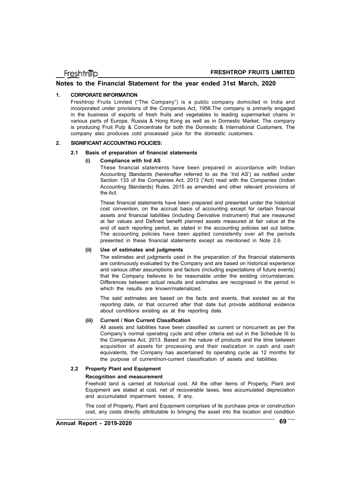#### **Notes to the Financial Statement for the year ended 31st March, 2020**

#### **1. CORPORATE INFORMATION**

Freshtrop Fruits Limited ("The Company") is a public company domiciled in India and incorporated under provisions of the Companies Act, 1956.The company is primarily engaged in the business of exports of fresh fruits and vegetables to leading supermarket chains in various parts of Europe, Russia & Hong Kong as well as in Domestic Market. The company is producing Fruit Pulp & Concentrate for both the Domestic & International Customers. The company also produces cold processed juice for the domestic customers.

#### **2. SIGNIFICANT ACCOUNTING POLICIES:**

#### **2.1 Basis of preparation of financial statements**

#### **(i) Compliance with Ind AS**

These financial statements have been prepared in accordance with Indian Accounting Standards (hereinafter referred to as the 'Ind AS') as notified under Section 133 of the Companies Act, 2013 ("Act) read with the Companies (Indian Accounting Standards) Rules, 2015 as amended and other relevant provisions of the Act.

These financial statements have been prepared and presented under the historical cost convention, on the accrual basis of accounting except for certain financial assets and financial liabilities (including Derivative Instrument) that are measured at fair values and Defined benefit planned assets measured at fair value at the end of each reporting period, as stated in the accounting policies set out below. The accounting policies have been applied consistently over all the periods presented in these financial statements except as mentioned in Note 2.6.

#### **(ii) Use of estimates and judgments**

The estimates and judgments used in the preparation of the financial statements are continuously evaluated by the Company and are based on historical experience and various other assumptions and factors (including expectations of future events) that the Company believes to be reasonable under the existing circumstances. Differences between actual results and estimates are recognised in the period in which the results are known/materialized.

The said estimates are based on the facts and events, that existed as at the reporting date, or that occurred after that date but provide additional evidence about conditions existing as at the reporting date.

#### **(iii) Current / Non Current Classification**

All assets and liabilities have been classified as current or noncurrent as per the Company's normal operating cycle and other criteria set out in the Schedule III to the Companies Act, 2013. Based on the nature of products and the time between acquisition of assets for processing and their realization in cash and cash equivalents, the Company has ascertained its operating cycle as 12 months for the purpose of current/non-current classification of assets and liabilities.

#### **2.2 Property Plant and Equipment**

#### **Recognition and measurement**

Freehold land is carried at historical cost. All the other items of Property, Plant and Equipment are stated at cost, net of recoverable taxes, less accumulated depreciation and accumulated impairment losses, if any.

The cost of Property, Plant and Equipment comprises of its purchase price or construction cost, any costs directly attributable to bringing the asset into the location and condition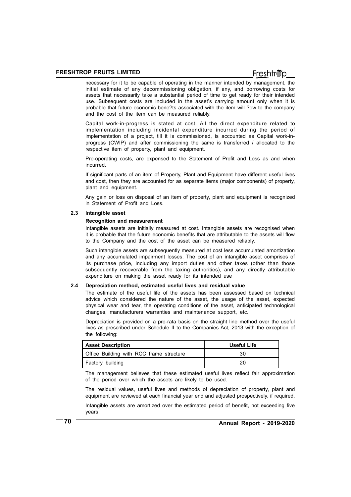necessary for it to be capable of operating in the manner intended by management, the initial estimate of any decommissioning obligation, if any, and borrowing costs for assets that necessarily take a substantial period of time to get ready for their intended use. Subsequent costs are included in the asset's carrying amount only when it is probable that future economic bene?ts associated with the item will ?ow to the company and the cost of the item can be measured reliably.

Capital work-in-progress is stated at cost. All the direct expenditure related to implementation including incidental expenditure incurred during the period of implementation of a project, till it is commissioned, is accounted as Capital work-inprogress (CWIP) and after commissioning the same is transferred / allocated to the respective item of property, plant and equipment.

Pre-operating costs, are expensed to the Statement of Profit and Loss as and when incurred.

If significant parts of an item of Property, Plant and Equipment have different useful lives and cost, then they are accounted for as separate items (major components) of property, plant and equipment.

Any gain or loss on disposal of an item of property, plant and equipment is recognized in Statement of Profit and Loss.

#### **2.3 Intangible asset**

#### **Recognition and measurement**

Intangible assets are initially measured at cost. Intangible assets are recognised when it is probable that the future economic benefits that are attributable to the assets will flow to the Company and the cost of the asset can be measured reliably.

Such intangible assets are subsequently measured at cost less accumulated amortization and any accumulated impairment losses. The cost of an intangible asset comprises of its purchase price, including any import duties and other taxes (other than those subsequently recoverable from the taxing authorities), and any directly attributable expenditure on making the asset ready for its intended use

#### **2.4 Depreciation method, estimated useful lives and residual value**

The estimate of the useful life of the assets has been assessed based on technical advice which considered the nature of the asset, the usage of the asset, expected physical wear and tear, the operating conditions of the asset, anticipated technological changes, manufacturers warranties and maintenance support, etc.

Depreciation is provided on a pro-rata basis on the straight line method over the useful lives as prescribed under Schedule II to the Companies Act, 2013 with the exception of the following:

| Asset Description                        | Useful Life |
|------------------------------------------|-------------|
| Office Building with RCC frame structure | 30          |
| Factory building                         | 20          |

The management believes that these estimated useful lives reflect fair approximation of the period over which the assets are likely to be used.

The residual values, useful lives and methods of depreciation of property, plant and equipment are reviewed at each financial year end and adjusted prospectively, if required.

Intangible assets are amortized over the estimated period of benefit, not exceeding five years.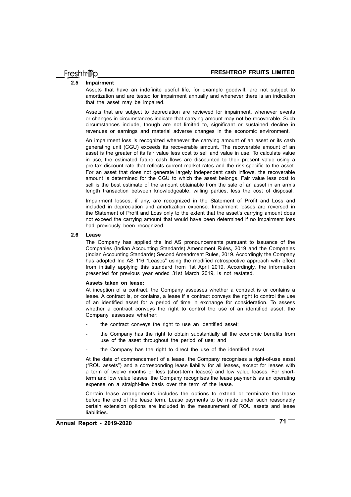#### **2.5 Impairment**

Assets that have an indefinite useful life, for example goodwill, are not subject to amortization and are tested for impairment annually and whenever there is an indication that the asset may be impaired.

Assets that are subject to depreciation are reviewed for impairment, whenever events or changes in circumstances indicate that carrying amount may not be recoverable. Such circumstances include, though are not limited to, significant or sustained decline in revenues or earnings and material adverse changes in the economic environment.

An impairment loss is recognized whenever the carrying amount of an asset or its cash generating unit (CGU) exceeds its recoverable amount. The recoverable amount of an asset is the greater of its fair value less cost to sell and value in use. To calculate value in use, the estimated future cash flows are discounted to their present value using a pre-tax discount rate that reflects current market rates and the risk specific to the asset. For an asset that does not generate largely independent cash inflows, the recoverable amount is determined for the CGU to which the asset belongs. Fair value less cost to sell is the best estimate of the amount obtainable from the sale of an asset in an arm's length transaction between knowledgeable, willing parties, less the cost of disposal.

Impairment losses, if any, are recognized in the Statement of Profit and Loss and included in depreciation and amortization expense. Impairment losses are reversed in the Statement of Profit and Loss only to the extent that the asset's carrying amount does not exceed the carrying amount that would have been determined if no impairment loss had previously been recognized.

#### **2.6 Lease**

The Company has applied the Ind AS pronouncements pursuant to issuance of the Companies (Indian Accounting Standards) Amendment Rules, 2019 and the Companies (Indian Accounting Standards) Second Amendment Rules, 2019. Accordingly the Company has adopted Ind AS 116 "Leases" using the modified retrospective approach with effect from initially applying this standard from 1st April 2019. Accordingly, the information presented for previous year ended 31st March 2019, is not restated.

#### **Assets taken on lease:**

At inception of a contract, the Company assesses whether a contract is or contains a lease. A contract is, or contains, a lease if a contract conveys the right to control the use of an identified asset for a period of time in exchange for consideration. To assess whether a contract conveys the right to control the use of an identified asset, the Company assesses whether:

- the contract conveys the right to use an identified asset;
- the Company has the right to obtain substantially all the economic benefits from use of the asset throughout the period of use; and
- the Company has the right to direct the use of the identified asset.

At the date of commencement of a lease, the Company recognises a right-of-use asset ("ROU assets") and a corresponding lease liability for all leases, except for leases with a term of twelve months or less (short-term leases) and low value leases. For shortterm and low value leases, the Company recognises the lease payments as an operating expense on a straight-line basis over the term of the lease.

Certain lease arrangements includes the options to extend or terminate the lease before the end of the lease term. Lease payments to be made under such reasonably certain extension options are included in the measurement of ROU assets and lease liabilities.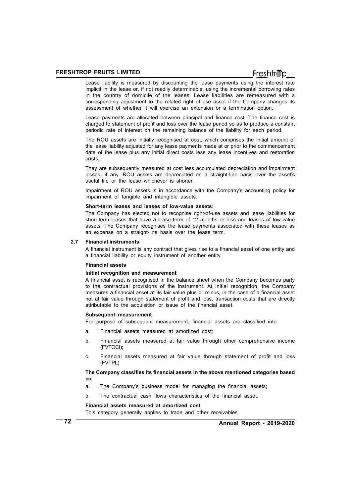Lease liability is measured by discounting the lease payments using the interest rate implicit in the lease or, if not readily determinable, using the incremental borrowing rates in the country of domicile of the leases. Lease liabilities are remeasured with a corresponding adjustment to the related right of use asset if the Company changes its assessment of whether it will exercise an extension or a termination option.

Lease payments are allocated between principal and finance cost. The finance cost is charged to statement of profit and loss over the lease period so as to produce a constant periodic rate of interest on the remaining balance of the liability for each period.

The ROU assets are initially recognised at cost, which comprises the initial amount of the lease liability adjusted for any lease payments made at or prior to the commencement date of the lease plus any initial direct costs less any lease incentives and restoration costs.

They are subsequently measured at cost less accumulated depreciation and impairment losses, if any. ROU assets are depreciated on a straight-line basis over the asset's useful life or the lease whichever is shorter.

Impairment of ROU assets is in accordance with the Company's accounting policy for impairment of tangible and intangible assets.

#### **Short-term leases and leases of low-value assets:**

The Company has elected not to recognise right-of-use assets and lease liabilities for short-term leases that have a lease term of 12 months or less and leases of low-value assets. The Company recognises the lease payments associated with these leases as an expense on a straight-line basis over the lease term.

#### **2.7 Financial instruments**

A financial instrument is any contract that gives rise to a financial asset of one entity and a financial liability or equity instrument of another entity.

#### **Financial assets**

#### **Initial recognition and measurement**

A financial asset is recognised in the balance sheet when the Company becomes party to the contractual provisions of the instrument. At initial recognition, the Company measures a financial asset at its fair value plus or minus, in the case of a financial asset not at fair value through statement of profit and loss, transaction costs that are directly attributable to the acquisition or issue of the financial asset.

#### **Subsequent measurement**

For purpose of subsequent measurement, financial assets are classified into:

- a. Financial assets measured at amortized cost;
- b. Financial assets measured at fair value through other comprehensive income (FVTOCI);
- c. Financial assets measured at fair value through statement of profit and loss (FVTPL)

#### **The Company classifies its financial assets in the above mentioned categories based on:**

- a. The Company's business model for managing the financial assets;
- b. The contractual cash flows characteristics of the financial asset.

#### **Financial assets measured at amortized cost**

This category generally applies to trade and other receivables.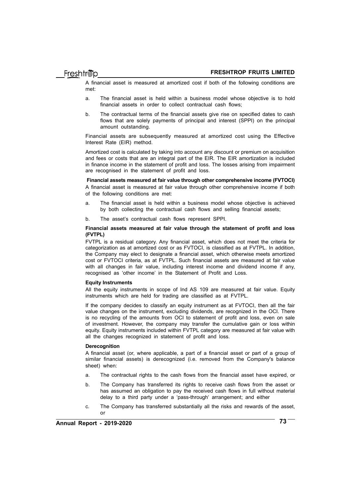A financial asset is measured at amortized cost if both of the following conditions are met:

- a. The financial asset is held within a business model whose objective is to hold financial assets in order to collect contractual cash flows;
- b. The contractual terms of the financial assets give rise on specified dates to cash flows that are solely payments of principal and interest (SPPI) on the principal amount outstanding.

Financial assets are subsequently measured at amortized cost using the Effective Interest Rate (EIR) method.

Amortized cost is calculated by taking into account any discount or premium on acquisition and fees or costs that are an integral part of the EIR. The EIR amortization is included in finance income in the statement of profit and loss. The losses arising from impairment are recognised in the statement of profit and loss.

 **Financial assets measured at fair value through other comprehensive income (FVTOCI)** A financial asset is measured at fair value through other comprehensive income if both of the following conditions are met:

- a. The financial asset is held within a business model whose objective is achieved by both collecting the contractual cash flows and selling financial assets;
- b. The asset's contractual cash flows represent SPPI.

#### **Financial assets measured at fair value through the statement of profit and loss (FVTPL)**

FVTPL is a residual category. Any financial asset, which does not meet the criteria for categorization as at amortized cost or as FVTOCI, is classified as at FVTPL. In addition, the Company may elect to designate a financial asset, which otherwise meets amortized cost or FVTOCI criteria, as at FVTPL. Such financial assets are measured at fair value with all changes in fair value, including interest income and dividend income if any, recognised as 'other income' in the Statement of Profit and Loss.

#### **Equity Instruments**

All the equity instruments in scope of Ind AS 109 are measured at fair value. Equity instruments which are held for trading are classified as at FVTPL.

If the company decides to classify an equity instrument as at FVTOCI, then all the fair value changes on the instrument, excluding dividends, are recognized in the OCI. There is no recycling of the amounts from OCI to statement of profit and loss, even on sale of investment. However, the company may transfer the cumulative gain or loss within equity. Equity instruments included within FVTPL category are measured at fair value with all the changes recognized in statement of profit and loss.

#### **Derecognition**

A financial asset (or, where applicable, a part of a financial asset or part of a group of similar financial assets) is derecognized (i.e. removed from the Company's balance sheet) when:

- a. The contractual rights to the cash flows from the financial asset have expired, or
- b. The Company has transferred its rights to receive cash flows from the asset or has assumed an obligation to pay the received cash flows in full without material delay to a third party under a 'pass-through' arrangement; and either
- c. The Company has transferred substantially all the risks and rewards of the asset, or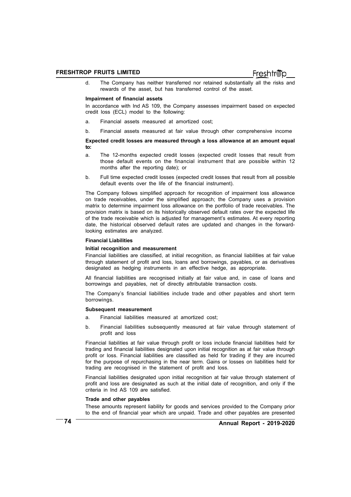

d. The Company has neither transferred nor retained substantially all the risks and rewards of the asset, but has transferred control of the asset.

#### **Impairment of financial assets**

In accordance with Ind AS 109, the Company assesses impairment based on expected credit loss (ECL) model to the following:

- a. Financial assets measured at amortized cost;
- b. Financial assets measured at fair value through other comprehensive income

#### **Expected credit losses are measured through a loss allowance at an amount equal to:**

- a. The 12-months expected credit losses (expected credit losses that result from those default events on the financial instrument that are possible within 12 months after the reporting date); or
- b. Full time expected credit losses (expected credit losses that result from all possible default events over the life of the financial instrument).

The Company follows simplified approach for recognition of impairment loss allowance on trade receivables, under the simplified approach; the Company uses a provision matrix to determine impairment loss allowance on the portfolio of trade receivables. The provision matrix is based on its historically observed default rates over the expected life of the trade receivable which is adjusted for management's estimates. At every reporting date, the historical observed default rates are updated and changes in the forwardlooking estimates are analyzed.

#### **Financial Liabilities**

#### **Initial recognition and measurement**

Financial liabilities are classified, at initial recognition, as financial liabilities at fair value through statement of profit and loss, loans and borrowings, payables, or as derivatives designated as hedging instruments in an effective hedge, as appropriate.

All financial liabilities are recognised initially at fair value and, in case of loans and borrowings and payables, net of directly attributable transaction costs.

The Company's financial liabilities include trade and other payables and short term borrowings.

#### **Subsequent measurement**

- a. Financial liabilities measured at amortized cost;
- b. Financial liabilities subsequently measured at fair value through statement of profit and loss

Financial liabilities at fair value through profit or loss include financial liabilities held for trading and financial liabilities designated upon initial recognition as at fair value through profit or loss. Financial liabilities are classified as held for trading if they are incurred for the purpose of repurchasing in the near term. Gains or losses on liabilities held for trading are recognised in the statement of profit and loss.

Financial liabilities designated upon initial recognition at fair value through statement of profit and loss are designated as such at the initial date of recognition, and only if the criteria in Ind AS 109 are satisfied.

#### **Trade and other payables**

These amounts represent liability for goods and services provided to the Company prior to the end of financial year which are unpaid. Trade and other payables are presented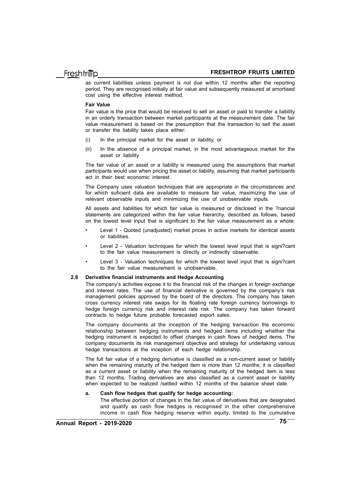as current liabilities unless payment is not due within 12 months after the reporting period. They are recognised initially at fair value and subsequently measured at amortised cost using the effective interest method.

#### **Fair Value**

Fair value is the price that would be received to sell an asset or paid to transfer a liability in an orderly transaction between market participants at the measurement date. The fair value measurement is based on the presumption that the transaction to sell the asset or transfer the liability takes place either:

- (i) In the principal market for the asset or liability, or
- (ii) In the absence of a principal market, in the most advantageous market for the asset or liability

The fair value of an asset or a liability is measured using the assumptions that market participants would use when pricing the asset or liability, assuming that market participants act in their best economic interest.

The Company uses valuation techniques that are appropriate in the circumstances and for which suficient data are available to measure fair value, maximizing the use of relevant observable inputs and minimizing the use of unobservable inputs.

All assets and liabilities for which fair value is measured or disclosed in the ?nancial statements are categorized within the fair value hierarchy, described as follows, based on the lowest level input that is significant to the fair value measurement as a whole:

- Level 1 Quoted (unadjusted) market prices in active markets for identical assets or liabilities.
- Level 2 Valuation techniques for which the lowest level input that is signi?cant to the fair value measurement is directly or indirectly observable.
- Level 3 Valuation techniques for which the lowest level input that is signi?cant to the fair value measurement is unobservable.

#### **2.8 Derivative financial instruments and Hedge Accounting**

The company's activities expose it to the financial risk of the changes in foreign exchange and interest rates. The use of financial derivative is governed by the company's risk management policies approved by the board of the directors. The company has taken cross currency interest rate swaps for its floating rate foreign currency borrowings to hedge foreign currency risk and interest rate risk. The company has taken forward contracts to hedge future probable forecasted export sales.

The company documents at the inception of the hedging transaction the economic relationship between hedging instruments and hedged items including whether the hedging instrument is expected to offset changes in cash flows of hedged items. The company documents its risk management objective and strategy for undertaking various hedge transactions at the inception of each hedge relationship.

The full fair value of a hedging derivative is classified as a non-current asset or liability when the remaining maturity of the hedged item is more than 12 months; it is classified as a current asset or liability when the remaining maturity of the hedged item is less than 12 months. Trading derivatives are also classified as a current asset or liability when expected to be realized /settled within 12 months of the balance sheet date.

#### **a. Cash flow hedges that qualify for hedge accounting:**

The effective portion of changes in the fair value of derivatives that are designated and qualify as cash flow hedges is recognised in the other comprehensive income in cash flow hedging reserve within equity, limited to the cumulative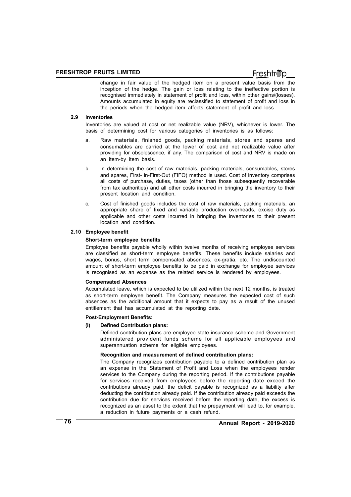change in fair value of the hedged item on a present value basis from the inception of the hedge. The gain or loss relating to the ineffective portion is recognised immediately in statement of profit and loss, within other gains/(losses). Amounts accumulated in equity are reclassified to statement of profit and loss in the periods when the hedged item affects statement of profit and loss

#### **2.9 Inventories**

Inventories are valued at cost or net realizable value (NRV), whichever is lower. The basis of determining cost for various categories of inventories is as follows:

- a. Raw materials, finished goods, packing materials, stores and spares and consumables are carried at the lower of cost and net realizable value after providing for obsolescence, if any. The comparison of cost and NRV is made on an item-by item basis.
- b. In determining the cost of raw materials, packing materials, consumables, stores and spares, First- in-First-Out (FIFO) method is used. Cost of inventory comprises all costs of purchase, duties, taxes (other than those subsequently recoverable from tax authorities) and all other costs incurred in bringing the inventory to their present location and condition.
- c. Cost of finished goods includes the cost of raw materials, packing materials, an appropriate share of fixed and variable production overheads, excise duty as applicable and other costs incurred in bringing the inventories to their present location and condition.

#### **2.10 Employee benefit**

#### **Short-term employee benefits**

Employee benefits payable wholly within twelve months of receiving employee services are classified as short-term employee benefits. These benefits include salaries and wages, bonus, short term compensated absences, ex-gratia, etc. The undiscounted amount of short-term employee benefits to be paid in exchange for employee services is recognised as an expense as the related service is rendered by employees.

#### **Compensated Absences**

Accumulated leave, which is expected to be utilized within the next 12 months, is treated as short-term employee benefit. The Company measures the expected cost of such absences as the additional amount that it expects to pay as a result of the unused entitlement that has accumulated at the reporting date.

#### **Post-Employment Benefits:**

#### **(i) Defined Contribution plans:**

Defined contribution plans are employee state insurance scheme and Government administered provident funds scheme for all applicable employees and superannuation scheme for eligible employees.

#### **Recognition and measurement of defined contribution plans:**

The Company recognizes contribution payable to a defined contribution plan as an expense in the Statement of Profit and Loss when the employees render services to the Company during the reporting period. If the contributions payable for services received from employees before the reporting date exceed the contributions already paid, the deficit payable is recognized as a liability after deducting the contribution already paid. If the contribution already paid exceeds the contribution due for services received before the reporting date, the excess is recognized as an asset to the extent that the prepayment will lead to, for example, a reduction in future payments or a cash refund.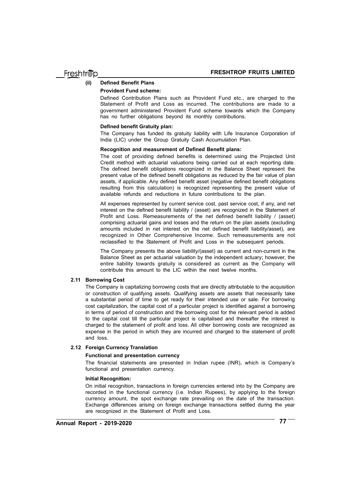### **(ii) Defined Benefit Plans**

#### **Provident Fund scheme:**

Defined Contribution Plans such as Provident Fund etc., are charged to the Statement of Profit and Loss as incurred. The contributions are made to a government administered Provident Fund scheme towards which the Company has no further obligations beyond its monthly contributions.

#### **Defined benefit Gratuity plan:**

The Company has funded its gratuity liability with Life Insurance Corporation of India (LIC) under the Group Gratuity Cash Accumulation Plan.

#### **Recognition and measurement of Defined Benefit plans:**

The cost of providing defined benefits is determined using the Projected Unit Credit method with actuarial valuations being carried out at each reporting date. The defined benefit obligations recognized in the Balance Sheet represent the present value of the defined benefit obligations as reduced by the fair value of plan assets, if applicable. Any defined benefit asset (negative defined benefit obligations resulting from this calculation) is recognized representing the present value of available refunds and reductions in future contributions to the plan.

All expenses represented by current service cost, past service cost, if any, and net interest on the defined benefit liability / (asset) are recognized in the Statement of Profit and Loss. Remeasurements of the net defined benefit liability / (asset) comprising actuarial gains and losses and the return on the plan assets (excluding amounts included in net interest on the net defined benefit liability/asset), are recognized in Other Comprehensive Income. Such remeasurements are not reclassified to the Statement of Profit and Loss in the subsequent periods.

The Company presents the above liability/(asset) as current and non-current in the Balance Sheet as per actuarial valuation by the independent actuary; however, the entire liability towards gratuity is considered as current as the Company will contribute this amount to the LIC within the next twelve months.

#### **2.11 Borrowing Cost**

The Company is capitalizing borrowing costs that are directly attributable to the acquisition or construction of qualifying assets. Qualifying assets are assets that necessarily take a substantial period of time to get ready for their intended use or sale. For borrowing cost capitalization, the capital cost of a particular project is identified against a borrowing in terms of period of construction and the borrowing cost for the relevant period is added to the capital cost till the particular project is capitalised and thereafter the interest is charged to the statement of profit and loss. All other borrowing costs are recognized as expense in the period in which they are incurred and charged to the statement of profit and loss.

#### **2.12 Foreign Currency Translation**

#### **Functional and presentation currency**

The financial statements are presented in Indian rupee (INR), which is Company's functional and presentation currency.

#### **Initial Recognition:**

On initial recognition, transactions in foreign currencies entered into by the Company are recorded in the functional currency (i.e. Indian Rupees), by applying to the foreign currency amount, the spot exchange rate prevailing on the date of the transaction. Exchange differences arising on foreign exchange transactions settled during the year are recognized in the Statement of Profit and Loss.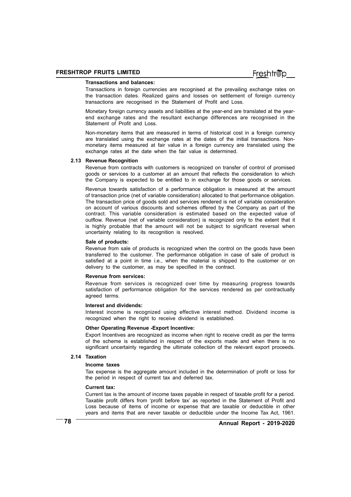#### **Transactions and balances:**

Transactions in foreign currencies are recognised at the prevailing exchange rates on the transaction dates. Realized gains and losses on settlement of foreign currency transactions are recognised in the Statement of Profit and Loss.

Monetary foreign currency assets and liabilities at the year-end are translated at the yearend exchange rates and the resultant exchange differences are recognised in the Statement of Profit and Loss.

Non-monetary items that are measured in terms of historical cost in a foreign currency are translated using the exchange rates at the dates of the initial transactions. Nonmonetary items measured at fair value in a foreign currency are translated using the exchange rates at the date when the fair value is determined.

#### **2.13 Revenue Recognition**

Revenue from contracts with customers is recognized on transfer of control of promised goods or services to a customer at an amount that reflects the consideration to which the Company is expected to be entitled to in exchange for those goods or services.

Revenue towards satisfaction of a performance obligation is measured at the amount of transaction price (net of variable consideration) allocated to that performance obligation. The transaction price of goods sold and services rendered is net of variable consideration on account of various discounts and schemes offered by the Company as part of the contract. This variable consideration is estimated based on the expected value of outflow. Revenue (net of variable consideration) is recognized only to the extent that it is highly probable that the amount will not be subject to significant reversal when uncertainty relating to its recognition is resolved.

#### **Sale of products:**

Revenue from sale of products is recognized when the control on the goods have been transferred to the customer. The performance obligation in case of sale of product is satisfied at a point in time i.e., when the material is shipped to the customer or on delivery to the customer, as may be specified in the contract.

#### **Revenue from services:**

Revenue from services is recognized over time by measuring progress towards satisfaction of performance obligation for the services rendered as per contractually agreed terms.

#### **Interest and dividends:**

Interest income is recognized using effective interest method. Dividend income is recognized when the right to receive dividend is established.

#### **Other Operating Revenue -Export Incentive:**

Export Incentives are recognized as income when right to receive credit as per the terms of the scheme is established in respect of the exports made and when there is no significant uncertainty regarding the ultimate collection of the relevant export proceeds.

#### **2.14 Taxation**

#### **Income taxes**

Tax expense is the aggregate amount included in the determination of profit or loss for the period in respect of current tax and deferred tax.

#### **Current tax:**

Current tax is the amount of income taxes payable in respect of taxable profit for a period. Taxable profit differs from 'profit before tax' as reported in the Statement of Profit and Loss because of items of income or expense that are taxable or deductible in other years and items that are never taxable or deductible under the Income Tax Act, 1961.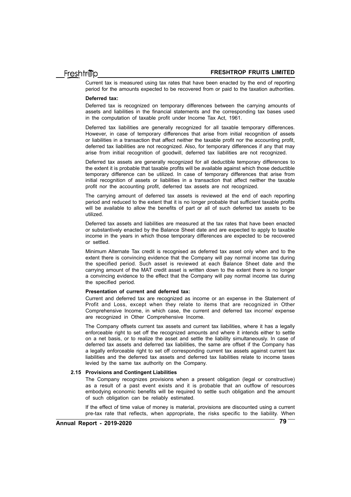Current tax is measured using tax rates that have been enacted by the end of reporting period for the amounts expected to be recovered from or paid to the taxation authorities.

#### **Deferred tax:**

Deferred tax is recognized on temporary differences between the carrying amounts of assets and liabilities in the financial statements and the corresponding tax bases used in the computation of taxable profit under Income Tax Act, 1961.

Deferred tax liabilities are generally recognized for all taxable temporary differences. However, in case of temporary differences that arise from initial recognition of assets or liabilities in a transaction that affect neither the taxable profit nor the accounting profit, deferred tax liabilities are not recognized. Also, for temporary differences if any that may arise from initial recognition of goodwill, deferred tax liabilities are not recognized.

Deferred tax assets are generally recognized for all deductible temporary differences to the extent it is probable that taxable profits will be available against which those deductible temporary difference can be utilized. In case of temporary differences that arise from initial recognition of assets or liabilities in a transaction that affect neither the taxable profit nor the accounting profit, deferred tax assets are not recognized.

The carrying amount of deferred tax assets is reviewed at the end of each reporting period and reduced to the extent that it is no longer probable that sufficient taxable profits will be available to allow the benefits of part or all of such deferred tax assets to be utilized.

Deferred tax assets and liabilities are measured at the tax rates that have been enacted or substantively enacted by the Balance Sheet date and are expected to apply to taxable income in the years in which those temporary differences are expected to be recovered or settled.

Minimum Alternate Tax credit is recognised as deferred tax asset only when and to the extent there is convincing evidence that the Company will pay normal income tax during the specified period. Such asset is reviewed at each Balance Sheet date and the carrying amount of the MAT credit asset is written down to the extent there is no longer a convincing evidence to the effect that the Company will pay normal income tax during the specified period.

#### **Presentation of current and deferred tax:**

Current and deferred tax are recognized as income or an expense in the Statement of Profit and Loss, except when they relate to items that are recognized in Other Comprehensive Income, in which case, the current and deferred tax income/ expense are recognized in Other Comprehensive Income.

The Company offsets current tax assets and current tax liabilities, where it has a legally enforceable right to set off the recognized amounts and where it intends either to settle on a net basis, or to realize the asset and settle the liability simultaneously. In case of deferred tax assets and deferred tax liabilities, the same are offset if the Company has a legally enforceable right to set off corresponding current tax assets against current tax liabilities and the deferred tax assets and deferred tax liabilities relate to income taxes levied by the same tax authority on the Company.

#### **2.15 Provisions and Contingent Liabilities**

The Company recognizes provisions when a present obligation (legal or constructive) as a result of a past event exists and it is probable that an outflow of resources embodying economic benefits will be required to settle such obligation and the amount of such obligation can be reliably estimated.

If the effect of time value of money is material, provisions are discounted using a current pre-tax rate that reflects, when appropriate, the risks specific to the liability. When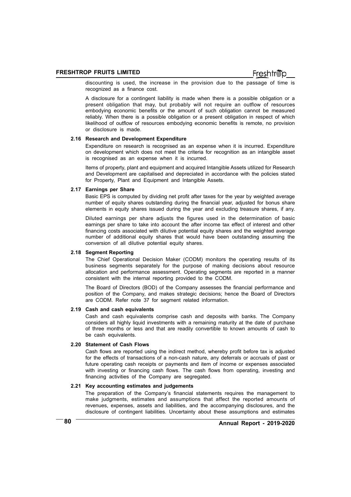Freshtröp

discounting is used, the increase in the provision due to the passage of time is recognized as a finance cost.

A disclosure for a contingent liability is made when there is a possible obligation or a present obligation that may, but probably will not require an outflow of resources embodying economic benefits or the amount of such obligation cannot be measured reliably. When there is a possible obligation or a present obligation in respect of which likelihood of outflow of resources embodying economic benefits is remote, no provision or disclosure is made.

#### **2.16 Research and Development Expenditure**

Expenditure on research is recognised as an expense when it is incurred. Expenditure on development which does not meet the criteria for recognition as an intangible asset is recognised as an expense when it is incurred.

Items of property, plant and equipment and acquired Intangible Assets utilized for Research and Development are capitalised and depreciated in accordance with the policies stated for Property, Plant and Equipment and Intangible Assets.

#### **2.17 Earnings per Share**

Basic EPS is computed by dividing net profit after taxes for the year by weighted average number of equity shares outstanding during the financial year, adjusted for bonus share elements in equity shares issued during the year and excluding treasure shares, if any.

Diluted earnings per share adjusts the figures used in the determination of basic earnings per share to take into account the after income tax effect of interest and other financing costs associated with dilutive potential equity shares and the weighted average number of additional equity shares that would have been outstanding assuming the conversion of all dilutive potential equity shares.

#### **2.18 Segment Reporting**

The Chief Operational Decision Maker (CODM) monitors the operating results of its business segments separately for the purpose of making decisions about resource allocation and performance assessment. Operating segments are reported in a manner consistent with the internal reporting provided to the CODM.

The Board of Directors (BOD) of the Company assesses the financial performance and position of the Company, and makes strategic decisions; hence the Board of Directors are CODM. Refer note 37 for segment related information.

#### **2.19 Cash and cash equivalents**

Cash and cash equivalents comprise cash and deposits with banks. The Company considers all highly liquid investments with a remaining maturity at the date of purchase of three months or less and that are readily convertible to known amounts of cash to be cash equivalents.

#### **2.20 Statement of Cash Flows**

Cash flows are reported using the indirect method, whereby profit before tax is adjusted for the effects of transactions of a non-cash nature, any deferrals or accruals of past or future operating cash receipts or payments and item of income or expenses associated with investing or financing cash flows. The cash flows from operating, investing and financing activities of the Company are segregated.

#### **2.21 Key accounting estimates and judgements**

The preparation of the Company's financial statements requires the management to make judgments, estimates and assumptions that affect the reported amounts of revenues, expenses, assets and liabilities, and the accompanying disclosures, and the disclosure of contingent liabilities. Uncertainty about these assumptions and estimates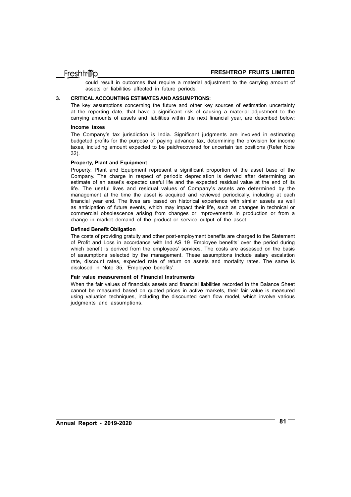could result in outcomes that require a material adjustment to the carrying amount of assets or liabilities affected in future periods.

#### **3. CRITICAL ACCOUNTING ESTIMATES AND ASSUMPTIONS:**

The key assumptions concerning the future and other key sources of estimation uncertainty at the reporting date, that have a significant risk of causing a material adjustment to the carrying amounts of assets and liabilities within the next financial year, are described below:

#### **Income taxes**

The Company's tax jurisdiction is India. Significant judgments are involved in estimating budgeted profits for the purpose of paying advance tax, determining the provision for income taxes, including amount expected to be paid/recovered for uncertain tax positions (Refer Note 32).

#### **Property, Plant and Equipment**

Property, Plant and Equipment represent a significant proportion of the asset base of the Company. The charge in respect of periodic depreciation is derived after determining an estimate of an asset's expected useful life and the expected residual value at the end of its life. The useful lives and residual values of Company's assets are determined by the management at the time the asset is acquired and reviewed periodically, including at each financial year end. The lives are based on historical experience with similar assets as well as anticipation of future events, which may impact their life, such as changes in technical or commercial obsolescence arising from changes or improvements in production or from a change in market demand of the product or service output of the asset.

#### **Defined Benefit Obligation**

The costs of providing gratuity and other post-employment benefits are charged to the Statement of Profit and Loss in accordance with Ind AS 19 'Employee benefits' over the period during which benefit is derived from the employees' services. The costs are assessed on the basis of assumptions selected by the management. These assumptions include salary escalation rate, discount rates, expected rate of return on assets and mortality rates. The same is disclosed in Note 35, 'Employee benefits'.

#### **Fair value measurement of Financial Instruments**

When the fair values of financials assets and financial liabilities recorded in the Balance Sheet cannot be measured based on quoted prices in active markets, their fair value is measured using valuation techniques, including the discounted cash flow model, which involve various judgments and assumptions.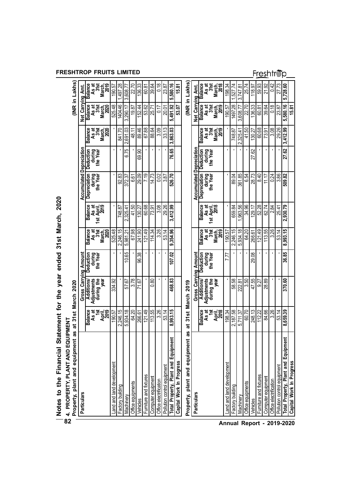|                                  | <b>22 4. PROPERTY, PLANT AND EQUIPMENT</b> |                |                           |                    |                         |                             |                                 |                    |                  |                         |                         |
|----------------------------------|--------------------------------------------|----------------|---------------------------|--------------------|-------------------------|-----------------------------|---------------------------------|--------------------|------------------|-------------------------|-------------------------|
|                                  | ent as<br>Property, plant and equipme      | 31st<br>ಕ      | March 2020                |                    |                         |                             |                                 |                    |                  |                         | (INR in Lakhs)          |
|                                  | Particulars                                |                | Gross Carrying Amount     |                    |                         |                             | <b>Accumulated Depreciation</b> |                    |                  | Net Carrying Amt        |                         |
|                                  |                                            | Balance        | <b>Additions</b>          | Deduction          | <b>Balance</b>          | <b>Balance</b>              | <b>Depreciation</b>             | <b>Deduction</b>   | Balance          | <b>Balance</b>          | <b>Balance</b>          |
|                                  |                                            | ಕ್ಕೆ<br>ಸ      | during the<br>Adjustments | during<br>the Year | &ಕ<br>ಶಿಸ               | As at<br>1st April,<br>2019 | during<br>the Year              | during<br>the Year | ಕ್ಷ<br>ಸ         | ಗೆ ಸ<br>ಸಿ              | ಕ್ಷಿತ್ವ<br>ಸಾ           |
|                                  |                                            | April<br>2819  | year                      |                    | March,<br>2020          |                             |                                 |                    | March,<br>2020   | March,<br>2020          | March,<br>2019          |
|                                  | and and land development                   | 190.57         | 334.92                    |                    | 525.48                  |                             |                                 | 1                  |                  | 525.48                  | 190.57                  |
|                                  | Factory building                           | 2.246.15       |                           |                    | 2.246.15                | 748.87                      | 92.83                           |                    | 841.70           | 1404.46                 | 1,497.28                |
|                                  | Machinery                                  | 5.934.18       | 57.67                     | 10.65              | 5.981.21                | 2,325.41                    | 372.37                          | 6.75               | 2.691.03         | 3.290.17                | 3,608.77                |
|                                  | Office equipments                          | 64.20          | 3.78                      |                    | 67.98                   | 41.50                       | 6.61                            |                    | 48.11            | 19.87                   | 22.70                   |
|                                  | Vehicles                                   | 266.61         | 71.67                     | 96.38              | 241.90                  | 130.27                      | 29.09                           | 69.90              | 89.46            | 152.44                  | $\frac{136.33}{2}$      |
|                                  | Furniture and fixtures                     | 121.49         |                           |                    | 121.49                  | 60.68                       | $\frac{9}{10}$                  | $\mathbf{I}$       | 67.88            | 53.62                   | 60.81                   |
|                                  | Computer equipment                         | 113.55         | 80                        |                    | 114.34                  | 73.91                       | 14.73                           | ٠                  | 88.64            | 25.71                   | 39.64                   |
|                                  | Office electrification                     | 3.26           |                           |                    | 3.26                    | 3.08                        | 0.02                            |                    | 3.09             | 0.17                    | 0.18                    |
|                                  | Pollution control equipment                | 53.14          |                           |                    | 53.14                   | 29.26                       | 3.87                            |                    | 33.13            | 20.01                   | 23.87                   |
|                                  | nent<br>Total Property, Plant and Equipr   | 8,993.15       | 468.83                    | 107.02             | 9,354.96                | 3,412.99                    | 526.70                          | 76.65              | 3,863.03         | 5,491.92                | 5,580.16                |
|                                  | Capital Work In Progress                   |                |                           |                    |                         |                             |                                 |                    |                  | 53.07                   | 15.81                   |
|                                  | ent as<br>Property, plant and equipm       | ಹ              | 31st March 2019           |                    |                         |                             |                                 |                    |                  |                         | (INR in Lakhs)          |
|                                  | Particulars                                |                | Gross Carrying            | Amount             |                         |                             | <b>Accumulated Depreciation</b> |                    |                  | Net Carrying Amt.       |                         |
|                                  |                                            | <b>Balance</b> | Adjustments<br>Additions/ | <b>Deduction</b>   | As at<br><b>Balance</b> | <b>Balance</b>              | Depreciation                    | <b>Deduction</b>   | Balance<br>As at | <b>Balance</b><br>As at | <b>Balance</b><br>As at |
|                                  |                                            | As at<br>1st   | during the                | during<br>the Year | 31st                    | As at<br>1st April,<br>2018 | during<br>the Year              | during<br>the Year | 31st             | 31st                    | 31st                    |
|                                  |                                            | April<br>2018  | year                      |                    | 2019<br>March,          |                             |                                 |                    | March,<br>2019   | March,<br>2019          | 2018<br>March,          |
|                                  | Land and land development                  | 198.34         |                           | 7.77               | 190.57                  |                             |                                 | ٠                  |                  | 190.57                  | 198.34                  |
|                                  | Factory building                           | 2,187.58       | 58.58                     |                    | 2,246.15                | 659.84                      | 89.04                           |                    | 748.87           | 1497.28                 | 527.74                  |
|                                  | Machinery                                  | 5,711.37       | 222.81                    |                    | 5,934.18                | .963.56                     | 361.85                          |                    | 2,325.41         | 3,608.7                 | 3,747.81                |
|                                  | Office equipments                          | 60.70          | 3.50                      |                    | 64.20                   | 34.96                       | 6.54                            |                    | 41.50            | 22.70                   | 25.74                   |
|                                  | Vehicles                                   | 248.13         | 47.55                     | 29.08              | 266.61                  | 129.17                      | 28.73                           | S.<br>27.          | 130.27           | 136.33                  | 118.97                  |
|                                  | Furniture and fixtures                     | 112.22         | 9.27                      |                    | 121.49                  | 52.28                       | 840                             | ٠                  | 60.68            | 60.81                   | 59.93                   |
|                                  | Computer equipment                         | 84.66          | 28.89                     | $\blacksquare$     | 113.55                  | 62.74                       | 11.17                           | ٠                  | 73.91            | 39.64                   | 21.92                   |
|                                  | Office electrification                     | 326            |                           |                    | 3.26                    | 2.84                        | 0.24                            | $\blacksquare$     | 3.08             | 0.18                    | 0.42                    |
| <b>Annual Report - 2019-2020</b> | Pollution control equipment                | 53.14          |                           |                    | 53.14                   | 25.41                       | 3.86                            |                    | 29.26            | 23.87                   | 27.73                   |
|                                  | Total Property, Plant and Equipment        | 8,659.39       | 370.60                    | 36.85              | 8,993.15                | 2,930.79                    | 509.82                          | 27.62              | 3,412.99         | 5,580.16                | 5,728.60                |
|                                  | Capital Work In Progress                   |                |                           |                    |                         |                             |                                 |                    |                  | 15.81                   |                         |

Notes to the Financial Statement for the year ended 31st March, 2020 **Notes to the Financial Statement for the year ended 31st March, 2020**

**FRESHTROP FRUITS LIMITED**

## **Freshtrop**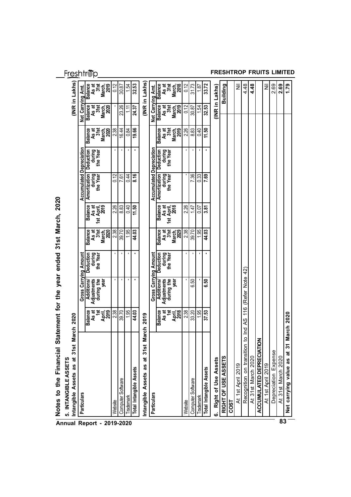Freshtr<sup>a</sup>p

## **FRESHTROP FRUITS LIMITED**

|                                                                                                                                                                                                                                                                                                                | 0.33<br>0.07<br>1.95<br>٠<br>1.95                            | J.<br>٠        |                         | 2019                                                                              | 31st<br><b>Balance</b><br>As at<br>Deduction<br>during<br>the Year<br>Amortization<br>during<br>the Year<br><b>Balance</b><br>As at<br><b>Balance</b><br>ಗಿತ್ತ<br>ಗ<br><b>Deduction</b><br>during<br>the Year<br>Adjustments<br><b>Additions/</b><br>As at<br>ë<br>Balance | <b>Accumulated Depreciation</b><br>Gross Carrying Amount                       | 2019<br>March<br>31st<br>ಕ<br>as |                   |
|----------------------------------------------------------------------------------------------------------------------------------------------------------------------------------------------------------------------------------------------------------------------------------------------------------------|--------------------------------------------------------------|----------------|-------------------------|-----------------------------------------------------------------------------------|----------------------------------------------------------------------------------------------------------------------------------------------------------------------------------------------------------------------------------------------------------------------------|--------------------------------------------------------------------------------|----------------------------------|-------------------|
|                                                                                                                                                                                                                                                                                                                | 7.69<br>3.81<br>44.03<br>٠<br>6.50<br>37.53                  |                | 0.40<br>11.50<br>.<br>م | 2.26<br>8.83<br>7.36<br>2.26<br>1.47<br>2.38<br>39.70<br>٠<br>βġ<br>2.38<br>33.20 | year                                                                                                                                                                                                                                                                       | March,<br>1st April,<br>2018<br>March,<br>2029<br>during the<br><b>April</b> , |                                  |                   |
|                                                                                                                                                                                                                                                                                                                |                                                              |                |                         |                                                                                   |                                                                                                                                                                                                                                                                            |                                                                                |                                  |                   |
|                                                                                                                                                                                                                                                                                                                |                                                              |                |                         |                                                                                   |                                                                                                                                                                                                                                                                            |                                                                                | Right of Use Assets              |                   |
|                                                                                                                                                                                                                                                                                                                |                                                              |                |                         |                                                                                   |                                                                                                                                                                                                                                                                            |                                                                                |                                  |                   |
| At 1st April 2019                                                                                                                                                                                                                                                                                              |                                                              |                |                         |                                                                                   |                                                                                                                                                                                                                                                                            |                                                                                |                                  |                   |
|                                                                                                                                                                                                                                                                                                                |                                                              |                |                         |                                                                                   |                                                                                                                                                                                                                                                                            |                                                                                |                                  |                   |
| $\widehat{42}$<br>(Refer Note<br>116<br>$\lambda$ S<br>bul pq<br>Recognition on transition                                                                                                                                                                                                                     |                                                              |                |                         |                                                                                   |                                                                                                                                                                                                                                                                            |                                                                                |                                  |                   |
| At 31st March 2020                                                                                                                                                                                                                                                                                             |                                                              |                |                         |                                                                                   |                                                                                                                                                                                                                                                                            |                                                                                |                                  |                   |
| $\mathbf{z}$                                                                                                                                                                                                                                                                                                   |                                                              |                |                         |                                                                                   |                                                                                                                                                                                                                                                                            |                                                                                |                                  |                   |
| At 1st April 2019                                                                                                                                                                                                                                                                                              |                                                              |                |                         |                                                                                   |                                                                                                                                                                                                                                                                            |                                                                                |                                  |                   |
|                                                                                                                                                                                                                                                                                                                |                                                              |                |                         |                                                                                   |                                                                                                                                                                                                                                                                            |                                                                                |                                  |                   |
| <b>ACCUMULATED DEPRECIATI</b><br>Depreciation Expense<br>At 31st March 2020<br>RIGHT OF USE ASSETS<br><b>COST</b>                                                                                                                                                                                              |                                                              |                |                         |                                                                                   |                                                                                                                                                                                                                                                                            |                                                                                |                                  |                   |
|                                                                                                                                                                                                                                                                                                                |                                                              |                |                         |                                                                                   |                                                                                                                                                                                                                                                                            |                                                                                |                                  |                   |
|                                                                                                                                                                                                                                                                                                                |                                                              |                |                         |                                                                                   |                                                                                                                                                                                                                                                                            |                                                                                |                                  |                   |
|                                                                                                                                                                                                                                                                                                                |                                                              |                |                         |                                                                                   |                                                                                                                                                                                                                                                                            |                                                                                |                                  |                   |
| 11,50<br>44.03<br>44.03                                                                                                                                                                                                                                                                                        | 8.16                                                         |                | 19.66                   |                                                                                   |                                                                                                                                                                                                                                                                            |                                                                                |                                  |                   |
|                                                                                                                                                                                                                                                                                                                |                                                              |                |                         |                                                                                   |                                                                                                                                                                                                                                                                            |                                                                                |                                  |                   |
| 0.40<br>1.95<br>1.95                                                                                                                                                                                                                                                                                           | 0.44                                                         | 0.84           |                         |                                                                                   |                                                                                                                                                                                                                                                                            |                                                                                |                                  |                   |
| 8.83<br>39.70<br>39.70                                                                                                                                                                                                                                                                                         | 7.61                                                         |                | 16.44                   |                                                                                   |                                                                                                                                                                                                                                                                            |                                                                                |                                  |                   |
| 2.26<br>2.38<br>2.38                                                                                                                                                                                                                                                                                           | 0.12                                                         |                | 2.38                    |                                                                                   |                                                                                                                                                                                                                                                                            |                                                                                |                                  |                   |
| 2020<br>້າຕອ                                                                                                                                                                                                                                                                                                   |                                                              | 2020           |                         |                                                                                   |                                                                                                                                                                                                                                                                            |                                                                                |                                  |                   |
| March,<br>year<br>April,                                                                                                                                                                                                                                                                                       |                                                              | March,         |                         |                                                                                   |                                                                                                                                                                                                                                                                            |                                                                                |                                  |                   |
| 1st April,<br>2019<br>the Year<br>during the<br>ই                                                                                                                                                                                                                                                              |                                                              |                | $31$ st                 |                                                                                   |                                                                                                                                                                                                                                                                            |                                                                                |                                  |                   |
| As at<br>As at<br>31st<br>during<br>Adjustments<br>As at                                                                                                                                                                                                                                                       | during<br>the Year<br>during<br>the Year                     | As at          |                         |                                                                                   |                                                                                                                                                                                                                                                                            |                                                                                |                                  |                   |
| <b>Balance</b><br><b>Balance</b><br>Deduction<br>Gross Carrying Amount<br>Additions<br>Balance<br><b>Total Intangible Assets</b><br><b>Total Intangible Assets</b><br>ntangible Assets<br>Computer Software<br>Computer Software<br>Particulars<br>Particulars<br>Trademark<br>Trademark<br>Website<br>Website | <b>Accumulated Depreciation</b><br>Deduction<br>Amortization | <b>Balance</b> |                         |                                                                                   |                                                                                                                                                                                                                                                                            |                                                                                |                                  | Net Carrying Amt. |

<u> 1980 - Johann Barbara, martxa a</u>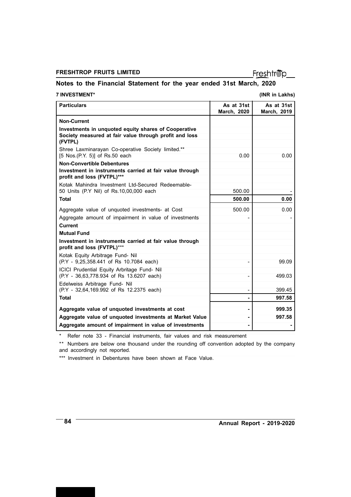

## **Notes to the Financial Statement for the year ended 31st March, 2020**

### **7 INVESTMENT\* (INR in Lakhs)**

| <b>Particulars</b>                                                                                             | As at 31st  | As at 31st  |
|----------------------------------------------------------------------------------------------------------------|-------------|-------------|
|                                                                                                                | March, 2020 | March, 2019 |
| Non-Current                                                                                                    |             |             |
| Investments in unquoted equity shares of Cooperative<br>Society measured at fair value through profit and loss |             |             |
| (FVTPL)                                                                                                        |             |             |
| Shree Laxminarayan Co-operative Society limited.**<br>[5 Nos. (P.Y. 5)] of Rs. 50 each                         | 0.00        | 0.00        |
|                                                                                                                |             |             |
| <b>Non-Convertible Debentures</b>                                                                              |             |             |
| Investment in instruments carried at fair value through<br>profit and loss (FVTPL)***                          |             |             |
| Kotak Mahindra Investment Ltd-Secured Redeemable-                                                              |             |             |
| 50 Units (P.Y Nil) of Rs.10,00,000 each                                                                        | 500.00      |             |
| <b>Total</b>                                                                                                   | 500.00      | 0.00        |
| Aggregate value of unquoted investments- at Cost                                                               | 500.00      | 0.00        |
| Aggregate amount of impairment in value of investments                                                         |             |             |
| Current                                                                                                        |             |             |
| <b>Mutual Fund</b>                                                                                             |             |             |
| Investment in instruments carried at fair value through<br>profit and loss (FVTPL)***                          |             |             |
| Kotak Equity Arbitrage Fund- Nil                                                                               |             |             |
| (P.Y - 9,25,358.441 of Rs 10.7084 each)                                                                        |             | 99.09       |
| <b>ICICI Prudential Equity Arbritage Fund- Nil</b>                                                             |             |             |
| (P.Y - 36,63,778.934 of Rs 13.6207 each)                                                                       |             | 499.03      |
| Edelweiss Arbitrage Fund- Nil                                                                                  |             | 399.45      |
| (P.Y - 32,64,169.992 of Rs 12.2375 each)                                                                       |             |             |
| <b>Total</b>                                                                                                   |             | 997.58      |
| Aggregate value of unquoted investments at cost                                                                |             | 999.35      |
| Aggregate value of unquoted investments at Market Value                                                        |             | 997.58      |
| Aggregate amount of impairment in value of investments                                                         |             |             |

\* Refer note 33 - Financial instruments, fair values and risk measurement

\*\* Numbers are below one thousand under the rounding off convention adopted by the company and accordingly not reported.

\*\*\* Investment in Debentures have been shown at Face Value.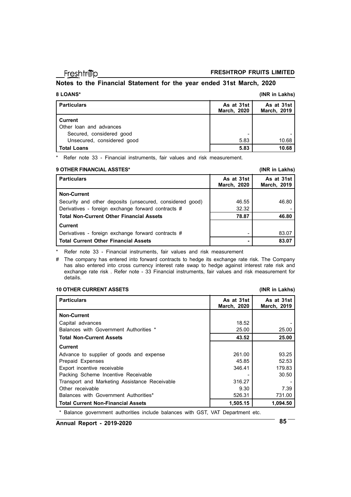Freshtrop

#### **FRESHTROP FRUITS LIMITED**

## **Notes to the Financial Statement for the year ended 31st March, 2020**

#### **8 LOANS\* (INR in Lakhs)**

| <b>Particulars</b>                                                                           | As at 31st<br>March, 2020 | As at 31st<br><b>March, 2019</b> |
|----------------------------------------------------------------------------------------------|---------------------------|----------------------------------|
| Current<br>Other loan and advances<br>Secured, considered good<br>Unsecured, considered good | -<br>5.83                 | 10.68                            |
| <b>Total Loans</b>                                                                           | 5.83                      | 10.68                            |

\* Refer note 33 - Financial instruments, fair values and risk measurement.

#### **9 OTHER FINANCIAL ASSTES\* (INR in Lakhs)**

|                                                          |                                  | ,                         |
|----------------------------------------------------------|----------------------------------|---------------------------|
| <b>Particulars</b>                                       | As at 31st<br><b>March, 2020</b> | As at 31st<br>March, 2019 |
| <b>Non-Current</b>                                       |                                  |                           |
| Security and other deposits (unsecured, considered good) | 46.55                            | 46.80                     |
| Derivatives - foreign exchange forward contracts #       | 32.32                            |                           |
| <b>Total Non-Current Other Financial Assets</b>          | 78.87                            | 46.80                     |
| Current                                                  |                                  |                           |
| Derivatives - foreign exchange forward contracts #       |                                  | 83.07                     |
| <b>Total Current Other Financial Assets</b>              |                                  | 83.07                     |

Refer note 33 - Financial instruments, fair values and risk measurement

# The company has entered into forward contracts to hedge its exchange rate risk. The Company has also entered into cross currency interest rate swap to hedge against interest rate risk and exchange rate risk . Refer note - 33 Financial instruments, fair values and risk measurement for details.

#### **10 OTHER CURRENT ASSETS (INR in Lakhs)**

| <b>Particulars</b>                            | As at 31st<br>March, 2020 | As at 31st<br>March, 2019 |
|-----------------------------------------------|---------------------------|---------------------------|
| <b>Non-Current</b>                            |                           |                           |
| Capital advances                              | 18.52                     |                           |
| Balances with Government Authorities *        | 25.00                     | 25.00                     |
| <b>Total Non-Current Assets</b>               | 43.52                     | 25.00                     |
| Current                                       |                           |                           |
| Advance to supplier of goods and expense      | 261.00                    | 93.25                     |
| Prepaid Expenses                              | 45.85                     | 52.53                     |
| Export incentive receivable                   | 346.41                    | 179.83                    |
| Packing Scheme Incentive Receivable           |                           | 30.50                     |
| Transport and Marketing Assistance Receivable | 316.27                    |                           |
| Other receivable                              | 9.30                      | 7.39                      |
| Balances with Government Authorities*         | 526.31                    | 731.00                    |
| <b>Total Current Non-Financial Assets</b>     | 1,505.15                  | 1,094.50                  |

\* Balance government authorities include balances with GST, VAT Department etc.

**Annual Report - 2019-2020 85**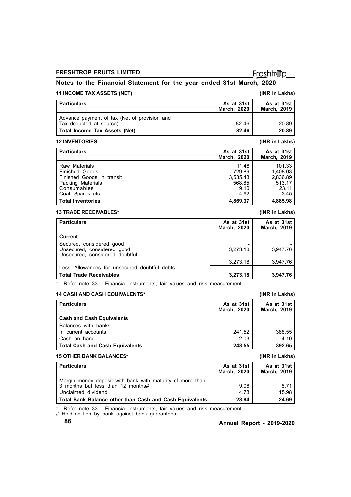# Freshtr**ö**p

## **Notes to the Financial Statement for the year ended 31st March, 2020**

**11 INCOME TAX ASSETS (NET) (INR in Lakhs)**

| <b>Particulars</b>                                                      | As at 31st I<br><b>March. 2020</b> | As at 31st<br><b>March, 2019</b> |
|-------------------------------------------------------------------------|------------------------------------|----------------------------------|
| Advance payment of tax (Net of provision and<br>Tax deducted at source) | 82.46                              | 20.89                            |
| Total Income Tax Assets (Net)                                           | 82.46                              | 20.89                            |

#### **12 INVENTORIES (INR in Lakhs)**

| <b>Particulars</b>                                                                                                           | As at 31st<br><b>March, 2020</b>                       | As at 31st<br><b>March, 2019</b>                          |
|------------------------------------------------------------------------------------------------------------------------------|--------------------------------------------------------|-----------------------------------------------------------|
| Raw Materials<br><b>Finished Goods</b><br>Finished Goods in transit<br>Packing Materials<br>Consumables<br>Coal, Spares etc. | 11.48<br>729.89<br>3,535.43<br>568.85<br>19.10<br>4.62 | 101.33<br>1.408.03<br>2,836.89<br>513.17<br>23.11<br>3.45 |
| <b>Total Inventories</b>                                                                                                     | 4.869.37                                               | 4.885.98                                                  |

#### **13 TRADE RECEIVABLES\* (INR in Lakhs)**

| <b>Particulars</b>                                                                                  | As at 31st<br><b>March, 2020</b> | As at 31st<br><b>March, 2019</b> |
|-----------------------------------------------------------------------------------------------------|----------------------------------|----------------------------------|
| Current<br>Secured, considered good<br>Unsecured, considered good<br>Unsecured, considered doubtful | 3,273.18                         | 3,947.76                         |
| Less: Allowances for unsecured doubtful debts                                                       | 3.273.18                         | 3.947.76                         |
| <b>Total Trade Receivables</b>                                                                      | 3,273.18                         | 3,947.76                         |

\* Refer note 33 - Financial instruments, fair values and risk measurement

#### **14 CASH AND CASH EQUIVALENTS\* (INR in Lakhs)**

### Particulars **As at 31st** As at 31st As at 31st As at 31st As at 31st As at 31st As at 31st As at 31st As at 31st As at 31st As at 31st As at 31st As at 31st As at 31st As at 31st As at 31st As at 31st As at 31st As at 31st **March, 2019 Cash and Cash Equivalents** Balances with banks In current accounts 241.52 388.55 Cash on hand 2.03 4.10 Total Cash and Cash Equivalents **243.55** 392.65

#### **15 OTHER BANK BALANCES\* (INR in Lakhs)**

| <b>Particulars</b>                                        | As at 31st I<br><b>March, 2020</b> | As at 31st<br><b>March, 2019</b> |
|-----------------------------------------------------------|------------------------------------|----------------------------------|
| Margin money deposit with bank with maturity of more than |                                    |                                  |
| 3 months but less than 12 months#                         | 9.06                               | 8.71                             |
| Unclaimed dividend                                        | 14.78                              | 15.98                            |
| Total Bank Balance other than Cash and Cash Equivalents   | 23.84                              | 24.69                            |

Refer note 33 - Financial instruments, fair values and risk measurement

# Held as lien by bank against bank guarantees.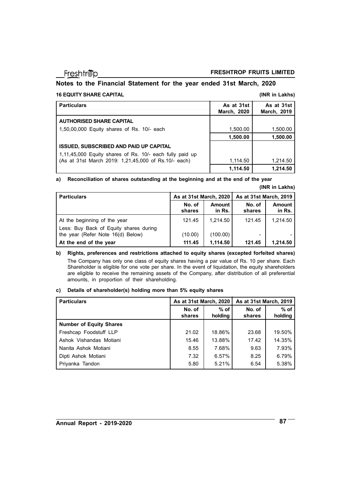Freshtrop

### **FRESHTROP FRUITS LIMITED**

## **Notes to the Financial Statement for the year ended 31st March, 2020**

#### **16 EQUITY SHARE CAPITAL (INR in Lakhs)**

| <b>Particulars</b>                                       | As at 31st<br><b>March, 2020</b> | As at 31st<br>March, 2019 |
|----------------------------------------------------------|----------------------------------|---------------------------|
| <b>AUTHORISED SHARE CAPITAL</b>                          |                                  |                           |
| $1,50,00,000$ Equity shares of Rs. $10/-$ each           | 1,500.00                         | 1,500.00                  |
|                                                          | 1,500.00                         | 1,500.00                  |
| <b>ISSUED, SUBSCRIBED AND PAID UP CAPITAL</b>            |                                  |                           |
| 1,11,45,000 Equity shares of Rs. 10/- each fully paid up |                                  |                           |
| (As at 31st March 2019: 1,21,45,000 of Rs.10/- each)     | 1,114.50                         | 1,214.50                  |
|                                                          | 1.114.50                         | 1.214.50                  |

**a) Reconciliation of shares outstanding at the beginning and at the end of the year**

**(INR in Lakhs)**

| <b>Particulars</b>                                                          | As at 31st March, 2020 |                    | As at 31st March, 2019 |                         |  |
|-----------------------------------------------------------------------------|------------------------|--------------------|------------------------|-------------------------|--|
|                                                                             | No. of<br>shares       | Amount I<br>in Rs. | No. of<br>shares       | <b>Amount</b><br>in Rs. |  |
| At the beginning of the year                                                | 121.45                 | 1.214.50           | 121.45                 | 1.214.50                |  |
| Less: Buy Back of Equity shares during<br>the year (Refer Note 16(d) Below) | (10.00)                | (100.00)           |                        |                         |  |
| At the end of the year                                                      | 111.45                 | 1,114.50           | 121.45                 | 1.214.50                |  |

**b) Rights, preferences and restrictions attached to equity shares (excepted forfeited shares)** The Company has only one class of equity shares having a par value of Rs. 10 per share. Each Shareholder is eligible for one vote per share. In the event of liquidation, the equity shareholders are eligible to receive the remaining assets of the Company, after distribution of all preferential amounts, in proportion of their shareholding.

#### **c) Details of shareholder(s) holding more than 5% equity shares**

| <b>Particulars</b>             | As at 31st March, 2020 |                   | As at 31st March, 2019 |                   |
|--------------------------------|------------------------|-------------------|------------------------|-------------------|
|                                | No. of<br>shares       | $%$ of<br>holding | No. of<br>shares       | $%$ of<br>holding |
| <b>Number of Equity Shares</b> |                        |                   |                        |                   |
| Freshcap Foodstuff LLP         | 21.02                  | 18.86%            | 23.68                  | 19.50%            |
| Ashok Vishandas Motiani        | 15.46                  | 13.88%            | 17.42                  | 14.35%            |
| Nanita Ashok Motiani           | 8.55                   | 7.68%             | 9.63                   | 7.93%             |
| Dipti Ashok Motiani            | 7.32                   | 6.57%             | 8.25                   | 6.79%             |
| Priyanka Tandon                | 5.80                   | 5.21%             | 6.54                   | 5.38%             |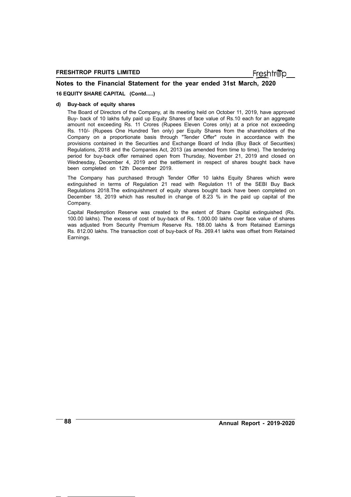

#### **Notes to the Financial Statement for the year ended 31st March, 2020**

**16 EQUITY SHARE CAPITAL (Contd.....)**

#### **d) Buy-back of equity shares**

The Board of Directors of the Company, at its meeting held on October 11, 2019, have approved Buy- back of 10 lakhs fully paid up Equity Shares of face value of Rs.10 each for an aggregate amount not exceeding Rs. 11 Crores (Rupees Eleven Cores only) at a price not exceeding Rs. 110/- (Rupees One Hundred Ten only) per Equity Shares from the shareholders of the Company on a proportionate basis through "Tender Offer" route in accordance with the provisions contained in the Securities and Exchange Board of India (Buy Back of Securities) Regulations, 2018 and the Companies Act, 2013 (as amended from time to time). The tendering period for buy-back offer remained open from Thursday, November 21, 2019 and closed on Wednesday, December 4, 2019 and the settlement in respect of shares bought back have been completed on 12th December 2019.

The Company has purchased through Tender Offer 10 lakhs Equity Shares which were extinguished in terms of Regulation 21 read with Regulation 11 of the SEBI Buy Back Regulations 2018.The extinquishment of equity shares bought back have been completed on December 18, 2019 which has resulted in change of 8.23 % in the paid up capital of the Company.

Capital Redemption Reserve was created to the extent of Share Capital extinguished (Rs. 100.00 lakhs). The excess of cost of buy-back of Rs. 1,000.00 lakhs over face value of shares was adjusted from Security Premium Reserve Rs. 188.00 lakhs & from Retained Earnings Rs. 812.00 lakhs. The transaction cost of buy-back of Rs. 269.41 lakhs was offset from Retained Earnings.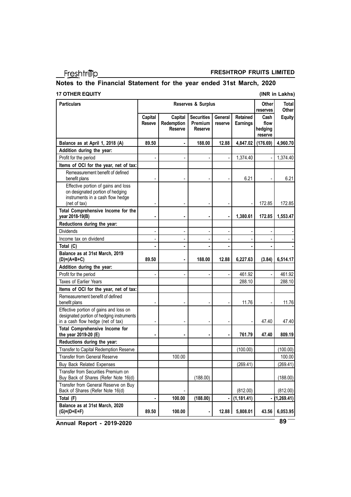<u>Freshtröp \_\_\_\_\_\_\_\_\_\_\_\_\_\_\_\_\_\_\_\_\_\_\_\_</u>

### **FRESHTROP FRUITS LIMITED**

# **Notes to the Financial Statement for the year ended 31st March, 2020**

## **17 OTHER EQUITY (INR in Lakhs)**

| <b>Particulars</b>                                                                                                          |                   |                                         | <b>Reserves &amp; Surplus</b>                         |                    |                                    | Other<br>reserves                  | Total<br>Other |
|-----------------------------------------------------------------------------------------------------------------------------|-------------------|-----------------------------------------|-------------------------------------------------------|--------------------|------------------------------------|------------------------------------|----------------|
|                                                                                                                             | Capital<br>Reseve | Capital<br>Redemption<br><b>Reserve</b> | <b>Securities</b><br><b>Premium</b><br><b>Reserve</b> | General<br>reserve | <b>Retained</b><br><b>Earnings</b> | Cash<br>flow<br>hedging<br>reserve | Equity         |
| Balance as at April 1, 2018 (A)                                                                                             | 89.50             | ٠                                       | 188.00                                                | 12.88              | 4,847.02                           | (176.69)                           | 4,960.70       |
| Addition during the year:                                                                                                   |                   |                                         |                                                       |                    |                                    |                                    |                |
| Profit for the period                                                                                                       |                   |                                         |                                                       |                    | 1,374.40                           |                                    | 1,374.40       |
| Items of OCI for the year, net of tax:                                                                                      |                   |                                         |                                                       |                    |                                    |                                    |                |
| Remeasurement benefit of defined<br>benefit plans                                                                           |                   |                                         |                                                       |                    | 6.21                               |                                    | 6.21           |
| Effective portion of gains and loss<br>on designated portion of hedging<br>instruments in a cash flow hedge<br>(net of tax) |                   |                                         |                                                       |                    |                                    | 172.85                             | 172.85         |
| Total Comprehensive Income for the<br>year 2018-19(B)                                                                       |                   | $\blacksquare$                          |                                                       |                    | 1,380.61                           | 172.85                             | 1,553.47       |
| Reductions during the year:                                                                                                 |                   |                                         |                                                       |                    |                                    |                                    |                |
| <b>Dividends</b>                                                                                                            |                   |                                         |                                                       |                    |                                    |                                    |                |
| Income tax on dividend                                                                                                      |                   | $\qquad \qquad \blacksquare$            |                                                       |                    |                                    |                                    |                |
| Total (C)                                                                                                                   |                   | ٠                                       |                                                       |                    |                                    |                                    |                |
| Balance as at 31st March, 2019<br>$(D)=(A+B+C)$                                                                             | 89.50             | ٠                                       | 188.00                                                | 12.88              | 6,227.63                           | (3.84)                             | 6,514.17       |
| Addition during the year:                                                                                                   |                   |                                         |                                                       |                    |                                    |                                    |                |
| Profit for the period                                                                                                       |                   |                                         |                                                       |                    | 461.92                             |                                    | 461.92         |
| Taxes of Earlier Years                                                                                                      |                   |                                         |                                                       |                    | 288.10                             |                                    | 288.10         |
| Items of OCI for the year, net of tax:                                                                                      |                   |                                         |                                                       |                    |                                    |                                    |                |
| Remeasurement benefit of defined<br>benefit plans                                                                           |                   |                                         |                                                       |                    | 11.76                              |                                    | 11.76          |
| Effective portion of gains and loss on<br>designated portion of hedging instruments<br>in a cash flow hedge (net of tax)    |                   |                                         |                                                       |                    |                                    | 47.40                              | 47.40          |
| <b>Total Comprehensive Income for</b><br>the year 2019-20 (E)                                                               |                   |                                         |                                                       |                    | 761.79                             | 47.40                              | 809.19         |
| Reductions during the year:                                                                                                 |                   |                                         |                                                       |                    |                                    |                                    |                |
| Transfer to Capital Redemption Reserve                                                                                      |                   |                                         |                                                       |                    | (100.00)                           |                                    | (100.00)       |
| <b>Transfer from General Reserve</b>                                                                                        |                   | 100.00                                  |                                                       |                    |                                    |                                    | 100.00         |
| Buy Back Related Expenses                                                                                                   |                   |                                         |                                                       |                    | (269.41)                           |                                    | (269.41)       |
| Transfer from Securities Premium on<br>Buy Back of Shares (Refer Note 16(d)                                                 |                   |                                         | (188.00)                                              |                    |                                    |                                    | (188.00)       |
| Transfer from General Reserve on Buy<br>Back of Shares (Refer Note 16(d)                                                    |                   |                                         |                                                       |                    | (812.00)                           |                                    | (812.00)       |
| Total (F)                                                                                                                   | ۰                 | 100.00                                  | (188.00)                                              | ٠                  | (1, 181.41)                        | ٠                                  | (1, 269.41)    |
| Balance as at 31st March, 2020<br>$(G) = (D + E + F)$                                                                       | 89.50             | 100.00                                  |                                                       | 12.88              | 5,808.01                           | 43.56                              | 6,053.95       |

**Annual Report - 2019-2020 89**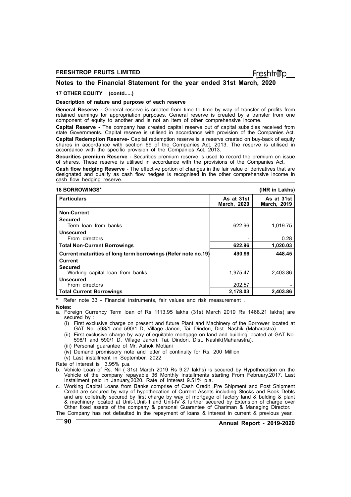

#### **Notes to the Financial Statement for the year ended 31st March, 2020**

**17 OTHER EQUITY (contd.....)**

#### **Description of nature and purpose of each reserve**

**General Reserve -** General reserve is created from time to time by way of transfer of profits from retained earnings for appropriation purposes. General reserve is created by a transfer from one component of equity to another and is not an item of other comprehensive income.

**Capital Reserve -** The company has created capital reserve out of capital subsidies received from state Governments. Capital reserve is utilised in accordance with provision of the Companies Act. **Capital Redemption Reserve-** Capital redemption reserve is a reserve created on buy-back of equity shares in accordance with section 69 of the Companies Act, 2013. The reserve is utilised in accordance with the specific provision of the Companies Act, 2013.

**Securities premium Reserve -** Securities premium reserve is used to record the premium on issue of shares. These reserve is utilised in accordance with the provisions of the Companies Act.

**Cash flow hedging Reserve** - The effective portion of changes in the fair value of derivatives that are designated and qualify as cash flow hedges is recognised in the other comprehensive income in cash flow hedging reserve.

| <b>18 BORROWINGS*</b>                                                    |                                  | (INR in Lakhs)            |
|--------------------------------------------------------------------------|----------------------------------|---------------------------|
| <b>Particulars</b>                                                       | As at 31st<br><b>March, 2020</b> | As at 31st<br>March, 2019 |
| <b>Non-Current</b>                                                       |                                  |                           |
| Secured<br>Term loan from banks                                          | 622.96                           | 1,019.75                  |
| Unsecured                                                                |                                  |                           |
| From directors                                                           |                                  | 0.28                      |
| <b>Total Non-Current Borrowings</b>                                      | 622.96                           | 1,020.03                  |
| Current maturities of long term borrowings (Refer note no.19)<br>Current | 490.99                           | 448.45                    |
| Secured<br>Working capital loan from banks                               | 1.975.47                         | 2,403.86                  |
| Unsecured<br>From directors                                              | 202.57                           |                           |
| <b>Total Current Borrowings</b>                                          | 2,178.03                         | 2,403.86                  |

\* Refer note 33 - Financial instruments, fair values and risk measurement .

#### **Notes:**

- a. Foreign Currency Term loan of Rs 1113.95 lakhs (31st March 2019 Rs 1468.21 lakhs) are secured by :
	- (i) First exclusive charge on present and future Plant and Machinery of the Borrower located at GAT No. 598/1 and 590/1 D, Village Janori, Tai. Dindori, Dist. Nashik (Maharastra).
	- (ii) First exclusive charge by way of equitable mortgage on land and building located at GAT No. 598/1 and 590/1 D, Village Janori, Tai. Dindori, Dist. Nashik(Maharastra).
	- (iii) Personal guarantee of Mr. Ashok Motiani
	- (iv) Demand promissory note and letter of continuity for Rs. 200 Million
	- (v) Last installment in September, 2022

Rate of interest is 3.95% p.a.

- b. Vehicle Loan of Rs. Nil ( 31st March 2019 Rs 9.27 lakhs) is secured by Hypothecation on the Vehicle of the company repayable 36 Monthly Installments starting From February,2017. Last Installment paid in January, 2020. Rate of Interest 9.51% p.a.
- c. Working Capital Loans from Banks comprise of Cash Credit ,Pre Shipment and Post Shipment Credit are secured by way of hypothecation of Current Assets including Stocks and Book Debts and are colletrally secured by first charge by way of mortgage of factory land & bulding & plant & machinery located at Unit-I,Unit-II and Unit-IV & further secured by Extension of charge over Other fixed assets of the company & personal Guarantee of Chariman & Managing Director.

The Company has not defaulted in the repayment of loans & interest in current & previous year.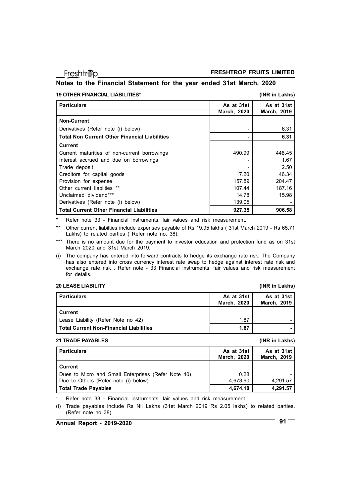Freshtröp

#### **FRESHTROP FRUITS LIMITED**

#### **Notes to the Financial Statement for the year ended 31st March, 2020**

#### **19 OTHER FINANCIAL LIABILITIES\* (INR in Lakhs)**

| <b>Particulars</b>                                   | As at 31st<br>March, 2020 | As at 31st<br>March, 2019 |
|------------------------------------------------------|---------------------------|---------------------------|
| <b>Non-Current</b>                                   |                           |                           |
| Derivatives (Refer note (i) below)                   |                           | 6.31                      |
| <b>Total Non Current Other Financial Liabilities</b> |                           | 6.31                      |
| Current                                              |                           |                           |
| Current maturities of non-current borrowings         | 490.99                    | 448.45                    |
| Interest accrued and due on borrowings               |                           | 1.67                      |
| Trade deposit                                        |                           | 2.50                      |
| Creditors for capital goods                          | 17.20                     | 46.34                     |
| Provision for expense                                | 157.89                    | 204.47                    |
| Other current liabilties **                          | 107.44                    | 187.16                    |
| Unclaimed dividend***                                | 14.78                     | 15.98                     |
| Derivatives (Refer note (i) below)                   | 139.05                    |                           |
| <b>Total Current Other Financial Liabilities</b>     | 927.35                    | 906.58                    |

Refer note 33 - Financial instruments, fair values and risk measurement.

\*\* Other current liabilties include expenses payable of Rs 19.95 lakhs (31st March 2019 - Rs 65.71 Lakhs) to related parties ( Refer note no. 38).

\*\*\* There is no amount due for the payment to investor education and protection fund as on 31st March 2020 and 31st March 2019.

(i) The company has entered into forward contracts to hedge its exchange rate risk. The Company has also entered into cross currency interest rate swap to hedge against interest rate risk and exchange rate risk . Refer note - 33 Financial instruments, fair values and risk measurement for details.

#### **20 LEASE LIABILITY (INR in Lakhs)**

| <b>Particulars</b>                             | As at 31st I<br><b>March. 2020</b> | As at 31st<br><b>March, 2019</b> |
|------------------------------------------------|------------------------------------|----------------------------------|
| Current                                        |                                    |                                  |
| Lease Liability (Refer Note no 42)             | 1.87                               |                                  |
| <b>Total Current Non-Financial Liabilities</b> | 1.87                               |                                  |

#### **21 TRADE PAYABLES (INR in Lakhs)**

| <b>Particulars</b>                                  | As at 31st<br>March, 2020 | As at 31st<br><b>March, 2019</b> |
|-----------------------------------------------------|---------------------------|----------------------------------|
| Current                                             |                           |                                  |
| Dues to Micro and Small Enterprises (Refer Note 40) | 0.28                      |                                  |
| Due to Others (Refer note (i) below)                | 4,673.90                  | 4,291.57                         |
| <b>Total Trade Payables</b>                         | 4,674.18                  | 4,291.57                         |

Refer note 33 - Financial instruments, fair values and risk measurement

(i) Trade payables include Rs Nil Lakhs (31st March 2019 Rs 2.05 lakhs) to related parties. (Refer note no 38).

**Annual Report - 2019-2020 91**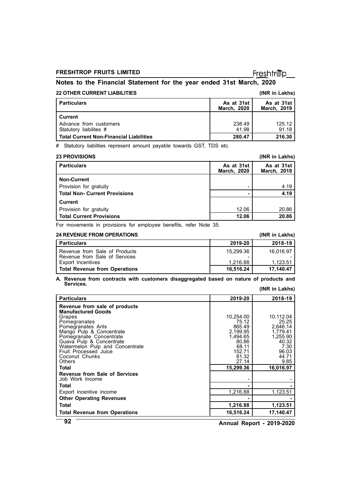## Freshtr**ö**p

## **Notes to the Financial Statement for the year ended 31st March, 2020**

#### **22 OTHER CURRENT LIABILITIES (INR in Lakhs)**

| <b>Particulars</b>                             | As at 31st<br><b>March, 2020</b> | As at 31st<br><b>March, 2019</b> |
|------------------------------------------------|----------------------------------|----------------------------------|
| Current                                        |                                  |                                  |
| Advance from customers                         | 238.49                           | 125.12                           |
| Statutory liabilites #                         | 41.98                            | 91.18                            |
| <b>Total Current Non-Financial Liabilities</b> | 280.47                           | 216.30                           |

# Statutory liabilties represent amount payable towards GST, TDS etc.

| <b>23 PROVISIONS</b>                 |                           | (INR in Lakhs)                   |
|--------------------------------------|---------------------------|----------------------------------|
| <b>Particulars</b>                   | As at 31st<br>March, 2020 | As at 31st<br><b>March, 2019</b> |
| <b>Non-Current</b>                   |                           |                                  |
| Provision for gratuity               |                           | 4.19                             |
| <b>Total Non- Current Provisions</b> |                           | 4.19                             |
| <b>Current</b>                       |                           |                                  |
| Provision for gratuity               | 12.06                     | 20.86                            |
| <b>Total Current Provisions</b>      | 12.06                     | 20.86                            |

For movements in provisions for employee benefits, refer Note 35.

## **24 REVENUE FROM OPERATIONS (INR in Lakhs)**

| <b>Particulars</b>                                                                         | 2019-20               | 2018-19               |
|--------------------------------------------------------------------------------------------|-----------------------|-----------------------|
| Revenue from Sale of Products<br>Revenue from Sale of Services<br><b>Export Incentives</b> | 15.299.36<br>1.216.88 | 16.016.97<br>1.123.51 |
| <b>Total Revenue from Operations</b>                                                       | 16.516.24             | 17.140.47             |

#### **A. Revenue from contracts with customers disaggregated based on nature of products and Services.**

#### **(INR in Lakhs)**

| <b>Particulars</b>                                                                                                                                 | 2019-20                                                | 2018-19                                             |
|----------------------------------------------------------------------------------------------------------------------------------------------------|--------------------------------------------------------|-----------------------------------------------------|
| Revenue from sale of products<br><b>Manufactured Goods</b><br>Grapes<br>Pomegranates<br>Pomegranates Arils<br>Mango Pulp & Concentrate             | 10,254.00<br>75.12<br>865.49<br>2,199.95               | 10,112.04<br>25.25<br>2,646.14<br>1,779.41          |
| Pomegranate Concentrate<br>Guava Pulp & Concentrate<br>Watermelon Pulp and Concentrate<br>Fruit Processed Juice<br>Coconut Chunks<br><b>Others</b> | 1,494.65<br>80.86<br>68.11<br>152.71<br>81.32<br>27.14 | 1,255.90<br>40.32<br>7.30<br>96.03<br>44.71<br>9.85 |
| Total<br><b>Revenue from Sale of Services</b><br>Job Work Income                                                                                   | 15,299.36                                              | 16,016.97                                           |
| Total                                                                                                                                              |                                                        |                                                     |
| Export incentive income                                                                                                                            | 1,216.88                                               | 1,123.51                                            |
| <b>Other Operating Revenues</b>                                                                                                                    |                                                        |                                                     |
| Total                                                                                                                                              | 1,216.88                                               | 1,123.51                                            |
| <b>Total Revenue from Operations</b>                                                                                                               | 16,516.24                                              | 17,140.47                                           |
| 92                                                                                                                                                 |                                                        | <b>Annual Report - 2019-2020</b>                    |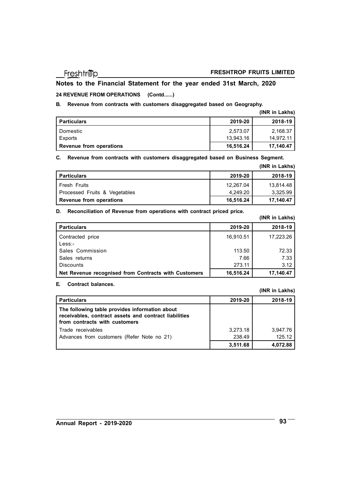## **Notes to the Financial Statement for the year ended 31st March, 2020 24 REVENUE FROM OPERATIONS (Contd......)**

#### **B. Revenue from contracts with customers disaggregated based on Geography.**

|                         |           | (INR in Lakhs) |
|-------------------------|-----------|----------------|
| <b>Particulars</b>      | 2019-20   | 2018-19        |
| Domestic                | 2,573.07  | 2,168.37       |
| Exports                 | 13.943.16 | 14.972.11      |
| Revenue from operations | 16,516.24 | 17,140.47      |

#### **C. Revenue from contracts with customers disaggregated based on Business Segment.**

| (INR in Lakhs) |
|----------------|
|----------------|

| <b>Particulars</b>            | 2019-20   | 2018-19   |
|-------------------------------|-----------|-----------|
| Fresh Fruits                  | 12.267.04 | 13.814.48 |
| Processed Fruits & Vegetables | 4.249.20  | 3,325.99  |
| Revenue from operations       | 16,516.24 | 17.140.47 |

#### **D. Reconciliation of Revenue from operations with contract priced price.**

| --<br><u>1100011011011011 01 110101100 110111 0porutiono mith oontruot priood prioot</u> | (INR in Lakhs) |           |
|------------------------------------------------------------------------------------------|----------------|-----------|
| <b>Particulars</b>                                                                       | 2019-20        | 2018-19   |
| Contracted price                                                                         | 16.910.51      | 17.223.26 |
| Les:                                                                                     |                |           |
| Sales Commission                                                                         | 113.50         | 72.33     |
| Sales returns                                                                            | 7.66           | 7.33      |
| <b>Discounts</b>                                                                         | 273.11         | 3.12      |
| Net Revenue recognised from Contracts with Customers                                     | 16,516.24      | 17,140.47 |

#### **E. Contract balances.**

### **(INR in Lakhs)**

| <b>Particulars</b>                                                                                                                       | 2019-20  | 2018-19  |
|------------------------------------------------------------------------------------------------------------------------------------------|----------|----------|
| The following table provides information about<br>receivables, contract assets and contract liabilities<br>from contracts with customers |          |          |
| Trade receivables                                                                                                                        | 3,273.18 | 3,947.76 |
| Advances from customers (Refer Note no 21)                                                                                               | 238.49   | 125.12   |
|                                                                                                                                          | 3,511.68 | 4,072.88 |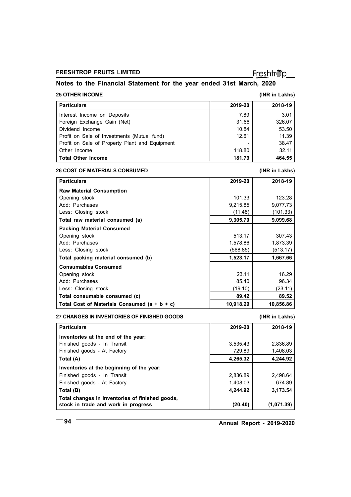## Freshtr<sup>3</sup>p\_

## **Notes to the Financial Statement for the year ended 31st March, 2020**

### **25 OTHER INCOME (INR in Lakhs)**

| <b>Particulars</b>                             | 2019-20 | 2018-19 |
|------------------------------------------------|---------|---------|
| Interest Income on Deposits                    | 7.89    | 3.01    |
| Foreign Exchange Gain (Net)                    | 31.66   | 326.07  |
| Dividend Income                                | 10.84   | 53.50   |
| Profit on Sale of Investments (Mutual fund)    | 12.61   | 11.39   |
| Profit on Sale of Property Plant and Equipment |         | 38.47   |
| Other Income                                   | 118.80  | 32.11   |
| <b>Total Other Income</b>                      | 181.79  | 464.55  |

#### **26 COST OF MATERIALS CONSUMED (INR in Lakhs)**

| <b>Particulars</b>                             | 2019-20   | 2018-19   |
|------------------------------------------------|-----------|-----------|
| <b>Raw Material Consumption</b>                |           |           |
| Opening stock                                  | 101.33    | 123.28    |
| Add: Purchases                                 | 9,215.85  | 9,077.73  |
| Less: Closing stock                            | (11.48)   | (101.33)  |
| Total raw material consumed (a)                | 9,305.70  | 9,099.68  |
| <b>Packing Material Consumed</b>               |           |           |
| Opening stock                                  | 513.17    | 307.43    |
| Add: Purchases                                 | 1,578.86  | 1,873.39  |
| Less: Closing stock                            | (568.85)  | (513.17)  |
| Total packing material consumed (b)            | 1,523.17  | 1,667.66  |
| <b>Consumables Consumed</b>                    |           |           |
| Opening stock                                  | 23.11     | 16.29     |
| Add: Purchases                                 | 85.40     | 96.34     |
| Less: Closing stock                            | (19.10)   | (23.11)   |
| Total consumable consumed (c)                  | 89.42     | 89.52     |
| Total Cost of Materials Consumed $(a + b + c)$ | 10,918.29 | 10,856.86 |

#### **27 CHANGES IN INVENTORIES OF FINISHED GOODS (INR in Lakhs)**

| <b>Particulars</b>                                                                     | 2019-20  | 2018-19    |
|----------------------------------------------------------------------------------------|----------|------------|
| Inventories at the end of the year:                                                    |          |            |
| Finished goods - In Transit                                                            | 3,535.43 | 2,836.89   |
| Finished goods - At Factory                                                            | 729.89   | 1,408.03   |
| Total (A)                                                                              | 4,265.32 | 4,244.92   |
| Inventories at the beginning of the year:                                              |          |            |
| Finished goods - In Transit                                                            | 2,836.89 | 2,498.64   |
| Finished goods - At Factory                                                            | 1,408.03 | 674.89     |
| Total (B)                                                                              | 4,244.92 | 3,173.54   |
| Total changes in inventories of finished goods,<br>stock in trade and work in progress | (20.40)  | (1,071.39) |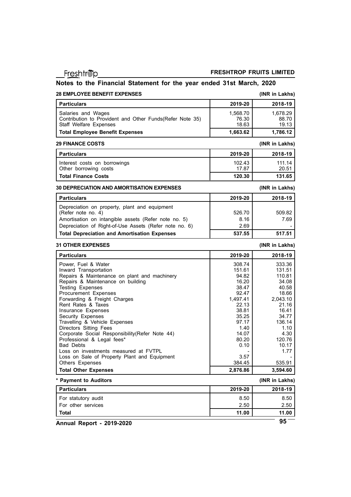# **Freshtrop** FRESHTROP FRUITS LIMITED

## **Notes to the Financial Statement for the year ended 31st March, 2020**

### **28 EMPLOYEE BENEFIT EXPENSES (INR in Lakhs)**

| <b>Particulars</b>                                                                                        | 2019-20                    | 2018-19                    |
|-----------------------------------------------------------------------------------------------------------|----------------------------|----------------------------|
| Salaries and Wages<br>Contribution to Provident and Other Funds (Refer Note 35)<br>Staff Welfare Expenses | 1,568.70<br>76.30<br>18.63 | 1,678.29<br>88.70<br>19.13 |
| <b>Total Employee Benefit Expenses</b>                                                                    | 1,663.62                   | 1,786.12                   |
|                                                                                                           |                            |                            |
| <b>29 FINANCE COSTS</b>                                                                                   |                            |                            |
| <b>Particulars</b>                                                                                        | 2019-20                    | (INR in Lakhs)<br>2018-19  |
| Interest costs on borrowings<br>Other borrowing costs                                                     | 102.43<br>17.87            | 111.14<br>20.51            |

### **30 DEPRECIATION AND AMORTISATION EXPENSES (INR in Lakhs)**

| <b>Particulars</b>                                     | 2019-20 | 2018-19 |
|--------------------------------------------------------|---------|---------|
| Depreciation on property, plant and equipment          |         |         |
| (Refer note no. 4)                                     | 526.70  | 509.82  |
| Amortisation on intangible assets (Refer note no. 5)   | 8.16    | 7.69    |
| Depreciation of Right-of-Use Assets (Refer note no. 6) | 2.69    |         |
| <b>Total Depreciation and Amortisation Expenses</b>    | 537.55  | 517.51  |

#### **31 OTHER EXPENSES (INR in Lakhs)**

| <b>Particulars</b>                                                            | 2019-20                         | 2018-19        |  |  |
|-------------------------------------------------------------------------------|---------------------------------|----------------|--|--|
| Power, Fuel & Water                                                           | 308.74                          | 333.36         |  |  |
| Inward Transportation                                                         | 151.61                          | 131.51         |  |  |
| Repairs & Maintenance on plant and machinery                                  | 94.82                           | 110.81         |  |  |
| Repairs & Maintenance on building                                             | 16.20                           | 34.08          |  |  |
| <b>Testing Expenses</b>                                                       | 38.47                           | 40.58          |  |  |
| Procurement Expenses                                                          | 92.47                           | 18.66          |  |  |
| Forwarding & Freight Charges                                                  | 1,497.41                        | 2,043.10       |  |  |
| Rent Rates & Taxes                                                            | 22.13                           | 21.16          |  |  |
| Insurance Expenses                                                            | 38.81                           | 16.41          |  |  |
| Security Expenses                                                             | 35.25                           | 34.77          |  |  |
| Travelling & Vehicle Expenses                                                 | 97.17<br>1.40<br>14.07<br>80.20 | 136.14         |  |  |
| Directors Sitting Fees                                                        |                                 | 1.10<br>4.30   |  |  |
| Corporate Social Responsibility (Refer Note 44)<br>Professional & Legal fees* |                                 | 120.76         |  |  |
| <b>Bad Debts</b>                                                              | 0.10                            | 10.17          |  |  |
| Loss on investments measured at FVTPL                                         |                                 | 1.77           |  |  |
| Loss on Sale of Property Plant and Equipment                                  | 3.57                            |                |  |  |
| <b>Others Expenses</b>                                                        | 384.45                          | 535.91         |  |  |
| <b>Total Other Expenses</b>                                                   | 2,876.86                        | 3,594.60       |  |  |
| * Payment to Auditors                                                         |                                 | (INR in Lakhs) |  |  |
| <b>Particulars</b>                                                            | 2019-20                         | 2018-19        |  |  |
| For statutory audit                                                           | 8.50                            | 8.50           |  |  |
| For other services                                                            | 2.50                            | 2.50           |  |  |
| Total                                                                         | 11.00                           | 11.00          |  |  |

**Annual Report - 2019-2020 95**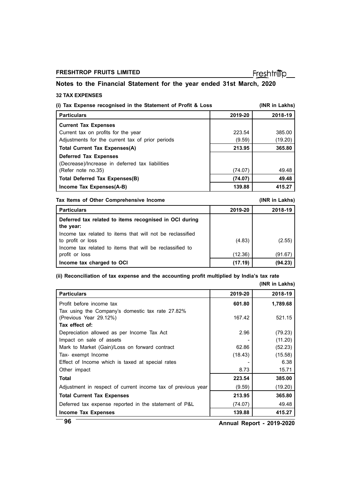

## **Notes to the Financial Statement for the year ended 31st March, 2020**

## **32 TAX EXPENSES**

|  |  | (i) Tax Expense recognised in the Statement of Profit & Loss |  |  |  |  |
|--|--|--------------------------------------------------------------|--|--|--|--|
|  |  |                                                              |  |  |  |  |

**(INR in Lakhs)** 

| <b>Particulars</b>                               | 2019-20 | 2018-19 |
|--------------------------------------------------|---------|---------|
| <b>Current Tax Expenses</b>                      |         |         |
| Current tax on profits for the year              | 223.54  | 385.00  |
| Adjustments for the current tax of prior periods | (9.59)  | (19.20) |
| <b>Total Current Tax Expenses(A)</b>             | 213.95  | 365.80  |
| <b>Deferred Tax Expenses</b>                     |         |         |
| (Decrease)/Increase in deferred tax liabilities  |         |         |
| (Refer note no.35)                               | (74.07) | 49.48   |
| <b>Total Deferred Tax Expenses(B)</b>            | (74.07) | 49.48   |
| Income Tax Expenses(A-B)                         | 139.88  | 415.27  |

Tax Items of Other Comprehensive Income (INR in Lakhs)

| <b>Particulars</b>                                                             | 2019-20 | 2018-19 |
|--------------------------------------------------------------------------------|---------|---------|
| Deferred tax related to items recognised in OCI during<br>the year:            |         |         |
| Income tax related to items that will not be reclassified<br>to profit or loss | (4.83)  | (2.55)  |
| Income tax related to items that will be reclassified to<br>profit or loss     | (12.36) | (91.67) |
| Income tax charged to OCI                                                      | (17.19) | (94.23) |

## **(ii) Reconciliation of tax expense and the accounting profit multiplied by India's tax rate**

|                                                              |         | (INR in Lakhs) |
|--------------------------------------------------------------|---------|----------------|
| <b>Particulars</b>                                           | 2019-20 | 2018-19        |
| Profit before income tax                                     | 601.80  | 1,789.68       |
| Tax using the Company's domestic tax rate 27.82%             |         |                |
| (Previous Year 29.12%)                                       | 167.42  | 521.15         |
| Tax effect of:                                               |         |                |
| Depreciation allowed as per Income Tax Act                   | 2.96    | (79.23)        |
| Impact on sale of assets                                     |         | (11.20)        |
| Mark to Market (Gain)/Loss on forward contract               | 62.86   | (52.23)        |
| Tax- exempt Income                                           | (18.43) | (15.58)        |
| Effect of Income which is taxed at special rates             |         | 6.38           |
| Other impact                                                 | 8.73    | 15.71          |
| Total                                                        | 223.54  | 385.00         |
| Adjustment in respect of current income tax of previous year | (9.59)  | (19.20)        |
| <b>Total Current Tax Expenses</b>                            | 213.95  | 365.80         |
| Deferred tax expense reported in the statement of P&L        | (74.07) | 49.48          |
| Income Tax Expenses                                          | 139.88  | 415.27         |

**96 Annual Report - 2019-2020**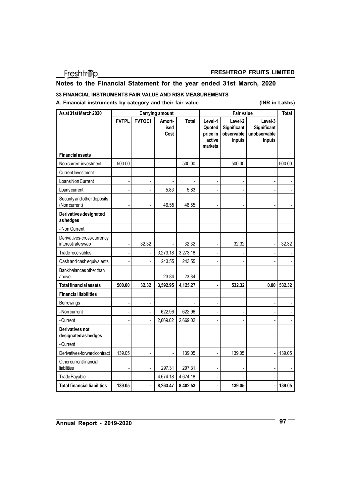Freshtr<sup>3</sup>p

### **FRESHTROP FRUITS LIMITED**

## **Notes to the Financial Statement for the year ended 31st March, 2020**

### **33 FINANCIAL INSTRUMENTS FAIR VALUE AND RISK MEASUREMENTS**

A. Financial instruments by category and their fair value **(INR in Lakhs)** 

| As at 31st March 2020                            |              |                          | <b>Carrying amount</b> |                | Fair value                                         |                                                |                                                  |        |
|--------------------------------------------------|--------------|--------------------------|------------------------|----------------|----------------------------------------------------|------------------------------------------------|--------------------------------------------------|--------|
|                                                  | <b>FVTPL</b> | <b>FVTOCI</b>            | Amort-<br>ised<br>Cost | <b>Total</b>   | Level-1<br>Quoted<br>price in<br>active<br>markets | Level-2<br>Significant<br>observable<br>inputs | Level-3<br>Significant<br>unobservable<br>inputs |        |
| <b>Financial assets</b>                          |              |                          |                        |                |                                                    |                                                |                                                  |        |
| Non current investment                           | 500.00       |                          |                        | 500.00         |                                                    | 500.00                                         |                                                  | 500.00 |
| <b>Current Investment</b>                        |              | $\blacksquare$           |                        | $\blacksquare$ |                                                    |                                                |                                                  |        |
| Loans Non Current                                |              |                          |                        |                |                                                    |                                                |                                                  |        |
| <b>Loanscurrent</b>                              |              |                          | 5.83                   | 5.83           |                                                    |                                                |                                                  |        |
| Security and other deposits<br>(Non current)     |              |                          | 46.55                  | 46.55          |                                                    |                                                |                                                  |        |
| Derivatives designated<br>as hedges              |              |                          |                        |                |                                                    |                                                |                                                  |        |
| - Non Current                                    |              |                          |                        |                |                                                    |                                                |                                                  |        |
| Derivatives-cross currency<br>interest rate swap |              | 32.32                    |                        | 32.32          |                                                    | 32.32                                          |                                                  | 32.32  |
| Trade receivables                                |              | L,                       | 3,273.18               | 3,273.18       |                                                    |                                                |                                                  |        |
| Cash and cash equivalents                        |              |                          | 243.55                 | 243.55         |                                                    |                                                |                                                  |        |
| Bank balances other than<br>above                |              |                          | 23.84                  | 23.84          |                                                    |                                                |                                                  |        |
| <b>Total financial assets</b>                    | 500.00       | 32.32                    | 3,592.95               | 4,125.27       |                                                    | 532.32                                         | 0.00                                             | 532.32 |
| <b>Financial liabilities</b>                     |              |                          |                        |                |                                                    |                                                |                                                  |        |
| Borrowings                                       |              | $\overline{\phantom{0}}$ |                        |                |                                                    |                                                |                                                  |        |
| - Non current                                    |              |                          | 622.96                 | 622.96         |                                                    |                                                |                                                  |        |
| - Current                                        |              |                          | 2,669.02               | 2,669.02       |                                                    |                                                |                                                  |        |
| Derivatives not<br>designated as hedges          |              |                          |                        |                |                                                    |                                                |                                                  |        |
| - Current                                        |              |                          |                        |                |                                                    |                                                |                                                  |        |
| Derivatives-forward contract                     | 139.05       |                          |                        | 139.05         |                                                    | 139.05                                         |                                                  | 139.05 |
| Other current financial<br>liabilities           |              |                          | 297.31                 | 297.31         |                                                    |                                                |                                                  |        |
| Trade Payable                                    |              |                          | 4,674.18               | 4,674.18       |                                                    |                                                |                                                  |        |
| <b>Total financial liabilities</b>               | 139.05       |                          | 8,263.47               | 8,402.53       |                                                    | 139.05                                         |                                                  | 139.05 |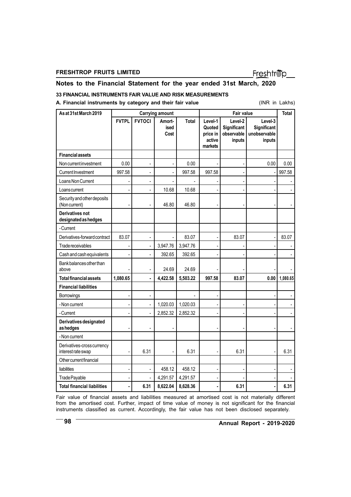

## **Notes to the Financial Statement for the year ended 31st March, 2020**

### **33 FINANCIAL INSTRUMENTS FAIR VALUE AND RISK MEASUREMENTS**

**A. Financial instruments by category and their fair value** (INR in Lakhs)

| As at 31st March 2019                            |              |                          | <b>Carrying amount</b> |          |                                                    | <b>Total</b>                                          |                                                  |          |
|--------------------------------------------------|--------------|--------------------------|------------------------|----------|----------------------------------------------------|-------------------------------------------------------|--------------------------------------------------|----------|
|                                                  | <b>FVTPL</b> | <b>FVTOCI</b>            | Amort-<br>ised<br>Cost | Total    | Level-1<br>Quoted<br>price in<br>active<br>markets | Level-2<br><b>Significant</b><br>observable<br>inputs | Level-3<br>Significant<br>unobservable<br>inputs |          |
| <b>Financial assets</b>                          |              |                          |                        |          |                                                    |                                                       |                                                  |          |
| Non current investment                           | 0.00         | L.                       |                        | 0.00     |                                                    |                                                       | 0.00                                             | 0.00     |
| Current Investment                               | 997.58       | -                        | $\overline{a}$         | 997.58   | 997.58                                             | $\overline{a}$                                        |                                                  | 997.58   |
| Loans Non Current                                |              |                          |                        |          |                                                    |                                                       |                                                  |          |
| <b>Loanscurrent</b>                              |              | L                        | 10.68                  | 10.68    |                                                    |                                                       |                                                  |          |
| Security and other deposits<br>(Non current)     |              | L.                       | 46.80                  | 46.80    |                                                    |                                                       |                                                  |          |
| Derivatives not<br>designated as hedges          |              |                          |                        |          |                                                    |                                                       |                                                  |          |
| - Current                                        |              |                          |                        |          |                                                    |                                                       |                                                  |          |
| Derivatives-forward contract                     | 83.07        | $\overline{\phantom{0}}$ |                        | 83.07    |                                                    | 83.07                                                 |                                                  | 83.07    |
| Trade receivables                                |              | -                        | 3,947.76               | 3,947.76 |                                                    |                                                       |                                                  |          |
| Cash and cash equivalents                        |              | L,                       | 392.65                 | 392.65   |                                                    |                                                       |                                                  |          |
| Bank balances other than<br>above                |              | L                        | 24.69                  | 24.69    |                                                    |                                                       |                                                  |          |
| <b>Total financial assets</b>                    | 1,080.65     | ۰                        | 4,422.58               | 5,503.22 | 997.58                                             | 83.07                                                 | 0.00                                             | 1,080.65 |
| <b>Financial liabilities</b>                     |              |                          |                        |          |                                                    |                                                       |                                                  |          |
| Borrowings                                       |              |                          |                        |          |                                                    |                                                       |                                                  |          |
| - Non current                                    |              | L.                       | 1,020.03               | 1,020.03 |                                                    |                                                       |                                                  |          |
| - Current                                        |              |                          | 2,852.32               | 2,852.32 |                                                    |                                                       |                                                  |          |
| Derivatives designated<br>as hedges              |              |                          |                        |          |                                                    |                                                       |                                                  |          |
| - Non current                                    |              |                          |                        |          |                                                    |                                                       |                                                  |          |
| Derivatives-cross currency<br>interest rate swap |              | 6.31                     |                        | 6.31     |                                                    | 6.31                                                  |                                                  | 6.31     |
| Other current financial                          |              |                          |                        |          |                                                    |                                                       |                                                  |          |
| liabilities                                      |              |                          | 458.12                 | 458.12   |                                                    |                                                       |                                                  |          |
| Trade Payable                                    |              |                          | 4,291.57               | 4,291.57 |                                                    |                                                       |                                                  |          |
| <b>Total financial liabilities</b>               |              | 6.31                     | 8,622.04               | 8,628.36 |                                                    | 6.31                                                  |                                                  | 6.31     |

Fair value of financial assets and liabilities measured at amortised cost is not materially different from the amortised cost. Further, impact of time value of money is not significant for the financial instruments classified as current. Accordingly, the fair value has not been disclosed separately.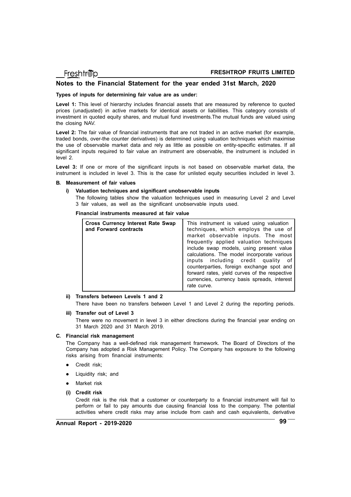Freshtröp

#### **FRESHTROP FRUITS LIMITED**

#### **Notes to the Financial Statement for the year ended 31st March, 2020**

#### **Types of inputs for determining fair value are as under:**

Level 1: This level of hierarchy includes financial assets that are measured by reference to quoted prices (unadjusted) in active markets for identical assets or liabilities. This category consists of investment in quoted equity shares, and mutual fund investments.The mutual funds are valued using the closing NAV.

Level 2: The fair value of financial instruments that are not traded in an active market (for example, traded bonds, over-the counter derivatives) is determined using valuation techniques which maximise the use of observable market data and rely as little as possible on entity-specific estimates. If all significant inputs required to fair value an instrument are observable, the instrument is included in level 2.

**Level 3:** If one or more of the significant inputs is not based on observable market data, the instrument is included in level 3. This is the case for unlisted equity securities included in level 3.

#### **B. Measurement of fair values**

#### **i) Valuation techniques and significant unobservable inputs**

The following tables show the valuation techniques used in measuring Level 2 and Level 3 fair values, as well as the significant unobservable inputs used.

**Financial instruments measured at fair value**

| <b>Cross Currency Interest Rate Swap</b><br>and Forward contracts | This instrument is valued using valuation<br>techniques, which employs the use of<br>market observable inputs. The most<br>frequently applied valuation techniques<br>include swap models, using present value<br>calculations. The model incorporate various<br>inputs including credit quality of<br>counterparties, foreign exchange spot and<br>forward rates, yield curves of the respective |
|-------------------------------------------------------------------|---------------------------------------------------------------------------------------------------------------------------------------------------------------------------------------------------------------------------------------------------------------------------------------------------------------------------------------------------------------------------------------------------|
|                                                                   | currencies, currency basis spreads, interest<br>rate curve.                                                                                                                                                                                                                                                                                                                                       |

#### **ii) Transfers between Levels 1 and 2**

There have been no transfers between Level 1 and Level 2 during the reporting periods.

#### **iii) Transfer out of Level 3**

There were no movement in level 3 in either directions during the financial year ending on 31 March 2020 and 31 March 2019.

#### **C. Financial risk management**

The Company has a well-defined risk management framework. The Board of Directors of the Company has adopted a Risk Management Policy. The Company has exposure to the following risks arising from financial instruments:

- Credit risk:
- Liquidity risk: and
- Market risk
- **(i) Credit risk**

Credit risk is the risk that a customer or counterparty to a financial instrument will fail to perform or fail to pay amounts due causing financial loss to the company. The potential activities where credit risks may arise include from cash and cash equivalents, derivative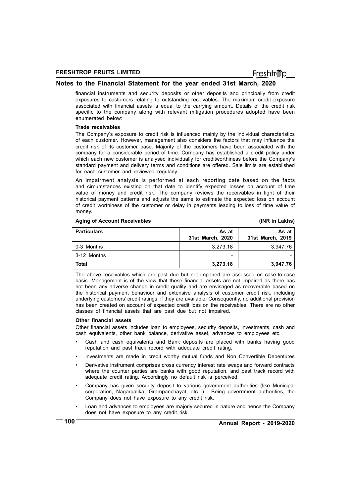

#### **Notes to the Financial Statement for the year ended 31st March, 2020**

financial instruments and security deposits or other deposits and principally from credit exposures to customers relating to outstanding receivables. The maximum credit exposure associated with financial assets is equal to the carrying amount. Details of the credit risk specific to the company along with relevant mitigation procedures adopted have been enumerated below:

#### **Trade receivables**

The Company's exposure to credit risk is influenced mainly by the individual characteristics of each customer. However, management also considers the factors that may influence the credit risk of its customer base. Majority of the customers have been associated with the company for a considerable period of time. Company has established a credit policy under which each new customer is analysed individually for creditworthiness before the Company's standard payment and delivery terms and conditions are offered. Sale limits are established for each customer and reviewed regularly.

An impairment analysis is performed at each reporting date based on the facts and circumstances existing on that date to identify expected losses on account of time value of money and credit risk. The company reviews the receivables in light of their historical payment patterns and adjusts the same to estimate the expected loss on account of credit worthiness of the customer or delay in payments leading to loss of time value of money.

**Aging of Account Receivables (INR in Lakhs)**

| <b>Particulars</b> | As at                    | As at            |
|--------------------|--------------------------|------------------|
|                    | 31st March, 2020         | 31st March, 2019 |
| 0-3 Months         | 3,273.18                 | 3,947.76         |
| 3-12 Months        | $\overline{\phantom{0}}$ |                  |
| <b>Total</b>       | 3,273.18                 | 3,947.76         |

The above receivables which are past due but not impaired are assessed on case-to-case basis. Management is of the view that these financial assets are not impaired as there has not been any adverse change in credit quality and are envisaged as recoverable based on the historical payment behaviour and extensive analysis of customer credit risk, including underlying customers' credit ratings, if they are available. Consequently, no additional provision has been created on account of expected credit loss on the receivables. There are no other classes of financial assets that are past due but not impaired.

#### **Other financial assets**

Other financial assets includes loan to employees, security deposits, investments, cash and cash equivalents, other bank balance, derivative asset, advances to employees etc.

- Cash and cash equivalents and Bank deposits are placed with banks having good reputation and past track record with adequate credit rating.
- Investments are made in credit worthy mutual funds and Non Convertible Debentures
- Derivative instrument comprises cross currency interest rate swaps and forward contracts where the counter parties are banks with good reputation, and past track record with adequate credit rating. Accordingly no default risk is perceived.
- Company has given security deposit to various government authorities (like Municipal corporation, Nagarpalika, Grampanchayat, etc. ) . Being government authorities, the Company does not have exposure to any credit risk.
- Loan and advances to employees are majorly secured in nature and hence the Company does not have exposure to any credit risk.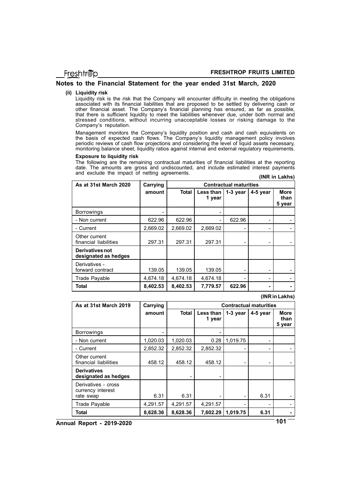#### **Notes to the Financial Statement for the year ended 31st March, 2020**

#### **(ii) Liquidity risk**

Liquidity risk is the risk that the Company will encounter difficulty in meeting the obligations associated with its financial liabilities that are proposed to be settled by delivering cash or other financial asset. The Company's financial planning has ensured, as far as possible, that there is sufficient liquidity to meet the liabilities whenever due, under both normal and stressed conditions, without incurring unacceptable losses or risking damage to the Company's reputation.

Management monitors the Company's liquidity position and cash and cash equivalents on the basis of expected cash flows. The Company's liquidity management policy involves periodic reviews of cash flow projections and considering the level of liquid assets necessary, monitoring balance sheet, liquidity ratios against internal and external regulatory requirements.

#### **Exposure to liquidity risk**

The following are the remaining contractual maturities of financial liabilities at the reporting date. The amounts are gross and undiscounted, and include estimated interest payments and exclude the impact of netting agreements. **The interval of the lakhs**) **(INR in Lakhs)** 

| As at 31st March 2020                   | Carrying | <b>Contractual maturities</b> |                     |            |                          |                        |  |
|-----------------------------------------|----------|-------------------------------|---------------------|------------|--------------------------|------------------------|--|
|                                         | amount   | Total                         | Less than<br>1 year | $1-3$ year | 4-5 year                 | More<br>than<br>5 year |  |
| <b>Borrowings</b>                       | -        |                               |                     |            |                          |                        |  |
| - Non current                           | 622.96   | 622.96                        |                     | 622.96     |                          |                        |  |
| - Current                               | 2,669.02 | 2,669.02                      | 2,669.02            |            |                          |                        |  |
| Other current<br>financial liabilities  | 297.31   | 297.31                        | 297.31              |            |                          |                        |  |
| Derivatives not<br>designated as hedges |          |                               |                     |            |                          |                        |  |
| Derivatives -<br>forward contract       | 139.05   | 139.05                        | 139.05              |            |                          |                        |  |
| <b>Trade Payable</b>                    | 4,674.18 | 4,674.18                      | 4,674.18            |            | $\overline{\phantom{a}}$ |                        |  |
| <b>Total</b>                            | 8,402.53 | 8,402.53                      | 7,779.57            | 622.96     | $\blacksquare$           |                        |  |

#### **(INR in Lakhs)**

| As at 31st March 2019                                 | Carrying | <b>Contractual maturities</b> |                     |          |          |                        |  |
|-------------------------------------------------------|----------|-------------------------------|---------------------|----------|----------|------------------------|--|
|                                                       | amount   | <b>Total</b>                  | Less than<br>1 year | 1-3 year | 4-5 year | More<br>than<br>5 year |  |
| <b>Borrowings</b>                                     |          |                               |                     |          |          |                        |  |
| - Non current                                         | 1,020.03 | 1,020.03                      | 0.28                | 1.019.75 |          |                        |  |
| - Current                                             | 2,852.32 | 2,852.32                      | 2.852.32            |          |          |                        |  |
| Other current<br>financial liabilities                | 458.12   | 458.12                        | 458.12              |          |          |                        |  |
| <b>Derivatives</b><br>designated as hedges            |          | -                             |                     |          |          |                        |  |
| Derivatives - cross<br>currency interest<br>rate swap | 6.31     | 6.31                          |                     |          | 6.31     |                        |  |
| <b>Trade Payable</b>                                  | 4.291.57 | 4,291.57                      | 4,291.57            |          |          |                        |  |
| Total                                                 | 8,628.36 | 8,628.36                      | 7,602.29            | 1,019.75 | 6.31     |                        |  |

**Annual Report - 2019-2020 101**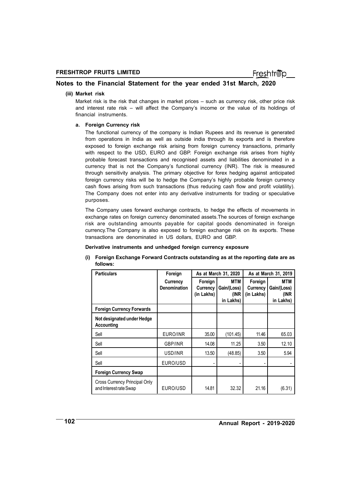

#### **Notes to the Financial Statement for the year ended 31st March, 2020**

#### **(iii) Market risk**

Market risk is the risk that changes in market prices – such as currency risk, other price risk and interest rate risk – will affect the Company's income or the value of its holdings of financial instruments.

#### **a. Foreign Currency risk**

The functional currency of the company is Indian Rupees and its revenue is generated from operations in India as well as outside india through its exports and is therefore exposed to foreign exchange risk arising from foreign currency transactions, primarily with respect to the USD. EURO and GBP. Foreign exchange risk arises from highly probable forecast transactions and recognised assets and liabilities denominated in a currency that is not the Company's functional currency (INR). The risk is measured through sensitivity analysis. The primary objective for forex hedging against anticipated foreign currency risks will be to hedge the Company's highly probable foreign currency cash flows arising from such transactions (thus reducing cash flow and profit volatility). The Company does not enter into any derivative instruments for trading or speculative purposes.

The Company uses forward exchange contracts, to hedge the effects of movements in exchange rates on foreign currency denominated assets.The sources of foreign exchange risk are outstanding amounts payable for capital goods denominated in foreign currency.The Company is also exposed to foreign exchange risk on its exports. These transactions are denominated in US dollars, EURO and GBP.

#### **Derivative instruments and unhedged foreign currency exposure**

| <b>Particulars</b>                                      | Foreign                         |                                   | As at March 31, 2020                     | As at March 31, 2019              |                                         |  |
|---------------------------------------------------------|---------------------------------|-----------------------------------|------------------------------------------|-----------------------------------|-----------------------------------------|--|
|                                                         | Currency<br><b>Denomination</b> | Foreign<br>Currency<br>(in Lakhs) | MTM<br>Gain/(Loss)<br>(INR)<br>in Lakhs) | Foreign<br>Currency<br>(in Lakhs) | MTM<br>Gain/(Loss)<br>(INR<br>in Lakhs) |  |
| <b>Foreign Currency Forwards</b>                        |                                 |                                   |                                          |                                   |                                         |  |
| Not designated under Hedge<br>Accounting                |                                 |                                   |                                          |                                   |                                         |  |
| Sell                                                    | EURO/INR                        | 35.00                             | (101.45)                                 | 11.46                             | 65.03                                   |  |
| Sell                                                    | <b>GBP/INR</b>                  | 14.08                             | 11.25                                    | 3.50                              | 12.10                                   |  |
| Sell                                                    | USD/INR                         | 13.50                             | (48.85)                                  | 3.50                              | 5.94                                    |  |
| Sell                                                    | EURO/USD                        |                                   |                                          |                                   |                                         |  |
| <b>Foreign Currency Swap</b>                            |                                 |                                   |                                          |                                   |                                         |  |
| Cross Currency Principal Only<br>and Interest rate Swap | EURO/USD                        | 14.81                             | 32.32                                    | 21.16                             | (6.31)                                  |  |

#### **(i) Foreign Exchange Forward Contracts outstanding as at the reporting date are as follows:**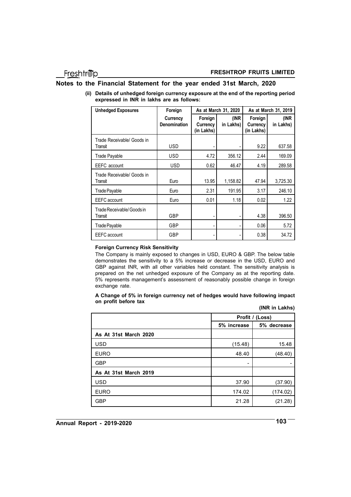Freshtrop

#### **FRESHTROP FRUITS LIMITED**

### **Notes to the Financial Statement for the year ended 31st March, 2020**

| <b>Unhedged Exposures</b>             | As at March 31, 2020<br>Foreign |                                   |                    |                                   | As at March 31, 2019 |
|---------------------------------------|---------------------------------|-----------------------------------|--------------------|-----------------------------------|----------------------|
|                                       | Currency<br><b>Denomination</b> | Foreign<br>Currency<br>(in Lakhs) | (INR)<br>in Lakhs) | Foreign<br>Currency<br>(in Lakhs) | (INR)<br>in Lakhs)   |
| Trade Receivable/ Goods in<br>Transit | <b>USD</b>                      |                                   |                    | 9.22                              | 637.58               |
| Trade Payable                         | <b>USD</b>                      | 4.72                              | 356.12             | 2.44                              | 169.09               |
| EEFC account                          | <b>USD</b>                      | 0.62                              | 46.47              | 4.19                              | 289.58               |
| Trade Receivable/ Goods in<br>Transit | Euro                            | 13.95                             | 1,158.82           | 47.94                             | 3,725.30             |
| Trade Payable                         | Euro                            | 2.31                              | 191.95             | 3.17                              | 246.10               |
| EEFC account                          | Euro                            | 0.01                              | 1.18               | 0.02                              | 1.22                 |
| Trade Receivable/ Goods in<br>Transit | GBP                             |                                   |                    | 4.38                              | 396.50               |
| Trade Payable                         | GBP                             |                                   |                    | 0.06                              | 5.72                 |
| EEFC account                          | GBP                             |                                   |                    | 0.38                              | 34.72                |

**(ii) Details of unhedged foreign currency exposure at the end of the reporting period expressed in INR in lakhs are as follows:**

#### **Foreign Currency Risk Sensitivity**

The Company is mainly exposed to changes in USD, EURO & GBP. The below table demonstrates the sensitivity to a 5% increase or decrease in the USD, EURO and GBP against INR, with all other variables held constant. The sensitivity analysis is prepared on the net unhedged exposure of the Company as at the reporting date. 5% represents management's assessment of reasonably possible change in foreign exchange rate.

**A Change of 5% in foreign currency net of hedges would have following impact on profit before tax (INR in Lakhs)**

|                       | Profit / (Loss) |             |  |
|-----------------------|-----------------|-------------|--|
|                       | 5% increase     | 5% decrease |  |
| As At 31st March 2020 |                 |             |  |
| <b>USD</b>            | (15.48)         | 15.48       |  |
| <b>EURO</b>           | 48.40           | (48.40)     |  |
| <b>GBP</b>            |                 |             |  |
| As At 31st March 2019 |                 |             |  |
| <b>USD</b>            | 37.90           | (37.90)     |  |
| <b>EURO</b>           | 174.02          | (174.02)    |  |
| <b>GBP</b>            | 21.28           | (21.28)     |  |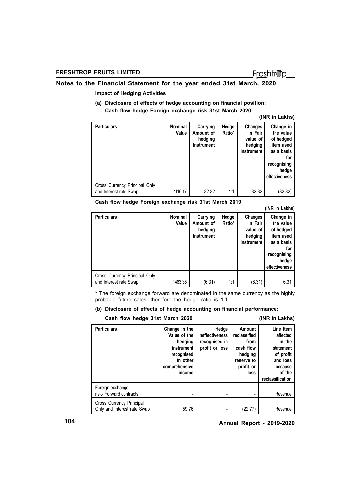## **Notes to the Financial Statement for the year ended 31st March, 2020**

**Impact of Hedging Activities**

**(a) Disclosure of effects of hedge accounting on financial position: Cash flow hedge Foreign exchange risk 31st March 2020**

**(INR in Lakhs)**

| <b>Particulars</b>                                      | <b>Nominal</b><br>Value | Carrying<br>Amount of<br>hedging<br><b>Instrument</b> | Hedge<br>Ratio* | Changes<br>in Fair<br>value of<br>hedging<br>instrument | Change in<br>the value<br>of hedged<br>item used<br>as a basis<br>for<br>recognising<br>hedge<br>effectiveness |
|---------------------------------------------------------|-------------------------|-------------------------------------------------------|-----------------|---------------------------------------------------------|----------------------------------------------------------------------------------------------------------------|
| Cross Currency Principal Only<br>and Interest rate Swap | 1116.17                 | 32.32                                                 | 1:1             | 32.32                                                   | (32.32)                                                                                                        |

**Cash flow hedge Foreign exchange risk 31st March 2019**

#### **(INR in Lakhs)**

| <b>Particulars</b>                                      | <b>Nominal</b><br>Value | Carrying<br>Amount of<br>hedging<br><b>Instrument</b> | Hedge<br>Ratio* | Changes<br>in Fair<br>value of<br>hedging<br>instrument | Change in<br>the value<br>of hedged<br>item used<br>as a basis<br>for<br>recognising<br>hedge<br>effectiveness |
|---------------------------------------------------------|-------------------------|-------------------------------------------------------|-----------------|---------------------------------------------------------|----------------------------------------------------------------------------------------------------------------|
| Cross Currency Principal Only<br>and Interest rate Swap | 1463.35                 | (6.31)                                                | 1:1             | (6.31)                                                  | 6.31                                                                                                           |

\* The foreign exchange forward are denominated in the same currency as the highly probable future sales, therefore the hedge ratio is 1:1.

### **(b) Disclosure of effects of hedge accounting on financial performance:**

| Cash flow hedge 31st March 2020                         |                                                                                                             |                                                                    |                                                                                           | (INR in Lakhs)                                                                                                 |
|---------------------------------------------------------|-------------------------------------------------------------------------------------------------------------|--------------------------------------------------------------------|-------------------------------------------------------------------------------------------|----------------------------------------------------------------------------------------------------------------|
| <b>Particulars</b>                                      | Change in the<br>Value of the<br>hedging<br>instrument<br>recognised<br>in other<br>comprehensive<br>income | Hedge<br><b>Ineffectiveness</b><br>recognised in<br>profit or loss | Amount<br>reclassified<br>from<br>cash flow<br>hedging<br>reserve to<br>profit or<br>loss | Line Item<br>affected<br>in the<br>statement<br>of profit<br>and loss<br>because<br>of the<br>reclassification |
| Foreign exchange<br>risk-Forward contracts              |                                                                                                             |                                                                    |                                                                                           | Revenue                                                                                                        |
| Cross Currency Principal<br>Only and Interest rate Swap | 59.76                                                                                                       |                                                                    | (22.77)                                                                                   | Revenue                                                                                                        |

**104 Annual Report - 2019-2020**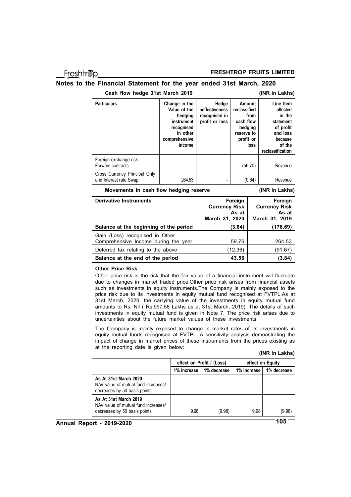Freshtröp

#### **FRESHTROP FRUITS LIMITED**

## **Notes to the Financial Statement for the year ended 31st March, 2020**

#### **Cash flow hedge 31st March 2019 (INR in Lakhs)**

| <b>Particulars</b>                                      | Change in the<br>Value of the<br>hedging<br>instrument<br>recognised<br>in other<br>comprehensive<br>income | Hedge<br><b>Ineffectiveness</b><br>recognised in<br>profit or loss | Amount<br>reclassified<br>from<br>cash flow<br>hedging<br>reserve to<br>profit or<br>loss | Line Item<br>affected<br>in the<br>statement<br>of profit<br>and loss<br>because<br>of the<br>reclassification |
|---------------------------------------------------------|-------------------------------------------------------------------------------------------------------------|--------------------------------------------------------------------|-------------------------------------------------------------------------------------------|----------------------------------------------------------------------------------------------------------------|
| Foreign exchange risk -<br>Forward contracts            |                                                                                                             |                                                                    | (56.70)                                                                                   | Revenue                                                                                                        |
| Cross Currency Principal Only<br>and Interest rate Swap | 264.53                                                                                                      |                                                                    | (0.64)                                                                                    | Revenue                                                                                                        |

**Movements in cash flow hedging reserve (INR in Lakhs)**

| <b>Derivative Instruments</b>                                           | Foreign<br><b>Currency Risk</b><br>As at<br>March 31, 2020 | Foreign<br><b>Currency Risk</b><br>As at<br>March 31, 2019 |
|-------------------------------------------------------------------------|------------------------------------------------------------|------------------------------------------------------------|
| Balance at the beginning of the period                                  | (3.84)                                                     | (176.69)                                                   |
| Gain (Loss) recognised in Other<br>Comprehensive Income during the year | 59.76                                                      | 264.53                                                     |
| Deferred tax relating to the above                                      | (12.36)                                                    | (91.67)                                                    |
| Balance at the end of the period                                        | 43.56                                                      | (3.84)                                                     |

#### **Other Price Risk**

Other price risk is the risk that the fair value of a financial instrument will fluctuate due to changes in market traded price.Other price risk arises from financial assets such as investments in equity instruments.The Company is mainly exposed to the price risk due to its investments in equity mutual fund recognised at FVTPL.As at 31st March, 2020, the carrying value of the investments in equity mutual fund amounts to Rs. Nil ( Rs.997.58 Lakhs as at 31st March, 2019). The details of such investments in equity mutual fund is given in Note 7. The price risk arises due to uncertainties about the future market values of these investments.

The Company is mainly exposed to change in market rates of its investments in equity mutual funds recognised at FVTPL. A sensitivity analysis demonstrating the impact of change in market prices of these instruments from the prices existing as at the reporting date is given below:

#### **(INR in Lakhs)**

|                                                                                              | effect on Profit / (Loss) |             | effect on Equity |             |
|----------------------------------------------------------------------------------------------|---------------------------|-------------|------------------|-------------|
|                                                                                              | 1% increase               | 1% decrease | 1% increase      | 1% decrease |
| As At 31st March 2020<br>NAV value of mutual fund increases/<br>decreases by 50 basis points |                           |             |                  |             |
| As At 31st March 2019<br>NAV value of mutual fund increases/<br>decreases by 50 basis points | 9.98                      | (9.98)      | 9.98             | (9.98)      |

**Annual Report - 2019-2020 105**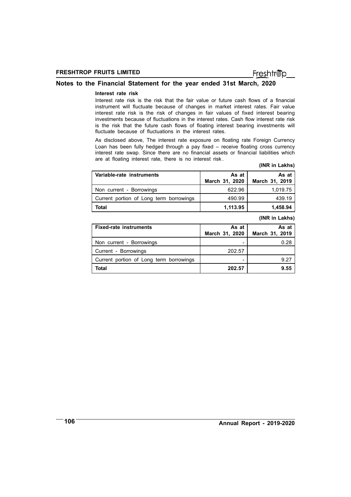

#### **Notes to the Financial Statement for the year ended 31st March, 2020**

#### **Interest rate risk**

Interest rate risk is the risk that the fair value or future cash flows of a financial instrument will fluctuate because of changes in market interest rates. Fair value interest rate risk is the risk of changes in fair values of fixed interest bearing investments because of fluctuations in the interest rates. Cash flow interest rate risk is the risk that the future cash flows of floating interest bearing investments will fluctuate because of fluctuations in the interest rates.

As disclosed above, The interest rate exposure on floating rate Foreign Currency Loan has been fully hedged through a pay fixed – receive floating cross currency interest rate swap. Since there are no financial assets or financial liabilities which are at floating interest rate, there is no interest risk .

#### **(INR in Lakhs)**

| Variable-rate instruments               | As at<br>March 31, 2020 | As at<br>March 31, 2019 |
|-----------------------------------------|-------------------------|-------------------------|
| Non current - Borrowings                | 622.96                  | 1,019.75                |
| Current portion of Long term borrowings | 490.99                  | 439.19                  |
| Total                                   | 1,113.95                | 1,458.94                |

**(INR in Lakhs)**

| <b>Fixed-rate instruments</b>           | As at<br>March 31, 2020 | As at<br>March 31, 2019 |
|-----------------------------------------|-------------------------|-------------------------|
| Non current - Borrowings                |                         | 0.28                    |
| Current - Borrowings                    | 202.57                  |                         |
| Current portion of Long term borrowings |                         | 9.27                    |
| <b>Total</b>                            | 202.57                  | 9.55                    |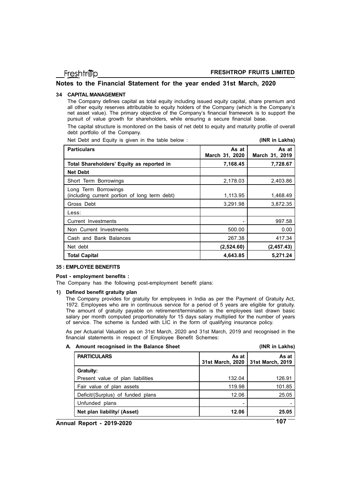#### **Notes to the Financial Statement for the year ended 31st March, 2020**

#### **34 CAPITAL MANAGEMENT**

The Company defines capital as total equity including issued equity capital, share premium and all other equity reserves attributable to equity holders of the Company (which is the Company's net asset value). The primary objective of the Company's financial framework is to support the pursuit of value growth for shareholders, while ensuring a secure financial base.

The capital structure is monitored on the basis of net debt to equity and maturity profile of overall debt portfolio of the Company.

Net Debt and Equity is given in the table below : **(INR in Lakhs)**

| <b>Particulars</b>                                                    | As at<br>March 31, 2020 | As at<br>March 31, 2019 |
|-----------------------------------------------------------------------|-------------------------|-------------------------|
| Total Shareholders' Equity as reported in                             | 7,168.45                | 7,728.67                |
| <b>Net Debt</b>                                                       |                         |                         |
| Short Term Borrowings                                                 | 2,178.03                | 2,403.86                |
| Long Term Borrowings<br>(including current portion of long term debt) | 1,113.95                | 1,468.49                |
| Gross Debt                                                            | 3,291.98                | 3,872.35                |
| Less:                                                                 |                         |                         |
| Current Investments                                                   |                         | 997.58                  |
| Non Current Investments                                               | 500.00                  | 0.00                    |
| Cash and Bank Balances                                                | 267.38                  | 417.34                  |
| Net debt                                                              | (2,524.60)              | (2, 457.43)             |
| <b>Total Capital</b>                                                  | 4,643.85                | 5,271.24                |

#### **35 : EMPLOYEE BENEFITS**

#### **Post - employment benefits :**

The Company has the following post-employment benefit plans:

#### **1) Defined benefit gratuity plan**

The Company provides for gratuity for employees in India as per the Payment of Gratuity Act, 1972. Employees who are in continuous service for a period of 5 years are eligible for gratuity. The amount of gratuity payable on retirement/termination is the employees last drawn basic salary per month computed proportionately for 15 days salary multiplied for the number of years of service. The scheme is funded with LIC in the form of qualifying insurance policy.

As per Actuarial Valuation as on 31st March, 2020 and 31st March, 2019 and recognised in the financial statements in respect of Employee Benefit Schemes:

### **A.** Amount recognised in the Balance Sheet (INR in Lakhe)

| Alliount recognised in the Balance Sheet |                                               | (INK III LANIIS) |  |
|------------------------------------------|-----------------------------------------------|------------------|--|
| <b>PARTICULARS</b>                       | As at<br>31st March, 2019<br>31st March, 2020 |                  |  |
| Gratuity:                                |                                               |                  |  |
| Present value of plan liabilities        | 132.04                                        | 126.91           |  |
| Fair value of plan assets                | 119.98                                        | 101.85           |  |
| Deficit/(Surplus) of funded plans        | 12.06                                         | 25.05            |  |
| Unfunded plans                           |                                               |                  |  |
| Net plan liability/ (Asset)              | 12.06                                         | 25.05            |  |

**Annual Report - 2019-2020 107 107**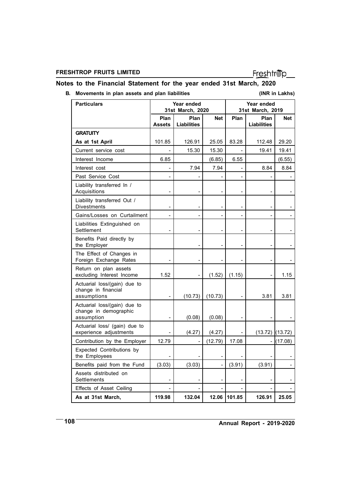

## **Notes to the Financial Statement for the year ended 31st March, 2020**

**B.** Movements in plan assets and plan liabilities **Example 20 (INR in Lakhs)** 

| <b>Particulars</b>                                                  | Year ended<br>31st March, 2020 |                            |                          | Year ended<br>31st March, 2019 |                            |         |  |
|---------------------------------------------------------------------|--------------------------------|----------------------------|--------------------------|--------------------------------|----------------------------|---------|--|
|                                                                     | Plan<br><b>Assets</b>          | Plan<br><b>Liabilities</b> | <b>Net</b>               | Plan                           | Plan<br><b>Liabilities</b> | Net     |  |
| <b>GRATUITY</b>                                                     |                                |                            |                          |                                |                            |         |  |
| As at 1st April                                                     | 101.85                         | 126.91                     | 25.05                    | 83.28                          | 112.48                     | 29.20   |  |
| Current service cost                                                |                                | 15.30                      | 15.30                    |                                | 19.41                      | 19.41   |  |
| Interest Income                                                     | 6.85                           |                            | (6.85)                   | 6.55                           |                            | (6.55)  |  |
| Interest cost                                                       |                                | 7.94                       | 7.94                     |                                | 8.84                       | 8.84    |  |
| Past Service Cost                                                   |                                |                            |                          |                                |                            |         |  |
| Liability transferred In /<br>Acquisitions                          |                                |                            |                          |                                |                            |         |  |
| Liability transferred Out /<br><b>Divestments</b>                   |                                |                            | -                        |                                |                            |         |  |
| Gains/Losses on Curtailment                                         |                                |                            |                          |                                |                            |         |  |
| Liabilities Extinguished on<br>Settlement                           |                                |                            | $\overline{\phantom{a}}$ |                                |                            |         |  |
| Benefits Paid directly by<br>the Employer                           |                                |                            | $\blacksquare$           |                                |                            |         |  |
| The Effect of Changes in<br>Foreign Exchange Rates                  |                                |                            |                          |                                |                            |         |  |
| Return on plan assets<br>excluding Interest Income                  | 1.52                           |                            | (1.52)                   | (1.15)                         |                            | 1.15    |  |
| Actuarial loss/(gain) due to<br>change in financial<br>assumptions  | $\overline{\phantom{a}}$       | (10.73)                    | (10.73)                  |                                | 3.81                       | 3.81    |  |
| Actuarial loss/(gain) due to<br>change in demographic<br>assumption |                                | (0.08)                     | (0.08)                   |                                |                            |         |  |
| Actuarial loss/ (gain) due to<br>experience adjustments             |                                | (4.27)                     | (4.27)                   |                                | $(13.72)$ (13.72)          |         |  |
| Contribution by the Employer                                        | 12.79                          | $\blacksquare$             | (12.79)                  | 17.08                          | ÷,                         | (17.08) |  |
| Expected Contributions by<br>the Employees                          |                                |                            |                          |                                |                            |         |  |
| Benefits paid from the Fund                                         | (3.03)                         | (3.03)                     | $\overline{a}$           | (3.91)                         | (3.91)                     |         |  |
| Assets distributed on<br>Settlements                                |                                |                            |                          |                                |                            |         |  |
| Effects of Asset Ceiling                                            |                                |                            |                          |                                |                            |         |  |
| As at 31st March,                                                   | 119.98                         | 132.04                     | 12.06                    | 101.85                         | 126.91                     | 25.05   |  |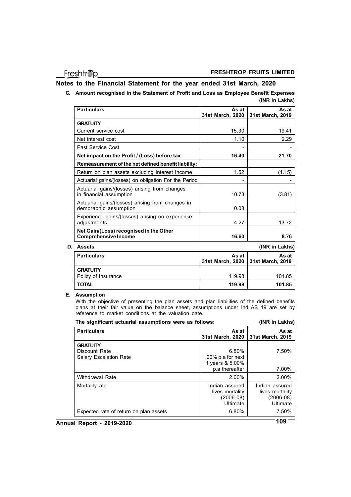Freshtröp

#### **FRESHTROP FRUITS LIMITED**

### **Notes to the Financial Statement for the year ended 31st March, 2020**

**C. Amount recognised in the Statement of Profit and Loss as Employee Benefit Expenses (INR in Lakhs)**

| <b>Particulars</b>                                                        | As at            | As at            |  |
|---------------------------------------------------------------------------|------------------|------------------|--|
|                                                                           | 31st March, 2020 | 31st March, 2019 |  |
| <b>GRATUITY</b>                                                           |                  |                  |  |
| Current service cost                                                      | 15.30            | 19.41            |  |
| Net interest cost                                                         | 1.10             | 2.29             |  |
| Past Service Cost                                                         |                  |                  |  |
| Net impact on the Profit / (Loss) before tax                              | 16.40            | 21.70            |  |
| Remeasurement of the net defined benefit liability:                       |                  |                  |  |
| Return on plan assets excluding Interest Income                           | 1.52             | (1.15)           |  |
| Actuarial gains/(losses) on obligation For the Period                     |                  |                  |  |
| Actuarial gains/(losses) arising from changes<br>in financial assumption  | 10.73            | (3.81)           |  |
| Actuarial gains/(losses) arising from changes in<br>demoraphic assumption | 0.08             |                  |  |
| Experience gains/(losses) arising on experience<br>adjustments            | 4.27             | 13.72            |  |
| Net Gain/(Loss) recognised in the Other<br><b>Comprehensive Income</b>    | 16.60            | 8.76             |  |

| D. | <b>Assets</b>       |                                                | (INR in Lakhs) |
|----|---------------------|------------------------------------------------|----------------|
|    | <b>Particulars</b>  | As at<br>  31st March, 2020   31st March, 2019 | As at          |
|    | <b>GRATUITY</b>     |                                                |                |
|    | Policy of Insurance | 119.98                                         | 101.85         |
|    | <b>TOTAL</b>        | 119.98                                         | 101.85         |

#### **E. Assumption**

With the objective of presenting the plan assets and plan liabilities of the defined benefits plans at their fair value on the balance sheet, assumptions under Ind AS 19 are set by reference to market conditions at the valuation date.

| The significant actuarial assumptions were as follows:             |                                                                    | (INR in Lakhs)                                               |
|--------------------------------------------------------------------|--------------------------------------------------------------------|--------------------------------------------------------------|
| <b>Particulars</b>                                                 | As at<br>31st March, 2020                                          | As at<br>31st March, 2019                                    |
| <b>GRATUITY:</b><br>Discount Rate<br><b>Salary Escalation Rate</b> | 6.80%<br>$.00\%$ p.a for next<br>1 years & 5.00%<br>p.a thereafter | 7.50%<br>7.00%                                               |
| <b>Withdrawal Rate</b>                                             | 2.00%                                                              | 2.00%                                                        |
| Mortality rate                                                     | Indian assured<br>lives mortality<br>$(2006-08)$<br>Ultimate       | Indian assured<br>lives mortality<br>$(2006-08)$<br>Ultimate |
| Expected rate of return on plan assets                             | 6.80%                                                              | 7.50%                                                        |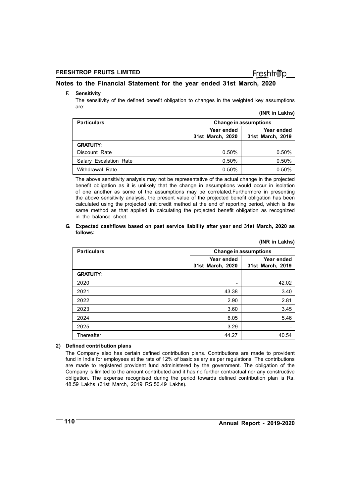

#### **Notes to the Financial Statement for the year ended 31st March, 2020**

#### **F. Sensitivity**

The sensitivity of the defined benefit obligation to changes in the weighted key assumptions are:

|  | (INR in Lakhs) |
|--|----------------|
|  |                |

| <b>Particulars</b>     | <b>Change in assumptions</b>                                     |       |  |
|------------------------|------------------------------------------------------------------|-------|--|
|                        | Year ended<br>Year ended<br>31st March, 2020<br>31st March, 2019 |       |  |
| <b>GRATUITY:</b>       |                                                                  |       |  |
| Discount Rate          | 0.50%                                                            | 0.50% |  |
| Salary Escalation Rate | 0.50%                                                            | 0.50% |  |
| Withdrawal Rate        | 0.50%                                                            | 0.50% |  |

The above sensitivity analysis may not be representative of the actual change in the projected benefit obligation as it is unlikely that the change in assumptions would occur in isolation of one another as some of the assumptions may be correlated.Furthermore in presenting the above sensitivity analysis, the present value of the projected benefit obligation has been calculated using the projected unit credit method at the end of reporting period, which is the same method as that applied in calculating the projected benefit obligation as recognized in the balance sheet.

#### **G. Expected cashflows based on past service liability after year end 31st March, 2020 as follows:**

**(INR in Lakhs)**

| <b>Particulars</b> | <b>Change in assumptions</b>                                     |       |  |  |
|--------------------|------------------------------------------------------------------|-------|--|--|
|                    | Year ended<br>Year ended<br>31st March, 2020<br>31st March, 2019 |       |  |  |
| <b>GRATUITY:</b>   |                                                                  |       |  |  |
| 2020               | -                                                                | 42.02 |  |  |
| 2021               | 43.38                                                            | 3.40  |  |  |
| 2022               | 2.90                                                             | 2.81  |  |  |
| 2023               | 3.60                                                             | 3.45  |  |  |
| 2024               | 6.05                                                             | 5.46  |  |  |
| 2025               | 3.29                                                             |       |  |  |
| Thereafter         | 44.27                                                            | 40.54 |  |  |

#### **2) Defined contribution plans**

The Company also has certain defined contribution plans. Contributions are made to provident fund in India for employees at the rate of 12% of basic salary as per regulations. The contributions are made to registered provident fund administered by the government. The obligation of the Company is limited to the amount contributed and it has no further contractual nor any constructive obligation. The expense recognised during the period towards defined contribution plan is Rs. 48.59 Lakhs (31st March, 2019 RS.50.49 Lakhs).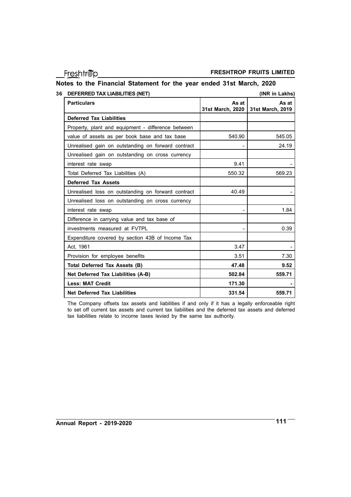Freshtr<sup>3</sup>p

#### **FRESHTROP FRUITS LIMITED**

**Notes to the Financial Statement for the year ended 31st March, 2020**

| 36<br>DEFERRED TAX LIABILITIES (NET)               |                           | (INR in Lakhs)            |  |  |  |
|----------------------------------------------------|---------------------------|---------------------------|--|--|--|
| <b>Particulars</b>                                 | As at<br>31st March, 2020 | As at<br>31st March, 2019 |  |  |  |
| <b>Deferred Tax Liabilities</b>                    |                           |                           |  |  |  |
| Property, plant and equipment - difference between |                           |                           |  |  |  |
| value of assets as per book base and tax base      | 540.90                    | 545.05                    |  |  |  |
| Unrealised gain on outstanding on forward contract |                           | 24.19                     |  |  |  |
| Unrealised gain on outstanding on cross currency   |                           |                           |  |  |  |
| interest rate swap                                 | 9.41                      |                           |  |  |  |
| Total Deferred Tax Liabilities (A)                 | 550.32                    | 569.23                    |  |  |  |
| <b>Deferred Tax Assets</b>                         |                           |                           |  |  |  |
| Unrealised loss on outstanding on forward contract | 40.49                     |                           |  |  |  |
| Unrealised loss on outstanding on cross currency   |                           |                           |  |  |  |
| interest rate swap                                 |                           | 1.84                      |  |  |  |
| Difference in carrying value and tax base of       |                           |                           |  |  |  |
| investments measured at FVTPL                      |                           | 0.39                      |  |  |  |
| Expenditure covered by section 43B of Income Tax   |                           |                           |  |  |  |
| Act, 1961                                          | 3.47                      |                           |  |  |  |
| Provision for employee benefits                    | 3.51                      | 7.30                      |  |  |  |
| Total Deferred Tax Assets (B)                      | 47.48                     | 9.52                      |  |  |  |
| Net Deferred Tax Liabilities (A-B)                 | 502.84                    | 559.71                    |  |  |  |
| <b>Less: MAT Credit</b>                            | 171.30                    |                           |  |  |  |
| <b>Net Deferred Tax Liabilities</b>                | 331.54                    | 559.71                    |  |  |  |

The Company offsets tax assets and liabilities if and only if it has a legally enforceable right to set off current tax assets and current tax liabilities and the deferred tax assets and deferred tax liabilities relate to income taxes levied by the same tax authority.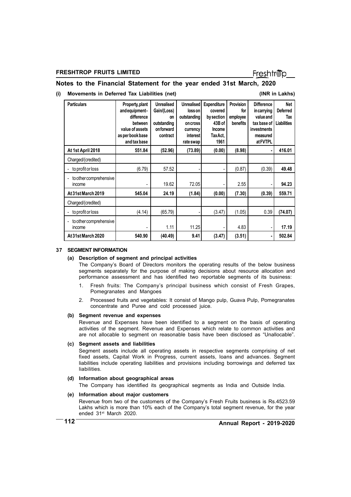

### **Notes to the Financial Statement for the year ended 31st March, 2020**

**(i) Movements in Deferred Tax Liabilities (net) (INR in Lakhs)**

| <b>Particulars</b>                    | Property, plant<br>and equipment-<br>difference<br>between<br>value of assets<br>as per book base<br>and tax base | <b>Unrealised</b><br>Gain/(Loss)<br>on<br>outstanding<br>on forward<br>contract | <b>Unrealised</b><br>loss on<br>outstanding<br>on cross<br>currency<br>interest l<br>rate swap | Expenditure<br>covered<br>by section<br>43B of<br>Income<br>Tax Act,<br>1961 | <b>Provision</b><br>for<br>employee<br>benefits | <b>Difference</b><br>in carrying<br>value and<br>tax base of<br>investments<br>measured<br>at FVTPL | Net<br>Deferred<br>Tax<br><b>Liabilities</b> |
|---------------------------------------|-------------------------------------------------------------------------------------------------------------------|---------------------------------------------------------------------------------|------------------------------------------------------------------------------------------------|------------------------------------------------------------------------------|-------------------------------------------------|-----------------------------------------------------------------------------------------------------|----------------------------------------------|
| At 1st April 2018                     | 551.84                                                                                                            | (52.96)                                                                         | (73.89)                                                                                        | (0.00)                                                                       | (8.98)                                          |                                                                                                     | 416.01                                       |
| Charged/(credited)                    |                                                                                                                   |                                                                                 |                                                                                                |                                                                              |                                                 |                                                                                                     |                                              |
| to profit or loss                     | (6.79)                                                                                                            | 57.52                                                                           |                                                                                                |                                                                              | (0.87)                                          | (0.39)                                                                                              | 49.48                                        |
| to other comprehensive<br>٠<br>income |                                                                                                                   | 19.62                                                                           | 72.05                                                                                          |                                                                              | 2.55                                            |                                                                                                     | 94.23                                        |
| At 31st March 2019                    | 545.04                                                                                                            | 24.19                                                                           | (1.84)                                                                                         | (0.00)                                                                       | (7.30)                                          | (0.39)                                                                                              | 559.71                                       |
| Charged/(credited)                    |                                                                                                                   |                                                                                 |                                                                                                |                                                                              |                                                 |                                                                                                     |                                              |
| to profit or loss                     | (4.14)                                                                                                            | (65.79)                                                                         |                                                                                                | (3.47)                                                                       | (1.05)                                          | 0.39                                                                                                | (74.07)                                      |
| to other comprehensive<br>٠<br>income |                                                                                                                   | 1.11                                                                            | 11.25                                                                                          |                                                                              | 4.83                                            |                                                                                                     | 17.19                                        |
| At 31st March 2020                    | 540.90                                                                                                            | (40.49)                                                                         | 9.41                                                                                           | (3.47)                                                                       | (3.51)                                          |                                                                                                     | 502.84                                       |

#### **37 SEGMENT INFORMATION**

#### **(a) Description of segment and principal activities**

The Company's Board of Directors monitors the operating results of the below business segments separately for the purpose of making decisions about resource allocation and performance assessment and has identified two reportable segments of its business:

- 1. Fresh fruits: The Company's principal business which consist of Fresh Grapes, Pomegranates and Mangoes
- 2. Processed fruits and vegetables: It consist of Mango pulp, Guava Pulp, Pomegranates concentrate and Puree and cold processed juice.

#### **(b) Segment revenue and expenses**

Revenue and Expenses have been identified to a segment on the basis of operating activities of the segment. Revenue and Expenses which relate to common activities and are not allocable to segment on reasonable basis have been disclosed as "Unallocable".

#### **(c) Segment assets and liabilities**

Segment assets include all operating assets in respective segments comprising of net fixed assets, Capital Work in Progress, current assets, loans and advances. Segment liabilities include operating liabilities and provisions including borrowings and deferred tax liabilities.

#### **(d) Information about geographical areas**

The Company has identified its geographical segments as India and Outside India.

#### **(e) Information about major customers**

Revenue from two of the customers of the Company's Fresh Fruits business is Rs.4523.59 Lakhs which is more than 10% each of the Company's total segment revenue, for the year ended 31st March 2020.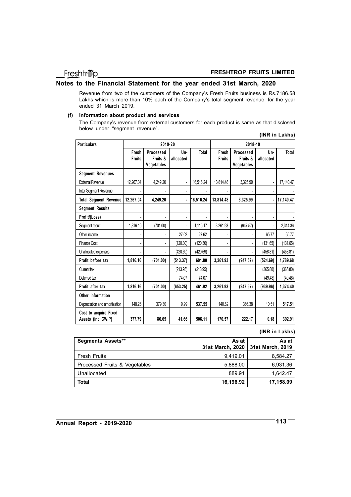Freshtröp

#### **FRESHTROP FRUITS LIMITED**

### **Notes to the Financial Statement for the year ended 31st March, 2020**

Revenue from two of the customers of the Company's Fresh Fruits business is Rs.7186.58 Lakhs which is more than 10% each of the Company's total segment revenue, for the year ended 31 March 2019.

#### **(f) Information about product and services**

The Company's revenue from external customers for each product is same as that disclosed below under "segment revenue". **(INR in Lakhs)**

| <b>Particulars</b>                          |                        | 2019-20                             |                  |           | 2018-19                |                                     |                  |           |
|---------------------------------------------|------------------------|-------------------------------------|------------------|-----------|------------------------|-------------------------------------|------------------|-----------|
|                                             | Fresh<br><b>Fruits</b> | Processed<br>Fruits &<br>Vegetables | Un-<br>allocated | Total     | Fresh<br><b>Fruits</b> | Processed<br>Fruits &<br>Vegetables | Un-<br>allocated | Total     |
| <b>Segment Revenues</b>                     |                        |                                     |                  |           |                        |                                     |                  |           |
| <b>External Revenue</b>                     | 12.267.04              | 4.249.20                            |                  | 16.516.24 | 13.814.48              | 3,325.99                            |                  | 17,140.47 |
| Inter Segment Revenue                       |                        |                                     |                  |           |                        |                                     |                  |           |
| <b>Total Segment Revenue</b>                | 12.267.04              | 4.249.20                            | ٠                | 16.516.24 | 13.814.48              | 3.325.99                            |                  | 17,140.47 |
| <b>Segment Results</b>                      |                        |                                     |                  |           |                        |                                     |                  |           |
| Profit/(Loss)                               |                        |                                     |                  |           |                        |                                     |                  |           |
| Segment result                              | 1,816.16               | (701.00)                            |                  | 1,115.17  | 3.261.93               | (947.57)                            |                  | 2,314.36  |
| Other income                                |                        | ä,                                  | 27.62            | 27.62     |                        |                                     | 65.77            | 65.77     |
| <b>Finance Cost</b>                         |                        | $\blacksquare$                      | (120.30)         | (120.30)  |                        |                                     | (131.65)         | (131.65)  |
| Unallocated expenses                        |                        |                                     | (420.69)         | (420.69)  |                        |                                     | (458.81)         | (458.81)  |
| Profit before tax                           | 1.816.16               | (701.00)                            | (513.37)         | 601.80    | 3.261.93               | (947.57)                            | (524.69)         | 1,789.68  |
| Current tax                                 |                        |                                     | (213.95)         | (213.95)  |                        |                                     | (365.80)         | (365.80)  |
| Deferred tax                                |                        |                                     | 74.07            | 74.07     |                        |                                     | (49.48)          | (49.48)   |
| Profit after tax                            | 1,816.16               | (701.00)                            | (653.25)         | 461.92    | 3,261.93               | (947.57)                            | (939.96)         | 1,374.40  |
| Other information                           |                        |                                     |                  |           |                        |                                     |                  |           |
| Depreciation and amortisation               | 148.26                 | 379.30                              | 9.99             | 537.55    | 140.62                 | 366.38                              | 10.51            | 517.51    |
| Cost to acquire Fixed<br>Assets (incl.CWIP) | 377.79                 | 86.65                               | 41.66            | 506.11    | 170.57                 | 222.17                              | 0.18             | 392.91    |

**(INR in Lakhs)**

| <b>Segments Assets**</b>      | As at<br>As at   |                  |
|-------------------------------|------------------|------------------|
|                               | 31st March, 2020 | 31st March, 2019 |
| <b>Fresh Fruits</b>           | 9.419.01         | 8.584.27         |
| Processed Fruits & Vegetables | 5,888.00         | 6,931.36         |
| Unallocated                   | 889.91           | 1,642.47         |
| Total                         | 16,196.92        | 17,158.09        |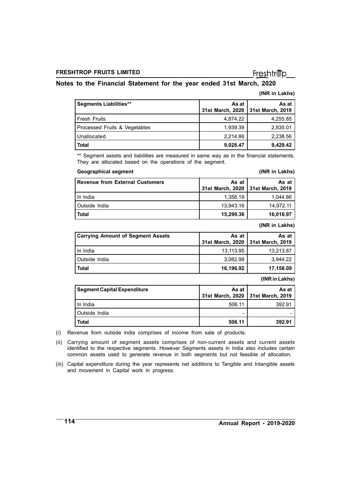

## **Notes to the Financial Statement for the year ended 31st March, 2020**

#### **(INR in Lakhs)**

| <b>Segments Liabilities**</b> | As at<br>31st March, 2020 | As at<br>  31st March, 2019 |
|-------------------------------|---------------------------|-----------------------------|
| <b>Fresh Fruits</b>           | 4,874.22                  | 4,255.85                    |
| Processed Fruits & Vegetables | 1,939.39                  | 2,935.01                    |
| Unallocated                   | 2,214.86                  | 2,238.56                    |
| <b>Total</b>                  | 9,028.47                  | 9,429.42                    |

\*\* Segment assets and liabilities are measured in same way as in the financial statements. They are allocated based on the operations of the segment.

#### Geographical segment **COVID-100** (INR in Lakhs)

| <b>Revenue from External Customers</b> | As at<br>31st March, 2020   31st March, 2019 | As at     |
|----------------------------------------|----------------------------------------------|-----------|
| l In India                             | 1,356.19                                     | 1.044.86  |
| l Outside India                        | 13.943.16                                    | 14.972.11 |
| l Total                                | 15,299.36                                    | 16,016.97 |

#### **(INR in Lakhs)**

| <b>Carrying Amount of Segment Assets</b> | As at<br>31st March, 2020 | As at<br>  31st March, 2019 |
|------------------------------------------|---------------------------|-----------------------------|
| In India                                 | 13,113.95                 | 13,213.87                   |
| Outside India                            | 3.082.98                  | 3.944.22                    |
| Total                                    | 16,196.92                 | 17,158.09                   |

#### **(INR in Lakhs)**

| <b>Segment Capital Expenditure</b> | As at<br>31st March, 2020   31st March, 2019 | As at  |
|------------------------------------|----------------------------------------------|--------|
| In India                           | 506.11                                       | 392.91 |
| Outside India                      | -                                            |        |
| Total                              | 506.11                                       | 392.91 |

(i) Revenue from outside india comprises of income from sale of products.

(ii) Carrying amount of segment assets comprises of non-current assets and current assets identified to the respective segments. However Segments assets in India also includes certain common assets used to generate revenue in both segments but not feasible of allocation.

(iii) Capital expenditure during the year represents net additions to Tangible and Intangible assets and movement in Capital work in progress.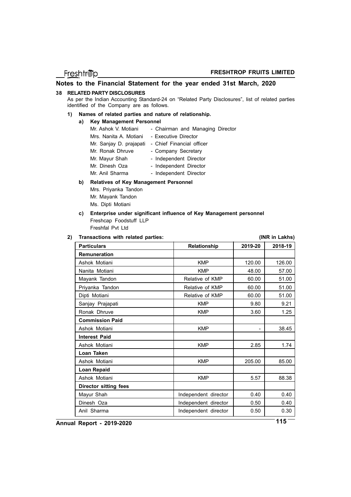Freshtrop

#### **Notes to the Financial Statement for the year ended 31st March, 2020**

#### **38 RELATED PARTY DISCLOSURES**

As per the Indian Accounting Standard-24 on "Related Party Disclosures", list of related parties identified of the Company are as follows.

#### **1) Names of related parties and nature of relationship.**

#### **a) Key Management Personnel**

- Mr. Ashok V. Motiani Chairman and Managing Director Mrs. Nanita A. Motiani - Executive Director Mr. Sanjay D. prajapati - Chief Financial officer Mr. Ronak Dhruve - Company Secretary Mr. Mayur Shah - Independent Director
- Mr. Dinesh Oza Independent Director
- Mr. Anil Sharma Independent Director

#### **b) Relatives of Key Management Personnel**

- Mrs. Priyanka Tandon Mr. Mayank Tandon Ms. Dipti Motiani
- **c) Enterprise under significant influence of Key Management personnel** Freshcap Foodstuff LLP Freshfal Pvt Ltd

#### **2) Transactions with related parties: (INR in Lakhs)**

| <b>Particulars</b>           | <b>Relationship</b>  | 2019-20 | 2018-19 |
|------------------------------|----------------------|---------|---------|
| <b>Remuneration</b>          |                      |         |         |
| Ashok Motiani                | <b>KMP</b>           | 120.00  | 126.00  |
| Nanita Motiani               | <b>KMP</b>           | 48.00   | 57.00   |
| Mayank Tandon                | Relative of KMP      | 60.00   | 51.00   |
| Priyanka Tandon              | Relative of KMP      | 60.00   | 51.00   |
| Dipti Motiani                | Relative of KMP      | 60.00   | 51.00   |
| Sanjay Prajapati             | <b>KMP</b>           | 9.80    | 9.21    |
| Ronak Dhruve                 | <b>KMP</b>           | 3.60    | 1.25    |
| <b>Commission Paid</b>       |                      |         |         |
| Ashok Motiani                | <b>KMP</b>           |         | 38.45   |
| <b>Interest Paid</b>         |                      |         |         |
| Ashok Motiani                | <b>KMP</b>           | 2.85    | 1.74    |
| Loan Taken                   |                      |         |         |
| Ashok Motiani                | <b>KMP</b>           | 205.00  | 85.00   |
| <b>Loan Repaid</b>           |                      |         |         |
| Ashok Motiani                | <b>KMP</b>           | 5.57    | 88.38   |
| <b>Director sitting fees</b> |                      |         |         |
| Mayur Shah                   | Independent director | 0.40    | 0.40    |
| Dinesh Oza                   | Independent director | 0.50    | 0.40    |
| Anil Sharma                  | Independent director | 0.50    | 0.30    |

**Annual Report - 2019-2020 115**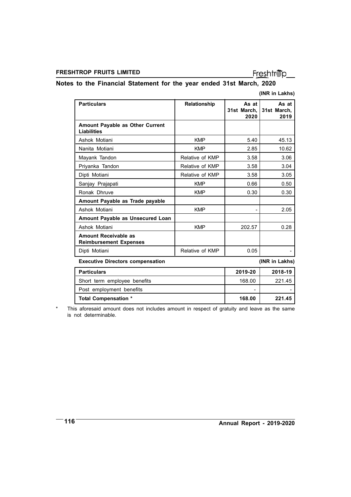

## **Notes to the Financial Statement for the year ended 31st March, 2020**

#### **(INR in Lakhs)**

| <b>Particulars</b>                                           | <b>Relationship</b> | As at<br>31st March.<br>2020 | As at<br>31st March,<br>2019 |
|--------------------------------------------------------------|---------------------|------------------------------|------------------------------|
| <b>Amount Payable as Other Current</b><br><b>Liabilities</b> |                     |                              |                              |
| Ashok Motiani                                                | <b>KMP</b>          | 5.40                         | 45.13                        |
| Nanita Motiani                                               | <b>KMP</b>          | 2.85                         | 10.62                        |
| Mayank Tandon                                                | Relative of KMP     | 3.58                         | 3.06                         |
| Priyanka Tandon                                              | Relative of KMP     | 3.58                         | 3.04                         |
| Dipti Motiani                                                | Relative of KMP     | 3.58                         | 3.05                         |
| Sanjay Prajapati                                             | <b>KMP</b>          | 0.66                         | 0.50                         |
| Ronak Dhruve                                                 | <b>KMP</b>          | 0.30                         | 0.30                         |
| Amount Payable as Trade payable                              |                     |                              |                              |
| Ashok Motiani                                                | <b>KMP</b>          |                              | 2.05                         |
| Amount Payable as Unsecured Loan                             |                     |                              |                              |
| Ashok Motiani                                                | <b>KMP</b>          | 202.57                       | 0.28                         |
| <b>Amount Receivable as</b><br><b>Reimbursement Expenses</b> |                     |                              |                              |
| Dipti Motiani                                                | Relative of KMP     | 0.05                         |                              |
| <b>Executive Directors compensation</b>                      |                     | (INR in Lakhs)               |                              |
| <b>Particulars</b>                                           |                     | 2019-20                      | 2018-19                      |
| Short term employee benefits                                 |                     | 168.00                       | 221.45                       |
| Post employment benefits                                     |                     |                              |                              |
| <b>Total Compensation *</b>                                  |                     | 168.00                       | 221.45                       |

\* This aforesaid amount does not includes amount in respect of gratuity and leave as the same is not determinable.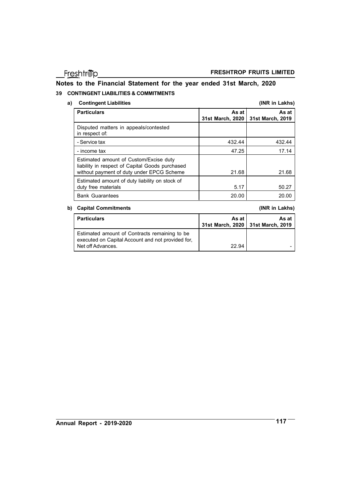Freshtr<sup>a</sup>p

#### **FRESHTROP FRUITS LIMITED**

## **39 CONTINGENT LIABILITIES & COMMITMENTS Notes to the Financial Statement for the year ended 31st March, 2020**

**a) Contingent Liabilities (INR in Lakhs)**

| <b>Particulars</b>                                                                                                                     | As at<br>31st March, 2020 | As at<br>31st March, 2019 |
|----------------------------------------------------------------------------------------------------------------------------------------|---------------------------|---------------------------|
| Disputed matters in appeals/contested<br>in respect of:                                                                                |                           |                           |
| - Service tax                                                                                                                          | 432.44                    | 432.44                    |
| - income tax                                                                                                                           | 47.25                     | 17.14                     |
| Estimated amount of Custom/Excise duty<br>liability in respect of Capital Goods purchased<br>without payment of duty under EPCG Scheme | 21.68                     | 21.68                     |
| Estimated amount of duty liability on stock of<br>duty free materials                                                                  | 5.17                      | 50.27                     |
| <b>Bank Guarantees</b>                                                                                                                 | 20.00                     | 20.00                     |

#### **b) Capital Commitments (INR in Lakhs)**

| <b>Particulars</b>                                                                                                      | As at<br>31st March, 2020   31st March, 2019 | As at |
|-------------------------------------------------------------------------------------------------------------------------|----------------------------------------------|-------|
| Estimated amount of Contracts remaining to be<br>executed on Capital Account and not provided for.<br>Net off Advances. | 22.94                                        |       |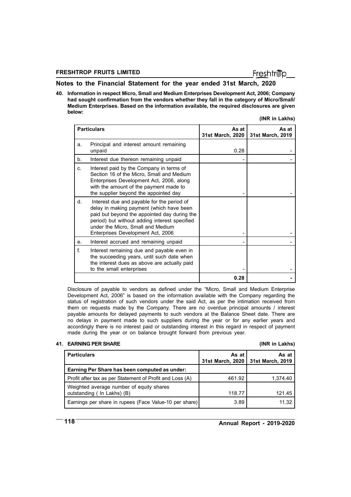

#### **Notes to the Financial Statement for the year ended 31st March, 2020**

**40. Information in respect Micro, Small and Medium Enterprises Development Act, 2006; Company had sought confirmation from the vendors whether they fall in the category of Micro/Small/ Medium Enterprises. Based on the information available, the required disclosures are given below:**

**(INR in Lakhs)**

|    | <b>Particulars</b>                                                                                                                                                                                                                                                | As at<br>31st March, 2020 | As at<br>31st March, 2019 |
|----|-------------------------------------------------------------------------------------------------------------------------------------------------------------------------------------------------------------------------------------------------------------------|---------------------------|---------------------------|
| a. | Principal and interest amount remaining<br>unpaid                                                                                                                                                                                                                 | 0.28                      |                           |
| b. | Interest due thereon remaining unpaid                                                                                                                                                                                                                             |                           |                           |
| C. | Interest paid by the Company in terms of<br>Section 16 of the Micro, Small and Medium<br>Enterprises Development Act, 2006, along<br>with the amount of the payment made to<br>the supplier beyond the appointed day                                              |                           |                           |
| d. | Interest due and payable for the period of<br>delay in making payment (which have been<br>paid but beyond the appointed day during the<br>period) but without adding interest specified<br>under the Micro, Small and Medium<br>Enterprises Development Act, 2006 |                           |                           |
| e. | Interest accrued and remaining unpaid                                                                                                                                                                                                                             |                           |                           |
| f. | Interest remaining due and payable even in<br>the succeeding years, until such date when<br>the interest dues as above are actually paid<br>to the small enterprises                                                                                              |                           |                           |
|    |                                                                                                                                                                                                                                                                   | 0.28                      |                           |

Disclosure of payable to vendors as defined under the "Micro, Small and Medium Enterprise Development Act, 2006" is based on the information available with the Company regarding the status of registration of such vendors under the said Act, as per the intimation received from them on requests made by the Company. There are no overdue principal amounts / interest payable amounts for delayed payments to such vendors at the Balance Sheet date. There are no delays in payment made to such suppliers during the year or for any earlier years and accordingly there is no interest paid or outstanding interest in this regard in respect of payment made during the year or on balance brought forward from previous year.

#### **41. EARNING PER SHARE (INR in Lakhs)**

| <b>Particulars</b>                                                     | As at<br>31st March, 2020 | As at<br>31st March, 2019 |
|------------------------------------------------------------------------|---------------------------|---------------------------|
| Earning Per Share has been computed as under:                          |                           |                           |
| Profit after tax as per Statement of Profit and Loss (A)               | 461.92                    | 1,374.40                  |
| Weighted average number of equity shares<br>outstanding (In Lakhs) (B) | 118.77                    | 121.45                    |
| Earnings per share in rupees (Face Value-10 per share)                 | 3.89                      | 11.32                     |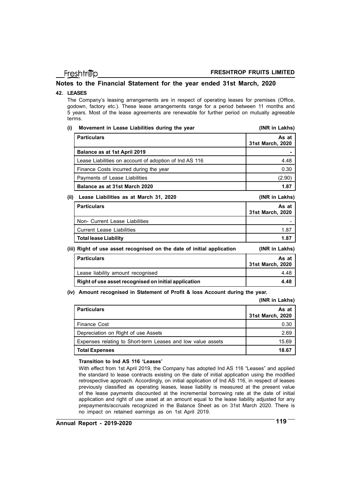### **Notes to the Financial Statement for the year ended 31st March, 2020**

#### **42. LEASES**

The Company's leasing arrangements are in respect of operating leases for premises (Office, godown, factory etc.). These lease arrangements range for a period between 11 months and 5 years. Most of the lease agreements are renewable for further period on mutually agreeable terms.

| Movement in Lease Liabilities during the year<br>(i)   | (INR in Lakhs)            |
|--------------------------------------------------------|---------------------------|
| <b>Particulars</b>                                     | As at<br>31st March, 2020 |
| Balance as at 1st April 2019                           |                           |
| Lease Liabilities on account of adoption of Ind AS 116 | 4.48                      |
| Finance Costs incurred during the year                 | 0.30                      |
| Payments of Lease Liabilities                          | (2.90)                    |
| Balance as at 31st March 2020                          | 1.87                      |

**(ii) Lease Liabilities as at March 31, 2020 (INR in Lakhs)**

| <b>Particulars</b>               | As at<br>31st March, 2020 |
|----------------------------------|---------------------------|
| Non- Current Lease Liabilities   |                           |
| <b>Current Lease Liabilities</b> | 1.87                      |
| <b>Total lease Liability</b>     | 1.87                      |

#### **(iii) Right of use asset recognised on the date of initial application (INR in Lakhs)**

| l Particulars                                        | As at<br>31st March, 2020 |
|------------------------------------------------------|---------------------------|
| Lease liability amount recognised                    | 4.48                      |
| Right of use asset recognised on initial application | 4.48                      |

**(iv) Amount recognised in Statement of Profit & loss Account during the year.**

**(INR in Lakhs)**

| <b>Particulars</b>                                          | As at<br>31st March, 2020 |  |
|-------------------------------------------------------------|---------------------------|--|
| <b>Finance Cost</b>                                         | 0.30                      |  |
| Depreciation on Right of use Assets                         | 2.69                      |  |
| Expenses relating to Short-term Leases and low value assets | 15.69                     |  |
| <b>Total Expenses</b>                                       | 18.67                     |  |

#### **Transition to Ind AS 116 'Leases'**

With effect from 1st April 2019, the Company has adopted Ind AS 116 "Leases" and applied the standard to lease contracts existing on the date of initial application using the modified retrospective approach. Accordingly, on initial application of Ind AS 116, in respect of leases previously classified as operating leases, lease liability is measured at the present value of the lease payments discounted at the incremental borrowing rate at the date of initial application and right of use asset at an amount equal to the lease liability adjusted for any prepayments/accruals recognized in the Balance Sheet as on 31st March 2020. There is no impact on retained earnings as on 1st April 2019.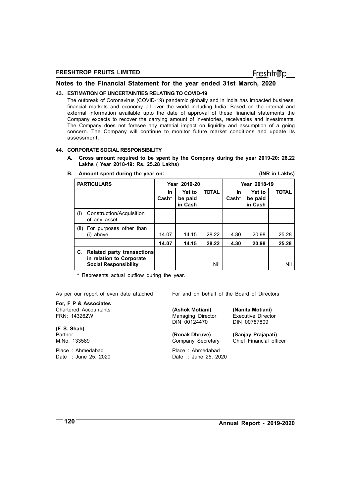

#### **Notes to the Financial Statement for the year ended 31st March, 2020**

#### **43. ESTIMATION OF UNCERTAINTIES RELATING TO COVID-19**

The outbreak of Coronavirus (COVID-19) pandemic globally and in India has impacted business, financial markets and economy all over the world including India. Based on the internal and external information available upto the date of approval of these financial statements the Company expects to recover the carrying amount of inventories, receivables and investments. The Company does not foresee any material impact on liquidity and assumption of a going concern. The Company will continue to monitor future market conditions and update its assessment.

#### **44. CORPORATE SOCIAL RESPONSIBILITY**

**A. Gross amount required to be spent by the Company during the year 2019-20: 28.22 Lakhs ( Year 2018-19: Rs. 25.28 Lakhs)**

|      | <b>PARTICULARS</b>                                                                        |             | Year 2019-20                 |              | Year 2018-19                  |                              |              |
|------|-------------------------------------------------------------------------------------------|-------------|------------------------------|--------------|-------------------------------|------------------------------|--------------|
|      |                                                                                           | In<br>Cash* | Yet to<br>be paid<br>in Cash | <b>TOTAL</b> | <b>In</b><br>$\textsf{Cash*}$ | Yet to<br>be paid<br>in Cash | <b>TOTAL</b> |
| (i)  | Construction/Acquisition<br>of any asset                                                  | ۰           |                              |              | -                             | -                            |              |
| (ii) | For purposes other than<br>(i) above                                                      | 14.07       | 14.15                        | 28.22        | 4.30                          | 20.98                        | 25.28        |
|      |                                                                                           | 14.07       | 14.15                        | 28.22        | 4.30                          | 20.98                        | 25.28        |
|      | C. Related party transactions<br>in relation to Corporate<br><b>Social Responsibility</b> |             |                              | Nil          |                               |                              | Nil          |

**B. Amount spent during the year on: (INR in Lakhs)**

\* Represents actual outflow during the year.

As per our report of even date attached For and on behalf of the Board of Directors

#### **For, F P & Associates** Chartered Accountants **(Ashok Motiani) (Nanita Motiani)**

**(F. S. Shah)**

Place : Ahmedabad Place : Ahmedabad

FRN: 143262W **Managing Director** Executive Director<br>
DIN 00124470 DIN 001787809 DIN 00124470

Partner **(Ronak Dhruve) (Sanjay Prajapati)**

Date : June 25, 2020 Date : June 25, 2020

M.No. 133589 Company Secretary Chief Financial officer

**120 Annual Report - 2019-2020**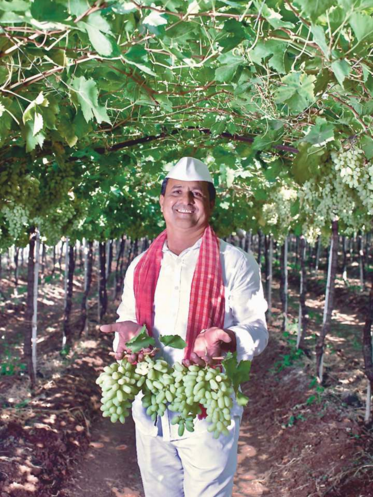